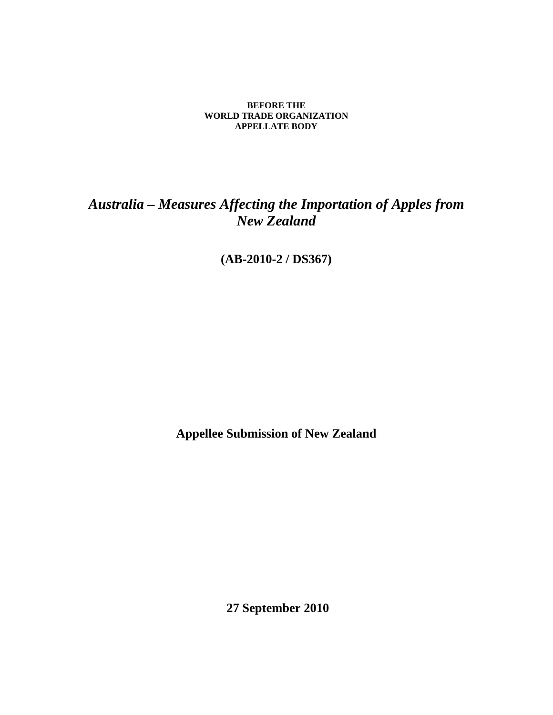#### **BEFORE THE WORLD TRADE ORGANIZATION APPELLATE BODY**

# *Australia – Measures Affecting the Importation of Apples from New Zealand*

**(AB-2010-2 / DS367)** 

**Appellee Submission of New Zealand** 

 **27 September 2010**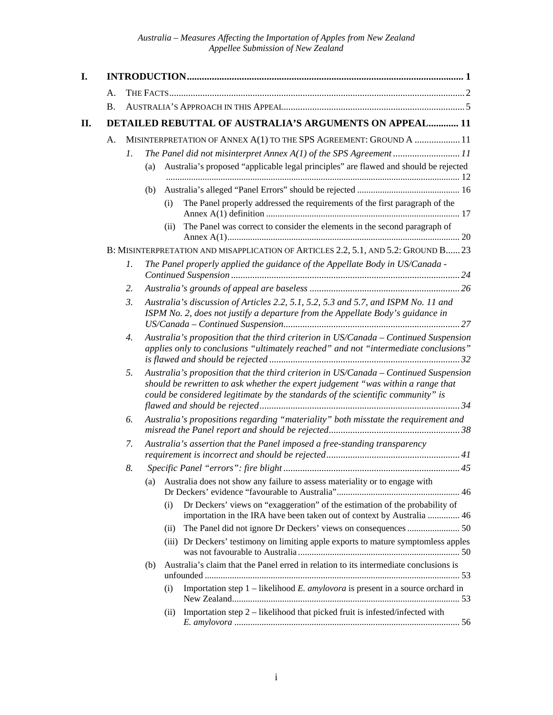| I. |           |    |     |                                                                                                                                                                                                                                                             |  |  |
|----|-----------|----|-----|-------------------------------------------------------------------------------------------------------------------------------------------------------------------------------------------------------------------------------------------------------------|--|--|
|    | Α.        |    |     |                                                                                                                                                                                                                                                             |  |  |
|    | <b>B.</b> |    |     |                                                                                                                                                                                                                                                             |  |  |
| П. |           |    |     | <b>DETAILED REBUTTAL OF AUSTRALIA'S ARGUMENTS ON APPEAL 11</b>                                                                                                                                                                                              |  |  |
|    | A.        | 1. | (a) | MISINTERPRETATION OF ANNEX A(1) TO THE SPS AGREEMENT: GROUND A  11<br>The Panel did not misinterpret Annex A(1) of the SPS Agreement 11<br>Australia's proposed "applicable legal principles" are flawed and should be rejected                             |  |  |
|    |           |    |     |                                                                                                                                                                                                                                                             |  |  |
|    |           |    | (b) | The Panel properly addressed the requirements of the first paragraph of the<br>(i)                                                                                                                                                                          |  |  |
|    |           |    |     | The Panel was correct to consider the elements in the second paragraph of<br>(i)                                                                                                                                                                            |  |  |
|    |           |    |     | B: MISINTERPRETATION AND MISAPPLICATION OF ARTICLES 2.2, 5.1, AND 5.2: GROUND B 23                                                                                                                                                                          |  |  |
|    |           | 1. |     | The Panel properly applied the guidance of the Appellate Body in US/Canada -                                                                                                                                                                                |  |  |
|    |           | 2. |     |                                                                                                                                                                                                                                                             |  |  |
|    |           | 3. |     | Australia's discussion of Articles 2.2, 5.1, 5.2, 5.3 and 5.7, and ISPM No. 11 and<br>ISPM No. 2, does not justify a departure from the Appellate Body's guidance in                                                                                        |  |  |
|    |           | 4. |     | Australia's proposition that the third criterion in US/Canada - Continued Suspension<br>applies only to conclusions "ultimately reached" and not "intermediate conclusions"                                                                                 |  |  |
|    |           | 5. |     | Australia's proposition that the third criterion in US/Canada - Continued Suspension<br>should be rewritten to ask whether the expert judgement "was within a range that<br>could be considered legitimate by the standards of the scientific community" is |  |  |
|    |           | 6. |     | Australia's propositions regarding "materiality" both misstate the requirement and                                                                                                                                                                          |  |  |
|    |           | 7. |     | Australia's assertion that the Panel imposed a free-standing transparency                                                                                                                                                                                   |  |  |
|    |           | 8. |     |                                                                                                                                                                                                                                                             |  |  |
|    |           |    | (a) | Australia does not show any failure to assess materiality or to engage with                                                                                                                                                                                 |  |  |
|    |           |    |     | Dr Deckers' views on "exaggeration" of the estimation of the probability of<br>(i)<br>importation in the IRA have been taken out of context by Australia  46                                                                                                |  |  |
|    |           |    |     | The Panel did not ignore Dr Deckers' views on consequences  50<br>(ii)                                                                                                                                                                                      |  |  |
|    |           |    |     | (iii) Dr Deckers' testimony on limiting apple exports to mature symptomless apples                                                                                                                                                                          |  |  |
|    |           |    | (b) | Australia's claim that the Panel erred in relation to its intermediate conclusions is                                                                                                                                                                       |  |  |
|    |           |    |     | Importation step $1$ – likelihood <i>E. amylovora</i> is present in a source orchard in<br>(i)                                                                                                                                                              |  |  |
|    |           |    |     | Importation step $2$ – likelihood that picked fruit is infested/infected with<br>(i)                                                                                                                                                                        |  |  |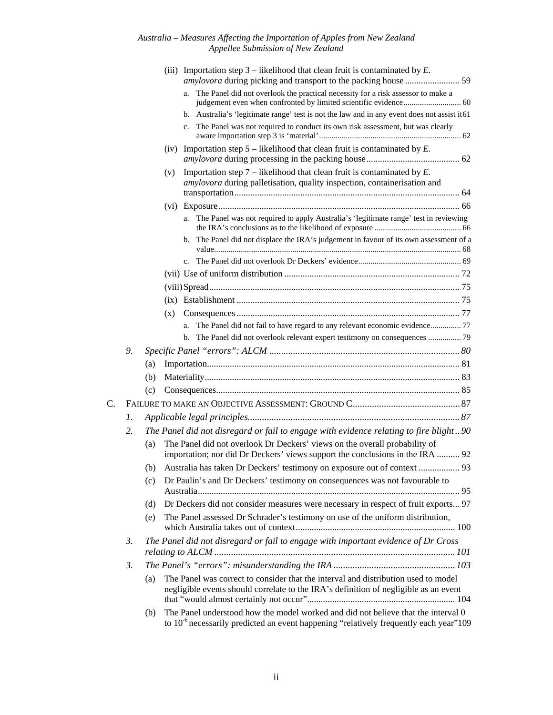#### *Australia – Measures Affecting the Importation of Apples from New Zealand Appellee Submission of New Zealand*

|    |    |     | (iii) Importation step $3$ – likelihood that clean fruit is contaminated by E.                                                                                                   |  |  |  |
|----|----|-----|----------------------------------------------------------------------------------------------------------------------------------------------------------------------------------|--|--|--|
|    |    |     | a. The Panel did not overlook the practical necessity for a risk assessor to make a                                                                                              |  |  |  |
|    |    |     | b. Australia's 'legitimate range' test is not the law and in any event does not assist it 61                                                                                     |  |  |  |
|    |    |     | The Panel was not required to conduct its own risk assessment, but was clearly<br>$\mathbf{c}$ .                                                                                 |  |  |  |
|    |    |     | (iv) Importation step $5$ – likelihood that clean fruit is contaminated by E.                                                                                                    |  |  |  |
|    |    |     | Importation step $7$ – likelihood that clean fruit is contaminated by $E$ .<br>(v)<br>amylovora during palletisation, quality inspection, containerisation and                   |  |  |  |
|    |    |     |                                                                                                                                                                                  |  |  |  |
|    |    |     | The Panel was not required to apply Australia's 'legitimate range' test in reviewing<br>a.                                                                                       |  |  |  |
|    |    |     | The Panel did not displace the IRA's judgement in favour of its own assessment of a<br>b.                                                                                        |  |  |  |
|    |    |     |                                                                                                                                                                                  |  |  |  |
|    |    |     |                                                                                                                                                                                  |  |  |  |
|    |    |     |                                                                                                                                                                                  |  |  |  |
|    |    |     |                                                                                                                                                                                  |  |  |  |
|    |    |     | (x)                                                                                                                                                                              |  |  |  |
|    |    |     | The Panel did not fail to have regard to any relevant economic evidence 77<br>a.                                                                                                 |  |  |  |
|    |    |     | The Panel did not overlook relevant expert testimony on consequences  79<br>$\mathbf{b}$ .                                                                                       |  |  |  |
|    | 9. |     |                                                                                                                                                                                  |  |  |  |
|    |    | (a) |                                                                                                                                                                                  |  |  |  |
|    |    | (b) |                                                                                                                                                                                  |  |  |  |
|    |    | (c) |                                                                                                                                                                                  |  |  |  |
| C. |    |     |                                                                                                                                                                                  |  |  |  |
|    | 1. |     |                                                                                                                                                                                  |  |  |  |
|    | 2. |     | The Panel did not disregard or fail to engage with evidence relating to fire blight90                                                                                            |  |  |  |
|    |    | (a) | The Panel did not overlook Dr Deckers' views on the overall probability of<br>importation; nor did Dr Deckers' views support the conclusions in the IRA  92                      |  |  |  |
|    |    |     | (b) Australia has taken Dr Deckers' testimony on exposure out of context  93                                                                                                     |  |  |  |
|    |    | (c) | Dr Paulin's and Dr Deckers' testimony on consequences was not favourable to                                                                                                      |  |  |  |
|    |    | (d) | Dr Deckers did not consider measures were necessary in respect of fruit exports 97                                                                                               |  |  |  |
|    |    | (e) | The Panel assessed Dr Schrader's testimony on use of the uniform distribution,                                                                                                   |  |  |  |
|    | 3. |     | The Panel did not disregard or fail to engage with important evidence of Dr Cross                                                                                                |  |  |  |
|    | 3. |     |                                                                                                                                                                                  |  |  |  |
|    |    | (a) | The Panel was correct to consider that the interval and distribution used to model<br>negligible events should correlate to the IRA's definition of negligible as an event       |  |  |  |
|    |    | (b) | The Panel understood how the model worked and did not believe that the interval 0<br>to $10^{-6}$ necessarily predicted an event happening "relatively frequently each year" 109 |  |  |  |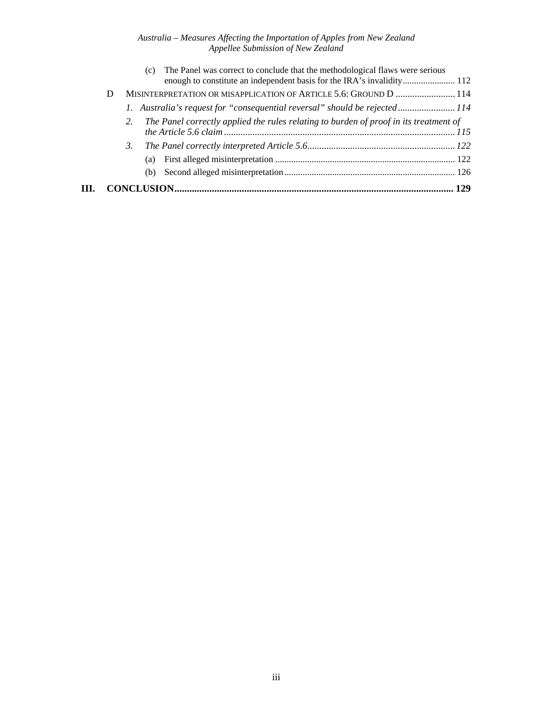#### *Australia – Measures Affecting the Importation of Apples from New Zealand Appellee Submission of New Zealand*

| HЕ. |   |                                                                                       |  |
|-----|---|---------------------------------------------------------------------------------------|--|
|     |   | (b)                                                                                   |  |
|     |   | (a)                                                                                   |  |
|     |   |                                                                                       |  |
|     |   |                                                                                       |  |
|     |   | The Panel correctly applied the rules relating to burden of proof in its treatment of |  |
|     |   | 14 <i>I.</i> Australia's request for "consequential reversal" should be rejected114   |  |
|     | D | MISINTERPRETATION OR MISAPPLICATION OF ARTICLE 5.6: GROUND D  114                     |  |
|     |   | The Panel was correct to conclude that the methodological flaws were serious<br>(c)   |  |
|     |   |                                                                                       |  |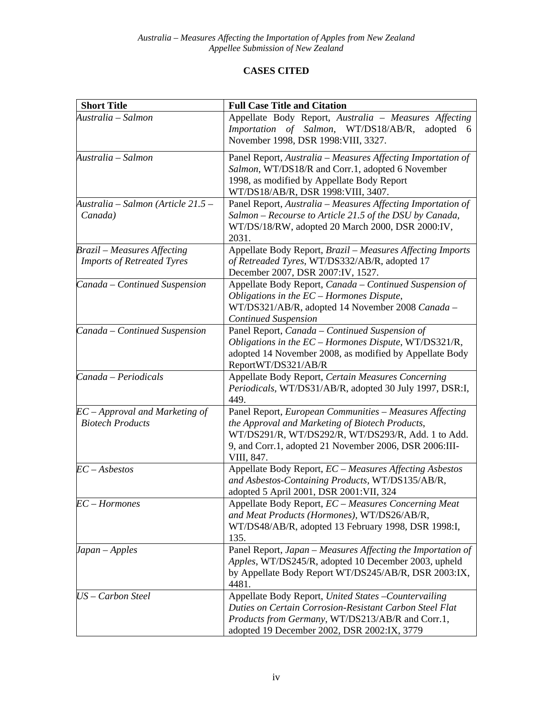## **CASES CITED**

| <b>Short Title</b>                                                      | <b>Full Case Title and Citation</b>                                                                                                                                                                                                      |
|-------------------------------------------------------------------------|------------------------------------------------------------------------------------------------------------------------------------------------------------------------------------------------------------------------------------------|
| Australia – Salmon                                                      | Appellate Body Report, Australia - Measures Affecting<br>Importation of Salmon, WT/DS18/AB/R,<br>adopted<br>-6<br>November 1998, DSR 1998: VIII, 3327.                                                                                   |
| Australia – Salmon                                                      | Panel Report, Australia – Measures Affecting Importation of<br>Salmon, WT/DS18/R and Corr.1, adopted 6 November<br>1998, as modified by Appellate Body Report<br>WT/DS18/AB/R, DSR 1998: VIII, 3407.                                     |
| Australia – Salmon (Article 21.5 –<br>Canada)                           | Panel Report, Australia - Measures Affecting Importation of<br>Salmon – Recourse to Article 21.5 of the DSU by Canada,<br>WT/DS/18/RW, adopted 20 March 2000, DSR 2000:IV,<br>2031.                                                      |
| <b>Brazil</b> – Measures Affecting<br><b>Imports of Retreated Tyres</b> | Appellate Body Report, Brazil - Measures Affecting Imports<br>of Retreaded Tyres, WT/DS332/AB/R, adopted 17<br>December 2007, DSR 2007:IV, 1527.                                                                                         |
| Canada - Continued Suspension                                           | Appellate Body Report, Canada - Continued Suspension of<br>Obligations in the EC - Hormones Dispute,<br>WT/DS321/AB/R, adopted 14 November 2008 Canada -<br><b>Continued Suspension</b>                                                  |
| Canada – Continued Suspension                                           | Panel Report, Canada – Continued Suspension of<br>Obligations in the $EC-Hormones$ Dispute, WT/DS321/R,<br>adopted 14 November 2008, as modified by Appellate Body<br>ReportWT/DS321/AB/R                                                |
| Canada - Periodicals                                                    | Appellate Body Report, Certain Measures Concerning<br>Periodicals, WT/DS31/AB/R, adopted 30 July 1997, DSR:I,<br>449.                                                                                                                    |
| $EC$ – Approval and Marketing of<br><b>Biotech Products</b>             | Panel Report, European Communities - Measures Affecting<br>the Approval and Marketing of Biotech Products,<br>WT/DS291/R, WT/DS292/R, WT/DS293/R, Add. 1 to Add.<br>9, and Corr.1, adopted 21 November 2006, DSR 2006:III-<br>VIII, 847. |
| $EC - Asbestos$                                                         | Appellate Body Report, EC - Measures Affecting Asbestos<br>and Asbestos-Containing Products, WT/DS135/AB/R,<br>adopted 5 April 2001, DSR 2001:VII, 324                                                                                   |
| $EC-Hormones$                                                           | Appellate Body Report, <i>EC</i> – <i>Measures Concerning Meat</i><br>and Meat Products (Hormones), WT/DS26/AB/R,<br>WT/DS48/AB/R, adopted 13 February 1998, DSR 1998:I,<br>135.                                                         |
| Japan – Apples                                                          | Panel Report, Japan - Measures Affecting the Importation of<br>Apples, WT/DS245/R, adopted 10 December 2003, upheld<br>by Appellate Body Report WT/DS245/AB/R, DSR 2003:IX,<br>4481.                                                     |
| US - Carbon Steel                                                       | Appellate Body Report, United States - Countervailing<br>Duties on Certain Corrosion-Resistant Carbon Steel Flat<br>Products from Germany, WT/DS213/AB/R and Corr.1,<br>adopted 19 December 2002, DSR 2002:IX, 3779                      |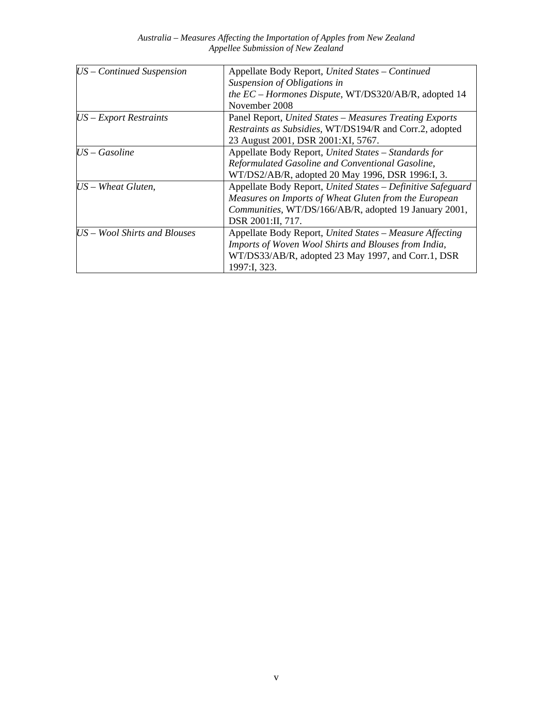| $US$ – Continued Suspension  | Appellate Body Report, United States - Continued            |
|------------------------------|-------------------------------------------------------------|
|                              | Suspension of Obligations in                                |
|                              | the EC - Hormones Dispute, WT/DS320/AB/R, adopted 14        |
|                              | November 2008                                               |
| $US$ – Export Restraints     | Panel Report, United States - Measures Treating Exports     |
|                              | Restraints as Subsidies, WT/DS194/R and Corr.2, adopted     |
|                              | 23 August 2001, DSR 2001:XI, 5767.                          |
| $US - Gasoline$              | Appellate Body Report, United States - Standards for        |
|                              | Reformulated Gasoline and Conventional Gasoline,            |
|                              | WT/DS2/AB/R, adopted 20 May 1996, DSR 1996:I, 3.            |
| $US - Wh$ eat Gluten,        | Appellate Body Report, United States - Definitive Safeguard |
|                              | Measures on Imports of Wheat Gluten from the European       |
|                              | Communities, WT/DS/166/AB/R, adopted 19 January 2001,       |
|                              | DSR 2001:II, 717.                                           |
| US – Wool Shirts and Blouses | Appellate Body Report, United States - Measure Affecting    |
|                              | Imports of Woven Wool Shirts and Blouses from India,        |
|                              | WT/DS33/AB/R, adopted 23 May 1997, and Corr.1, DSR          |
|                              | 1997:I, 323.                                                |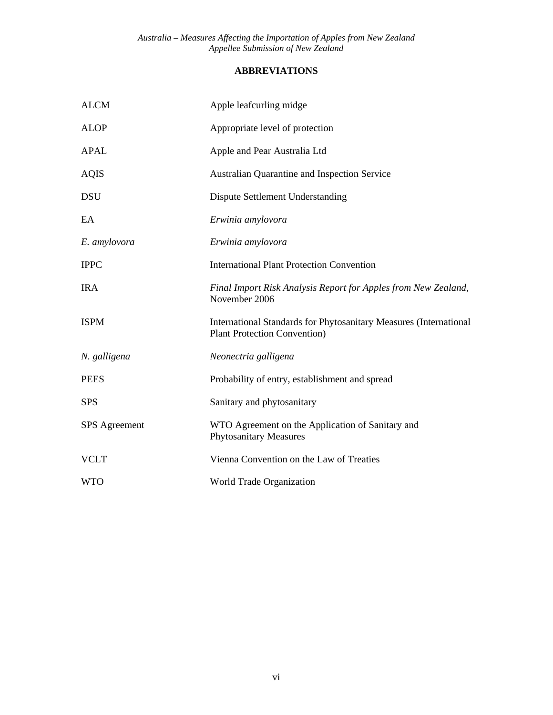## **ABBREVIATIONS**

| <b>ALCM</b>          | Apple leafcurling midge                                                                                         |
|----------------------|-----------------------------------------------------------------------------------------------------------------|
| <b>ALOP</b>          | Appropriate level of protection                                                                                 |
| APAL                 | Apple and Pear Australia Ltd                                                                                    |
| <b>AQIS</b>          | Australian Quarantine and Inspection Service                                                                    |
| <b>DSU</b>           | <b>Dispute Settlement Understanding</b>                                                                         |
| EA                   | Erwinia amylovora                                                                                               |
| E. amylovora         | Erwinia amylovora                                                                                               |
| <b>IPPC</b>          | <b>International Plant Protection Convention</b>                                                                |
| <b>IRA</b>           | Final Import Risk Analysis Report for Apples from New Zealand,<br>November 2006                                 |
| <b>ISPM</b>          | <b>International Standards for Phytosanitary Measures (International</b><br><b>Plant Protection Convention)</b> |
| N. galligena         | Neonectria galligena                                                                                            |
| <b>PEES</b>          | Probability of entry, establishment and spread                                                                  |
| <b>SPS</b>           | Sanitary and phytosanitary                                                                                      |
| <b>SPS</b> Agreement | WTO Agreement on the Application of Sanitary and<br><b>Phytosanitary Measures</b>                               |
| <b>VCLT</b>          | Vienna Convention on the Law of Treaties                                                                        |
| <b>WTO</b>           | World Trade Organization                                                                                        |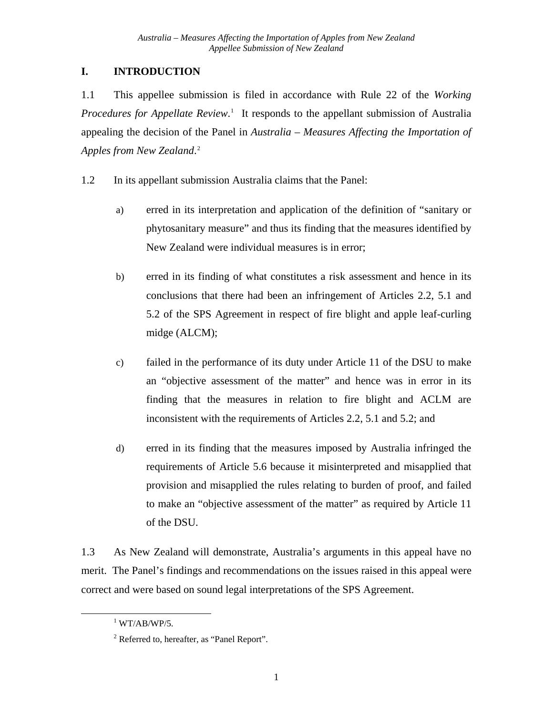## <span id="page-7-0"></span>**I. INTRODUCTION**

1.1 This appellee submission is filed in accordance with Rule 22 of the *Working*  Procedures for Appellate Review.<sup>[1](#page-7-1)</sup> It responds to the appellant submission of Australia appealing the decision of the Panel in *Australia – Measures Affecting the Importation of Apples from New Zealand*. [2](#page-7-2)

- 1.2 In its appellant submission Australia claims that the Panel:
	- a) erred in its interpretation and application of the definition of "sanitary or phytosanitary measure" and thus its finding that the measures identified by New Zealand were individual measures is in error;
	- b) erred in its finding of what constitutes a risk assessment and hence in its conclusions that there had been an infringement of Articles 2.2, 5.1 and 5.2 of the SPS Agreement in respect of fire blight and apple leaf-curling midge (ALCM);
	- c) failed in the performance of its duty under Article 11 of the DSU to make an "objective assessment of the matter" and hence was in error in its finding that the measures in relation to fire blight and ACLM are inconsistent with the requirements of Articles 2.2, 5.1 and 5.2; and
	- d) erred in its finding that the measures imposed by Australia infringed the requirements of Article 5.6 because it misinterpreted and misapplied that provision and misapplied the rules relating to burden of proof, and failed to make an "objective assessment of the matter" as required by Article 11 of the DSU.

1.3 As New Zealand will demonstrate, Australia's arguments in this appeal have no merit. The Panel's findings and recommendations on the issues raised in this appeal were correct and were based on sound legal interpretations of the SPS Agreement.

<span id="page-7-2"></span><span id="page-7-1"></span>1

 $1$  WT/AB/WP/5.

<sup>&</sup>lt;sup>2</sup> Referred to, hereafter, as "Panel Report".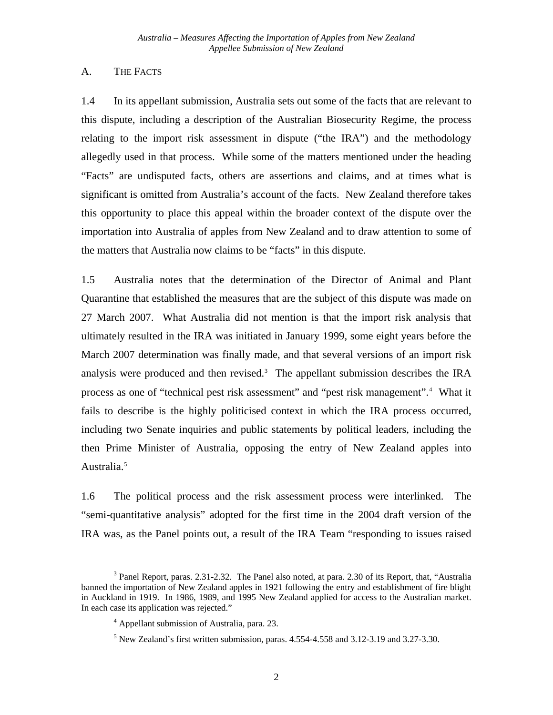### <span id="page-8-0"></span>A. THE FACTS

1.4 In its appellant submission, Australia sets out some of the facts that are relevant to this dispute, including a description of the Australian Biosecurity Regime, the process relating to the import risk assessment in dispute ("the IRA") and the methodology allegedly used in that process. While some of the matters mentioned under the heading "Facts" are undisputed facts, others are assertions and claims, and at times what is significant is omitted from Australia's account of the facts. New Zealand therefore takes this opportunity to place this appeal within the broader context of the dispute over the importation into Australia of apples from New Zealand and to draw attention to some of the matters that Australia now claims to be "facts" in this dispute.

1.5 Australia notes that the determination of the Director of Animal and Plant Quarantine that established the measures that are the subject of this dispute was made on 27 March 2007. What Australia did not mention is that the import risk analysis that ultimately resulted in the IRA was initiated in January 1999, some eight years before the March 2007 determination was finally made, and that several versions of an import risk analysis were produced and then revised.<sup>[3](#page-8-1)</sup> The appellant submission describes the IRA process as one of "technical pest risk assessment" and "pest risk management".<sup>[4](#page-8-2)</sup> What it fails to describe is the highly politicised context in which the IRA process occurred, including two Senate inquiries and public statements by political leaders, including the then Prime Minister of Australia, opposing the entry of New Zealand apples into Australia.<sup>[5](#page-8-3)</sup>

1.6 The political process and the risk assessment process were interlinked. The "semi-quantitative analysis" adopted for the first time in the 2004 draft version of the IRA was, as the Panel points out, a result of the IRA Team "responding to issues raised

 $\overline{a}$ 

<span id="page-8-3"></span><span id="page-8-2"></span><span id="page-8-1"></span><sup>&</sup>lt;sup>3</sup> Panel Report, paras. 2.31-2.32. The Panel also noted, at para. 2.30 of its Report, that, "Australia banned the importation of New Zealand apples in 1921 following the entry and establishment of fire blight in Auckland in 1919. In 1986, 1989, and 1995 New Zealand applied for access to the Australian market. In each case its application was rejected."

<sup>4</sup> Appellant submission of Australia, para. 23.

 $<sup>5</sup>$  New Zealand's first written submission, paras. 4.554-4.558 and 3.12-3.19 and 3.27-3.30.</sup>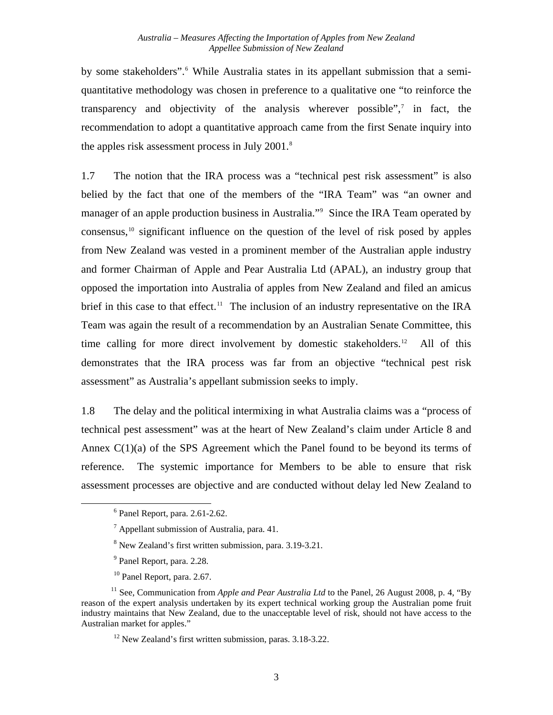by some stakeholders".<sup>[6](#page-9-0)</sup> While Australia states in its appellant submission that a semiquantitative methodology was chosen in preference to a qualitative one "to reinforce the transparency and objectivity of the analysis wherever possible", $\frac{7}{7}$  $\frac{7}{7}$  $\frac{7}{7}$  in fact, the recommendation to adopt a quantitative approach came from the first Senate inquiry into the apples risk assessment process in July 2001.<sup>8</sup>

1.7 The notion that the IRA process was a "technical pest risk assessment" is also belied by the fact that one of the members of the "IRA Team" was "an owner and manager of an apple production business in Australia."<sup>[9](#page-9-3)</sup> Since the IRA Team operated by consensus, $10$  significant influence on the question of the level of risk posed by apples from New Zealand was vested in a prominent member of the Australian apple industry and former Chairman of Apple and Pear Australia Ltd (APAL), an industry group that opposed the importation into Australia of apples from New Zealand and filed an amicus brief in this case to that effect.<sup>[11](#page-9-5)</sup> The inclusion of an industry representative on the IRA Team was again the result of a recommendation by an Australian Senate Committee, this time calling for more direct involvement by domestic stakeholders.<sup>[12](#page-9-6)</sup> All of this demonstrates that the IRA process was far from an objective "technical pest risk assessment" as Australia's appellant submission seeks to imply.

1.8 The delay and the political intermixing in what Australia claims was a "process of technical pest assessment" was at the heart of New Zealand's claim under Article 8 and Annex  $C(1)(a)$  of the SPS Agreement which the Panel found to be beyond its terms of reference. The systemic importance for Members to be able to ensure that risk assessment processes are objective and are conducted without delay led New Zealand to

- <sup>9</sup> Panel Report, para. 2.28.
- 10 Panel Report, para. 2.67.

<sup>6</sup> Panel Report, para. 2.61-2.62.

 $<sup>7</sup>$  Appellant submission of Australia, para. 41.</sup>

<sup>&</sup>lt;sup>8</sup> New Zealand's first written submission, para. 3.19-3.21.

<span id="page-9-6"></span><span id="page-9-5"></span><span id="page-9-4"></span><span id="page-9-3"></span><span id="page-9-2"></span><span id="page-9-1"></span><span id="page-9-0"></span><sup>&</sup>lt;sup>11</sup> See, Communication from *Apple and Pear Australia Ltd* to the Panel, 26 August 2008, p. 4, "By reason of the expert analysis undertaken by its expert technical working group the Australian pome fruit industry maintains that New Zealand, due to the unacceptable level of risk, should not have access to the Australian market for apples."

 $12$  New Zealand's first written submission, paras. 3.18-3.22.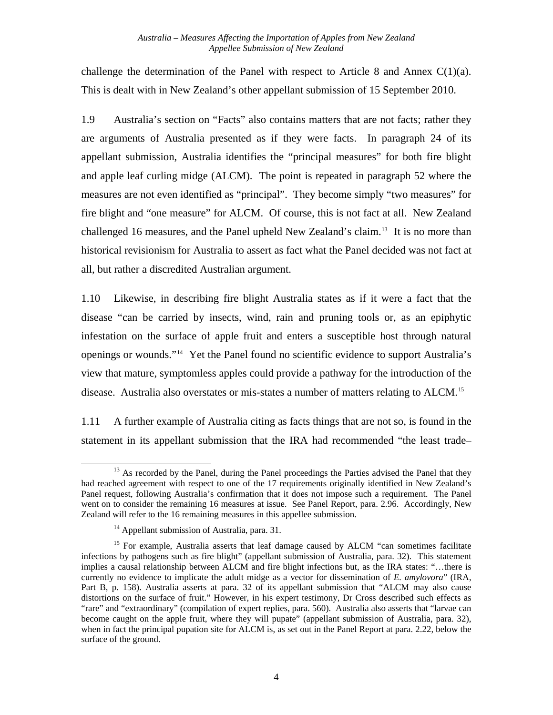challenge the determination of the Panel with respect to Article 8 and Annex  $C(1)(a)$ . This is dealt with in New Zealand's other appellant submission of 15 September 2010.

1.9 Australia's section on "Facts" also contains matters that are not facts; rather they are arguments of Australia presented as if they were facts. In paragraph 24 of its appellant submission, Australia identifies the "principal measures" for both fire blight and apple leaf curling midge (ALCM). The point is repeated in paragraph 52 where the measures are not even identified as "principal". They become simply "two measures" for fire blight and "one measure" for ALCM. Of course, this is not fact at all. New Zealand challenged 16 measures, and the Panel upheld New Zealand's claim.<sup>[13](#page-10-0)</sup> It is no more than historical revisionism for Australia to assert as fact what the Panel decided was not fact at all, but rather a discredited Australian argument.

1.10 Likewise, in describing fire blight Australia states as if it were a fact that the disease "can be carried by insects, wind, rain and pruning tools or, as an epiphytic infestation on the surface of apple fruit and enters a susceptible host through natural openings or wounds."[14](#page-10-1) Yet the Panel found no scientific evidence to support Australia's view that mature, symptomless apples could provide a pathway for the introduction of the disease. Australia also overstates or mis-states a number of matters relating to ALCM.<sup>[15](#page-10-2)</sup>

1.11 A further example of Australia citing as facts things that are not so, is found in the statement in its appellant submission that the IRA had recommended "the least trade–

<span id="page-10-0"></span>l  $13$  As recorded by the Panel, during the Panel proceedings the Parties advised the Panel that they had reached agreement with respect to one of the 17 requirements originally identified in New Zealand's Panel request, following Australia's confirmation that it does not impose such a requirement. The Panel went on to consider the remaining 16 measures at issue. See Panel Report, para. 2.96. Accordingly, New Zealand will refer to the 16 remaining measures in this appellee submission.

<sup>&</sup>lt;sup>14</sup> Appellant submission of Australia, para. 31.

<span id="page-10-2"></span><span id="page-10-1"></span> $15$  For example, Australia asserts that leaf damage caused by ALCM "can sometimes facilitate infections by pathogens such as fire blight" (appellant submission of Australia, para. 32). This statement implies a causal relationship between ALCM and fire blight infections but, as the IRA states: "…there is currently no evidence to implicate the adult midge as a vector for dissemination of *E. amylovora*" (IRA, Part B, p. 158). Australia asserts at para. 32 of its appellant submission that "ALCM may also cause distortions on the surface of fruit." However, in his expert testimony, Dr Cross described such effects as "rare" and "extraordinary" (compilation of expert replies, para. 560). Australia also asserts that "larvae can become caught on the apple fruit, where they will pupate" (appellant submission of Australia, para. 32), when in fact the principal pupation site for ALCM is, as set out in the Panel Report at para. 2.22, below the surface of the ground.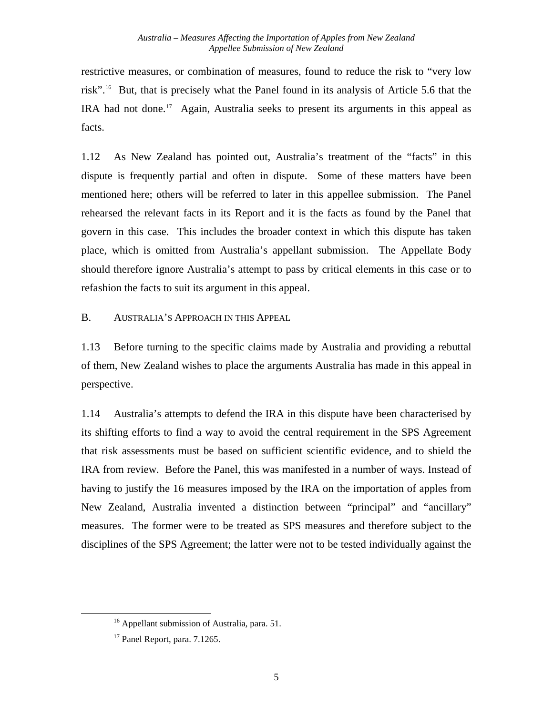<span id="page-11-0"></span>restrictive measures, or combination of measures, found to reduce the risk to "very low risk".[16](#page-11-1) But, that is precisely what the Panel found in its analysis of Article 5.6 that the IRA had not done.<sup>[17](#page-11-2)</sup> Again, Australia seeks to present its arguments in this appeal as facts.

1.12 As New Zealand has pointed out, Australia's treatment of the "facts" in this dispute is frequently partial and often in dispute. Some of these matters have been mentioned here; others will be referred to later in this appellee submission. The Panel rehearsed the relevant facts in its Report and it is the facts as found by the Panel that govern in this case. This includes the broader context in which this dispute has taken place, which is omitted from Australia's appellant submission. The Appellate Body should therefore ignore Australia's attempt to pass by critical elements in this case or to refashion the facts to suit its argument in this appeal.

B. AUSTRALIA'S APPROACH IN THIS APPEAL

1.13 Before turning to the specific claims made by Australia and providing a rebuttal of them, New Zealand wishes to place the arguments Australia has made in this appeal in perspective.

1.14 Australia's attempts to defend the IRA in this dispute have been characterised by its shifting efforts to find a way to avoid the central requirement in the SPS Agreement that risk assessments must be based on sufficient scientific evidence, and to shield the IRA from review. Before the Panel, this was manifested in a number of ways. Instead of having to justify the 16 measures imposed by the IRA on the importation of apples from New Zealand, Australia invented a distinction between "principal" and "ancillary" measures. The former were to be treated as SPS measures and therefore subject to the disciplines of the SPS Agreement; the latter were not to be tested individually against the

<sup>&</sup>lt;sup>16</sup> Appellant submission of Australia, para. 51.

<span id="page-11-2"></span><span id="page-11-1"></span> $17$  Panel Report, para. 7.1265.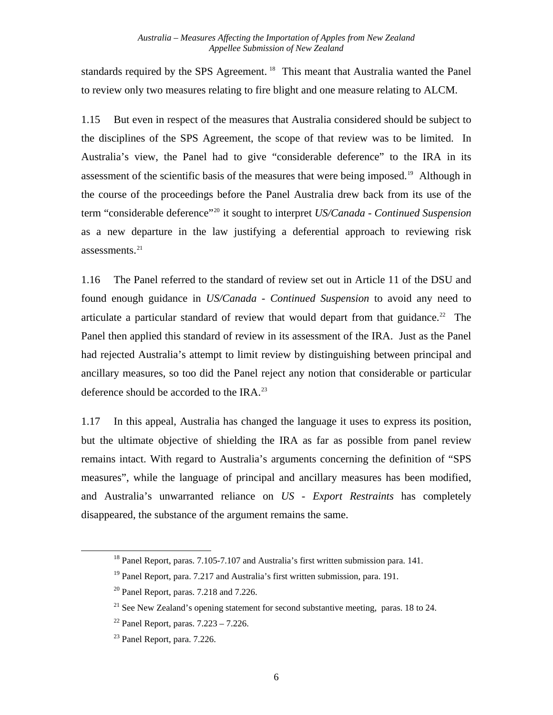standards required by the SPS Agreement.<sup>[18](#page-12-0)</sup> This meant that Australia wanted the Panel to review only two measures relating to fire blight and one measure relating to ALCM.

1.15 But even in respect of the measures that Australia considered should be subject to the disciplines of the SPS Agreement, the scope of that review was to be limited. In Australia's view, the Panel had to give "considerable deference" to the IRA in its assessment of the scientific basis of the measures that were being imposed.<sup>[19](#page-12-1)</sup> Although in the course of the proceedings before the Panel Australia drew back from its use of the term "considerable deference"[20](#page-12-2) it sought to interpret *US/Canada - Continued Suspension* as a new departure in the law justifying a deferential approach to reviewing risk assessments. $^{21}$  $^{21}$  $^{21}$ 

1.16 The Panel referred to the standard of review set out in Article 11 of the DSU and found enough guidance in *US/Canada - Continued Suspension* to avoid any need to articulate a particular standard of review that would depart from that guidance.<sup>[22](#page-12-4)</sup> The Panel then applied this standard of review in its assessment of the IRA. Just as the Panel had rejected Australia's attempt to limit review by distinguishing between principal and ancillary measures, so too did the Panel reject any notion that considerable or particular deference should be accorded to the IRA.<sup>[23](#page-12-5)</sup>

1.17 In this appeal, Australia has changed the language it uses to express its position, but the ultimate objective of shielding the IRA as far as possible from panel review remains intact. With regard to Australia's arguments concerning the definition of "SPS measures", while the language of principal and ancillary measures has been modified, and Australia's unwarranted reliance on *US - Export Restraints* has completely disappeared, the substance of the argument remains the same.

<span id="page-12-0"></span><sup>&</sup>lt;sup>18</sup> Panel Report, paras. 7.105-7.107 and Australia's first written submission para. 141.

<span id="page-12-1"></span> $19$  Panel Report, para. 7.217 and Australia's first written submission, para. 191.

<span id="page-12-2"></span> $20$  Panel Report, paras. 7.218 and 7.226.

<span id="page-12-3"></span> $21$  See New Zealand's opening statement for second substantive meeting, paras. 18 to 24.

<span id="page-12-4"></span> $22$  Panel Report, paras.  $7.223 - 7.226$ .

<span id="page-12-5"></span><sup>23</sup> Panel Report, para. 7.226.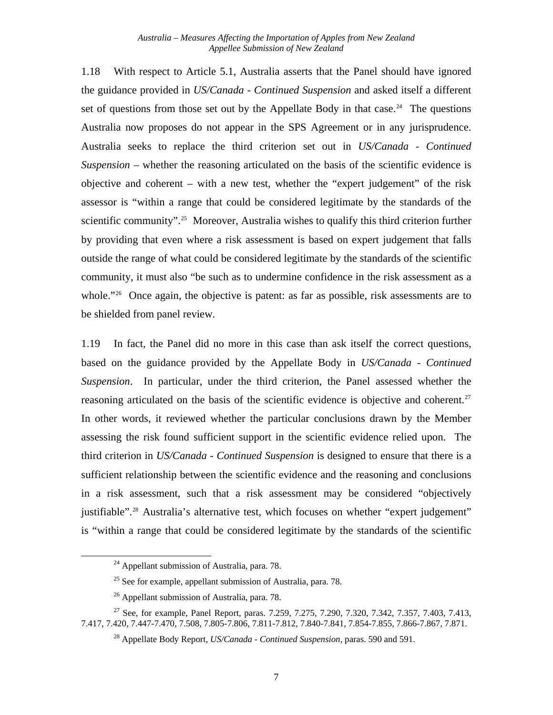1.18 With respect to Article 5.1, Australia asserts that the Panel should have ignored the guidance provided in *US/Canada - Continued Suspension* and asked itself a different set of questions from those set out by the Appellate Body in that case.<sup>[24](#page-13-0)</sup> The questions Australia now proposes do not appear in the SPS Agreement or in any jurisprudence. Australia seeks to replace the third criterion set out in *US/Canada - Continued Suspension* – whether the reasoning articulated on the basis of the scientific evidence is objective and coherent – with a new test, whether the "expert judgement" of the risk assessor is "within a range that could be considered legitimate by the standards of the scientific community".<sup>[25](#page-13-1)</sup> Moreover, Australia wishes to qualify this third criterion further by providing that even where a risk assessment is based on expert judgement that falls outside the range of what could be considered legitimate by the standards of the scientific community, it must also "be such as to undermine confidence in the risk assessment as a whole."<sup>[26](#page-13-2)</sup> Once again, the objective is patent: as far as possible, risk assessments are to be shielded from panel review.

1.19 In fact, the Panel did no more in this case than ask itself the correct questions, based on the guidance provided by the Appellate Body in *US/Canada - Continued Suspension*. In particular, under the third criterion, the Panel assessed whether the reasoning articulated on the basis of the scientific evidence is objective and coherent.<sup>[27](#page-13-3)</sup> In other words, it reviewed whether the particular conclusions drawn by the Member assessing the risk found sufficient support in the scientific evidence relied upon. The third criterion in *US/Canada - Continued Suspension* is designed to ensure that there is a sufficient relationship between the scientific evidence and the reasoning and conclusions in a risk assessment, such that a risk assessment may be considered "objectively justifiable".<sup>[28](#page-13-4)</sup> Australia's alternative test, which focuses on whether "expert judgement" is "within a range that could be considered legitimate by the standards of the scientific

 $24$  Appellant submission of Australia, para. 78.

 $25$  See for example, appellant submission of Australia, para. 78.

 $26$  Appellant submission of Australia, para. 78.

<span id="page-13-4"></span><span id="page-13-3"></span><span id="page-13-2"></span><span id="page-13-1"></span><span id="page-13-0"></span><sup>&</sup>lt;sup>27</sup> See, for example, Panel Report, paras. 7.259, 7.275, 7.290, 7.320, 7.342, 7.357, 7.403, 7.413, 7.417, 7.420, 7.447-7.470, 7.508, 7.805-7.806, 7.811-7.812, 7.840-7.841, 7.854-7.855, 7.866-7.867, 7.871.

<sup>28</sup> Appellate Body Report, *US/Canada - Continued Suspension*, paras. 590 and 591.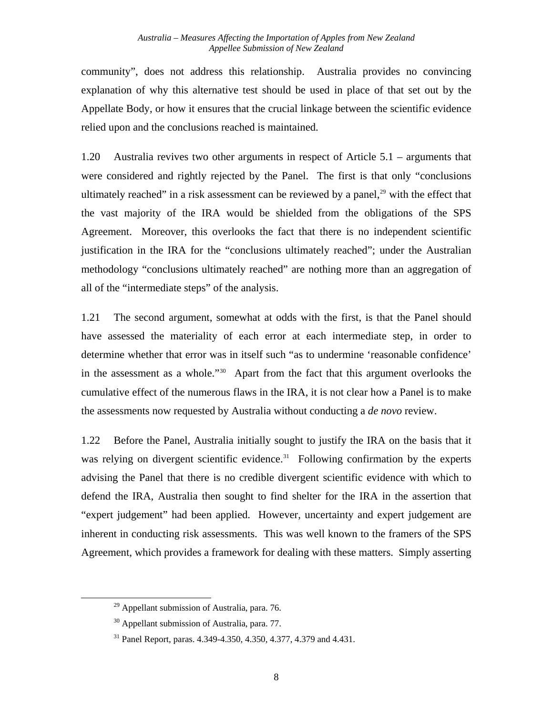community", does not address this relationship. Australia provides no convincing explanation of why this alternative test should be used in place of that set out by the Appellate Body, or how it ensures that the crucial linkage between the scientific evidence relied upon and the conclusions reached is maintained.

1.20 Australia revives two other arguments in respect of Article 5.1 – arguments that were considered and rightly rejected by the Panel. The first is that only "conclusions ultimately reached" in a risk assessment can be reviewed by a panel, $^{29}$  $^{29}$  $^{29}$  with the effect that the vast majority of the IRA would be shielded from the obligations of the SPS Agreement. Moreover, this overlooks the fact that there is no independent scientific justification in the IRA for the "conclusions ultimately reached"; under the Australian methodology "conclusions ultimately reached" are nothing more than an aggregation of all of the "intermediate steps" of the analysis.

1.21 The second argument, somewhat at odds with the first, is that the Panel should have assessed the materiality of each error at each intermediate step, in order to determine whether that error was in itself such "as to undermine 'reasonable confidence' in the assessment as a whole."[30](#page-14-1) Apart from the fact that this argument overlooks the cumulative effect of the numerous flaws in the IRA, it is not clear how a Panel is to make the assessments now requested by Australia without conducting a *de novo* review.

1.22 Before the Panel, Australia initially sought to justify the IRA on the basis that it was relying on divergent scientific evidence.<sup>[31](#page-14-2)</sup> Following confirmation by the experts advising the Panel that there is no credible divergent scientific evidence with which to defend the IRA, Australia then sought to find shelter for the IRA in the assertion that "expert judgement" had been applied. However, uncertainty and expert judgement are inherent in conducting risk assessments. This was well known to the framers of the SPS Agreement, which provides a framework for dealing with these matters. Simply asserting

<span id="page-14-2"></span><span id="page-14-1"></span><span id="page-14-0"></span> $\overline{a}$ 

<sup>&</sup>lt;sup>29</sup> Appellant submission of Australia, para. 76.

<sup>&</sup>lt;sup>30</sup> Appellant submission of Australia, para. 77.

<sup>31</sup> Panel Report, paras. 4.349-4.350, 4.350, 4.377, 4.379 and 4.431.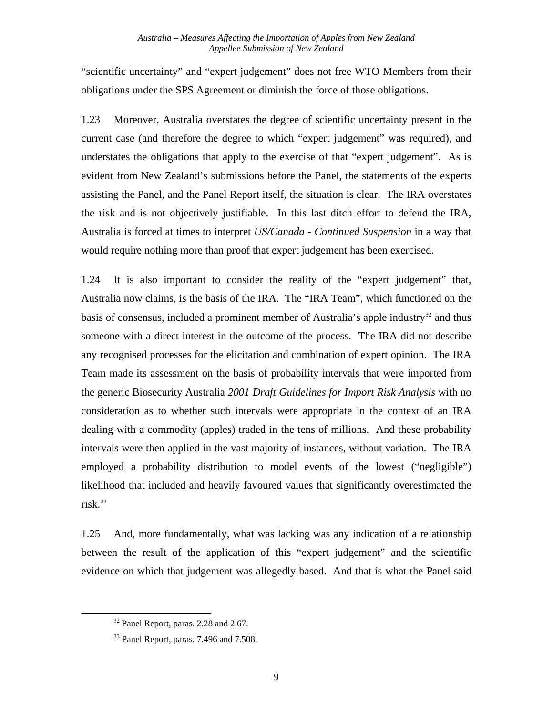"scientific uncertainty" and "expert judgement" does not free WTO Members from their obligations under the SPS Agreement or diminish the force of those obligations.

1.23 Moreover, Australia overstates the degree of scientific uncertainty present in the current case (and therefore the degree to which "expert judgement" was required), and understates the obligations that apply to the exercise of that "expert judgement". As is evident from New Zealand's submissions before the Panel, the statements of the experts assisting the Panel, and the Panel Report itself, the situation is clear. The IRA overstates the risk and is not objectively justifiable. In this last ditch effort to defend the IRA, Australia is forced at times to interpret *US/Canada - Continued Suspension* in a way that would require nothing more than proof that expert judgement has been exercised.

1.24 It is also important to consider the reality of the "expert judgement" that, Australia now claims, is the basis of the IRA. The "IRA Team", which functioned on the basis of consensus, included a prominent member of Australia's apple industry<sup>[32](#page-15-0)</sup> and thus someone with a direct interest in the outcome of the process. The IRA did not describe any recognised processes for the elicitation and combination of expert opinion. The IRA Team made its assessment on the basis of probability intervals that were imported from the generic Biosecurity Australia *2001 Draft Guidelines for Import Risk Analysis* with no consideration as to whether such intervals were appropriate in the context of an IRA dealing with a commodity (apples) traded in the tens of millions. And these probability intervals were then applied in the vast majority of instances, without variation. The IRA employed a probability distribution to model events of the lowest ("negligible") likelihood that included and heavily favoured values that significantly overestimated the  $risk<sup>33</sup>$  $risk<sup>33</sup>$  $risk<sup>33</sup>$ 

1.25 And, more fundamentally, what was lacking was any indication of a relationship between the result of the application of this "expert judgement" and the scientific evidence on which that judgement was allegedly based. And that is what the Panel said

<sup>&</sup>lt;sup>32</sup> Panel Report, paras. 2.28 and 2.67.

<span id="page-15-1"></span><span id="page-15-0"></span><sup>&</sup>lt;sup>33</sup> Panel Report, paras. 7.496 and 7.508.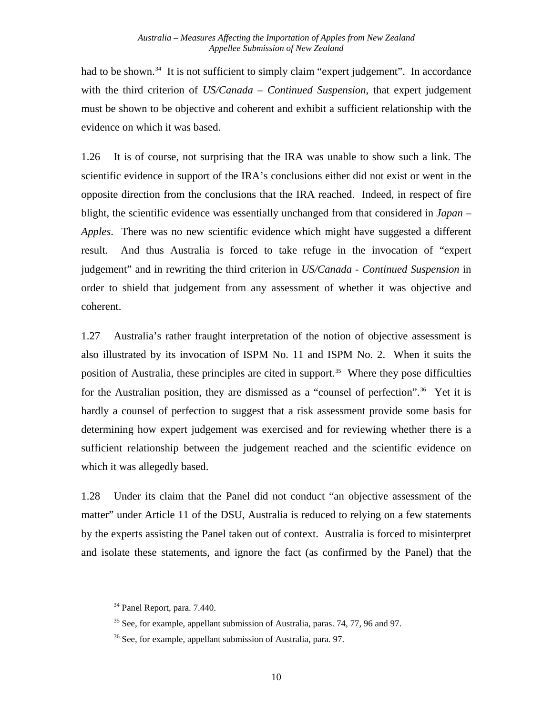had to be shown.<sup>[34](#page-16-0)</sup> It is not sufficient to simply claim "expert judgement". In accordance with the third criterion of *US/Canada – Continued Suspension*, that expert judgement must be shown to be objective and coherent and exhibit a sufficient relationship with the evidence on which it was based.

1.26 It is of course, not surprising that the IRA was unable to show such a link. The scientific evidence in support of the IRA's conclusions either did not exist or went in the opposite direction from the conclusions that the IRA reached. Indeed, in respect of fire blight, the scientific evidence was essentially unchanged from that considered in *Japan – Apples*. There was no new scientific evidence which might have suggested a different result. And thus Australia is forced to take refuge in the invocation of "expert judgement" and in rewriting the third criterion in *US/Canada - Continued Suspension* in order to shield that judgement from any assessment of whether it was objective and coherent.

1.27 Australia's rather fraught interpretation of the notion of objective assessment is also illustrated by its invocation of ISPM No. 11 and ISPM No. 2. When it suits the position of Australia, these principles are cited in support.<sup>35</sup> Where they pose difficulties for the Australian position, they are dismissed as a "counsel of perfection".<sup>36</sup> Yet it is hardly a counsel of perfection to suggest that a risk assessment provide some basis for determining how expert judgement was exercised and for reviewing whether there is a sufficient relationship between the judgement reached and the scientific evidence on which it was allegedly based.

1.28 Under its claim that the Panel did not conduct "an objective assessment of the matter" under Article 11 of the DSU, Australia is reduced to relying on a few statements by the experts assisting the Panel taken out of context. Australia is forced to misinterpret and isolate these statements, and ignore the fact (as confirmed by the Panel) that the

<span id="page-16-2"></span><span id="page-16-1"></span><span id="page-16-0"></span> $\overline{a}$ 

<sup>&</sup>lt;sup>34</sup> Panel Report, para. 7.440.

 $35$  See, for example, appellant submission of Australia, paras. 74, 77, 96 and 97.

<sup>36</sup> See, for example, appellant submission of Australia, para. 97.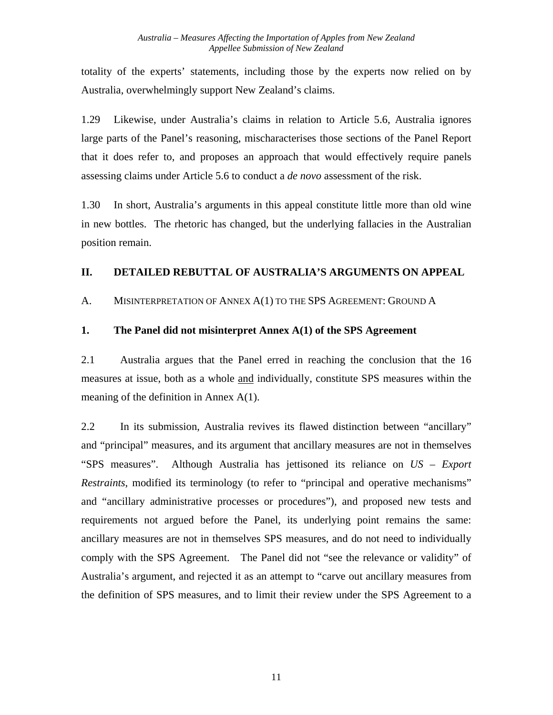<span id="page-17-0"></span>totality of the experts' statements, including those by the experts now relied on by Australia, overwhelmingly support New Zealand's claims.

1.29 Likewise, under Australia's claims in relation to Article 5.6, Australia ignores large parts of the Panel's reasoning, mischaracterises those sections of the Panel Report that it does refer to, and proposes an approach that would effectively require panels assessing claims under Article 5.6 to conduct a *de novo* assessment of the risk.

1.30 In short, Australia's arguments in this appeal constitute little more than old wine in new bottles. The rhetoric has changed, but the underlying fallacies in the Australian position remain.

### **II. DETAILED REBUTTAL OF AUSTRALIA'S ARGUMENTS ON APPEAL**

A. MISINTERPRETATION OF ANNEX A(1) TO THE SPS AGREEMENT: GROUND A

### **1. The Panel did not misinterpret Annex A(1) of the SPS Agreement**

2.1 Australia argues that the Panel erred in reaching the conclusion that the 16 measures at issue, both as a whole and individually, constitute SPS measures within the meaning of the definition in Annex A(1).

2.2 In its submission, Australia revives its flawed distinction between "ancillary" and "principal" measures, and its argument that ancillary measures are not in themselves "SPS measures". Although Australia has jettisoned its reliance on *US – Export Restraints*, modified its terminology (to refer to "principal and operative mechanisms" and "ancillary administrative processes or procedures"), and proposed new tests and requirements not argued before the Panel, its underlying point remains the same: ancillary measures are not in themselves SPS measures, and do not need to individually comply with the SPS Agreement. The Panel did not "see the relevance or validity" of Australia's argument, and rejected it as an attempt to "carve out ancillary measures from the definition of SPS measures, and to limit their review under the SPS Agreement to a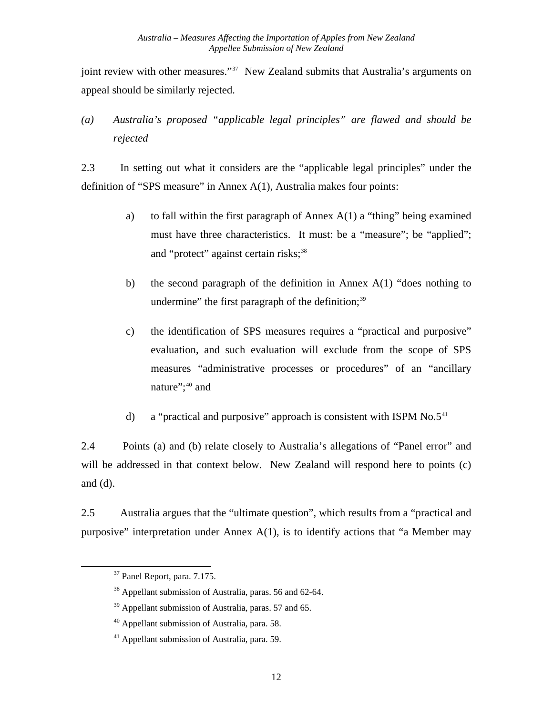<span id="page-18-0"></span>joint review with other measures."<sup>[37](#page-18-1)</sup> New Zealand submits that Australia's arguments on appeal should be similarly rejected.

*(a) Australia's proposed "applicable legal principles" are flawed and should be rejected* 

2.3 In setting out what it considers are the "applicable legal principles" under the definition of "SPS measure" in Annex A(1), Australia makes four points:

- a) to fall within the first paragraph of Annex  $A(1)$  a "thing" being examined must have three characteristics. It must: be a "measure"; be "applied"; and "protect" against certain risks;<sup>[38](#page-18-2)</sup>
- b) the second paragraph of the definition in Annex  $A(1)$  "does nothing to undermine" the first paragraph of the definition; $39$
- c) the identification of SPS measures requires a "practical and purposive" evaluation, and such evaluation will exclude from the scope of SPS measures "administrative processes or procedures" of an "ancillary nature";<sup>[40](#page-18-4)</sup> and
- d) a "practical and purposive" approach is consistent with ISPM  $No.5<sup>41</sup>$  $No.5<sup>41</sup>$  $No.5<sup>41</sup>$

2.4 Points (a) and (b) relate closely to Australia's allegations of "Panel error" and will be addressed in that context below. New Zealand will respond here to points (c) and (d).

<span id="page-18-1"></span>2.5 Australia argues that the "ultimate question", which results from a "practical and purposive" interpretation under Annex  $A(1)$ , is to identify actions that "a Member may

<sup>37</sup> Panel Report, para. 7.175.

<span id="page-18-2"></span><sup>38</sup> Appellant submission of Australia, paras. 56 and 62-64.

<span id="page-18-3"></span> $39$  Appellant submission of Australia, paras. 57 and 65.

<sup>&</sup>lt;sup>40</sup> Appellant submission of Australia, para. 58.

<span id="page-18-5"></span><span id="page-18-4"></span><sup>41</sup> Appellant submission of Australia, para. 59.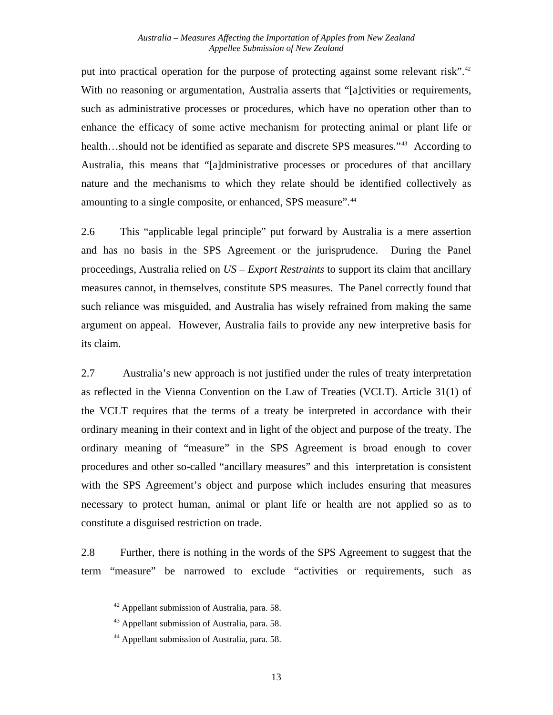put into practical operation for the purpose of protecting against some relevant risk".<sup>[42](#page-19-0)</sup> With no reasoning or argumentation, Australia asserts that "[a]ctivities or requirements, such as administrative processes or procedures, which have no operation other than to enhance the efficacy of some active mechanism for protecting animal or plant life or health…should not be identified as separate and discrete SPS measures."<sup>[43](#page-19-1)</sup> According to Australia, this means that "[a]dministrative processes or procedures of that ancillary nature and the mechanisms to which they relate should be identified collectively as amounting to a single composite, or enhanced, SPS measure".<sup>[44](#page-19-2)</sup>

2.6 This "applicable legal principle" put forward by Australia is a mere assertion and has no basis in the SPS Agreement or the jurisprudence. During the Panel proceedings, Australia relied on *US – Export Restraints* to support its claim that ancillary measures cannot, in themselves, constitute SPS measures. The Panel correctly found that such reliance was misguided, and Australia has wisely refrained from making the same argument on appeal. However, Australia fails to provide any new interpretive basis for its claim.

2.7 Australia's new approach is not justified under the rules of treaty interpretation as reflected in the Vienna Convention on the Law of Treaties (VCLT). Article 31(1) of the VCLT requires that the terms of a treaty be interpreted in accordance with their ordinary meaning in their context and in light of the object and purpose of the treaty. The ordinary meaning of "measure" in the SPS Agreement is broad enough to cover procedures and other so-called "ancillary measures" and this interpretation is consistent with the SPS Agreement's object and purpose which includes ensuring that measures necessary to protect human, animal or plant life or health are not applied so as to constitute a disguised restriction on trade.

<span id="page-19-1"></span><span id="page-19-0"></span>2.8 Further, there is nothing in the words of the SPS Agreement to suggest that the term "measure" be narrowed to exclude "activities or requirements, such as

<sup>42</sup> Appellant submission of Australia, para. 58.

<sup>&</sup>lt;sup>43</sup> Appellant submission of Australia, para. 58.

<span id="page-19-2"></span><sup>44</sup> Appellant submission of Australia, para. 58.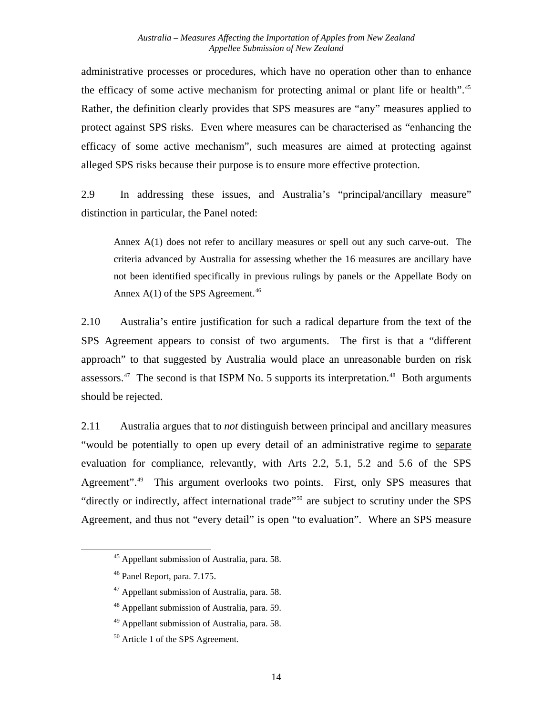administrative processes or procedures, which have no operation other than to enhance the efficacy of some active mechanism for protecting animal or plant life or health".<sup>[45](#page-20-0)</sup> Rather, the definition clearly provides that SPS measures are "any" measures applied to protect against SPS risks. Even where measures can be characterised as "enhancing the efficacy of some active mechanism", such measures are aimed at protecting against alleged SPS risks because their purpose is to ensure more effective protection.

2.9 In addressing these issues, and Australia's "principal/ancillary measure" distinction in particular, the Panel noted:

Annex A(1) does not refer to ancillary measures or spell out any such carve-out. The criteria advanced by Australia for assessing whether the 16 measures are ancillary have not been identified specifically in previous rulings by panels or the Appellate Body on Annex  $A(1)$  of the SPS Agreement.<sup>[46](#page-20-1)</sup>

2.10 Australia's entire justification for such a radical departure from the text of the SPS Agreement appears to consist of two arguments. The first is that a "different approach" to that suggested by Australia would place an unreasonable burden on risk assessors.<sup>[47](#page-20-2)</sup> The second is that ISPM No. 5 supports its interpretation.<sup>48</sup> Both arguments should be rejected.

2.11 Australia argues that to *not* distinguish between principal and ancillary measures "would be potentially to open up every detail of an administrative regime to separate evaluation for compliance, relevantly, with Arts 2.2, 5.1, 5.2 and 5.6 of the SPS Agreement".<sup>[49](#page-20-4)</sup> This argument overlooks two points. First, only SPS measures that "directly or indirectly, affect international trade"[50](#page-20-5) are subject to scrutiny under the SPS Agreement, and thus not "every detail" is open "to evaluation". Where an SPS measure

<span id="page-20-0"></span> <sup>45</sup> Appellant submission of Australia, para. 58.

<span id="page-20-1"></span><sup>46</sup> Panel Report, para. 7.175.

<span id="page-20-2"></span><sup>47</sup> Appellant submission of Australia, para. 58.

<span id="page-20-3"></span><sup>48</sup> Appellant submission of Australia, para. 59.

<span id="page-20-4"></span><sup>&</sup>lt;sup>49</sup> Appellant submission of Australia, para. 58.

<span id="page-20-5"></span><sup>&</sup>lt;sup>50</sup> Article 1 of the SPS Agreement.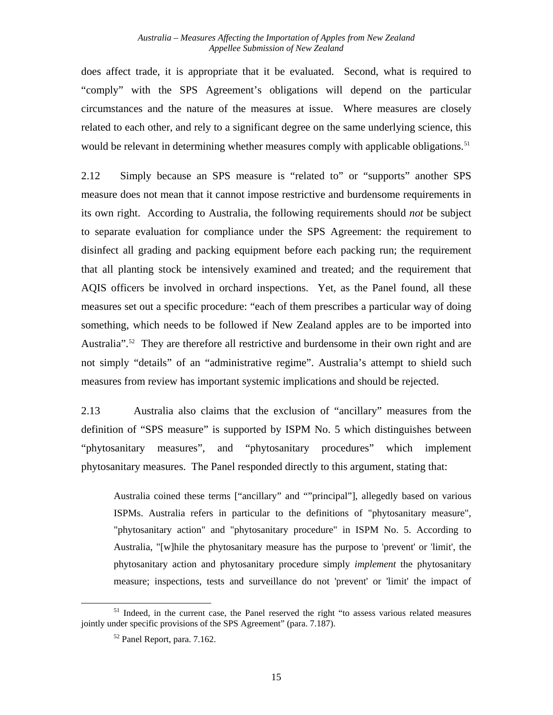does affect trade, it is appropriate that it be evaluated. Second, what is required to "comply" with the SPS Agreement's obligations will depend on the particular circumstances and the nature of the measures at issue. Where measures are closely related to each other, and rely to a significant degree on the same underlying science, this would be relevant in determining whether measures comply with applicable obligations.<sup>[51](#page-21-0)</sup>

2.12 Simply because an SPS measure is "related to" or "supports" another SPS measure does not mean that it cannot impose restrictive and burdensome requirements in its own right. According to Australia, the following requirements should *not* be subject to separate evaluation for compliance under the SPS Agreement: the requirement to disinfect all grading and packing equipment before each packing run; the requirement that all planting stock be intensively examined and treated; and the requirement that AQIS officers be involved in orchard inspections. Yet, as the Panel found, all these measures set out a specific procedure: "each of them prescribes a particular way of doing something, which needs to be followed if New Zealand apples are to be imported into Australia".<sup>[52](#page-21-1)</sup> They are therefore all restrictive and burdensome in their own right and are not simply "details" of an "administrative regime". Australia's attempt to shield such measures from review has important systemic implications and should be rejected.

2.13 Australia also claims that the exclusion of "ancillary" measures from the definition of "SPS measure" is supported by ISPM No. 5 which distinguishes between "phytosanitary measures", and "phytosanitary procedures" which implement phytosanitary measures. The Panel responded directly to this argument, stating that:

Australia coined these terms ["ancillary" and ""principal"], allegedly based on various ISPMs. Australia refers in particular to the definitions of "phytosanitary measure", "phytosanitary action" and "phytosanitary procedure" in ISPM No. 5. According to Australia, "[w]hile the phytosanitary measure has the purpose to 'prevent' or 'limit', the phytosanitary action and phytosanitary procedure simply *implement* the phytosanitary measure; inspections, tests and surveillance do not 'prevent' or 'limit' the impact of

1

<span id="page-21-1"></span><span id="page-21-0"></span><sup>&</sup>lt;sup>51</sup> Indeed, in the current case, the Panel reserved the right "to assess various related measures" jointly under specific provisions of the SPS Agreement" (para. 7.187).

<sup>52</sup> Panel Report, para. 7.162.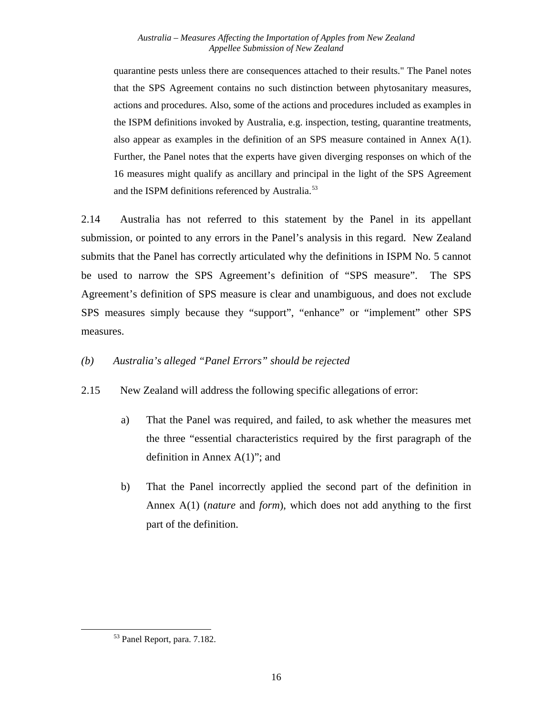<span id="page-22-0"></span>quarantine pests unless there are consequences attached to their results." The Panel notes that the SPS Agreement contains no such distinction between phytosanitary measures, actions and procedures. Also, some of the actions and procedures included as examples in the ISPM definitions invoked by Australia, e.g. inspection, testing, quarantine treatments, also appear as examples in the definition of an SPS measure contained in Annex  $A(1)$ . Further, the Panel notes that the experts have given diverging responses on which of the 16 measures might qualify as ancillary and principal in the light of the SPS Agreement and the ISPM definitions referenced by Australia.<sup>[53](#page-22-1)</sup>

2.14 Australia has not referred to this statement by the Panel in its appellant submission, or pointed to any errors in the Panel's analysis in this regard. New Zealand submits that the Panel has correctly articulated why the definitions in ISPM No. 5 cannot be used to narrow the SPS Agreement's definition of "SPS measure". The SPS Agreement's definition of SPS measure is clear and unambiguous, and does not exclude SPS measures simply because they "support", "enhance" or "implement" other SPS measures.

### *(b) Australia's alleged "Panel Errors" should be rejected*

- 2.15 New Zealand will address the following specific allegations of error:
	- a) That the Panel was required, and failed, to ask whether the measures met the three "essential characteristics required by the first paragraph of the definition in Annex  $A(1)$ "; and
	- b) That the Panel incorrectly applied the second part of the definition in Annex A(1) (*nature* and *form*), which does not add anything to the first part of the definition.

<span id="page-22-1"></span><sup>53</sup> Panel Report, para. 7.182.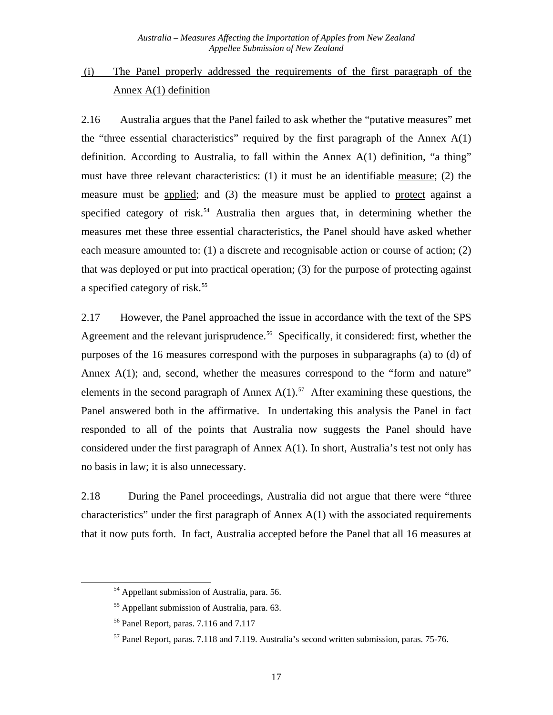# <span id="page-23-0"></span> (i) The Panel properly addressed the requirements of the first paragraph of the Annex A(1) definition

2.16 Australia argues that the Panel failed to ask whether the "putative measures" met the "three essential characteristics" required by the first paragraph of the Annex  $A(1)$ definition. According to Australia, to fall within the Annex A(1) definition, "a thing" must have three relevant characteristics: (1) it must be an identifiable measure; (2) the measure must be applied; and (3) the measure must be applied to protect against a specified category of risk.<sup>[54](#page-23-1)</sup> Australia then argues that, in determining whether the measures met these three essential characteristics, the Panel should have asked whether each measure amounted to: (1) a discrete and recognisable action or course of action; (2) that was deployed or put into practical operation; (3) for the purpose of protecting against a specified category of risk.<sup>[55](#page-23-2)</sup>

2.17 However, the Panel approached the issue in accordance with the text of the SPS Agreement and the relevant jurisprudence.<sup>[56](#page-23-3)</sup> Specifically, it considered: first, whether the purposes of the 16 measures correspond with the purposes in subparagraphs (a) to (d) of Annex A(1); and, second, whether the measures correspond to the "form and nature" elements in the second paragraph of Annex  $A(1)$ .<sup>[57](#page-23-4)</sup> After examining these questions, the Panel answered both in the affirmative. In undertaking this analysis the Panel in fact responded to all of the points that Australia now suggests the Panel should have considered under the first paragraph of Annex A(1). In short, Australia's test not only has no basis in law; it is also unnecessary.

2.18 During the Panel proceedings, Australia did not argue that there were "three characteristics" under the first paragraph of Annex A(1) with the associated requirements that it now puts forth. In fact, Australia accepted before the Panel that all 16 measures at

<span id="page-23-1"></span><sup>54</sup> Appellant submission of Australia, para. 56.

<span id="page-23-2"></span><sup>55</sup> Appellant submission of Australia, para. 63.

<span id="page-23-3"></span><sup>56</sup> Panel Report, paras. 7.116 and 7.117

<span id="page-23-4"></span><sup>57</sup> Panel Report, paras. 7.118 and 7.119. Australia's second written submission, paras. 75-76.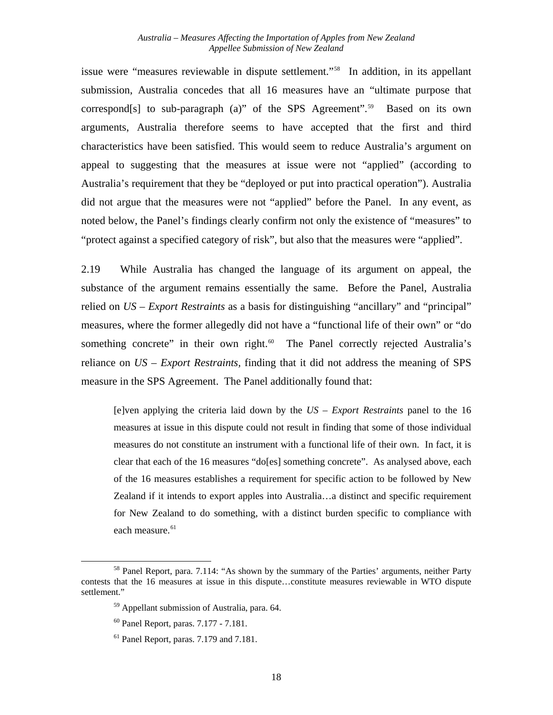issue were "measures reviewable in dispute settlement."[58](#page-24-0) In addition, in its appellant submission, Australia concedes that all 16 measures have an "ultimate purpose that correspond[s] to sub-paragraph (a)" of the SPS Agreement".<sup>[59](#page-24-1)</sup> Based on its own arguments, Australia therefore seems to have accepted that the first and third characteristics have been satisfied. This would seem to reduce Australia's argument on appeal to suggesting that the measures at issue were not "applied" (according to Australia's requirement that they be "deployed or put into practical operation"). Australia did not argue that the measures were not "applied" before the Panel. In any event, as noted below, the Panel's findings clearly confirm not only the existence of "measures" to "protect against a specified category of risk", but also that the measures were "applied".

2.19 While Australia has changed the language of its argument on appeal, the substance of the argument remains essentially the same. Before the Panel, Australia relied on *US – Export Restraints* as a basis for distinguishing "ancillary" and "principal" measures, where the former allegedly did not have a "functional life of their own" or "do something concrete" in their own right.<sup>[60](#page-24-2)</sup> The Panel correctly rejected Australia's reliance on *US – Export Restraints,* finding that it did not address the meaning of SPS measure in the SPS Agreement. The Panel additionally found that:

[e]ven applying the criteria laid down by the *US – Export Restraints* panel to the 16 measures at issue in this dispute could not result in finding that some of those individual measures do not constitute an instrument with a functional life of their own. In fact, it is clear that each of the 16 measures "do[es] something concrete". As analysed above, each of the 16 measures establishes a requirement for specific action to be followed by New Zealand if it intends to export apples into Australia…a distinct and specific requirement for New Zealand to do something, with a distinct burden specific to compliance with each measure.<sup>[61](#page-24-3)</sup>

1

<span id="page-24-3"></span><span id="page-24-2"></span><span id="page-24-1"></span><span id="page-24-0"></span><sup>&</sup>lt;sup>58</sup> Panel Report, para. 7.114: "As shown by the summary of the Parties' arguments, neither Party contests that the 16 measures at issue in this dispute…constitute measures reviewable in WTO dispute settlement."

<sup>59</sup> Appellant submission of Australia, para. 64.

<sup>60</sup> Panel Report*,* paras. 7.177 - 7.181.

<sup>61</sup> Panel Report*,* paras. 7.179 and 7.181.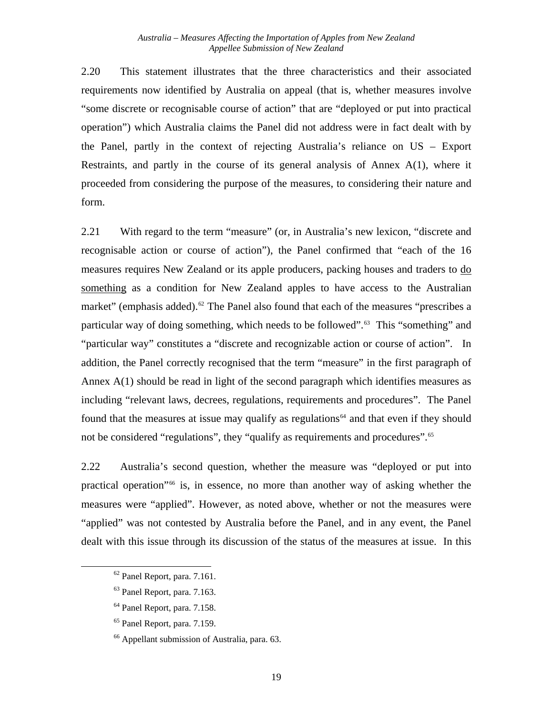2.20 This statement illustrates that the three characteristics and their associated requirements now identified by Australia on appeal (that is, whether measures involve "some discrete or recognisable course of action" that are "deployed or put into practical operation") which Australia claims the Panel did not address were in fact dealt with by the Panel, partly in the context of rejecting Australia's reliance on US – Export Restraints, and partly in the course of its general analysis of Annex A(1), where it proceeded from considering the purpose of the measures, to considering their nature and form.

2.21 With regard to the term "measure" (or, in Australia's new lexicon, "discrete and recognisable action or course of action"), the Panel confirmed that "each of the 16 measures requires New Zealand or its apple producers, packing houses and traders to do something as a condition for New Zealand apples to have access to the Australian market" (emphasis added).<sup>[62](#page-25-0)</sup> The Panel also found that each of the measures "prescribes a particular way of doing something, which needs to be followed".<sup>[63](#page-25-1)</sup> This "something" and "particular way" constitutes a "discrete and recognizable action or course of action". In addition, the Panel correctly recognised that the term "measure" in the first paragraph of Annex A(1) should be read in light of the second paragraph which identifies measures as including "relevant laws, decrees, regulations, requirements and procedures". The Panel found that the measures at issue may qualify as regulations<sup> $64$ </sup> and that even if they should not be considered "regulations", they "qualify as requirements and procedures".<sup>[65](#page-25-3)</sup>

2.22 Australia's second question, whether the measure was "deployed or put into practical operation"[66](#page-25-4) is, in essence, no more than another way of asking whether the measures were "applied". However, as noted above, whether or not the measures were "applied" was not contested by Australia before the Panel, and in any event, the Panel dealt with this issue through its discussion of the status of the measures at issue. In this

<span id="page-25-0"></span>62 Panel Report, para. 7.161.

- <span id="page-25-1"></span>63 Panel Report, para. 7.163.
- <span id="page-25-2"></span>64 Panel Report, para. 7.158.
- <span id="page-25-3"></span>65 Panel Report, para. 7.159.
- <span id="page-25-4"></span>66 Appellant submission of Australia, para. 63.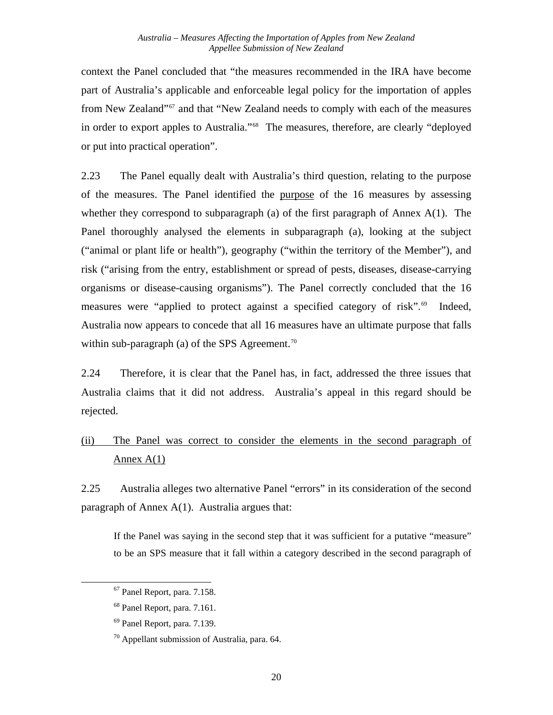<span id="page-26-0"></span>context the Panel concluded that "the measures recommended in the IRA have become part of Australia's applicable and enforceable legal policy for the importation of apples from New Zealand"[67](#page-26-1) and that "New Zealand needs to comply with each of the measures in order to export apples to Australia."[68](#page-26-2) The measures, therefore, are clearly "deployed or put into practical operation".

2.23 The Panel equally dealt with Australia's third question, relating to the purpose of the measures. The Panel identified the purpose of the 16 measures by assessing whether they correspond to subparagraph (a) of the first paragraph of Annex A(1). The Panel thoroughly analysed the elements in subparagraph (a), looking at the subject ("animal or plant life or health"), geography ("within the territory of the Member"), and risk ("arising from the entry, establishment or spread of pests, diseases, disease-carrying organisms or disease-causing organisms"). The Panel correctly concluded that the 16 measures were "applied to protect against a specified category of risk".<sup>69</sup> Indeed, Australia now appears to concede that all 16 measures have an ultimate purpose that falls within sub-paragraph (a) of the SPS Agreement.<sup>[70](#page-26-4)</sup>

2.24 Therefore, it is clear that the Panel has, in fact, addressed the three issues that Australia claims that it did not address. Australia's appeal in this regard should be rejected.

# (ii) The Panel was correct to consider the elements in the second paragraph of Annex  $A(1)$

2.25 Australia alleges two alternative Panel "errors" in its consideration of the second paragraph of Annex A(1). Australia argues that:

If the Panel was saying in the second step that it was sufficient for a putative "measure" to be an SPS measure that it fall within a category described in the second paragraph of

<span id="page-26-4"></span><span id="page-26-3"></span><span id="page-26-2"></span><span id="page-26-1"></span>1

<sup>67</sup> Panel Report, para. 7.158.

<sup>68</sup> Panel Report, para. 7.161.

<sup>69</sup> Panel Report, para. 7.139.

 $70$  Appellant submission of Australia, para. 64.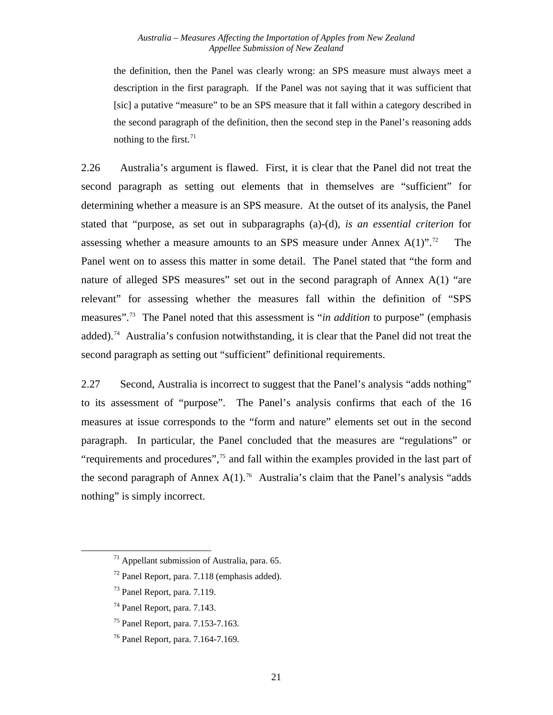the definition, then the Panel was clearly wrong: an SPS measure must always meet a description in the first paragraph. If the Panel was not saying that it was sufficient that [sic] a putative "measure" to be an SPS measure that it fall within a category described in the second paragraph of the definition, then the second step in the Panel's reasoning adds nothing to the first.  $71$ 

2.26 Australia's argument is flawed. First, it is clear that the Panel did not treat the second paragraph as setting out elements that in themselves are "sufficient" for determining whether a measure is an SPS measure. At the outset of its analysis, the Panel stated that "purpose, as set out in subparagraphs (a)-(d), *is an essential criterion* for assessing whether a measure amounts to an SPS measure under Annex  $A(1)$ ".<sup>[72](#page-27-1)</sup> The Panel went on to assess this matter in some detail. The Panel stated that "the form and nature of alleged SPS measures" set out in the second paragraph of Annex A(1) "are relevant" for assessing whether the measures fall within the definition of "SPS measures".[73](#page-27-2) The Panel noted that this assessment is "*in addition* to purpose" (emphasis added).<sup>[74](#page-27-3)</sup> Australia's confusion notwithstanding, it is clear that the Panel did not treat the second paragraph as setting out "sufficient" definitional requirements.

2.27 Second, Australia is incorrect to suggest that the Panel's analysis "adds nothing" to its assessment of "purpose". The Panel's analysis confirms that each of the 16 measures at issue corresponds to the "form and nature" elements set out in the second paragraph. In particular, the Panel concluded that the measures are "regulations" or "requirements and procedures",<sup>[75](#page-27-4)</sup> and fall within the examples provided in the last part of the second paragraph of Annex  $A(1)$ <sup>[76](#page-27-5)</sup> Australia's claim that the Panel's analysis "adds" nothing" is simply incorrect.

<span id="page-27-0"></span> $71$  Appellant submission of Australia, para. 65.

<span id="page-27-1"></span><sup>72</sup> Panel Report, para. 7.118 (emphasis added).

<span id="page-27-2"></span><sup>73</sup> Panel Report, para. 7.119.

<span id="page-27-3"></span><sup>74</sup> Panel Report, para. 7.143.

<span id="page-27-4"></span><sup>75</sup> Panel Report, para. 7.153-7.163.

<span id="page-27-5"></span><sup>76</sup> Panel Report, para. 7.164-7.169.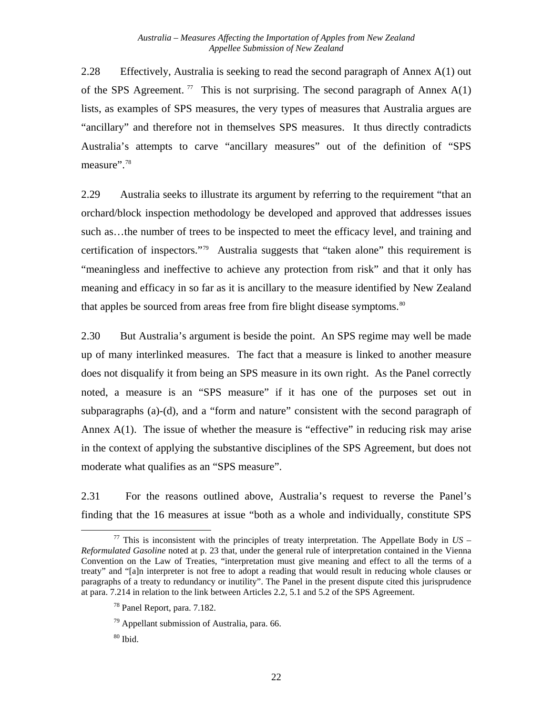2.28 Effectively, Australia is seeking to read the second paragraph of Annex A(1) out of the SPS Agreement.<sup>[77](#page-28-0)</sup> This is not surprising. The second paragraph of Annex  $A(1)$ lists, as examples of SPS measures, the very types of measures that Australia argues are "ancillary" and therefore not in themselves SPS measures. It thus directly contradicts Australia's attempts to carve "ancillary measures" out of the definition of "SPS measure".<sup>[78](#page-28-1)</sup>

2.29 Australia seeks to illustrate its argument by referring to the requirement "that an orchard/block inspection methodology be developed and approved that addresses issues such as…the number of trees to be inspected to meet the efficacy level, and training and certification of inspectors."[79](#page-28-2) Australia suggests that "taken alone" this requirement is "meaningless and ineffective to achieve any protection from risk" and that it only has meaning and efficacy in so far as it is ancillary to the measure identified by New Zealand that apples be sourced from areas free from fire blight disease symptoms.<sup>[80](#page-28-3)</sup>

2.30 But Australia's argument is beside the point. An SPS regime may well be made up of many interlinked measures. The fact that a measure is linked to another measure does not disqualify it from being an SPS measure in its own right. As the Panel correctly noted, a measure is an "SPS measure" if it has one of the purposes set out in subparagraphs (a)-(d), and a "form and nature" consistent with the second paragraph of Annex  $A(1)$ . The issue of whether the measure is "effective" in reducing risk may arise in the context of applying the substantive disciplines of the SPS Agreement, but does not moderate what qualifies as an "SPS measure".

2.31 For the reasons outlined above, Australia's request to reverse the Panel's finding that the 16 measures at issue "both as a whole and individually, constitute SPS

<span id="page-28-1"></span><span id="page-28-0"></span><sup>&</sup>lt;sup>77</sup> This is inconsistent with the principles of treaty interpretation. The Appellate Body in  $US -$ *Reformulated Gasoline* noted at p. 23 that, under the general rule of interpretation contained in the Vienna Convention on the Law of Treaties, "interpretation must give meaning and effect to all the terms of a treaty" and "[a]n interpreter is not free to adopt a reading that would result in reducing whole clauses or paragraphs of a treaty to redundancy or inutility". The Panel in the present dispute cited this jurisprudence at para. 7.214 in relation to the link between Articles 2.2, 5.1 and 5.2 of the SPS Agreement.

 $^{78}$  Panel Report, para. 7.182.

<span id="page-28-2"></span> $79$  Appellant submission of Australia, para. 66.

<span id="page-28-3"></span> $80$  Ibid.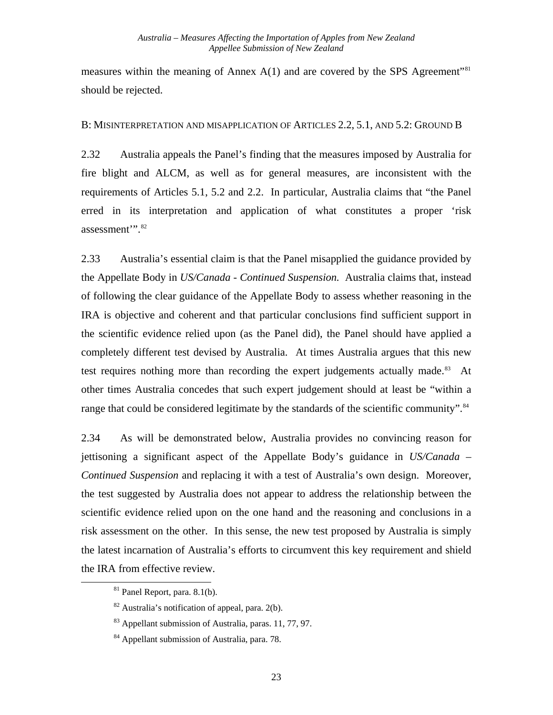<span id="page-29-0"></span>measures within the meaning of Annex  $A(1)$  and are covered by the SPS Agreement<sup>"[81](#page-29-1)</sup> should be rejected.

#### B: MISINTERPRETATION AND MISAPPLICATION OF ARTICLES 2.2, 5.1, AND 5.2: GROUND B

2.32 Australia appeals the Panel's finding that the measures imposed by Australia for fire blight and ALCM, as well as for general measures, are inconsistent with the requirements of Articles 5.1, 5.2 and 2.2. In particular, Australia claims that "the Panel erred in its interpretation and application of what constitutes a proper 'risk assessment".<sup>[82](#page-29-2)</sup>

2.33 Australia's essential claim is that the Panel misapplied the guidance provided by the Appellate Body in *US/Canada - Continued Suspension.* Australia claims that, instead of following the clear guidance of the Appellate Body to assess whether reasoning in the IRA is objective and coherent and that particular conclusions find sufficient support in the scientific evidence relied upon (as the Panel did), the Panel should have applied a completely different test devised by Australia. At times Australia argues that this new test requires nothing more than recording the expert judgements actually made. $83$  At other times Australia concedes that such expert judgement should at least be "within a range that could be considered legitimate by the standards of the scientific community".<sup>[84](#page-29-4)</sup>

2.34 As will be demonstrated below, Australia provides no convincing reason for jettisoning a significant aspect of the Appellate Body's guidance in *US/Canada – Continued Suspension* and replacing it with a test of Australia's own design. Moreover, the test suggested by Australia does not appear to address the relationship between the scientific evidence relied upon on the one hand and the reasoning and conclusions in a risk assessment on the other. In this sense, the new test proposed by Australia is simply the latest incarnation of Australia's efforts to circumvent this key requirement and shield the IRA from effective review.

 $81$  Panel Report, para.  $8.1(b)$ .

<span id="page-29-2"></span><span id="page-29-1"></span> $82$  Australia's notification of appeal, para. 2(b).

<span id="page-29-3"></span><sup>&</sup>lt;sup>83</sup> Appellant submission of Australia, paras. 11, 77, 97.

<span id="page-29-4"></span><sup>84</sup> Appellant submission of Australia, para. 78.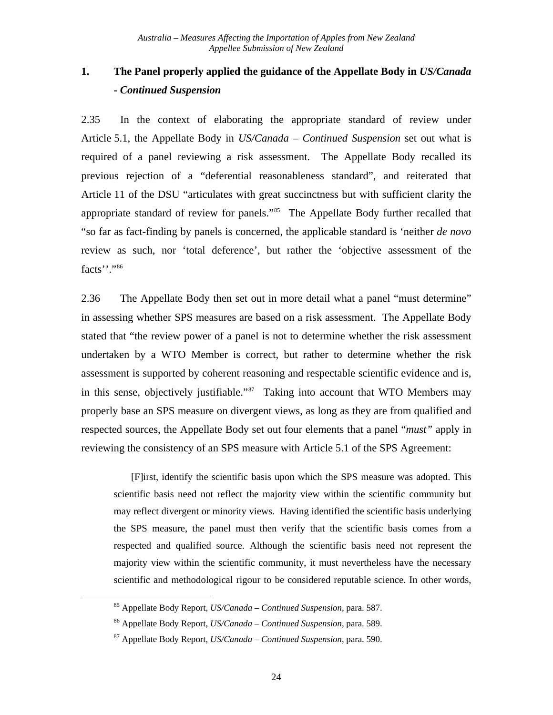## <span id="page-30-0"></span>**1. The Panel properly applied the guidance of the Appellate Body in** *US/Canada - Continued Suspension*

2.35 In the context of elaborating the appropriate standard of review under Article 5.1, the Appellate Body in *US/Canada – Continued Suspension* set out what is required of a panel reviewing a risk assessment. The Appellate Body recalled its previous rejection of a "deferential reasonableness standard", and reiterated that Article 11 of the DSU "articulates with great succinctness but with sufficient clarity the appropriate standard of review for panels."[85](#page-30-1) The Appellate Body further recalled that "so far as fact-finding by panels is concerned, the applicable standard is 'neither *de novo* review as such, nor 'total deference', but rather the 'objective assessment of the facts''.["86](#page-30-2)

2.36 The Appellate Body then set out in more detail what a panel "must determine" in assessing whether SPS measures are based on a risk assessment. The Appellate Body stated that "the review power of a panel is not to determine whether the risk assessment undertaken by a WTO Member is correct, but rather to determine whether the risk assessment is supported by coherent reasoning and respectable scientific evidence and is, in this sense, objectively justifiable."[87](#page-30-3) Taking into account that WTO Members may properly base an SPS measure on divergent views, as long as they are from qualified and respected sources, the Appellate Body set out four elements that a panel "*must"* apply in reviewing the consistency of an SPS measure with Article 5.1 of the SPS Agreement:

 [F]irst, identify the scientific basis upon which the SPS measure was adopted. This scientific basis need not reflect the majority view within the scientific community but may reflect divergent or minority views. Having identified the scientific basis underlying the SPS measure, the panel must then verify that the scientific basis comes from a respected and qualified source. Although the scientific basis need not represent the majority view within the scientific community, it must nevertheless have the necessary scientific and methodological rigour to be considered reputable science. In other words,

<span id="page-30-3"></span><span id="page-30-2"></span><span id="page-30-1"></span>1

<sup>85</sup> Appellate Body Report, *US/Canada – Continued Suspension,* para. 587.

<sup>86</sup> Appellate Body Report, *US/Canada – Continued Suspension*, para. 589.

<sup>87</sup> Appellate Body Report, *US/Canada – Continued Suspension*, para. 590.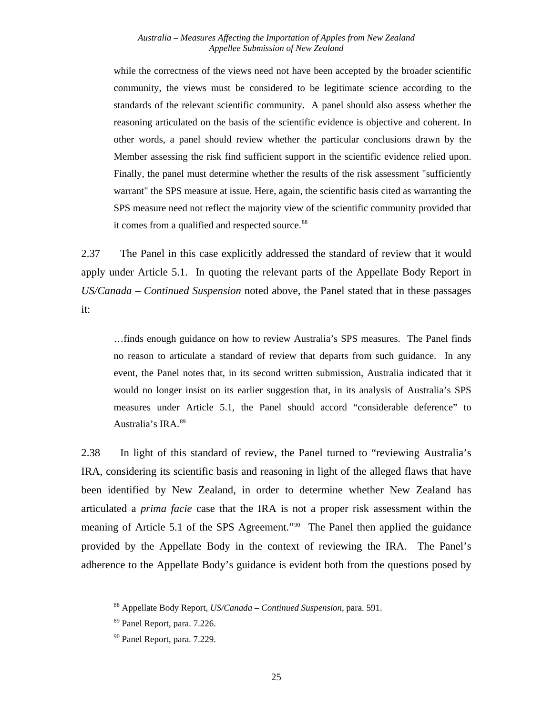#### *Australia – Measures Affecting the Importation of Apples from New Zealand Appellee Submission of New Zealand*

while the correctness of the views need not have been accepted by the broader scientific community, the views must be considered to be legitimate science according to the standards of the relevant scientific community. A panel should also assess whether the reasoning articulated on the basis of the scientific evidence is objective and coherent. In other words, a panel should review whether the particular conclusions drawn by the Member assessing the risk find sufficient support in the scientific evidence relied upon. Finally, the panel must determine whether the results of the risk assessment "sufficiently warrant" the SPS measure at issue. Here, again, the scientific basis cited as warranting the SPS measure need not reflect the majority view of the scientific community provided that it comes from a qualified and respected source.<sup>[88](#page-31-0)</sup>

2.37 The Panel in this case explicitly addressed the standard of review that it would apply under Article 5.1. In quoting the relevant parts of the Appellate Body Report in *US/Canada* – *Continued Suspension* noted above, the Panel stated that in these passages it:

…finds enough guidance on how to review Australia's SPS measures. The Panel finds no reason to articulate a standard of review that departs from such guidance. In any event, the Panel notes that, in its second written submission, Australia indicated that it would no longer insist on its earlier suggestion that, in its analysis of Australia's SPS measures under Article 5.1, the Panel should accord "considerable deference" to Australia's IRA.[89](#page-31-1)

2.38 In light of this standard of review, the Panel turned to "reviewing Australia's IRA, considering its scientific basis and reasoning in light of the alleged flaws that have been identified by New Zealand, in order to determine whether New Zealand has articulated a *prima facie* case that the IRA is not a proper risk assessment within the meaning of Article 5.1 of the SPS Agreement."<sup>[90](#page-31-2)</sup> The Panel then applied the guidance provided by the Appellate Body in the context of reviewing the IRA. The Panel's adherence to the Appellate Body's guidance is evident both from the questions posed by

<span id="page-31-0"></span><sup>88</sup> Appellate Body Report, *US/Canada – Continued Suspension,* para. 591.

<span id="page-31-1"></span><sup>89</sup> Panel Report, para. 7.226.

<span id="page-31-2"></span><sup>90</sup> Panel Report, para. 7.229.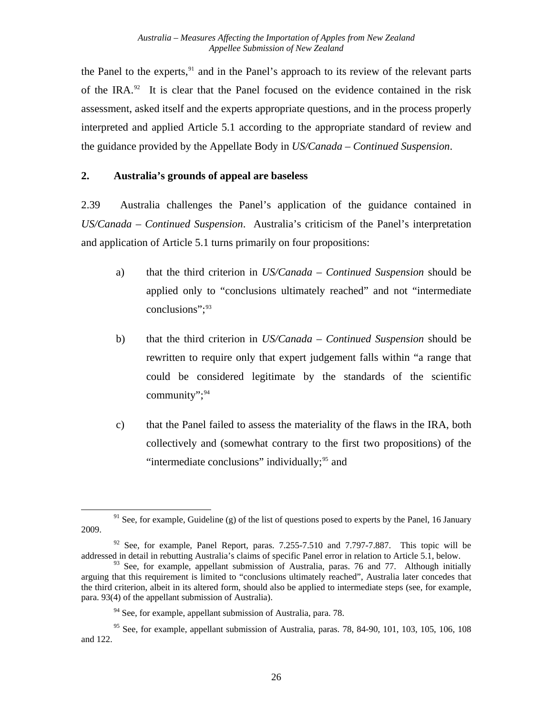<span id="page-32-0"></span>the Panel to the experts, $91$  and in the Panel's approach to its review of the relevant parts of the IRA.<sup>[92](#page-32-2)</sup> It is clear that the Panel focused on the evidence contained in the risk assessment, asked itself and the experts appropriate questions, and in the process properly interpreted and applied Article 5.1 according to the appropriate standard of review and the guidance provided by the Appellate Body in *US/Canada – Continued Suspension*.

## **2. Australia's grounds of appeal are baseless**

2.39 Australia challenges the Panel's application of the guidance contained in *US/Canada – Continued Suspension*. Australia's criticism of the Panel's interpretation and application of Article 5.1 turns primarily on four propositions:

- a) that the third criterion in *US/Canada – Continued Suspension* should be applied only to "conclusions ultimately reached" and not "intermediate conclusions": [93](#page-32-3)
- b) that the third criterion in *US/Canada – Continued Suspension* should be rewritten to require only that expert judgement falls within "a range that could be considered legitimate by the standards of the scientific community"; $94$
- c) that the Panel failed to assess the materiality of the flaws in the IRA, both collectively and (somewhat contrary to the first two propositions) of the "intermediate conclusions" individually; $95$  and

<span id="page-32-1"></span> $91$  See, for example, Guideline (g) of the list of questions posed to experts by the Panel, 16 January 2009.

<span id="page-32-2"></span> $92$  See, for example, Panel Report, paras. 7.255-7.510 and 7.797-7.887. This topic will be addressed in detail in rebutting Australia's claims of specific Panel error in relation to Article 5.1, below.

<span id="page-32-3"></span> $93$  See, for example, appellant submission of Australia, paras. 76 and 77. Although initially arguing that this requirement is limited to "conclusions ultimately reached", Australia later concedes that the third criterion, albeit in its altered form, should also be applied to intermediate steps (see, for example, para. 93(4) of the appellant submission of Australia).

 $94$  See, for example, appellant submission of Australia, para. 78.

<span id="page-32-5"></span><span id="page-32-4"></span> $95$  See, for example, appellant submission of Australia, paras. 78, 84-90, 101, 103, 105, 106, 108 and 122.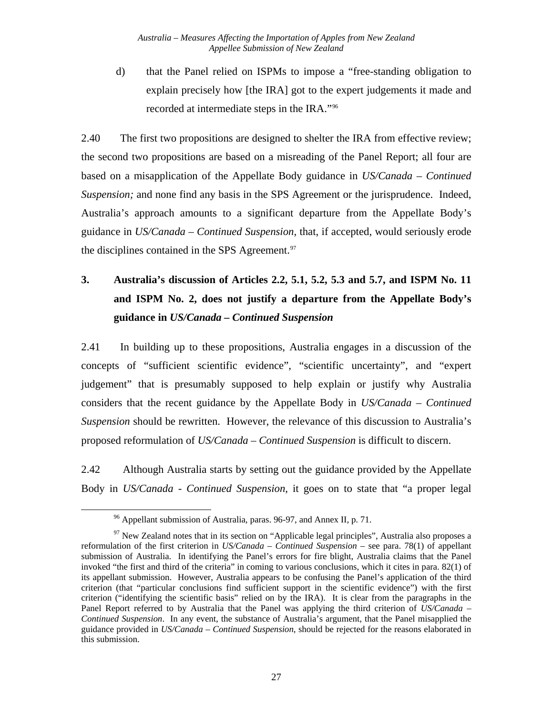<span id="page-33-0"></span>d) that the Panel relied on ISPMs to impose a "free-standing obligation to explain precisely how [the IRA] got to the expert judgements it made and recorded at intermediate steps in the IRA."[96](#page-33-1)

2.40 The first two propositions are designed to shelter the IRA from effective review; the second two propositions are based on a misreading of the Panel Report; all four are based on a misapplication of the Appellate Body guidance in *US/Canada – Continued Suspension;* and none find any basis in the SPS Agreement or the jurisprudence. Indeed, Australia's approach amounts to a significant departure from the Appellate Body's guidance in *US/Canada – Continued Suspension*, that, if accepted, would seriously erode the disciplines contained in the SPS Agreement.<sup>[97](#page-33-2)</sup>

# **3. Australia's discussion of Articles 2.2, 5.1, 5.2, 5.3 and 5.7, and ISPM No. 11 and ISPM No. 2, does not justify a departure from the Appellate Body's guidance in** *US/Canada – Continued Suspension*

2.41 In building up to these propositions, Australia engages in a discussion of the concepts of "sufficient scientific evidence", "scientific uncertainty", and "expert judgement" that is presumably supposed to help explain or justify why Australia considers that the recent guidance by the Appellate Body in *US/Canada – Continued Suspension* should be rewritten. However, the relevance of this discussion to Australia's proposed reformulation of *US/Canada – Continued Suspension* is difficult to discern.

2.42 Although Australia starts by setting out the guidance provided by the Appellate Body in *US/Canada - Continued Suspension*, it goes on to state that "a proper legal

<sup>96</sup> Appellant submission of Australia, paras. 96-97, and Annex II, p. 71.

<span id="page-33-2"></span><span id="page-33-1"></span><sup>&</sup>lt;sup>97</sup> New Zealand notes that in its section on "Applicable legal principles", Australia also proposes a reformulation of the first criterion in *US/Canada – Continued Suspension* – see para. 78(1) of appellant submission of Australia. In identifying the Panel's errors for fire blight, Australia claims that the Panel invoked "the first and third of the criteria" in coming to various conclusions, which it cites in para. 82(1) of its appellant submission. However, Australia appears to be confusing the Panel's application of the third criterion (that "particular conclusions find sufficient support in the scientific evidence") with the first criterion ("identifying the scientific basis" relied on by the IRA). It is clear from the paragraphs in the Panel Report referred to by Australia that the Panel was applying the third criterion of *US/Canada – Continued Suspension*. In any event, the substance of Australia's argument, that the Panel misapplied the guidance provided in *US/Canada – Continued Suspension*, should be rejected for the reasons elaborated in this submission.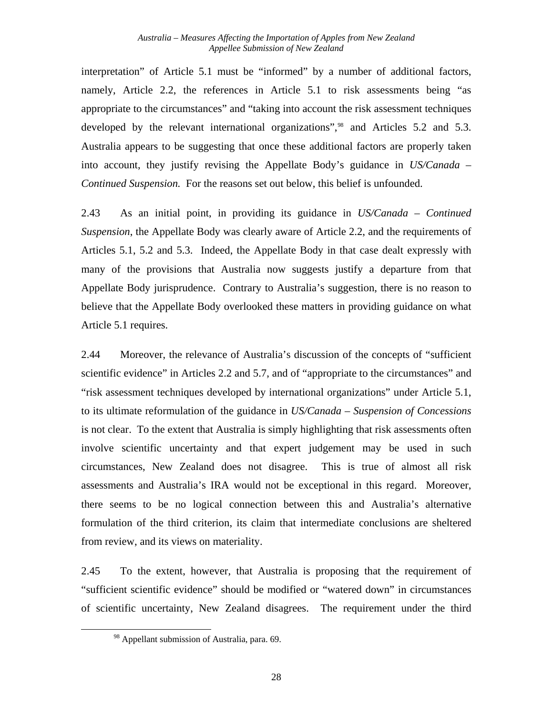interpretation" of Article 5.1 must be "informed" by a number of additional factors, namely, Article 2.2, the references in Article 5.1 to risk assessments being "as appropriate to the circumstances" and "taking into account the risk assessment techniques developed by the relevant international organizations",<sup>[98](#page-34-0)</sup> and Articles 5.2 and 5.3. Australia appears to be suggesting that once these additional factors are properly taken into account, they justify revising the Appellate Body's guidance in *US/Canada – Continued Suspension.* For the reasons set out below, this belief is unfounded.

2.43 As an initial point, in providing its guidance in *US/Canada – Continued Suspension*, the Appellate Body was clearly aware of Article 2.2, and the requirements of Articles 5.1, 5.2 and 5.3. Indeed, the Appellate Body in that case dealt expressly with many of the provisions that Australia now suggests justify a departure from that Appellate Body jurisprudence. Contrary to Australia's suggestion, there is no reason to believe that the Appellate Body overlooked these matters in providing guidance on what Article 5.1 requires.

2.44 Moreover, the relevance of Australia's discussion of the concepts of "sufficient scientific evidence" in Articles 2.2 and 5.7, and of "appropriate to the circumstances" and "risk assessment techniques developed by international organizations" under Article 5.1, to its ultimate reformulation of the guidance in *US/Canada – Suspension of Concessions* is not clear. To the extent that Australia is simply highlighting that risk assessments often involve scientific uncertainty and that expert judgement may be used in such circumstances, New Zealand does not disagree. This is true of almost all risk assessments and Australia's IRA would not be exceptional in this regard. Moreover, there seems to be no logical connection between this and Australia's alternative formulation of the third criterion, its claim that intermediate conclusions are sheltered from review, and its views on materiality.

<span id="page-34-0"></span>2.45 To the extent, however, that Australia is proposing that the requirement of "sufficient scientific evidence" should be modified or "watered down" in circumstances of scientific uncertainty, New Zealand disagrees. The requirement under the third

<sup>&</sup>lt;sup>98</sup> Appellant submission of Australia, para. 69.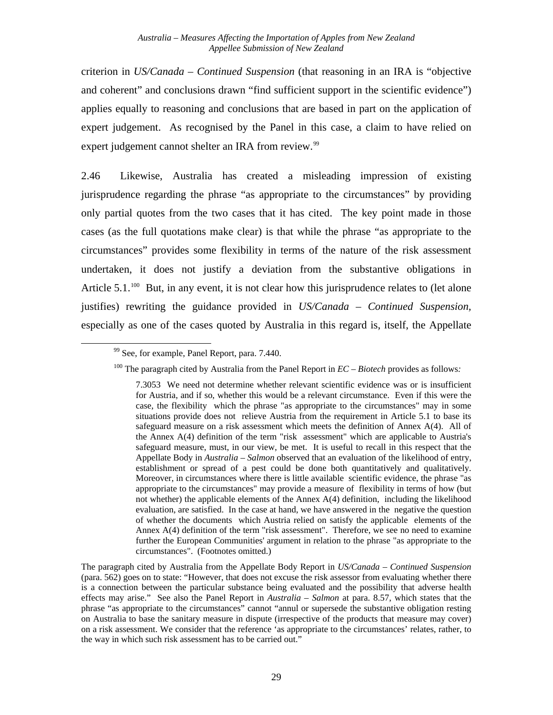criterion in *US/Canada – Continued Suspension* (that reasoning in an IRA is "objective and coherent" and conclusions drawn "find sufficient support in the scientific evidence") applies equally to reasoning and conclusions that are based in part on the application of expert judgement. As recognised by the Panel in this case, a claim to have relied on expert judgement cannot shelter an IRA from review.<sup>[99](#page-35-0)</sup>

2.46 Likewise, Australia has created a misleading impression of existing jurisprudence regarding the phrase "as appropriate to the circumstances" by providing only partial quotes from the two cases that it has cited. The key point made in those cases (as the full quotations make clear) is that while the phrase "as appropriate to the circumstances" provides some flexibility in terms of the nature of the risk assessment undertaken, it does not justify a deviation from the substantive obligations in Article  $5.1.^{100}$  $5.1.^{100}$  $5.1.^{100}$  But, in any event, it is not clear how this jurisprudence relates to (let alone justifies) rewriting the guidance provided in *US/Canada – Continued Suspension,*  especially as one of the cases quoted by Australia in this regard is, itself, the Appellate

<span id="page-35-1"></span><span id="page-35-0"></span> $\overline{\phantom{a}}$ 

<sup>&</sup>lt;sup>99</sup> See, for example, Panel Report, para. 7.440.

<sup>100</sup> The paragraph cited by Australia from the Panel Report in *EC – Biotech* provides as follows*:* 

<sup>7.3053</sup> We need not determine whether relevant scientific evidence was or is insufficient for Austria, and if so, whether this would be a relevant circumstance. Even if this were the case, the flexibility which the phrase "as appropriate to the circumstances" may in some situations provide does not relieve Austria from the requirement in Article 5.1 to base its safeguard measure on a risk assessment which meets the definition of Annex A(4). All of the Annex A(4) definition of the term "risk assessment" which are applicable to Austria's safeguard measure, must, in our view, be met. It is useful to recall in this respect that the Appellate Body in *Australia – Salmon* observed that an evaluation of the likelihood of entry, establishment or spread of a pest could be done both quantitatively and qualitatively. Moreover, in circumstances where there is little available scientific evidence, the phrase "as appropriate to the circumstances" may provide a measure of flexibility in terms of how (but not whether) the applicable elements of the Annex A(4) definition, including the likelihood evaluation, are satisfied. In the case at hand, we have answered in the negative the question of whether the documents which Austria relied on satisfy the applicable elements of the Annex A(4) definition of the term "risk assessment". Therefore, we see no need to examine further the European Communities' argument in relation to the phrase "as appropriate to the circumstances". (Footnotes omitted.)

The paragraph cited by Australia from the Appellate Body Report in *US/Canada – Continued Suspension* (para. 562) goes on to state: "However, that does not excuse the risk assessor from evaluating whether there is a connection between the particular substance being evaluated and the possibility that adverse health effects may arise." See also the Panel Report in *Australia – Salmon* at para. 8.57, which states that the phrase "as appropriate to the circumstances" cannot "annul or supersede the substantive obligation resting on Australia to base the sanitary measure in dispute (irrespective of the products that measure may cover) on a risk assessment. We consider that the reference 'as appropriate to the circumstances' relates, rather, to the way in which such risk assessment has to be carried out."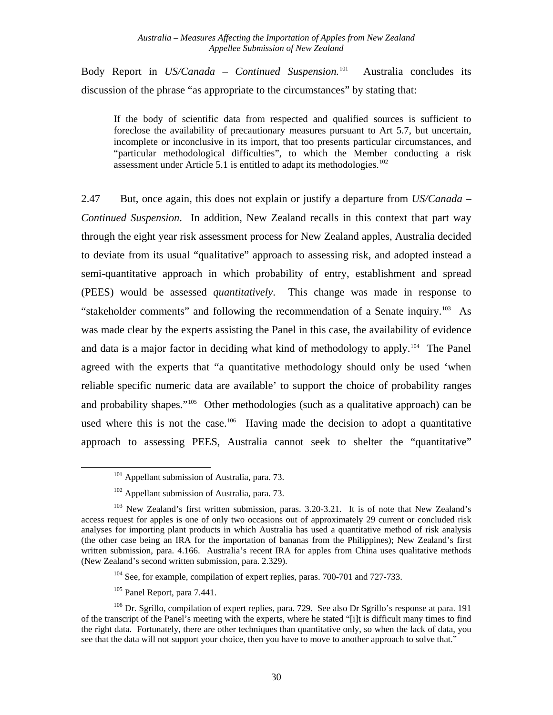Body Report in *US/Canada – Continued Suspension.*[101](#page-36-0) Australia concludes its discussion of the phrase "as appropriate to the circumstances" by stating that:

If the body of scientific data from respected and qualified sources is sufficient to foreclose the availability of precautionary measures pursuant to Art 5.7, but uncertain, incomplete or inconclusive in its import, that too presents particular circumstances, and "particular methodological difficulties", to which the Member conducting a risk assessment under Article 5.1 is entitled to adapt its methodologies.<sup>[102](#page-36-1)</sup>

2.47 But, once again, this does not explain or justify a departure from *US/Canada – Continued Suspension*. In addition, New Zealand recalls in this context that part way through the eight year risk assessment process for New Zealand apples, Australia decided to deviate from its usual "qualitative" approach to assessing risk, and adopted instead a semi-quantitative approach in which probability of entry, establishment and spread (PEES) would be assessed *quantitatively*. This change was made in response to "stakeholder comments" and following the recommendation of a Senate inquiry.[103](#page-36-2) As was made clear by the experts assisting the Panel in this case, the availability of evidence and data is a major factor in deciding what kind of methodology to apply.<sup>[104](#page-36-3)</sup> The Panel agreed with the experts that "a quantitative methodology should only be used 'when reliable specific numeric data are available' to support the choice of probability ranges and probability shapes."<sup>[105](#page-36-4)</sup> Other methodologies (such as a qualitative approach) can be used where this is not the case.<sup>[106](#page-36-5)</sup> Having made the decision to adopt a quantitative approach to assessing PEES, Australia cannot seek to shelter the "quantitative"

105 Panel Report*,* para 7.441.

 $101$  Appellant submission of Australia, para. 73.

<sup>&</sup>lt;sup>102</sup> Appellant submission of Australia, para. 73.

<span id="page-36-2"></span><span id="page-36-1"></span><span id="page-36-0"></span><sup>&</sup>lt;sup>103</sup> New Zealand's first written submission, paras. 3.20-3.21. It is of note that New Zealand's access request for apples is one of only two occasions out of approximately 29 current or concluded risk analyses for importing plant products in which Australia has used a quantitative method of risk analysis (the other case being an IRA for the importation of bananas from the Philippines); New Zealand's first written submission, para. 4.166. Australia's recent IRA for apples from China uses qualitative methods (New Zealand's second written submission, para. 2.329).

<sup>&</sup>lt;sup>104</sup> See, for example, compilation of expert replies, paras. 700-701 and 727-733.

<span id="page-36-5"></span><span id="page-36-4"></span><span id="page-36-3"></span><sup>&</sup>lt;sup>106</sup> Dr. Sgrillo, compilation of expert replies, para. 729. See also Dr Sgrillo's response at para. 191 of the transcript of the Panel's meeting with the experts, where he stated "[i]t is difficult many times to find the right data. Fortunately, there are other techniques than quantitative only, so when the lack of data, you see that the data will not support your choice, then you have to move to another approach to solve that."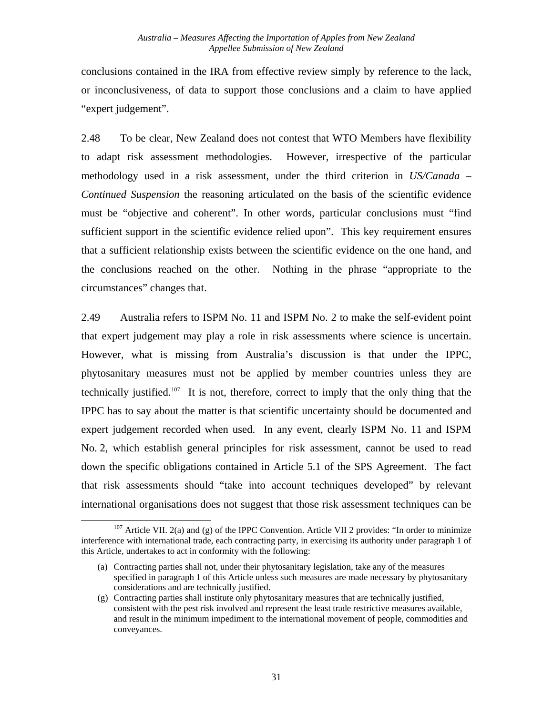conclusions contained in the IRA from effective review simply by reference to the lack, or inconclusiveness, of data to support those conclusions and a claim to have applied "expert judgement".

2.48 To be clear, New Zealand does not contest that WTO Members have flexibility to adapt risk assessment methodologies. However, irrespective of the particular methodology used in a risk assessment, under the third criterion in *US/Canada – Continued Suspension* the reasoning articulated on the basis of the scientific evidence must be "objective and coherent". In other words, particular conclusions must "find sufficient support in the scientific evidence relied upon". This key requirement ensures that a sufficient relationship exists between the scientific evidence on the one hand, and the conclusions reached on the other. Nothing in the phrase "appropriate to the circumstances" changes that.

2.49 Australia refers to ISPM No. 11 and ISPM No. 2 to make the self-evident point that expert judgement may play a role in risk assessments where science is uncertain. However, what is missing from Australia's discussion is that under the IPPC, phytosanitary measures must not be applied by member countries unless they are technically justified.[107](#page-37-0) It is not, therefore, correct to imply that the only thing that the IPPC has to say about the matter is that scientific uncertainty should be documented and expert judgement recorded when used. In any event, clearly ISPM No. 11 and ISPM No. 2, which establish general principles for risk assessment, cannot be used to read down the specific obligations contained in Article 5.1 of the SPS Agreement. The fact that risk assessments should "take into account techniques developed" by relevant international organisations does not suggest that those risk assessment techniques can be

<span id="page-37-0"></span> $107$  Article VII. 2(a) and (g) of the IPPC Convention. Article VII 2 provides: "In order to minimize interference with international trade, each contracting party, in exercising its authority under paragraph 1 of this Article, undertakes to act in conformity with the following:

<sup>(</sup>a) Contracting parties shall not, under their phytosanitary legislation, take any of the measures specified in paragraph 1 of this Article unless such measures are made necessary by phytosanitary considerations and are technically justified.

<sup>(</sup>g) Contracting parties shall institute only phytosanitary measures that are technically justified, consistent with the pest risk involved and represent the least trade restrictive measures available, and result in the minimum impediment to the international movement of people, commodities and conveyances.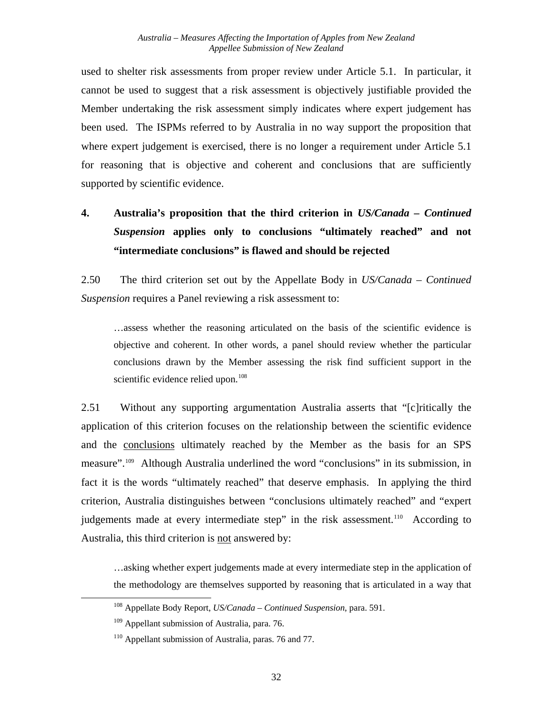used to shelter risk assessments from proper review under Article 5.1. In particular, it cannot be used to suggest that a risk assessment is objectively justifiable provided the Member undertaking the risk assessment simply indicates where expert judgement has been used. The ISPMs referred to by Australia in no way support the proposition that where expert judgement is exercised, there is no longer a requirement under Article 5.1 for reasoning that is objective and coherent and conclusions that are sufficiently supported by scientific evidence.

# **4. Australia's proposition that the third criterion in** *US/Canada – Continued Suspension* **applies only to conclusions "ultimately reached" and not "intermediate conclusions" is flawed and should be rejected**

2.50 The third criterion set out by the Appellate Body in *US/Canada – Continued Suspension* requires a Panel reviewing a risk assessment to:

…assess whether the reasoning articulated on the basis of the scientific evidence is objective and coherent. In other words, a panel should review whether the particular conclusions drawn by the Member assessing the risk find sufficient support in the scientific evidence relied upon.<sup>[108](#page-38-0)</sup>

2.51 Without any supporting argumentation Australia asserts that "[c]ritically the application of this criterion focuses on the relationship between the scientific evidence and the conclusions ultimately reached by the Member as the basis for an SPS measure".[109](#page-38-1) Although Australia underlined the word "conclusions" in its submission, in fact it is the words "ultimately reached" that deserve emphasis. In applying the third criterion, Australia distinguishes between "conclusions ultimately reached" and "expert judgements made at every intermediate step" in the risk assessment.<sup>[110](#page-38-2)</sup> According to Australia, this third criterion is not answered by:

…asking whether expert judgements made at every intermediate step in the application of the methodology are themselves supported by reasoning that is articulated in a way that

<span id="page-38-0"></span> <sup>108</sup> Appellate Body Report, *US/Canada – Continued Suspension*, para. 591.

<span id="page-38-1"></span> $109$  Appellant submission of Australia, para. 76.

<span id="page-38-2"></span><sup>&</sup>lt;sup>110</sup> Appellant submission of Australia, paras. 76 and 77.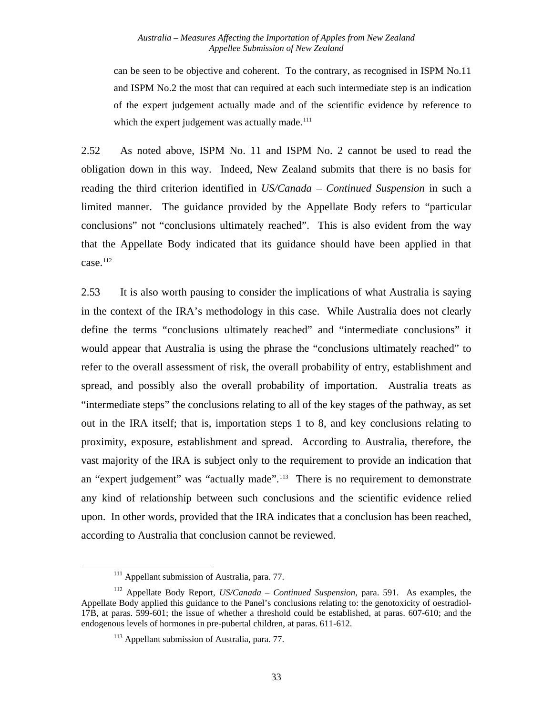#### *Australia – Measures Affecting the Importation of Apples from New Zealand Appellee Submission of New Zealand*

can be seen to be objective and coherent. To the contrary, as recognised in ISPM No.11 and ISPM No.2 the most that can required at each such intermediate step is an indication of the expert judgement actually made and of the scientific evidence by reference to which the expert judgement was actually made. $111$ 

2.52 As noted above, ISPM No. 11 and ISPM No. 2 cannot be used to read the obligation down in this way. Indeed, New Zealand submits that there is no basis for reading the third criterion identified in *US/Canada – Continued Suspension* in such a limited manner. The guidance provided by the Appellate Body refers to "particular conclusions" not "conclusions ultimately reached". This is also evident from the way that the Appellate Body indicated that its guidance should have been applied in that case.<sup>[112](#page-39-1)</sup>

2.53 It is also worth pausing to consider the implications of what Australia is saying in the context of the IRA's methodology in this case. While Australia does not clearly define the terms "conclusions ultimately reached" and "intermediate conclusions" it would appear that Australia is using the phrase the "conclusions ultimately reached" to refer to the overall assessment of risk, the overall probability of entry, establishment and spread, and possibly also the overall probability of importation. Australia treats as "intermediate steps" the conclusions relating to all of the key stages of the pathway, as set out in the IRA itself; that is, importation steps 1 to 8, and key conclusions relating to proximity, exposure, establishment and spread. According to Australia, therefore, the vast majority of the IRA is subject only to the requirement to provide an indication that an "expert judgement" was "actually made".<sup>[113](#page-39-2)</sup> There is no requirement to demonstrate any kind of relationship between such conclusions and the scientific evidence relied upon. In other words, provided that the IRA indicates that a conclusion has been reached, according to Australia that conclusion cannot be reviewed.

<sup>&</sup>lt;sup>111</sup> Appellant submission of Australia, para. 77.

<span id="page-39-2"></span><span id="page-39-1"></span><span id="page-39-0"></span><sup>112</sup> Appellate Body Report, *US/Canada – Continued Suspension*, para. 591. As examples, the Appellate Body applied this guidance to the Panel's conclusions relating to: the genotoxicity of oestradiol-17B, at paras. 599-601; the issue of whether a threshold could be established, at paras. 607-610; and the endogenous levels of hormones in pre-pubertal children, at paras. 611-612.

<sup>&</sup>lt;sup>113</sup> Appellant submission of Australia, para. 77.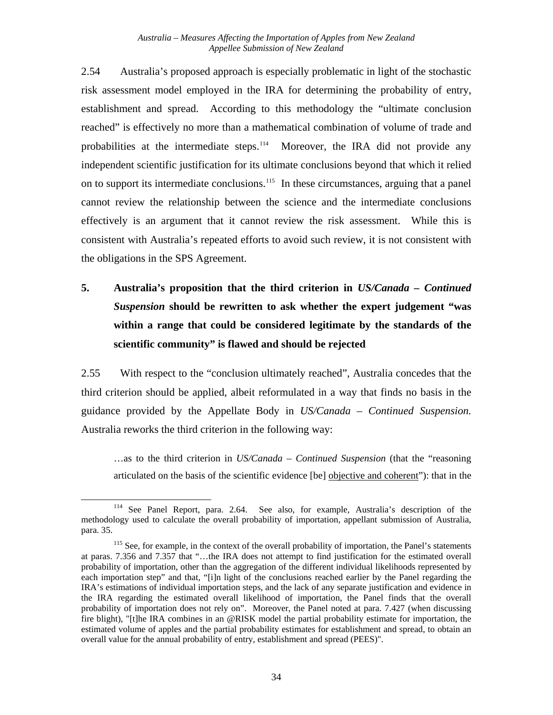2.54 Australia's proposed approach is especially problematic in light of the stochastic risk assessment model employed in the IRA for determining the probability of entry, establishment and spread. According to this methodology the "ultimate conclusion reached" is effectively no more than a mathematical combination of volume of trade and probabilities at the intermediate steps.<sup>[114](#page-40-0)</sup> Moreover, the IRA did not provide any independent scientific justification for its ultimate conclusions beyond that which it relied on to support its intermediate conclusions.<sup>[115](#page-40-1)</sup> In these circumstances, arguing that a panel cannot review the relationship between the science and the intermediate conclusions effectively is an argument that it cannot review the risk assessment. While this is consistent with Australia's repeated efforts to avoid such review, it is not consistent with the obligations in the SPS Agreement.

**5. Australia's proposition that the third criterion in** *US/Canada – Continued Suspension* **should be rewritten to ask whether the expert judgement "was within a range that could be considered legitimate by the standards of the scientific community" is flawed and should be rejected** 

2.55 With respect to the "conclusion ultimately reached", Australia concedes that the third criterion should be applied, albeit reformulated in a way that finds no basis in the guidance provided by the Appellate Body in *US/Canada – Continued Suspension.*  Australia reworks the third criterion in the following way:

…as to the third criterion in *US/Canada – Continued Suspension* (that the "reasoning articulated on the basis of the scientific evidence [be] objective and coherent"): that in the

<span id="page-40-0"></span> <sup>114</sup> See Panel Report, para. 2.64. See also, for example, Australia's description of the methodology used to calculate the overall probability of importation, appellant submission of Australia, para. 35.

<span id="page-40-1"></span><sup>&</sup>lt;sup>115</sup> See, for example, in the context of the overall probability of importation, the Panel's statements at paras. 7.356 and 7.357 that "…the IRA does not attempt to find justification for the estimated overall probability of importation, other than the aggregation of the different individual likelihoods represented by each importation step" and that, "[i]n light of the conclusions reached earlier by the Panel regarding the IRA's estimations of individual importation steps, and the lack of any separate justification and evidence in the IRA regarding the estimated overall likelihood of importation, the Panel finds that the overall probability of importation does not rely on". Moreover, the Panel noted at para. 7.427 (when discussing fire blight), "[t]he IRA combines in an @RISK model the partial probability estimate for importation, the estimated volume of apples and the partial probability estimates for establishment and spread, to obtain an overall value for the annual probability of entry, establishment and spread (PEES)".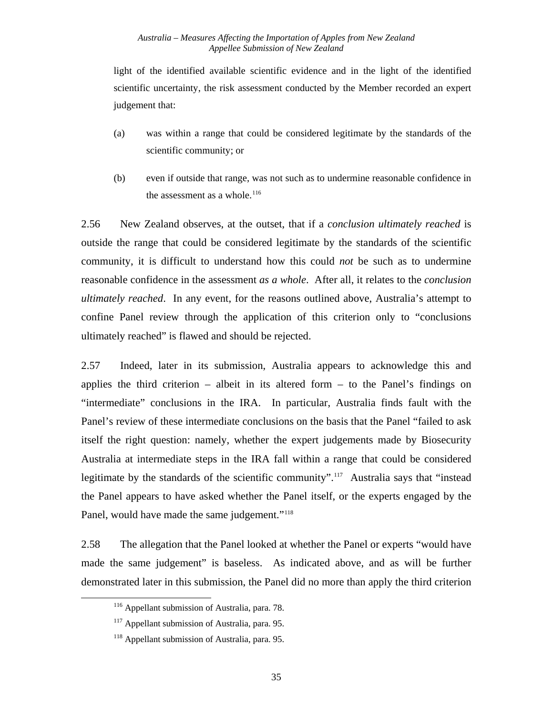light of the identified available scientific evidence and in the light of the identified scientific uncertainty, the risk assessment conducted by the Member recorded an expert judgement that:

- (a) was within a range that could be considered legitimate by the standards of the scientific community; or
- (b) even if outside that range, was not such as to undermine reasonable confidence in the assessment as a whole. $116$

2.56 New Zealand observes, at the outset, that if a *conclusion ultimately reached* is outside the range that could be considered legitimate by the standards of the scientific community, it is difficult to understand how this could *not* be such as to undermine reasonable confidence in the assessment *as a whole*. After all, it relates to the *conclusion ultimately reached*. In any event, for the reasons outlined above, Australia's attempt to confine Panel review through the application of this criterion only to "conclusions ultimately reached" is flawed and should be rejected.

2.57 Indeed, later in its submission, Australia appears to acknowledge this and applies the third criterion – albeit in its altered form – to the Panel's findings on "intermediate" conclusions in the IRA. In particular, Australia finds fault with the Panel's review of these intermediate conclusions on the basis that the Panel "failed to ask itself the right question: namely, whether the expert judgements made by Biosecurity Australia at intermediate steps in the IRA fall within a range that could be considered legitimate by the standards of the scientific community".<sup>[117](#page-41-1)</sup> Australia says that "instead" the Panel appears to have asked whether the Panel itself, or the experts engaged by the Panel, would have made the same judgement."<sup>[118](#page-41-2)</sup>

<span id="page-41-0"></span>2.58 The allegation that the Panel looked at whether the Panel or experts "would have made the same judgement" is baseless. As indicated above, and as will be further demonstrated later in this submission, the Panel did no more than apply the third criterion

<sup>&</sup>lt;sup>116</sup> Appellant submission of Australia, para. 78.

<span id="page-41-1"></span><sup>&</sup>lt;sup>117</sup> Appellant submission of Australia, para. 95.

<span id="page-41-2"></span><sup>&</sup>lt;sup>118</sup> Appellant submission of Australia, para. 95.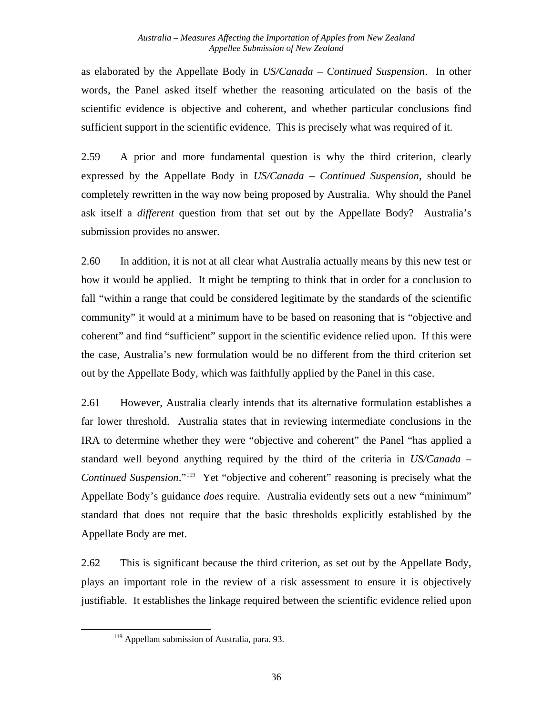as elaborated by the Appellate Body in *US/Canada – Continued Suspension*. In other words, the Panel asked itself whether the reasoning articulated on the basis of the scientific evidence is objective and coherent, and whether particular conclusions find sufficient support in the scientific evidence. This is precisely what was required of it.

2.59 A prior and more fundamental question is why the third criterion, clearly expressed by the Appellate Body in *US/Canada – Continued Suspension*, should be completely rewritten in the way now being proposed by Australia. Why should the Panel ask itself a *different* question from that set out by the Appellate Body? Australia's submission provides no answer.

2.60 In addition, it is not at all clear what Australia actually means by this new test or how it would be applied. It might be tempting to think that in order for a conclusion to fall "within a range that could be considered legitimate by the standards of the scientific community" it would at a minimum have to be based on reasoning that is "objective and coherent" and find "sufficient" support in the scientific evidence relied upon. If this were the case, Australia's new formulation would be no different from the third criterion set out by the Appellate Body, which was faithfully applied by the Panel in this case.

2.61 However, Australia clearly intends that its alternative formulation establishes a far lower threshold. Australia states that in reviewing intermediate conclusions in the IRA to determine whether they were "objective and coherent" the Panel "has applied a standard well beyond anything required by the third of the criteria in *US/Canada – Continued Suspension*."<sup>[119](#page-42-0)</sup> Yet "objective and coherent" reasoning is precisely what the Appellate Body's guidance *does* require. Australia evidently sets out a new "minimum" standard that does not require that the basic thresholds explicitly established by the Appellate Body are met.

<span id="page-42-0"></span>2.62 This is significant because the third criterion, as set out by the Appellate Body, plays an important role in the review of a risk assessment to ensure it is objectively justifiable. It establishes the linkage required between the scientific evidence relied upon

<sup>&</sup>lt;sup>119</sup> Appellant submission of Australia, para. 93.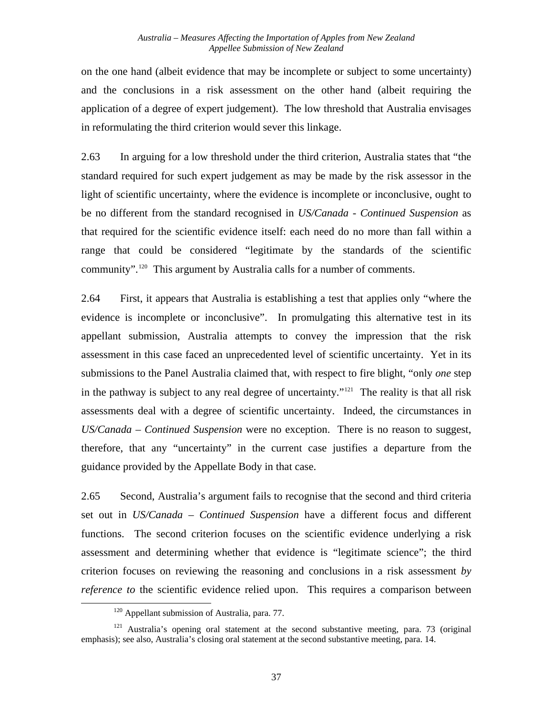on the one hand (albeit evidence that may be incomplete or subject to some uncertainty) and the conclusions in a risk assessment on the other hand (albeit requiring the application of a degree of expert judgement). The low threshold that Australia envisages in reformulating the third criterion would sever this linkage.

2.63 In arguing for a low threshold under the third criterion, Australia states that "the standard required for such expert judgement as may be made by the risk assessor in the light of scientific uncertainty, where the evidence is incomplete or inconclusive, ought to be no different from the standard recognised in *US/Canada* - *Continued Suspension* as that required for the scientific evidence itself: each need do no more than fall within a range that could be considered "legitimate by the standards of the scientific community".[120](#page-43-0) This argument by Australia calls for a number of comments.

2.64 First, it appears that Australia is establishing a test that applies only "where the evidence is incomplete or inconclusive". In promulgating this alternative test in its appellant submission, Australia attempts to convey the impression that the risk assessment in this case faced an unprecedented level of scientific uncertainty. Yet in its submissions to the Panel Australia claimed that, with respect to fire blight, "only *one* step in the pathway is subject to any real degree of uncertainty."<sup>[121](#page-43-1)</sup> The reality is that all risk assessments deal with a degree of scientific uncertainty. Indeed, the circumstances in *US/Canada – Continued Suspension* were no exception. There is no reason to suggest, therefore, that any "uncertainty" in the current case justifies a departure from the guidance provided by the Appellate Body in that case.

2.65 Second, Australia's argument fails to recognise that the second and third criteria set out in *US/Canada – Continued Suspension* have a different focus and different functions. The second criterion focuses on the scientific evidence underlying a risk assessment and determining whether that evidence is "legitimate science"; the third criterion focuses on reviewing the reasoning and conclusions in a risk assessment *by reference to* the scientific evidence relied upon. This requires a comparison between

<sup>&</sup>lt;sup>120</sup> Appellant submission of Australia, para. 77.

<span id="page-43-1"></span><span id="page-43-0"></span> $121$  Australia's opening oral statement at the second substantive meeting, para. 73 (original emphasis); see also, Australia's closing oral statement at the second substantive meeting, para. 14.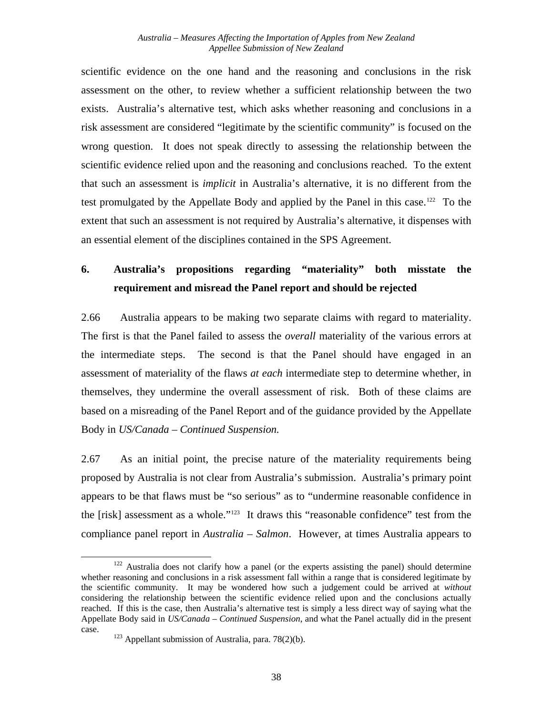scientific evidence on the one hand and the reasoning and conclusions in the risk assessment on the other, to review whether a sufficient relationship between the two exists. Australia's alternative test, which asks whether reasoning and conclusions in a risk assessment are considered "legitimate by the scientific community" is focused on the wrong question. It does not speak directly to assessing the relationship between the scientific evidence relied upon and the reasoning and conclusions reached. To the extent that such an assessment is *implicit* in Australia's alternative, it is no different from the test promulgated by the Appellate Body and applied by the Panel in this case.<sup>122</sup> To the extent that such an assessment is not required by Australia's alternative, it dispenses with an essential element of the disciplines contained in the SPS Agreement.

#### **6. Australia's propositions regarding "materiality" both misstate the requirement and misread the Panel report and should be rejected**

2.66 Australia appears to be making two separate claims with regard to materiality. The first is that the Panel failed to assess the *overall* materiality of the various errors at the intermediate steps. The second is that the Panel should have engaged in an assessment of materiality of the flaws *at each* intermediate step to determine whether, in themselves, they undermine the overall assessment of risk. Both of these claims are based on a misreading of the Panel Report and of the guidance provided by the Appellate Body in *US/Canada – Continued Suspension.*

2.67 As an initial point, the precise nature of the materiality requirements being proposed by Australia is not clear from Australia's submission. Australia's primary point appears to be that flaws must be "so serious" as to "undermine reasonable confidence in the [risk] assessment as a whole."[123](#page-44-1) It draws this "reasonable confidence" test from the compliance panel report in *Australia – Salmon*. However, at times Australia appears to

<span id="page-44-0"></span><sup>&</sup>lt;sup>122</sup> Australia does not clarify how a panel (or the experts assisting the panel) should determine whether reasoning and conclusions in a risk assessment fall within a range that is considered legitimate by the scientific community. It may be wondered how such a judgement could be arrived at *without* considering the relationship between the scientific evidence relied upon and the conclusions actually reached. If this is the case, then Australia's alternative test is simply a less direct way of saying what the Appellate Body said in *US/Canada – Continued Suspension*, and what the Panel actually did in the present

<span id="page-44-1"></span>case.  $123$  Appellant submission of Australia, para. 78(2)(b).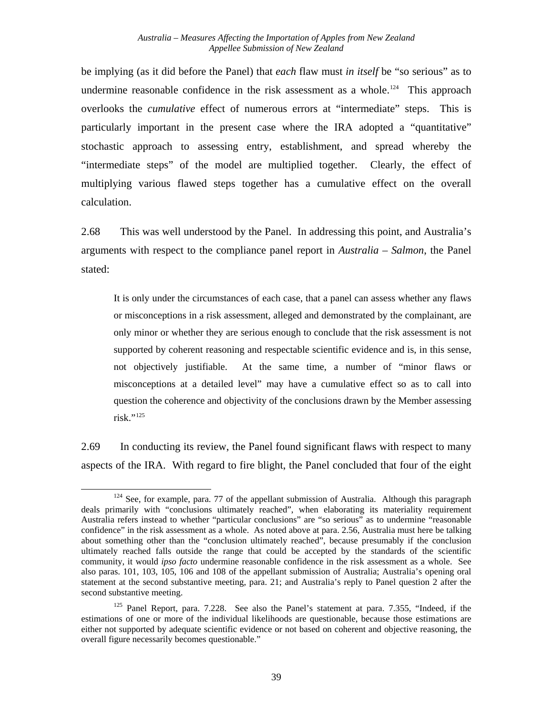be implying (as it did before the Panel) that *each* flaw must *in itself* be "so serious" as to undermine reasonable confidence in the risk assessment as a whole.<sup>[124](#page-45-0)</sup> This approach overlooks the *cumulative* effect of numerous errors at "intermediate" steps. This is particularly important in the present case where the IRA adopted a "quantitative" stochastic approach to assessing entry, establishment, and spread whereby the "intermediate steps" of the model are multiplied together. Clearly, the effect of multiplying various flawed steps together has a cumulative effect on the overall calculation.

2.68 This was well understood by the Panel. In addressing this point, and Australia's arguments with respect to the compliance panel report in *Australia – Salmon*, the Panel stated:

It is only under the circumstances of each case, that a panel can assess whether any flaws or misconceptions in a risk assessment, alleged and demonstrated by the complainant, are only minor or whether they are serious enough to conclude that the risk assessment is not supported by coherent reasoning and respectable scientific evidence and is, in this sense, not objectively justifiable. At the same time, a number of "minor flaws or misconceptions at a detailed level" may have a cumulative effect so as to call into question the coherence and objectivity of the conclusions drawn by the Member assessing  $risk.$ "<sup>[125](#page-45-1)</sup>

2.69 In conducting its review, the Panel found significant flaws with respect to many aspects of the IRA. With regard to fire blight, the Panel concluded that four of the eight

<span id="page-45-0"></span> $124$  See, for example, para. 77 of the appellant submission of Australia. Although this paragraph deals primarily with "conclusions ultimately reached", when elaborating its materiality requirement Australia refers instead to whether "particular conclusions" are "so serious" as to undermine "reasonable confidence" in the risk assessment as a whole. As noted above at para. 2.56, Australia must here be talking about something other than the "conclusion ultimately reached", because presumably if the conclusion ultimately reached falls outside the range that could be accepted by the standards of the scientific community, it would *ipso facto* undermine reasonable confidence in the risk assessment as a whole. See also paras. 101, 103, 105, 106 and 108 of the appellant submission of Australia; Australia's opening oral statement at the second substantive meeting, para. 21; and Australia's reply to Panel question 2 after the second substantive meeting.

<span id="page-45-1"></span><sup>&</sup>lt;sup>125</sup> Panel Report, para. 7.228. See also the Panel's statement at para. 7.355, "Indeed, if the estimations of one or more of the individual likelihoods are questionable, because those estimations are either not supported by adequate scientific evidence or not based on coherent and objective reasoning, the overall figure necessarily becomes questionable."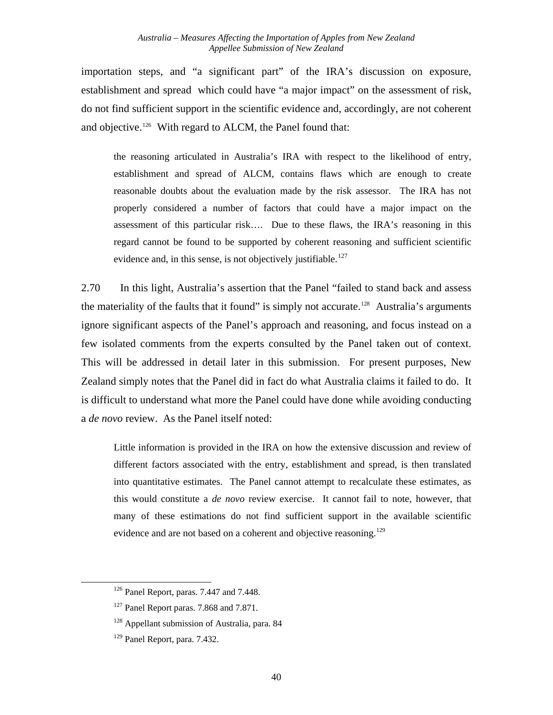importation steps, and "a significant part" of the IRA's discussion on exposure, establishment and spread which could have "a major impact" on the assessment of risk, do not find sufficient support in the scientific evidence and, accordingly, are not coherent and objective.<sup>[126](#page-46-0)</sup> With regard to ALCM, the Panel found that:

the reasoning articulated in Australia's IRA with respect to the likelihood of entry, establishment and spread of ALCM, contains flaws which are enough to create reasonable doubts about the evaluation made by the risk assessor. The IRA has not properly considered a number of factors that could have a major impact on the assessment of this particular risk…. Due to these flaws, the IRA's reasoning in this regard cannot be found to be supported by coherent reasoning and sufficient scientific evidence and, in this sense, is not objectively justifiable.<sup>[127](#page-46-1)</sup>

2.70 In this light, Australia's assertion that the Panel "failed to stand back and assess the materiality of the faults that it found" is simply not accurate.<sup>128</sup> Australia's arguments ignore significant aspects of the Panel's approach and reasoning, and focus instead on a few isolated comments from the experts consulted by the Panel taken out of context. This will be addressed in detail later in this submission. For present purposes, New Zealand simply notes that the Panel did in fact do what Australia claims it failed to do. It is difficult to understand what more the Panel could have done while avoiding conducting a *de novo* review. As the Panel itself noted:

Little information is provided in the IRA on how the extensive discussion and review of different factors associated with the entry, establishment and spread, is then translated into quantitative estimates. The Panel cannot attempt to recalculate these estimates, as this would constitute a *de novo* review exercise. It cannot fail to note, however, that many of these estimations do not find sufficient support in the available scientific evidence and are not based on a coherent and objective reasoning.<sup>[129](#page-46-3)</sup>

<span id="page-46-3"></span><span id="page-46-2"></span><span id="page-46-1"></span><span id="page-46-0"></span>1

<sup>&</sup>lt;sup>126</sup> Panel Report, paras. 7.447 and 7.448.

<sup>&</sup>lt;sup>127</sup> Panel Report paras. 7.868 and 7.871.

<sup>&</sup>lt;sup>128</sup> Appellant submission of Australia, para. 84

<sup>129</sup> Panel Report, para. 7.432.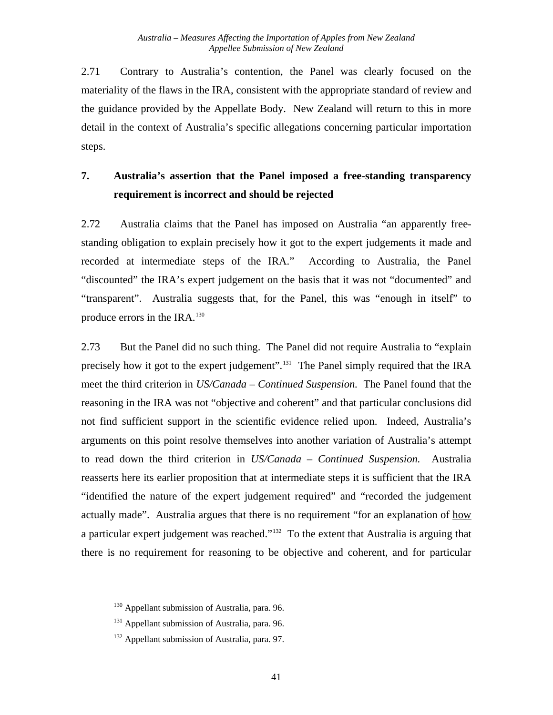2.71 Contrary to Australia's contention, the Panel was clearly focused on the materiality of the flaws in the IRA, consistent with the appropriate standard of review and the guidance provided by the Appellate Body. New Zealand will return to this in more detail in the context of Australia's specific allegations concerning particular importation steps.

#### **7. Australia's assertion that the Panel imposed a free-standing transparency requirement is incorrect and should be rejected**

2.72 Australia claims that the Panel has imposed on Australia "an apparently freestanding obligation to explain precisely how it got to the expert judgements it made and recorded at intermediate steps of the IRA." According to Australia, the Panel "discounted" the IRA's expert judgement on the basis that it was not "documented" and "transparent". Australia suggests that, for the Panel, this was "enough in itself" to produce errors in the IRA.<sup>[130](#page-47-0)</sup>

2.73 But the Panel did no such thing. The Panel did not require Australia to "explain precisely how it got to the expert judgement".<sup>[131](#page-47-1)</sup> The Panel simply required that the IRA meet the third criterion in *US/Canada – Continued Suspension.* The Panel found that the reasoning in the IRA was not "objective and coherent" and that particular conclusions did not find sufficient support in the scientific evidence relied upon. Indeed, Australia's arguments on this point resolve themselves into another variation of Australia's attempt to read down the third criterion in *US/Canada – Continued Suspension.* Australia reasserts here its earlier proposition that at intermediate steps it is sufficient that the IRA "identified the nature of the expert judgement required" and "recorded the judgement actually made". Australia argues that there is no requirement "for an explanation of how a particular expert judgement was reached."[132](#page-47-2) To the extent that Australia is arguing that there is no requirement for reasoning to be objective and coherent, and for particular

<span id="page-47-0"></span><sup>&</sup>lt;sup>130</sup> Appellant submission of Australia, para. 96.

<span id="page-47-1"></span><sup>&</sup>lt;sup>131</sup> Appellant submission of Australia, para. 96.

<span id="page-47-2"></span><sup>&</sup>lt;sup>132</sup> Appellant submission of Australia, para. 97.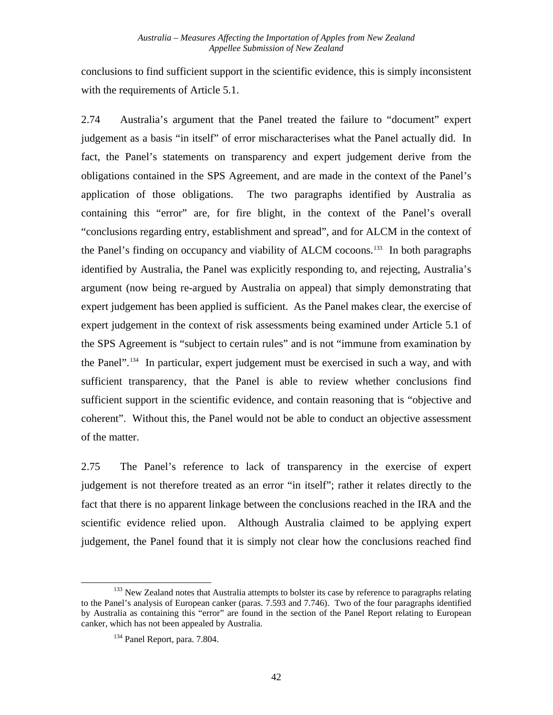conclusions to find sufficient support in the scientific evidence, this is simply inconsistent with the requirements of Article 5.1.

2.74 Australia's argument that the Panel treated the failure to "document" expert judgement as a basis "in itself" of error mischaracterises what the Panel actually did. In fact, the Panel's statements on transparency and expert judgement derive from the obligations contained in the SPS Agreement, and are made in the context of the Panel's application of those obligations. The two paragraphs identified by Australia as containing this "error" are, for fire blight, in the context of the Panel's overall "conclusions regarding entry, establishment and spread", and for ALCM in the context of the Panel's finding on occupancy and viability of ALCM cocoons.<sup>[133](#page-48-0)</sup> In both paragraphs identified by Australia, the Panel was explicitly responding to, and rejecting, Australia's argument (now being re-argued by Australia on appeal) that simply demonstrating that expert judgement has been applied is sufficient. As the Panel makes clear, the exercise of expert judgement in the context of risk assessments being examined under Article 5.1 of the SPS Agreement is "subject to certain rules" and is not "immune from examination by the Panel".<sup>[134](#page-48-1)</sup> In particular, expert judgement must be exercised in such a way, and with sufficient transparency, that the Panel is able to review whether conclusions find sufficient support in the scientific evidence, and contain reasoning that is "objective and coherent". Without this, the Panel would not be able to conduct an objective assessment of the matter.

2.75 The Panel's reference to lack of transparency in the exercise of expert judgement is not therefore treated as an error "in itself"; rather it relates directly to the fact that there is no apparent linkage between the conclusions reached in the IRA and the scientific evidence relied upon. Although Australia claimed to be applying expert judgement, the Panel found that it is simply not clear how the conclusions reached find

<span id="page-48-1"></span><span id="page-48-0"></span>l <sup>133</sup> New Zealand notes that Australia attempts to bolster its case by reference to paragraphs relating to the Panel's analysis of European canker (paras. 7.593 and 7.746). Two of the four paragraphs identified by Australia as containing this "error" are found in the section of the Panel Report relating to European canker, which has not been appealed by Australia.

<sup>134</sup> Panel Report*,* para. 7.804.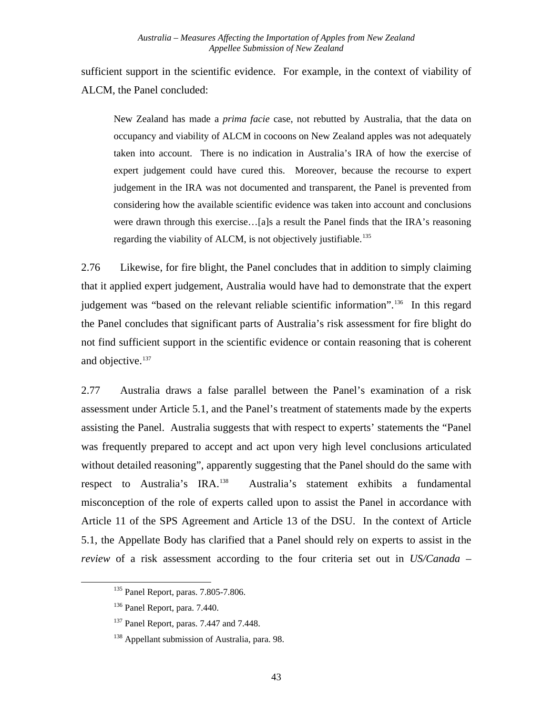sufficient support in the scientific evidence. For example, in the context of viability of ALCM, the Panel concluded:

New Zealand has made a *prima facie* case, not rebutted by Australia, that the data on occupancy and viability of ALCM in cocoons on New Zealand apples was not adequately taken into account. There is no indication in Australia's IRA of how the exercise of expert judgement could have cured this. Moreover, because the recourse to expert judgement in the IRA was not documented and transparent, the Panel is prevented from considering how the available scientific evidence was taken into account and conclusions were drawn through this exercise...[a]s a result the Panel finds that the IRA's reasoning regarding the viability of ALCM, is not objectively justifiable.<sup>[135](#page-49-0)</sup>

2.76 Likewise, for fire blight, the Panel concludes that in addition to simply claiming that it applied expert judgement, Australia would have had to demonstrate that the expert judgement was "based on the relevant reliable scientific information".<sup>[136](#page-49-1)</sup> In this regard the Panel concludes that significant parts of Australia's risk assessment for fire blight do not find sufficient support in the scientific evidence or contain reasoning that is coherent and objective.<sup>[137](#page-49-2)</sup>

2.77 Australia draws a false parallel between the Panel's examination of a risk assessment under Article 5.1, and the Panel's treatment of statements made by the experts assisting the Panel. Australia suggests that with respect to experts' statements the "Panel was frequently prepared to accept and act upon very high level conclusions articulated without detailed reasoning", apparently suggesting that the Panel should do the same with respect to Australia's IRA.<sup>[138](#page-49-3)</sup> Australia's statement exhibits a fundamental misconception of the role of experts called upon to assist the Panel in accordance with Article 11 of the SPS Agreement and Article 13 of the DSU. In the context of Article 5.1, the Appellate Body has clarified that a Panel should rely on experts to assist in the *review* of a risk assessment according to the four criteria set out in *US/Canada –* 

<span id="page-49-0"></span><sup>135</sup> Panel Report, paras. 7.805-7.806.

<span id="page-49-1"></span><sup>136</sup> Panel Report, para. 7.440.

<span id="page-49-2"></span><sup>&</sup>lt;sup>137</sup> Panel Report, paras. 7.447 and 7.448.

<span id="page-49-3"></span><sup>&</sup>lt;sup>138</sup> Appellant submission of Australia, para. 98.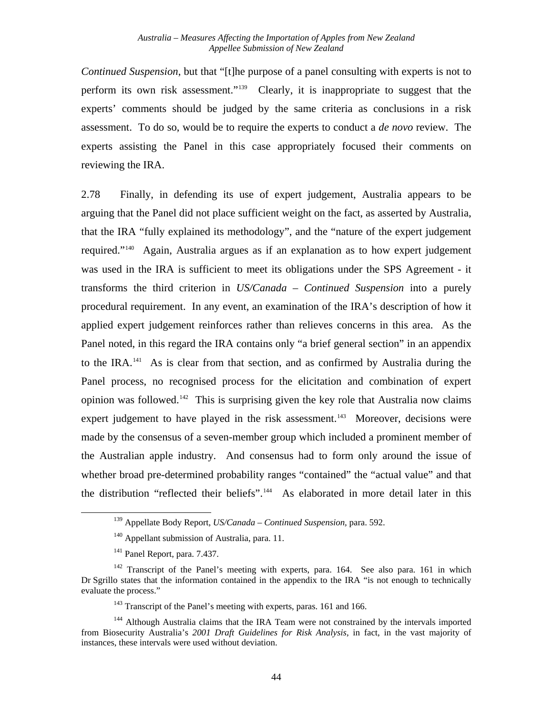*Continued Suspension*, but that "[t]he purpose of a panel consulting with experts is not to perform its own risk assessment."[139](#page-50-0) Clearly, it is inappropriate to suggest that the experts' comments should be judged by the same criteria as conclusions in a risk assessment. To do so, would be to require the experts to conduct a *de novo* review. The experts assisting the Panel in this case appropriately focused their comments on reviewing the IRA.

2.78 Finally, in defending its use of expert judgement, Australia appears to be arguing that the Panel did not place sufficient weight on the fact, as asserted by Australia, that the IRA "fully explained its methodology", and the "nature of the expert judgement required."[140](#page-50-1) Again, Australia argues as if an explanation as to how expert judgement was used in the IRA is sufficient to meet its obligations under the SPS Agreement - it transforms the third criterion in *US/Canada – Continued Suspension* into a purely procedural requirement. In any event, an examination of the IRA's description of how it applied expert judgement reinforces rather than relieves concerns in this area. As the Panel noted, in this regard the IRA contains only "a brief general section" in an appendix to the IRA.<sup>[141](#page-50-2)</sup> As is clear from that section, and as confirmed by Australia during the Panel process, no recognised process for the elicitation and combination of expert opinion was followed.<sup>[142](#page-50-3)</sup> This is surprising given the key role that Australia now claims expert judgement to have played in the risk assessment.<sup>143</sup> Moreover, decisions were made by the consensus of a seven-member group which included a prominent member of the Australian apple industry. And consensus had to form only around the issue of whether broad pre-determined probability ranges "contained" the "actual value" and that the distribution "reflected their beliefs"[.144](#page-50-5) As elaborated in more detail later in this

<span id="page-50-1"></span><span id="page-50-0"></span> $\overline{a}$ 

<sup>139</sup> Appellate Body Report, *US/Canada – Continued Suspension,* para. 592.

<sup>&</sup>lt;sup>140</sup> Appellant submission of Australia, para. 11.

<sup>141</sup> Panel Report, para. 7.437.

<span id="page-50-3"></span><span id="page-50-2"></span><sup>&</sup>lt;sup>142</sup> Transcript of the Panel's meeting with experts, para. 164. See also para. 161 in which Dr Sgrillo states that the information contained in the appendix to the IRA "is not enough to technically evaluate the process."

<sup>&</sup>lt;sup>143</sup> Transcript of the Panel's meeting with experts, paras. 161 and 166.

<span id="page-50-5"></span><span id="page-50-4"></span><sup>&</sup>lt;sup>144</sup> Although Australia claims that the IRA Team were not constrained by the intervals imported from Biosecurity Australia's *2001 Draft Guidelines for Risk Analysis,* in fact, in the vast majority of instances, these intervals were used without deviation.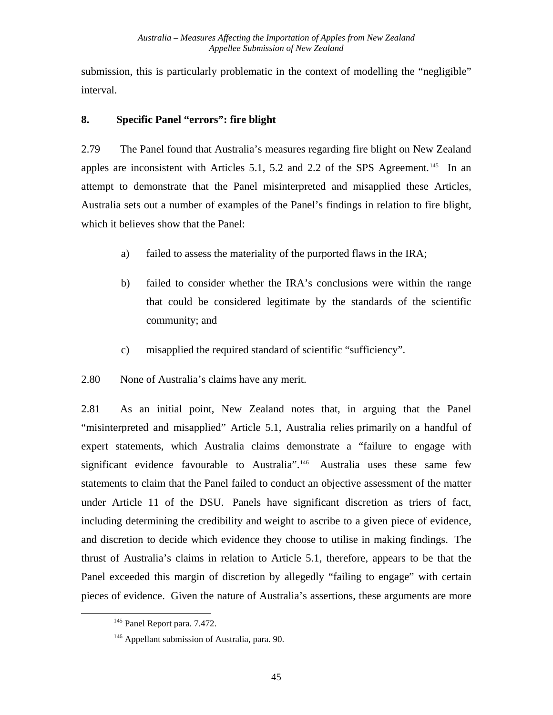submission, this is particularly problematic in the context of modelling the "negligible" interval.

#### **8. Specific Panel "errors": fire blight**

2.79 The Panel found that Australia's measures regarding fire blight on New Zealand apples are inconsistent with Articles 5.1, 5.2 and 2.2 of the SPS Agreement.<sup>[145](#page-51-0)</sup> In an attempt to demonstrate that the Panel misinterpreted and misapplied these Articles, Australia sets out a number of examples of the Panel's findings in relation to fire blight, which it believes show that the Panel:

- a) failed to assess the materiality of the purported flaws in the IRA;
- b) failed to consider whether the IRA's conclusions were within the range that could be considered legitimate by the standards of the scientific community; and
- c) misapplied the required standard of scientific "sufficiency".
- 2.80 None of Australia's claims have any merit.

2.81 As an initial point, New Zealand notes that, in arguing that the Panel "misinterpreted and misapplied" Article 5.1, Australia relies primarily on a handful of expert statements, which Australia claims demonstrate a "failure to engage with significant evidence favourable to Australia".[146](#page-51-1) Australia uses these same few statements to claim that the Panel failed to conduct an objective assessment of the matter under Article 11 of the DSU. Panels have significant discretion as triers of fact, including determining the credibility and weight to ascribe to a given piece of evidence, and discretion to decide which evidence they choose to utilise in making findings. The thrust of Australia's claims in relation to Article 5.1, therefore, appears to be that the Panel exceeded this margin of discretion by allegedly "failing to engage" with certain pieces of evidence. Given the nature of Australia's assertions, these arguments are more

<span id="page-51-0"></span><sup>&</sup>lt;sup>145</sup> Panel Report para. 7.472.

<span id="page-51-1"></span><sup>&</sup>lt;sup>146</sup> Appellant submission of Australia, para. 90.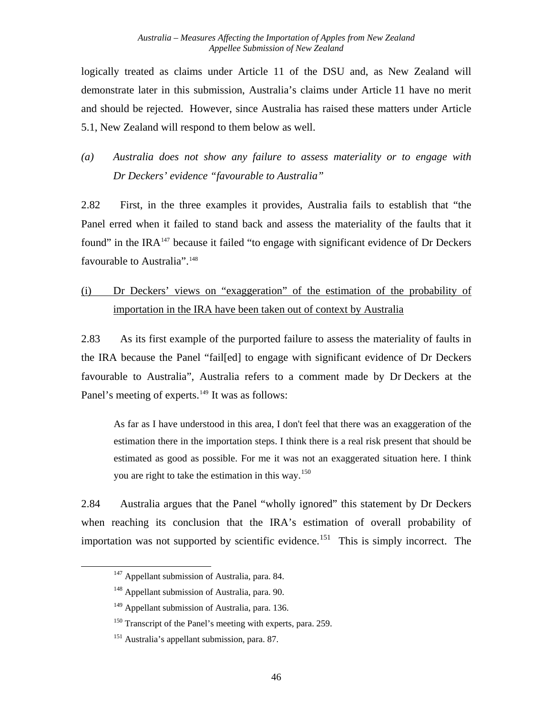logically treated as claims under Article 11 of the DSU and, as New Zealand will demonstrate later in this submission, Australia's claims under Article 11 have no merit and should be rejected. However, since Australia has raised these matters under Article 5.1, New Zealand will respond to them below as well.

*(a) Australia does not show any failure to assess materiality or to engage with Dr Deckers' evidence "favourable to Australia"* 

2.82 First, in the three examples it provides, Australia fails to establish that "the Panel erred when it failed to stand back and assess the materiality of the faults that it found" in the IRA $<sup>147</sup>$  $<sup>147</sup>$  $<sup>147</sup>$  because it failed "to engage with significant evidence of Dr Deckers</sup> favourable to Australia".<sup>[148](#page-52-1)</sup>

## (i) Dr Deckers' views on "exaggeration" of the estimation of the probability of importation in the IRA have been taken out of context by Australia

<span id="page-52-5"></span>2.83 As its first example of the purported failure to assess the materiality of faults in the IRA because the Panel "fail[ed] to engage with significant evidence of Dr Deckers favourable to Australia", Australia refers to a comment made by Dr Deckers at the Panel's meeting of experts.<sup>[149](#page-52-2)</sup> It was as follows:

As far as I have understood in this area, I don't feel that there was an exaggeration of the estimation there in the importation steps. I think there is a real risk present that should be estimated as good as possible. For me it was not an exaggerated situation here. I think you are right to take the estimation in this way.<sup>[150](#page-52-3)</sup>

<span id="page-52-0"></span>2.84 Australia argues that the Panel "wholly ignored" this statement by Dr Deckers when reaching its conclusion that the IRA's estimation of overall probability of importation was not supported by scientific evidence.<sup>[151](#page-52-4)</sup> This is simply incorrect. The

<sup>&</sup>lt;sup>147</sup> Appellant submission of Australia, para. 84.

<span id="page-52-1"></span><sup>&</sup>lt;sup>148</sup> Appellant submission of Australia, para. 90.

<span id="page-52-2"></span><sup>&</sup>lt;sup>149</sup> Appellant submission of Australia, para. 136.

<span id="page-52-3"></span><sup>&</sup>lt;sup>150</sup> Transcript of the Panel's meeting with experts, para. 259.

<span id="page-52-4"></span><sup>151</sup> Australia's appellant submission, para. 87.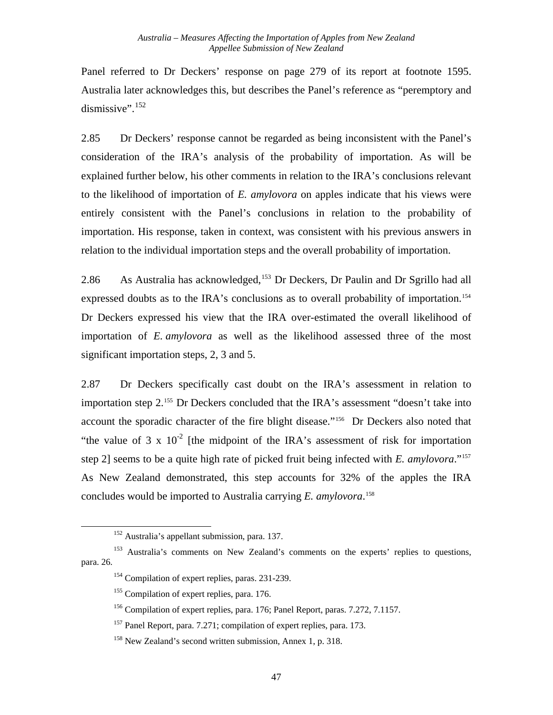Panel referred to Dr Deckers' response on page 279 of its report at footnote 1595. Australia later acknowledges this, but describes the Panel's reference as "peremptory and dismissive". $152$ 

2.85 Dr Deckers' response cannot be regarded as being inconsistent with the Panel's consideration of the IRA's analysis of the probability of importation. As will be explained further below, his other comments in relation to the IRA's conclusions relevant to the likelihood of importation of *E. amylovora* on apples indicate that his views were entirely consistent with the Panel's conclusions in relation to the probability of importation. His response, taken in context, was consistent with his previous answers in relation to the individual importation steps and the overall probability of importation.

2.86 As Australia has acknowledged,<sup>[153](#page-53-1)</sup> Dr Deckers, Dr Paulin and Dr Sgrillo had all expressed doubts as to the IRA's conclusions as to overall probability of importation.<sup>[154](#page-53-2)</sup> Dr Deckers expressed his view that the IRA over-estimated the overall likelihood of importation of *E. amylovora* as well as the likelihood assessed three of the most significant importation steps, 2, 3 and 5.

2.87 Dr Deckers specifically cast doubt on the IRA's assessment in relation to importation step 2.[155](#page-53-3) Dr Deckers concluded that the IRA's assessment "doesn't take into account the sporadic character of the fire blight disease."[156](#page-53-4) Dr Deckers also noted that "the value of 3 x  $10^{-2}$  [the midpoint of the IRA's assessment of risk for importation step 2] seems to be a quite high rate of picked fruit being infected with *E. amylovora*."[157](#page-53-5) As New Zealand demonstrated, this step accounts for 32% of the apples the IRA concludes would be imported to Australia carrying *E. amylovora*. [158](#page-53-6)

<sup>152</sup> Australia's appellant submission, para. 137.

<span id="page-53-5"></span><span id="page-53-4"></span><span id="page-53-3"></span><span id="page-53-2"></span><span id="page-53-1"></span><span id="page-53-0"></span><sup>&</sup>lt;sup>153</sup> Australia's comments on New Zealand's comments on the experts' replies to questions, para. 26.

<sup>&</sup>lt;sup>154</sup> Compilation of expert replies, paras. 231-239.

<sup>&</sup>lt;sup>155</sup> Compilation of expert replies, para. 176.

<sup>156</sup> Compilation of expert replies, para. 176; Panel Report, paras. 7.272, 7.1157.

<sup>157</sup> Panel Report, para. 7.271; compilation of expert replies, para. 173.

<span id="page-53-6"></span><sup>&</sup>lt;sup>158</sup> New Zealand's second written submission, Annex 1, p. 318.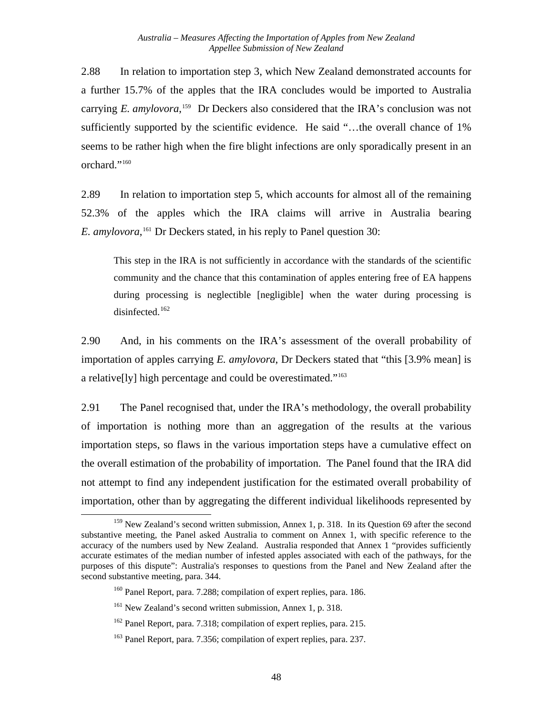2.88 In relation to importation step 3, which New Zealand demonstrated accounts for a further 15.7% of the apples that the IRA concludes would be imported to Australia carrying *E. amylovora*,<sup>[159](#page-54-0)</sup> Dr Deckers also considered that the IRA's conclusion was not sufficiently supported by the scientific evidence. He said "…the overall chance of 1% seems to be rather high when the fire blight infections are only sporadically present in an orchard."<sup>[160](#page-54-1)</sup>

2.89 In relation to importation step 5, which accounts for almost all of the remaining 52.3% of the apples which the IRA claims will arrive in Australia bearing *E. amylovora*, [161](#page-54-2) Dr Deckers stated, in his reply to Panel question 30:

This step in the IRA is not sufficiently in accordance with the standards of the scientific community and the chance that this contamination of apples entering free of EA happens during processing is neglectible [negligible] when the water during processing is disinfected. $162$ 

2.90 And, in his comments on the IRA's assessment of the overall probability of importation of apples carrying *E. amylovora*, Dr Deckers stated that "this [3.9% mean] is a relative[ly] high percentage and could be overestimated."[163](#page-54-4)

2.91 The Panel recognised that, under the IRA's methodology, the overall probability of importation is nothing more than an aggregation of the results at the various importation steps, so flaws in the various importation steps have a cumulative effect on the overall estimation of the probability of importation. The Panel found that the IRA did not attempt to find any independent justification for the estimated overall probability of importation, other than by aggregating the different individual likelihoods represented by

<span id="page-54-1"></span><span id="page-54-0"></span>l  $159$  New Zealand's second written submission, Annex 1, p. 318. In its Question 69 after the second substantive meeting, the Panel asked Australia to comment on Annex 1, with specific reference to the accuracy of the numbers used by New Zealand. Australia responded that Annex 1 "provides sufficiently accurate estimates of the median number of infested apples associated with each of the pathways, for the purposes of this dispute": Australia's responses to questions from the Panel and New Zealand after the second substantive meeting, para. 344.

<sup>&</sup>lt;sup>160</sup> Panel Report, para. 7.288; compilation of expert replies, para. 186.

<span id="page-54-2"></span><sup>&</sup>lt;sup>161</sup> New Zealand's second written submission, Annex 1, p. 318.

<span id="page-54-3"></span><sup>&</sup>lt;sup>162</sup> Panel Report, para. 7.318; compilation of expert replies, para. 215.

<span id="page-54-4"></span><sup>&</sup>lt;sup>163</sup> Panel Report, para. 7.356; compilation of expert replies, para. 237.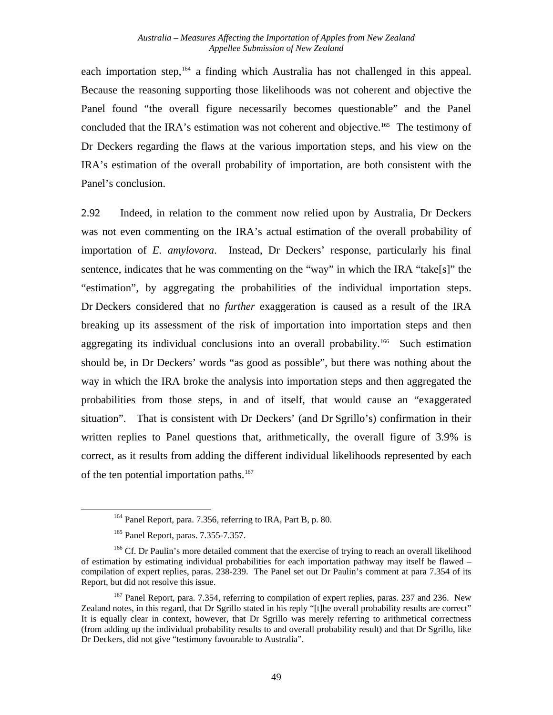each importation step,<sup>[164](#page-55-0)</sup> a finding which Australia has not challenged in this appeal. Because the reasoning supporting those likelihoods was not coherent and objective the Panel found "the overall figure necessarily becomes questionable" and the Panel concluded that the IRA's estimation was not coherent and objective.<sup>[165](#page-55-1)</sup> The testimony of Dr Deckers regarding the flaws at the various importation steps, and his view on the IRA's estimation of the overall probability of importation, are both consistent with the Panel's conclusion.

2.92 Indeed, in relation to the comment now relied upon by Australia, Dr Deckers was not even commenting on the IRA's actual estimation of the overall probability of importation of *E. amylovora*. Instead, Dr Deckers' response, particularly his final sentence, indicates that he was commenting on the "way" in which the IRA "take[s]" the "estimation", by aggregating the probabilities of the individual importation steps. Dr Deckers considered that no *further* exaggeration is caused as a result of the IRA breaking up its assessment of the risk of importation into importation steps and then aggregating its individual conclusions into an overall probability.<sup>[166](#page-55-2)</sup> Such estimation should be, in Dr Deckers' words "as good as possible", but there was nothing about the way in which the IRA broke the analysis into importation steps and then aggregated the probabilities from those steps, in and of itself, that would cause an "exaggerated situation". That is consistent with Dr Deckers' (and Dr Sgrillo's) confirmation in their written replies to Panel questions that, arithmetically, the overall figure of 3.9% is correct, as it results from adding the different individual likelihoods represented by each of the ten potential importation paths.<sup>[167](#page-55-3)</sup>

<sup>&</sup>lt;sup>164</sup> Panel Report, para. 7.356, referring to IRA, Part B, p. 80.

<sup>165</sup> Panel Report, paras. 7.355-7.357.

<span id="page-55-2"></span><span id="page-55-1"></span><span id="page-55-0"></span><sup>&</sup>lt;sup>166</sup> Cf. Dr Paulin's more detailed comment that the exercise of trying to reach an overall likelihood of estimation by estimating individual probabilities for each importation pathway may itself be flawed – compilation of expert replies, paras. 238-239. The Panel set out Dr Paulin's comment at para 7.354 of its Report, but did not resolve this issue.

<span id="page-55-3"></span><sup>&</sup>lt;sup>167</sup> Panel Report, para. 7.354, referring to compilation of expert replies, paras. 237 and 236. New Zealand notes, in this regard, that Dr Sgrillo stated in his reply "[t]he overall probability results are correct" It is equally clear in context, however, that Dr Sgrillo was merely referring to arithmetical correctness (from adding up the individual probability results to and overall probability result) and that Dr Sgrillo, like Dr Deckers, did not give "testimony favourable to Australia".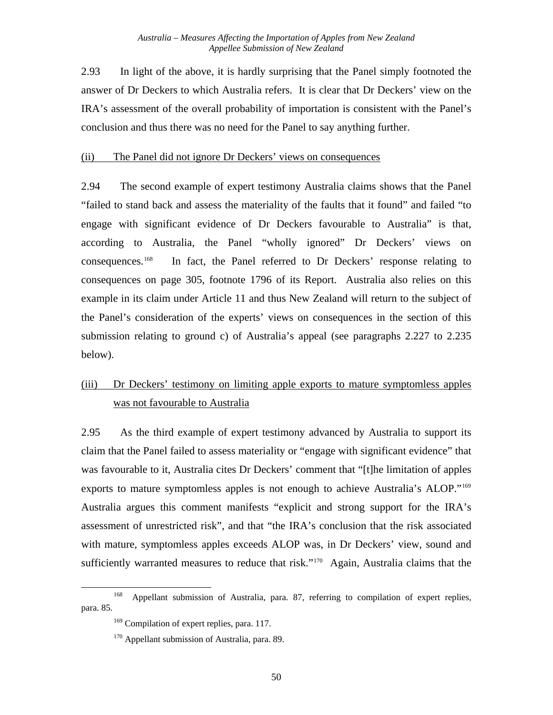<span id="page-56-3"></span>2.93 In light of the above, it is hardly surprising that the Panel simply footnoted the answer of Dr Deckers to which Australia refers. It is clear that Dr Deckers' view on the IRA's assessment of the overall probability of importation is consistent with the Panel's conclusion and thus there was no need for the Panel to say anything further.

#### (ii) The Panel did not ignore Dr Deckers' views on consequences

2.94 The second example of expert testimony Australia claims shows that the Panel "failed to stand back and assess the materiality of the faults that it found" and failed "to engage with significant evidence of Dr Deckers favourable to Australia" is that, according to Australia, the Panel "wholly ignored" Dr Deckers' views on consequences[.168](#page-56-0) In fact, the Panel referred to Dr Deckers' response relating to consequences on page 305, footnote 1796 of its Report. Australia also relies on this example in its claim under Article 11 and thus New Zealand will return to the subject of the Panel's consideration of the experts' views on consequences in the section of this submission relating to ground c) of Australia's appeal (see paragraphs [2.227](#page-101-0) to [2.235](#page-103-0) below).

#### (iii) Dr Deckers' testimony on limiting apple exports to mature symptomless apples was not favourable to Australia

2.95 As the third example of expert testimony advanced by Australia to support its claim that the Panel failed to assess materiality or "engage with significant evidence" that was favourable to it, Australia cites Dr Deckers' comment that "[t]he limitation of apples exports to mature symptomless apples is not enough to achieve Australia's ALOP."<sup>[169](#page-56-1)</sup> Australia argues this comment manifests "explicit and strong support for the IRA's assessment of unrestricted risk", and that "the IRA's conclusion that the risk associated with mature, symptomless apples exceeds ALOP was, in Dr Deckers' view, sound and sufficiently warranted measures to reduce that risk."<sup>170</sup> Again, Australia claims that the

<span id="page-56-2"></span><span id="page-56-1"></span><span id="page-56-0"></span><sup>&</sup>lt;sup>168</sup> Appellant submission of Australia, para. 87, referring to compilation of expert replies, para. 85.

<sup>&</sup>lt;sup>169</sup> Compilation of expert replies, para. 117.

<sup>&</sup>lt;sup>170</sup> Appellant submission of Australia, para. 89.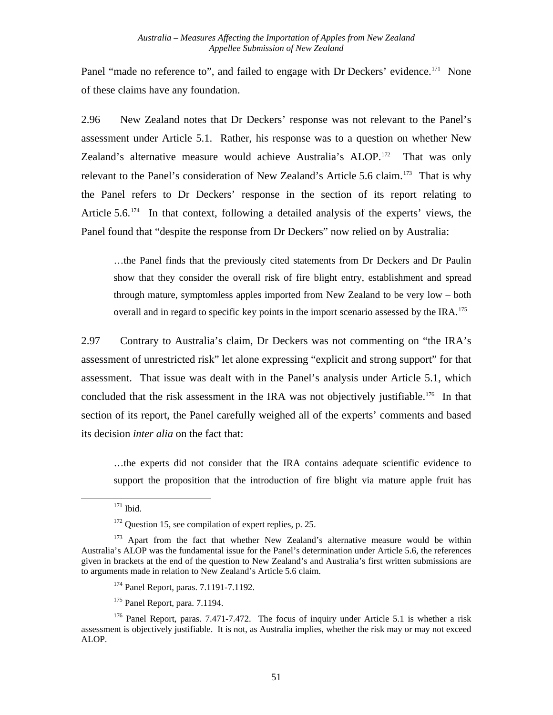Panel "made no reference to", and failed to engage with Dr Deckers' evidence.<sup>[171](#page-57-0)</sup> None of these claims have any foundation.

2.96 New Zealand notes that Dr Deckers' response was not relevant to the Panel's assessment under Article 5.1. Rather, his response was to a question on whether New Zealand's alternative measure would achieve Australia's ALOP.<sup>[172](#page-57-1)</sup> That was only relevant to the Panel's consideration of New Zealand's Article 5.6 claim.<sup>[173](#page-57-2)</sup> That is why the Panel refers to Dr Deckers' response in the section of its report relating to Article  $5.6$ <sup>[174](#page-57-3)</sup> In that context, following a detailed analysis of the experts' views, the Panel found that "despite the response from Dr Deckers" now relied on by Australia:

…the Panel finds that the previously cited statements from Dr Deckers and Dr Paulin show that they consider the overall risk of fire blight entry, establishment and spread through mature, symptomless apples imported from New Zealand to be very low – both overall and in regard to specific key points in the import scenario assessed by the IRA.<sup>[175](#page-57-4)</sup>

2.97 Contrary to Australia's claim, Dr Deckers was not commenting on "the IRA's assessment of unrestricted risk" let alone expressing "explicit and strong support" for that assessment. That issue was dealt with in the Panel's analysis under Article 5.1, which concluded that the risk assessment in the IRA was not objectively justifiable.<sup>176</sup> In that section of its report, the Panel carefully weighed all of the experts' comments and based its decision *inter alia* on the fact that:

…the experts did not consider that the IRA contains adequate scientific evidence to support the proposition that the introduction of fire blight via mature apple fruit has

<span id="page-57-0"></span>1

- <sup>174</sup> Panel Report, paras. 7.1191-7.1192.
- 175 Panel Report, para. 7.1194.

 $171$  Ibid.

<sup>&</sup>lt;sup>172</sup> Question 15, see compilation of expert replies, p. 25.

<span id="page-57-2"></span><span id="page-57-1"></span><sup>&</sup>lt;sup>173</sup> Apart from the fact that whether New Zealand's alternative measure would be within Australia's ALOP was the fundamental issue for the Panel's determination under Article 5.6, the references given in brackets at the end of the question to New Zealand's and Australia's first written submissions are to arguments made in relation to New Zealand's Article 5.6 claim.

<span id="page-57-5"></span><span id="page-57-4"></span><span id="page-57-3"></span><sup>&</sup>lt;sup>176</sup> Panel Report, paras. 7.471-7.472. The focus of inquiry under Article 5.1 is whether a risk assessment is objectively justifiable. It is not, as Australia implies, whether the risk may or may not exceed ALOP.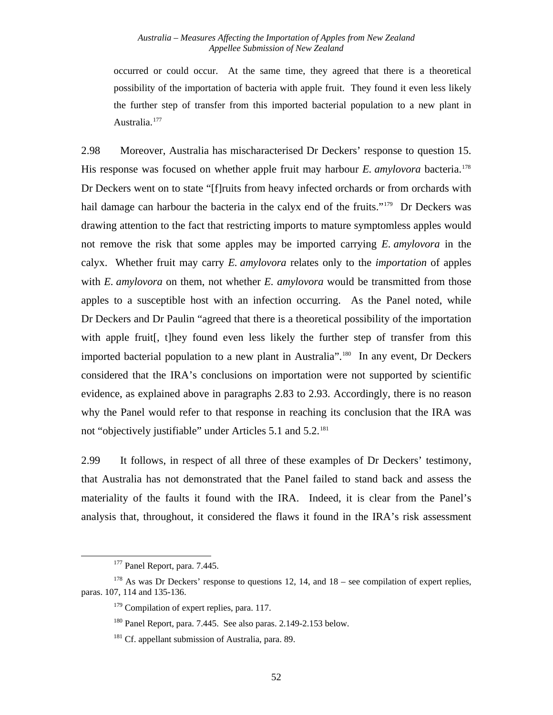occurred or could occur. At the same time, they agreed that there is a theoretical possibility of the importation of bacteria with apple fruit. They found it even less likely the further step of transfer from this imported bacterial population to a new plant in Australia.<sup>[177](#page-58-0)</sup>

2.98 Moreover, Australia has mischaracterised Dr Deckers' response to question 15. His response was focused on whether apple fruit may harbour *E. amylovora* bacteria.<sup>[178](#page-58-1)</sup> Dr Deckers went on to state "[f]ruits from heavy infected orchards or from orchards with hail damage can harbour the bacteria in the calyx end of the fruits."<sup>[179](#page-58-2)</sup> Dr Deckers was drawing attention to the fact that restricting imports to mature symptomless apples would not remove the risk that some apples may be imported carrying *E. amylovora* in the calyx. Whether fruit may carry *E. amylovora* relates only to the *importation* of apples with *E. amylovora* on them, not whether *E. amylovora* would be transmitted from those apples to a susceptible host with an infection occurring. As the Panel noted, while Dr Deckers and Dr Paulin "agreed that there is a theoretical possibility of the importation with apple fruit[, t]hey found even less likely the further step of transfer from this imported bacterial population to a new plant in Australia".<sup>[180](#page-58-3)</sup> In any event, Dr Deckers considered that the IRA's conclusions on importation were not supported by scientific evidence, as explained above in paragraphs [2.83](#page-52-5) to [2.93.](#page-56-3) Accordingly, there is no reason why the Panel would refer to that response in reaching its conclusion that the IRA was not "objectively justifiable" under Articles 5.1 and 5.2.<sup>[181](#page-58-4)</sup>

2.99 It follows, in respect of all three of these examples of Dr Deckers' testimony, that Australia has not demonstrated that the Panel failed to stand back and assess the materiality of the faults it found with the IRA. Indeed, it is clear from the Panel's analysis that, throughout, it considered the flaws it found in the IRA's risk assessment

<sup>177</sup> Panel Report, para. 7.445.

<span id="page-58-4"></span><span id="page-58-3"></span><span id="page-58-2"></span><span id="page-58-1"></span><span id="page-58-0"></span> $178$  As was Dr Deckers' response to questions 12, 14, and 18 – see compilation of expert replies, paras. 107, 114 and 135-136.

<sup>&</sup>lt;sup>179</sup> Compilation of expert replies, para. 117.

<sup>180</sup> Panel Report, para. 7.445. See also paras. 2.149-2.153 below.

<sup>&</sup>lt;sup>181</sup> Cf. appellant submission of Australia, para. 89.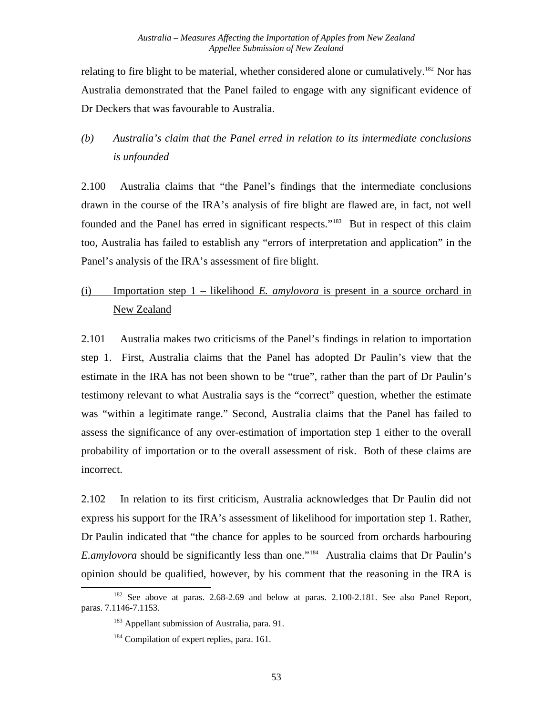relating to fire blight to be material, whether considered alone or cumulatively.<sup>[182](#page-59-0)</sup> Nor has Australia demonstrated that the Panel failed to engage with any significant evidence of Dr Deckers that was favourable to Australia.

#### *(b) Australia's claim that the Panel erred in relation to its intermediate conclusions is unfounded*

2.100 Australia claims that "the Panel's findings that the intermediate conclusions drawn in the course of the IRA's analysis of fire blight are flawed are, in fact, not well founded and the Panel has erred in significant respects."<sup>[183](#page-59-1)</sup> But in respect of this claim too, Australia has failed to establish any "errors of interpretation and application" in the Panel's analysis of the IRA's assessment of fire blight.

### (i) Importation step 1 – likelihood *E. amylovora* is present in a source orchard in New Zealand

2.101 Australia makes two criticisms of the Panel's findings in relation to importation step 1. First, Australia claims that the Panel has adopted Dr Paulin's view that the estimate in the IRA has not been shown to be "true", rather than the part of Dr Paulin's testimony relevant to what Australia says is the "correct" question, whether the estimate was "within a legitimate range." Second, Australia claims that the Panel has failed to assess the significance of any over-estimation of importation step 1 either to the overall probability of importation or to the overall assessment of risk. Both of these claims are incorrect.

2.102 In relation to its first criticism, Australia acknowledges that Dr Paulin did not express his support for the IRA's assessment of likelihood for importation step 1. Rather, Dr Paulin indicated that "the chance for apples to be sourced from orchards harbouring *E.amylovora* should be significantly less than one."[184](#page-59-2) Australia claims that Dr Paulin's opinion should be qualified, however, by his comment that the reasoning in the IRA is

<span id="page-59-2"></span><span id="page-59-1"></span><span id="page-59-0"></span><sup>&</sup>lt;sup>182</sup> See above at paras. 2.68-2.69 and below at paras. 2.100-2.181. See also Panel Report, paras. 7.1146-7.1153.

<sup>&</sup>lt;sup>183</sup> Appellant submission of Australia, para. 91.

<sup>&</sup>lt;sup>184</sup> Compilation of expert replies, para. 161.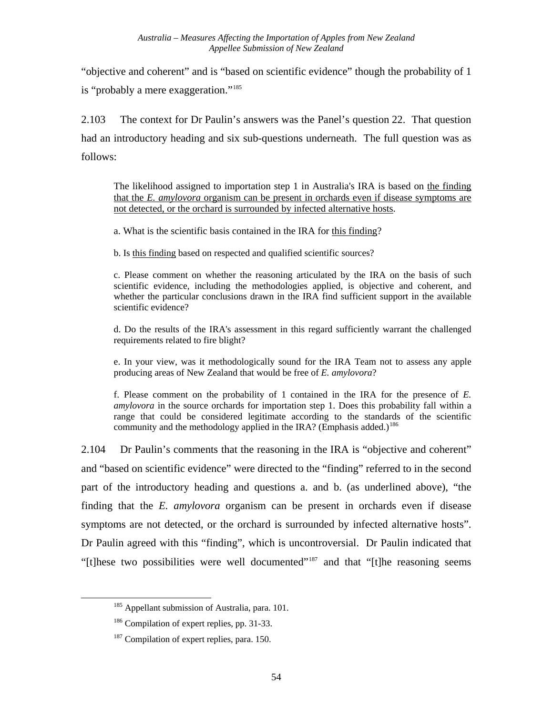"objective and coherent" and is "based on scientific evidence" though the probability of 1 is "probably a mere exaggeration."<sup>[185](#page-60-0)</sup>

2.103 The context for Dr Paulin's answers was the Panel's question 22. That question had an introductory heading and six sub-questions underneath. The full question was as follows:

The likelihood assigned to importation step 1 in Australia's IRA is based on the finding that the *E. amylovora* organism can be present in orchards even if disease symptoms are not detected, or the orchard is surrounded by infected alternative hosts.

a. What is the scientific basis contained in the IRA for this finding?

b. Is this finding based on respected and qualified scientific sources?

c. Please comment on whether the reasoning articulated by the IRA on the basis of such scientific evidence, including the methodologies applied, is objective and coherent, and whether the particular conclusions drawn in the IRA find sufficient support in the available scientific evidence?

d. Do the results of the IRA's assessment in this regard sufficiently warrant the challenged requirements related to fire blight?

e. In your view, was it methodologically sound for the IRA Team not to assess any apple producing areas of New Zealand that would be free of *E. amylovora*?

f. Please comment on the probability of 1 contained in the IRA for the presence of *E. amylovora* in the source orchards for importation step 1. Does this probability fall within a range that could be considered legitimate according to the standards of the scientific community and the methodology applied in the IRA? (Emphasis added.)<sup>[186](#page-60-1)</sup>

2.104 Dr Paulin's comments that the reasoning in the IRA is "objective and coherent" and "based on scientific evidence" were directed to the "finding" referred to in the second part of the introductory heading and questions a. and b. (as underlined above), "the finding that the *E. amylovora* organism can be present in orchards even if disease symptoms are not detected, or the orchard is surrounded by infected alternative hosts". Dr Paulin agreed with this "finding", which is uncontroversial. Dr Paulin indicated that "[t]hese two possibilities were well documented"[187](#page-60-2) and that "[t]he reasoning seems

<span id="page-60-0"></span><sup>&</sup>lt;sup>185</sup> Appellant submission of Australia, para. 101.

<span id="page-60-1"></span><sup>&</sup>lt;sup>186</sup> Compilation of expert replies, pp. 31-33.

<span id="page-60-2"></span><sup>&</sup>lt;sup>187</sup> Compilation of expert replies, para. 150.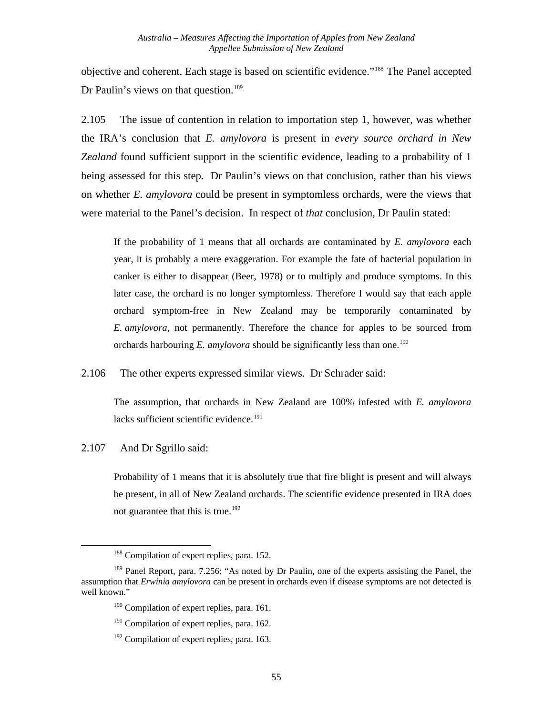objective and coherent. Each stage is based on scientific evidence."[188](#page-61-0) The Panel accepted Dr Paulin's views on that question.<sup>[189](#page-61-1)</sup>

2.105 The issue of contention in relation to importation step 1, however, was whether the IRA's conclusion that *E. amylovora* is present in *every source orchard in New Zealand* found sufficient support in the scientific evidence, leading to a probability of 1 being assessed for this step. Dr Paulin's views on that conclusion, rather than his views on whether *E. amylovora* could be present in symptomless orchards, were the views that were material to the Panel's decision. In respect of *that* conclusion, Dr Paulin stated:

If the probability of 1 means that all orchards are contaminated by *E. amylovora* each year, it is probably a mere exaggeration. For example the fate of bacterial population in canker is either to disappear (Beer, 1978) or to multiply and produce symptoms. In this later case, the orchard is no longer symptomless. Therefore I would say that each apple orchard symptom-free in New Zealand may be temporarily contaminated by *E. amylovora*, not permanently. Therefore the chance for apples to be sourced from orchards harbouring  $E$ . *amylovora* should be significantly less than one.<sup>[190](#page-61-2)</sup>

2.106 The other experts expressed similar views. Dr Schrader said:

> The assumption, that orchards in New Zealand are 100% infested with *E. amylovora*  lacks sufficient scientific evidence.<sup>[191](#page-61-3)</sup>

2.107 And Dr Sgrillo said:

<span id="page-61-0"></span>l

Probability of 1 means that it is absolutely true that fire blight is present and will always be present, in all of New Zealand orchards. The scientific evidence presented in IRA does not guarantee that this is true.<sup>[192](#page-61-4)</sup>

<sup>&</sup>lt;sup>188</sup> Compilation of expert replies, para. 152.

<span id="page-61-4"></span><span id="page-61-3"></span><span id="page-61-2"></span><span id="page-61-1"></span><sup>&</sup>lt;sup>189</sup> Panel Report, para. 7.256: "As noted by Dr Paulin, one of the experts assisting the Panel, the assumption that *Erwinia amylovora* can be present in orchards even if disease symptoms are not detected is well known."

<sup>&</sup>lt;sup>190</sup> Compilation of expert replies, para. 161.

<sup>&</sup>lt;sup>191</sup> Compilation of expert replies, para. 162.

 $192$  Compilation of expert replies, para. 163.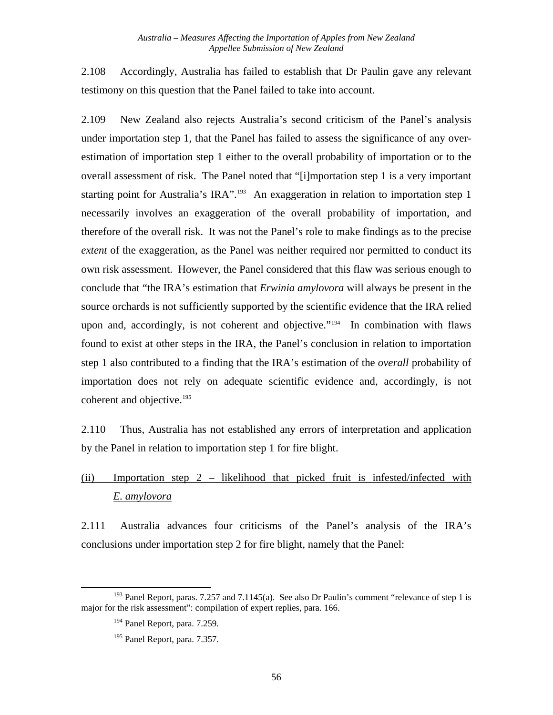2.108 Accordingly, Australia has failed to establish that Dr Paulin gave any relevant testimony on this question that the Panel failed to take into account.

2.109 New Zealand also rejects Australia's second criticism of the Panel's analysis under importation step 1, that the Panel has failed to assess the significance of any overestimation of importation step 1 either to the overall probability of importation or to the overall assessment of risk. The Panel noted that "[i]mportation step 1 is a very important starting point for Australia's IRA".<sup>[193](#page-62-0)</sup> An exaggeration in relation to importation step 1 necessarily involves an exaggeration of the overall probability of importation, and therefore of the overall risk. It was not the Panel's role to make findings as to the precise *extent* of the exaggeration, as the Panel was neither required nor permitted to conduct its own risk assessment. However, the Panel considered that this flaw was serious enough to conclude that "the IRA's estimation that *Erwinia amylovora* will always be present in the source orchards is not sufficiently supported by the scientific evidence that the IRA relied upon and, accordingly, is not coherent and objective."<sup>[194](#page-62-1)</sup> In combination with flaws found to exist at other steps in the IRA, the Panel's conclusion in relation to importation step 1 also contributed to a finding that the IRA's estimation of the *overall* probability of importation does not rely on adequate scientific evidence and, accordingly, is not coherent and objective.<sup>[195](#page-62-2)</sup>

2.110 Thus, Australia has not established any errors of interpretation and application by the Panel in relation to importation step 1 for fire blight.

## (ii) Importation step 2 – likelihood that picked fruit is infested/infected with *E. amylovora*

2.111 Australia advances four criticisms of the Panel's analysis of the IRA's conclusions under importation step 2 for fire blight, namely that the Panel:

<span id="page-62-2"></span><span id="page-62-1"></span><span id="page-62-0"></span>l <sup>193</sup> Panel Report, paras. 7.257 and 7.1145(a). See also Dr Paulin's comment "relevance of step 1 is major for the risk assessment": compilation of expert replies, para. 166.

<sup>&</sup>lt;sup>194</sup> Panel Report, para. 7.259.

<sup>195</sup> Panel Report, para. 7.357.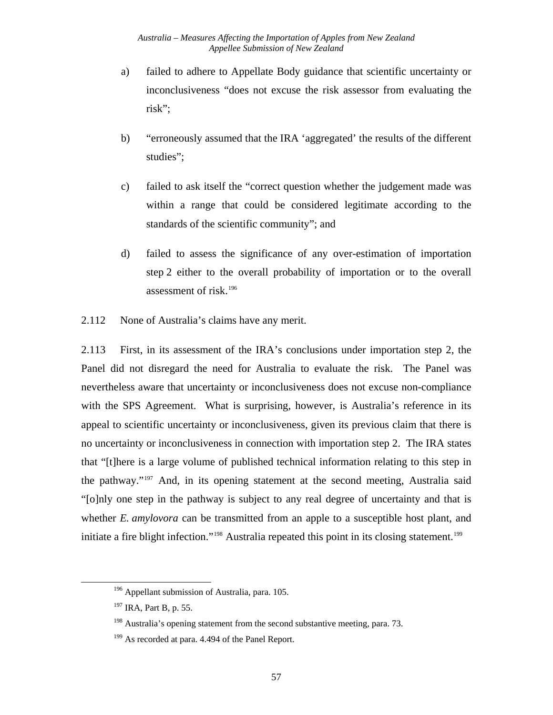- a) failed to adhere to Appellate Body guidance that scientific uncertainty or inconclusiveness "does not excuse the risk assessor from evaluating the risk";
- b) "erroneously assumed that the IRA 'aggregated' the results of the different studies";
- c) failed to ask itself the "correct question whether the judgement made was within a range that could be considered legitimate according to the standards of the scientific community"; and
- d) failed to assess the significance of any over-estimation of importation step 2 either to the overall probability of importation or to the overall assessment of risk.[196](#page-63-0)
- 2.112 None of Australia's claims have any merit.

2.113 First, in its assessment of the IRA's conclusions under importation step 2, the Panel did not disregard the need for Australia to evaluate the risk. The Panel was nevertheless aware that uncertainty or inconclusiveness does not excuse non-compliance with the SPS Agreement. What is surprising, however, is Australia's reference in its appeal to scientific uncertainty or inconclusiveness, given its previous claim that there is no uncertainty or inconclusiveness in connection with importation step 2. The IRA states that "[t]here is a large volume of published technical information relating to this step in the pathway."[197](#page-63-1) And, in its opening statement at the second meeting, Australia said "[o]nly one step in the pathway is subject to any real degree of uncertainty and that is whether *E. amylovora* can be transmitted from an apple to a susceptible host plant, and initiate a fire blight infection."<sup>[198](#page-63-2)</sup> Australia repeated this point in its closing statement.<sup>199</sup>

<sup>&</sup>lt;sup>196</sup> Appellant submission of Australia, para. 105.

<span id="page-63-1"></span><span id="page-63-0"></span><sup>&</sup>lt;sup>197</sup> IRA, Part B, p, 55.

<span id="page-63-2"></span><sup>&</sup>lt;sup>198</sup> Australia's opening statement from the second substantive meeting, para. 73.

<span id="page-63-3"></span><sup>&</sup>lt;sup>199</sup> As recorded at para. 4.494 of the Panel Report.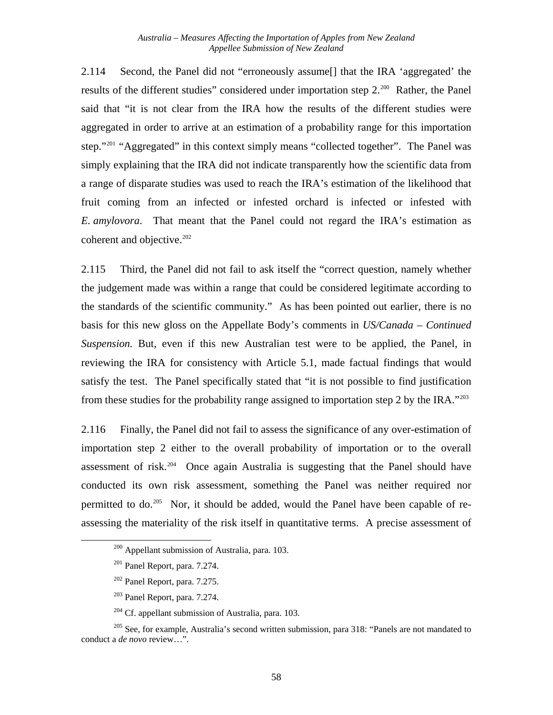2.114 Second, the Panel did not "erroneously assume[] that the IRA 'aggregated' the results of the different studies" considered under importation step 2.<sup>[200](#page-64-0)</sup> Rather, the Panel said that "it is not clear from the IRA how the results of the different studies were aggregated in order to arrive at an estimation of a probability range for this importation step."<sup>[201](#page-64-1)</sup> "Aggregated" in this context simply means "collected together". The Panel was simply explaining that the IRA did not indicate transparently how the scientific data from a range of disparate studies was used to reach the IRA's estimation of the likelihood that fruit coming from an infected or infested orchard is infected or infested with *E. amylovora*. That meant that the Panel could not regard the IRA's estimation as coherent and objective.<sup>[202](#page-64-2)</sup>

2.115 Third, the Panel did not fail to ask itself the "correct question, namely whether the judgement made was within a range that could be considered legitimate according to the standards of the scientific community." As has been pointed out earlier, there is no basis for this new gloss on the Appellate Body's comments in *US/Canada – Continued Suspension.* But, even if this new Australian test were to be applied, the Panel, in reviewing the IRA for consistency with Article 5.1, made factual findings that would satisfy the test. The Panel specifically stated that "it is not possible to find justification from these studies for the probability range assigned to importation step 2 by the IRA."[203](#page-64-3)

2.116 Finally, the Panel did not fail to assess the significance of any over-estimation of importation step 2 either to the overall probability of importation or to the overall assessment of risk.<sup>[204](#page-64-4)</sup> Once again Australia is suggesting that the Panel should have conducted its own risk assessment, something the Panel was neither required nor permitted to do.<sup>[205](#page-64-5)</sup> Nor, it should be added, would the Panel have been capable of reassessing the materiality of the risk itself in quantitative terms. A precise assessment of

<span id="page-64-0"></span> $200$  Appellant submission of Australia, para. 103.

 $201$  Panel Report, para. 7.274.

<sup>202</sup> Panel Report, para. 7.275.

<sup>203</sup> Panel Report, para. 7.274.

 $204$  Cf. appellant submission of Australia, para. 103.

<span id="page-64-5"></span><span id="page-64-4"></span><span id="page-64-3"></span><span id="page-64-2"></span><span id="page-64-1"></span><sup>&</sup>lt;sup>205</sup> See, for example, Australia's second written submission, para 318: "Panels are not mandated to conduct a *de novo* review…".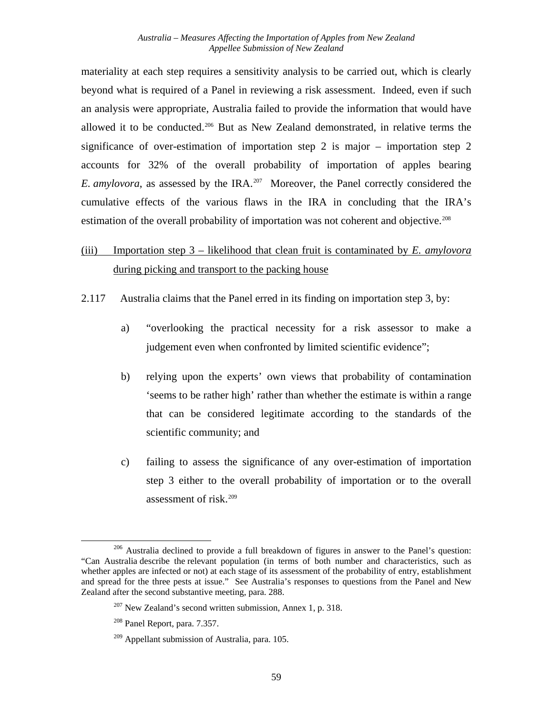materiality at each step requires a sensitivity analysis to be carried out, which is clearly beyond what is required of a Panel in reviewing a risk assessment. Indeed, even if such an analysis were appropriate, Australia failed to provide the information that would have allowed it to be conducted.<sup>[206](#page-65-0)</sup> But as New Zealand demonstrated, in relative terms the significance of over-estimation of importation step 2 is major – importation step 2 accounts for 32% of the overall probability of importation of apples bearing *E. amylovora*, as assessed by the IRA.<sup>[207](#page-65-1)</sup> Moreover, the Panel correctly considered the cumulative effects of the various flaws in the IRA in concluding that the IRA's estimation of the overall probability of importation was not coherent and objective.<sup>[208](#page-65-2)</sup>

- (iii) Importation step 3 likelihood that clean fruit is contaminated by *E. amylovora* during picking and transport to the packing house
- 2.117 Australia claims that the Panel erred in its finding on importation step 3, by:
	- a) "overlooking the practical necessity for a risk assessor to make a judgement even when confronted by limited scientific evidence";
	- b) relying upon the experts' own views that probability of contamination 'seems to be rather high' rather than whether the estimate is within a range that can be considered legitimate according to the standards of the scientific community; and
	- c) failing to assess the significance of any over-estimation of importation step 3 either to the overall probability of importation or to the overall assessment of risk.[209](#page-65-3)

<span id="page-65-2"></span><span id="page-65-1"></span><span id="page-65-0"></span><sup>&</sup>lt;sup>206</sup> Australia declined to provide a full breakdown of figures in answer to the Panel's question: "Can Australia describe the relevant population (in terms of both number and characteristics, such as whether apples are infected or not) at each stage of its assessment of the probability of entry, establishment and spread for the three pests at issue." See Australia's responses to questions from the Panel and New Zealand after the second substantive meeting, para. 288.

 $207$  New Zealand's second written submission, Annex 1, p. 318.

<sup>208</sup> Panel Report, para. 7.357.

<span id="page-65-3"></span> $209$  Appellant submission of Australia, para. 105.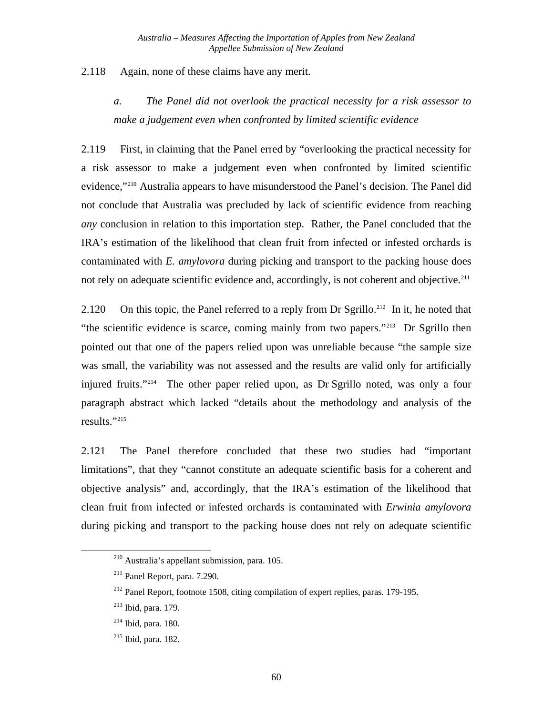2.118 Again, none of these claims have any merit.

> *a. The Panel did not overlook the practical necessity for a risk assessor to make a judgement even when confronted by limited scientific evidence*

2.119 First, in claiming that the Panel erred by "overlooking the practical necessity for a risk assessor to make a judgement even when confronted by limited scientific evidence,["210](#page-66-0) Australia appears to have misunderstood the Panel's decision. The Panel did not conclude that Australia was precluded by lack of scientific evidence from reaching *any* conclusion in relation to this importation step. Rather, the Panel concluded that the IRA's estimation of the likelihood that clean fruit from infected or infested orchards is contaminated with *E. amylovora* during picking and transport to the packing house does not rely on adequate scientific evidence and, accordingly, is not coherent and objective.<sup>[211](#page-66-1)</sup>

2.120 On this topic, the Panel referred to a reply from Dr Sgrillo.<sup>[212](#page-66-2)</sup> In it, he noted that "the scientific evidence is scarce, coming mainly from two papers."[213](#page-66-3) Dr Sgrillo then pointed out that one of the papers relied upon was unreliable because "the sample size was small, the variability was not assessed and the results are valid only for artificially injured fruits."[214](#page-66-4) The other paper relied upon, as Dr Sgrillo noted, was only a four paragraph abstract which lacked "details about the methodology and analysis of the results."[215](#page-66-5)

2.121 The Panel therefore concluded that these two studies had "important limitations", that they "cannot constitute an adequate scientific basis for a coherent and objective analysis" and, accordingly, that the IRA's estimation of the likelihood that clean fruit from infected or infested orchards is contaminated with *Erwinia amylovora*  during picking and transport to the packing house does not rely on adequate scientific

<span id="page-66-0"></span><sup>210</sup> Australia's appellant submission, para. 105.

<span id="page-66-1"></span><sup>211</sup> Panel Report, para. 7.290.

<span id="page-66-2"></span><sup>&</sup>lt;sup>212</sup> Panel Report, footnote 1508, citing compilation of expert replies, paras. 179-195.

<span id="page-66-3"></span><sup>213</sup> Ibid, para. 179.

<span id="page-66-4"></span> $214$  Ibid, para. 180.

<span id="page-66-5"></span><sup>215</sup> Ibid, para. 182.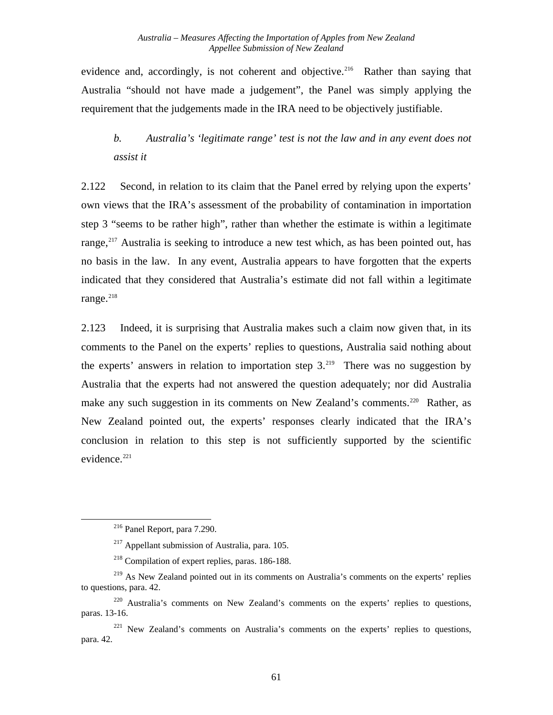evidence and, accordingly, is not coherent and objective.<sup>[216](#page-67-0)</sup> Rather than saying that Australia "should not have made a judgement", the Panel was simply applying the requirement that the judgements made in the IRA need to be objectively justifiable.

#### *b. Australia's 'legitimate range' test is not the law and in any event does not assist it*

2.122 Second, in relation to its claim that the Panel erred by relying upon the experts' own views that the IRA's assessment of the probability of contamination in importation step 3 "seems to be rather high", rather than whether the estimate is within a legitimate range, $^{217}$  $^{217}$  $^{217}$  Australia is seeking to introduce a new test which, as has been pointed out, has no basis in the law. In any event, Australia appears to have forgotten that the experts indicated that they considered that Australia's estimate did not fall within a legitimate range.<sup>[218](#page-67-2)</sup>

2.123 Indeed, it is surprising that Australia makes such a claim now given that, in its comments to the Panel on the experts' replies to questions, Australia said nothing about the experts' answers in relation to importation step  $3.^{219}$  $3.^{219}$  $3.^{219}$ . There was no suggestion by Australia that the experts had not answered the question adequately; nor did Australia make any such suggestion in its comments on New Zealand's comments.<sup>[220](#page-67-4)</sup> Rather, as New Zealand pointed out, the experts' responses clearly indicated that the IRA's conclusion in relation to this step is not sufficiently supported by the scientific evidence. $221$ 

<sup>216</sup> Panel Report, para 7.290.

 $217$  Appellant submission of Australia, para. 105.

<sup>218</sup> Compilation of expert replies, paras. 186-188.

<span id="page-67-3"></span><span id="page-67-2"></span><span id="page-67-1"></span><span id="page-67-0"></span><sup>&</sup>lt;sup>219</sup> As New Zealand pointed out in its comments on Australia's comments on the experts' replies to questions, para. 42.

<span id="page-67-4"></span><sup>&</sup>lt;sup>220</sup> Australia's comments on New Zealand's comments on the experts' replies to questions, paras. 13-16.

<span id="page-67-5"></span> $221$  New Zealand's comments on Australia's comments on the experts' replies to questions, para. 42.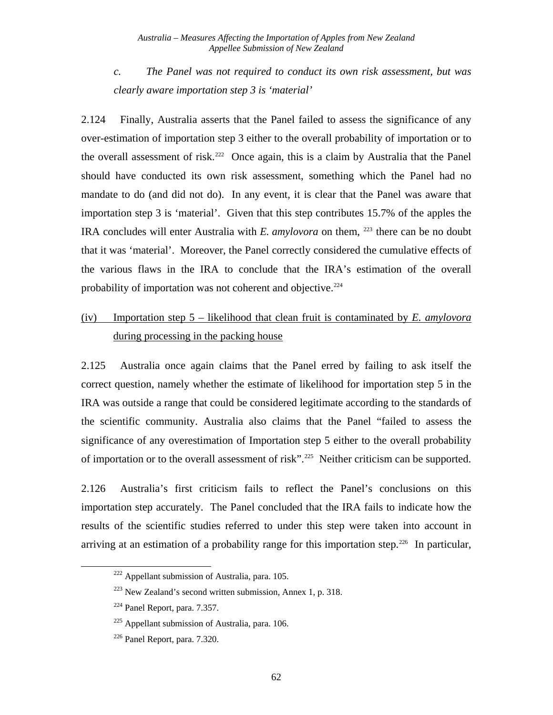*c. The Panel was not required to conduct its own risk assessment, but was clearly aware importation step 3 is 'material'* 

2.124 Finally, Australia asserts that the Panel failed to assess the significance of any over-estimation of importation step 3 either to the overall probability of importation or to the overall assessment of risk.<sup>[222](#page-68-0)</sup> Once again, this is a claim by Australia that the Panel should have conducted its own risk assessment, something which the Panel had no mandate to do (and did not do). In any event, it is clear that the Panel was aware that importation step 3 is 'material'. Given that this step contributes 15.7% of the apples the IRA concludes will enter Australia with *E. amylovora* on them, <sup>[223](#page-68-1)</sup> there can be no doubt that it was 'material'. Moreover, the Panel correctly considered the cumulative effects of the various flaws in the IRA to conclude that the IRA's estimation of the overall probability of importation was not coherent and objective.<sup>[224](#page-68-2)</sup>

#### (iv) Importation step 5 – likelihood that clean fruit is contaminated by *E. amylovora* during processing in the packing house

2.125 Australia once again claims that the Panel erred by failing to ask itself the correct question, namely whether the estimate of likelihood for importation step 5 in the IRA was outside a range that could be considered legitimate according to the standards of the scientific community. Australia also claims that the Panel "failed to assess the significance of any overestimation of Importation step 5 either to the overall probability of importation or to the overall assessment of risk".<sup>[225](#page-68-3)</sup> Neither criticism can be supported.

2.126 Australia's first criticism fails to reflect the Panel's conclusions on this importation step accurately. The Panel concluded that the IRA fails to indicate how the results of the scientific studies referred to under this step were taken into account in arriving at an estimation of a probability range for this importation step.<sup>[226](#page-68-4)</sup> In particular,

<span id="page-68-0"></span> $222$  Appellant submission of Australia, para. 105.

<span id="page-68-1"></span> $223$  New Zealand's second written submission, Annex 1, p. 318.

<span id="page-68-2"></span> $224$  Panel Report, para. 7.357.

<span id="page-68-3"></span> $225$  Appellant submission of Australia, para. 106.

<span id="page-68-4"></span><sup>226</sup> Panel Report, para. 7.320.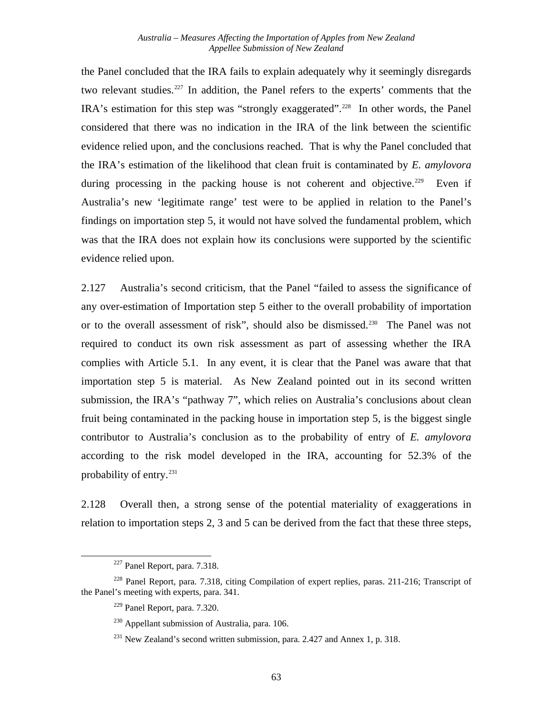the Panel concluded that the IRA fails to explain adequately why it seemingly disregards two relevant studies.<sup>[227](#page-69-0)</sup> In addition, the Panel refers to the experts' comments that the IRA's estimation for this step was "strongly exaggerated".<sup>[228](#page-69-1)</sup> In other words, the Panel considered that there was no indication in the IRA of the link between the scientific evidence relied upon, and the conclusions reached. That is why the Panel concluded that the IRA's estimation of the likelihood that clean fruit is contaminated by *E. amylovora* during processing in the packing house is not coherent and objective.<sup>229</sup> Even if Australia's new 'legitimate range' test were to be applied in relation to the Panel's findings on importation step 5, it would not have solved the fundamental problem, which was that the IRA does not explain how its conclusions were supported by the scientific evidence relied upon.

2.127 Australia's second criticism, that the Panel "failed to assess the significance of any over-estimation of Importation step 5 either to the overall probability of importation or to the overall assessment of risk", should also be dismissed.[230](#page-69-3) The Panel was not required to conduct its own risk assessment as part of assessing whether the IRA complies with Article 5.1. In any event, it is clear that the Panel was aware that that importation step 5 is material. As New Zealand pointed out in its second written submission, the IRA's "pathway 7", which relies on Australia's conclusions about clean fruit being contaminated in the packing house in importation step 5, is the biggest single contributor to Australia's conclusion as to the probability of entry of *E. amylovora* according to the risk model developed in the IRA, accounting for 52.3% of the probability of entry. $231$ 

2.128 Overall then, a strong sense of the potential materiality of exaggerations in relation to importation steps 2, 3 and 5 can be derived from the fact that these three steps,

<sup>227</sup> Panel Report, para. 7.318.

<span id="page-69-4"></span><span id="page-69-3"></span><span id="page-69-2"></span><span id="page-69-1"></span><span id="page-69-0"></span><sup>&</sup>lt;sup>228</sup> Panel Report, para. 7.318, citing Compilation of expert replies, paras. 211-216; Transcript of the Panel's meeting with experts, para. 341.

 $229$  Panel Report, para. 7.320.

 $230$  Appellant submission of Australia, para. 106.

 $^{231}$  New Zealand's second written submission, para. 2.427 and Annex 1, p. 318.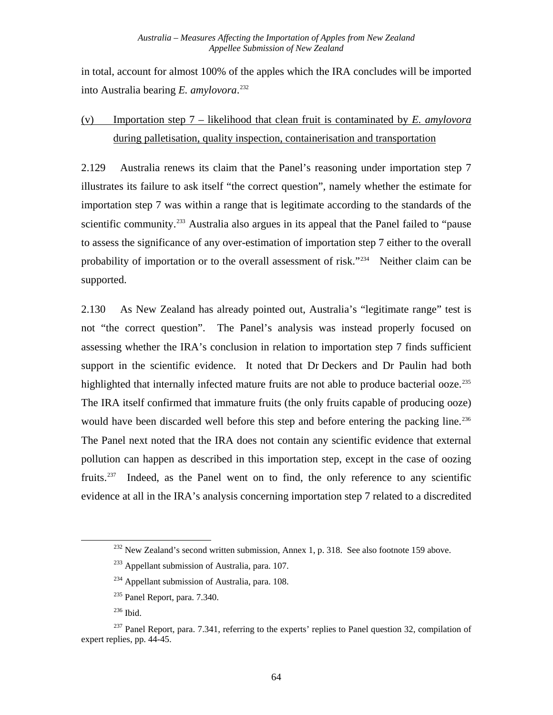in total, account for almost 100% of the apples which the IRA concludes will be imported into Australia bearing *E. amylovora*. [232](#page-70-0)

## (v) Importation step 7 – likelihood that clean fruit is contaminated by *E. amylovora* during palletisation, quality inspection, containerisation and transportation

2.129 Australia renews its claim that the Panel's reasoning under importation step 7 illustrates its failure to ask itself "the correct question", namely whether the estimate for importation step 7 was within a range that is legitimate according to the standards of the scientific community.<sup>[233](#page-70-1)</sup> Australia also argues in its appeal that the Panel failed to "pause" to assess the significance of any over-estimation of importation step 7 either to the overall probability of importation or to the overall assessment of risk."<sup>[234](#page-70-2)</sup> Neither claim can be supported.

2.130 As New Zealand has already pointed out, Australia's "legitimate range" test is not "the correct question". The Panel's analysis was instead properly focused on assessing whether the IRA's conclusion in relation to importation step 7 finds sufficient support in the scientific evidence. It noted that Dr Deckers and Dr Paulin had both highlighted that internally infected mature fruits are not able to produce bacterial ooze.<sup>235</sup> The IRA itself confirmed that immature fruits (the only fruits capable of producing ooze) would have been discarded well before this step and before entering the packing line.<sup>[236](#page-70-4)</sup> The Panel next noted that the IRA does not contain any scientific evidence that external pollution can happen as described in this importation step, except in the case of oozing fruits.<sup>[237](#page-70-5)</sup> Indeed, as the Panel went on to find, the only reference to any scientific evidence at all in the IRA's analysis concerning importation step 7 related to a discredited

<span id="page-70-0"></span> $232$  New Zealand's second written submission, Annex 1, p. 318. See also footnote 159 above.

 $233$  Appellant submission of Australia, para. 107.

 $234$  Appellant submission of Australia, para. 108.

 $235$  Panel Report, para. 7.340.

<sup>236</sup> Ibid.

<span id="page-70-5"></span><span id="page-70-4"></span><span id="page-70-3"></span><span id="page-70-2"></span><span id="page-70-1"></span><sup>&</sup>lt;sup>237</sup> Panel Report, para. 7.341, referring to the experts' replies to Panel question 32, compilation of expert replies, pp. 44-45.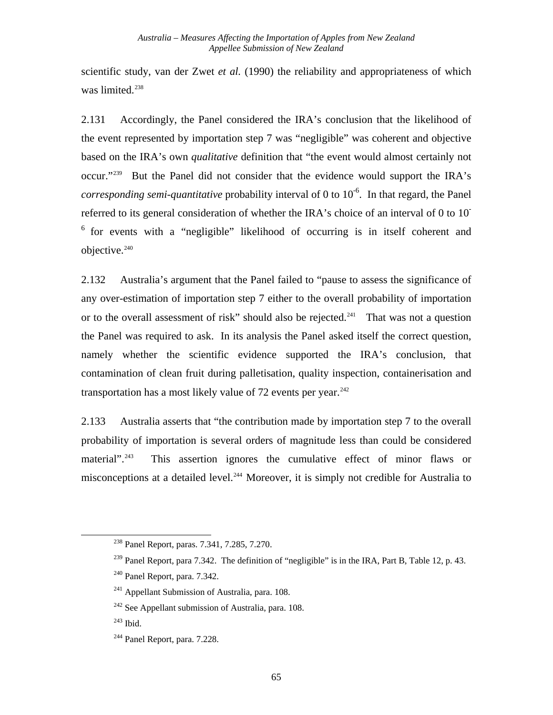scientific study, van der Zwet *et al.* (1990) the reliability and appropriateness of which was limited.<sup>[238](#page-71-0)</sup>

2.131 Accordingly, the Panel considered the IRA's conclusion that the likelihood of the event represented by importation step 7 was "negligible" was coherent and objective based on the IRA's own *qualitative* definition that "the event would almost certainly not occur.["239](#page-71-1) But the Panel did not consider that the evidence would support the IRA's *corresponding semi-quantitative* probability interval of 0 to 10<sup>-6</sup>. In that regard, the Panel referred to its general consideration of whether the IRA's choice of an interval of 0 to 10- 6 for events with a "negligible" likelihood of occurring is in itself coherent and objective.<sup>240</sup>

2.132 Australia's argument that the Panel failed to "pause to assess the significance of any over-estimation of importation step 7 either to the overall probability of importation or to the overall assessment of risk" should also be rejected.<sup>[241](#page-71-3)</sup> That was not a question the Panel was required to ask. In its analysis the Panel asked itself the correct question, namely whether the scientific evidence supported the IRA's conclusion, that contamination of clean fruit during palletisation, quality inspection, containerisation and transportation has a most likely value of 72 events per year. $242$ 

2.133 Australia asserts that "the contribution made by importation step 7 to the overall probability of importation is several orders of magnitude less than could be considered material"<sup>[243](#page-71-5)</sup> This assertion ignores the cumulative effect of minor flaws or misconceptions at a detailed level.<sup>[244](#page-71-6)</sup> Moreover, it is simply not credible for Australia to

<span id="page-71-0"></span><sup>238</sup> Panel Report, paras. 7.341, 7.285, 7.270.

<span id="page-71-1"></span> $^{239}$  Panel Report, para 7.342. The definition of "negligible" is in the IRA, Part B, Table 12, p. 43.

<span id="page-71-2"></span><sup>240</sup> Panel Report, para. 7.342.

<span id="page-71-3"></span><sup>&</sup>lt;sup>241</sup> Appellant Submission of Australia, para. 108.

<span id="page-71-4"></span> $242$  See Appellant submission of Australia, para. 108.

<span id="page-71-5"></span><sup>243</sup> Ibid.

<span id="page-71-6"></span><sup>244</sup> Panel Report, para. 7.228.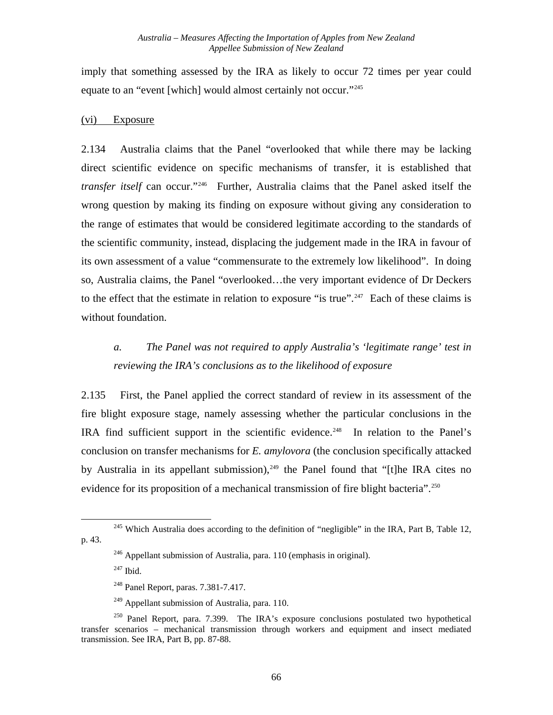imply that something assessed by the IRA as likely to occur 72 times per year could equate to an "event [which] would almost certainly not occur."<sup>[245](#page-72-0)</sup>

#### (vi) Exposure

<span id="page-72-6"></span>2.134 Australia claims that the Panel "overlooked that while there may be lacking direct scientific evidence on specific mechanisms of transfer, it is established that *transfer itself* can occur.["246](#page-72-1) Further, Australia claims that the Panel asked itself the wrong question by making its finding on exposure without giving any consideration to the range of estimates that would be considered legitimate according to the standards of the scientific community, instead, displacing the judgement made in the IRA in favour of its own assessment of a value "commensurate to the extremely low likelihood". In doing so, Australia claims, the Panel "overlooked…the very important evidence of Dr Deckers to the effect that the estimate in relation to exposure "is true".<sup>[247](#page-72-2)</sup> Each of these claims is without foundation.

## *a. The Panel was not required to apply Australia's 'legitimate range' test in reviewing the IRA's conclusions as to the likelihood of exposure*

2.135 First, the Panel applied the correct standard of review in its assessment of the fire blight exposure stage, namely assessing whether the particular conclusions in the IRA find sufficient support in the scientific evidence.<sup>[248](#page-72-3)</sup> In relation to the Panel's conclusion on transfer mechanisms for *E. amylovora* (the conclusion specifically attacked by Australia in its appellant submission),  $249$  the Panel found that "[t]he IRA cites no evidence for its proposition of a mechanical transmission of fire blight bacteria".<sup>[250](#page-72-5)</sup>

<span id="page-72-2"></span><span id="page-72-1"></span><span id="page-72-0"></span> $245$  Which Australia does according to the definition of "negligible" in the IRA, Part B, Table 12, p. 43.

 $^{246}$  Appellant submission of Australia, para. 110 (emphasis in original).

 $247$  Ibid.

<sup>&</sup>lt;sup>248</sup> Panel Report, paras. 7.381-7.417.

 $249$  Appellant submission of Australia, para. 110.

<span id="page-72-5"></span><span id="page-72-4"></span><span id="page-72-3"></span> $250$  Panel Report, para. 7.399. The IRA's exposure conclusions postulated two hypothetical transfer scenarios – mechanical transmission through workers and equipment and insect mediated transmission. See IRA, Part B, pp. 87-88.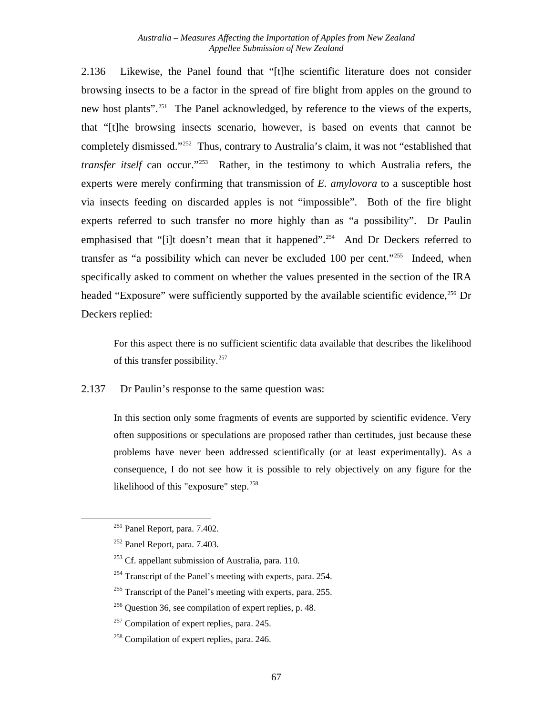2.136 Likewise, the Panel found that "[t]he scientific literature does not consider browsing insects to be a factor in the spread of fire blight from apples on the ground to new host plants".<sup>251</sup> The Panel acknowledged, by reference to the views of the experts, that "[t]he browsing insects scenario, however, is based on events that cannot be completely dismissed.["252](#page-73-1) Thus, contrary to Australia's claim, it was not "established that *transfer itself* can occur."<sup>[253](#page-73-2)</sup> Rather, in the testimony to which Australia refers, the experts were merely confirming that transmission of *E. amylovora* to a susceptible host via insects feeding on discarded apples is not "impossible". Both of the fire blight experts referred to such transfer no more highly than as "a possibility". Dr Paulin emphasised that "[i]t doesn't mean that it happened".<sup>[254](#page-73-3)</sup> And Dr Deckers referred to transfer as "a possibility which can never be excluded 100 per cent."[255](#page-73-4) Indeed, when specifically asked to comment on whether the values presented in the section of the IRA headed "Exposure" were sufficiently supported by the available scientific evidence,<sup>[256](#page-73-5)</sup> Dr Deckers replied:

For this aspect there is no sufficient scientific data available that describes the likelihood of this transfer possibility.[257](#page-73-6)

2.137 Dr Paulin's response to the same question was:

> In this section only some fragments of events are supported by scientific evidence. Very often suppositions or speculations are proposed rather than certitudes, just because these problems have never been addressed scientifically (or at least experimentally). As a consequence, I do not see how it is possible to rely objectively on any figure for the likelihood of this "exposure" step.<sup>[258](#page-73-7)</sup>

<span id="page-73-0"></span> $251$  Panel Report, para. 7.402.

<span id="page-73-1"></span><sup>252</sup> Panel Report, para. 7.403.

<span id="page-73-2"></span> $253$  Cf. appellant submission of Australia, para. 110.

<span id="page-73-3"></span><sup>&</sup>lt;sup>254</sup> Transcript of the Panel's meeting with experts, para. 254.

<span id="page-73-4"></span> $255$  Transcript of the Panel's meeting with experts, para. 255.

<span id="page-73-5"></span><sup>256</sup> Question 36, see compilation of expert replies, p. 48.

<span id="page-73-6"></span><sup>&</sup>lt;sup>257</sup> Compilation of expert replies, para. 245.

<span id="page-73-7"></span><sup>&</sup>lt;sup>258</sup> Compilation of expert replies, para. 246.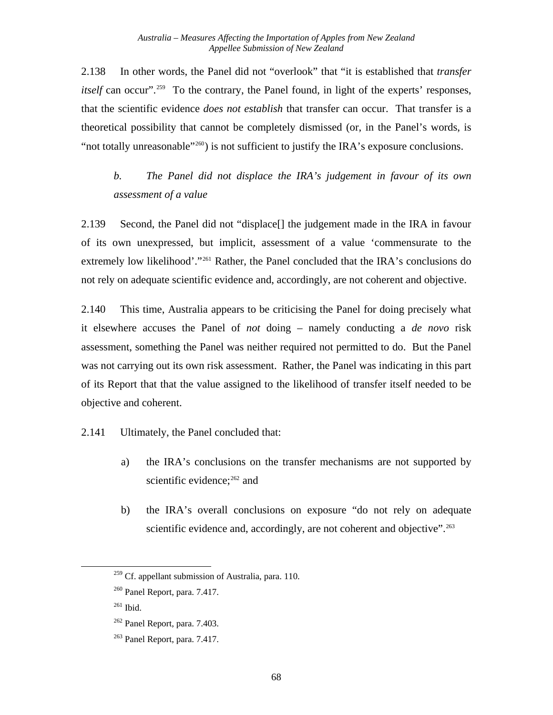2.138 In other words, the Panel did not "overlook" that "it is established that *transfer itself* can occur"<sup>[259](#page-74-0)</sup> To the contrary, the Panel found, in light of the experts' responses, that the scientific evidence *does not establish* that transfer can occur. That transfer is a theoretical possibility that cannot be completely dismissed (or, in the Panel's words, is "not totally unreasonable"<sup>[260](#page-74-1)</sup>) is not sufficient to justify the IRA's exposure conclusions.

# *b. The Panel did not displace the IRA's judgement in favour of its own assessment of a value*

2.139 Second, the Panel did not "displace[] the judgement made in the IRA in favour of its own unexpressed, but implicit, assessment of a value 'commensurate to the extremely low likelihood'."<sup>[261](#page-74-2)</sup> Rather, the Panel concluded that the IRA's conclusions do not rely on adequate scientific evidence and, accordingly, are not coherent and objective.

2.140 This time, Australia appears to be criticising the Panel for doing precisely what it elsewhere accuses the Panel of *not* doing – namely conducting a *de novo* risk assessment, something the Panel was neither required not permitted to do. But the Panel was not carrying out its own risk assessment. Rather, the Panel was indicating in this part of its Report that that the value assigned to the likelihood of transfer itself needed to be objective and coherent.

#### 2.141 Ultimately, the Panel concluded that:

- a) the IRA's conclusions on the transfer mechanisms are not supported by scientific evidence;<sup>262</sup> and
- b) the IRA's overall conclusions on exposure "do not rely on adequate scientific evidence and, accordingly, are not coherent and objective".<sup>[263](#page-74-4)</sup>

<span id="page-74-0"></span><sup>&</sup>lt;sup>259</sup> Cf. appellant submission of Australia, para. 110.

<span id="page-74-1"></span><sup>260</sup> Panel Report, para. 7.417.

<span id="page-74-2"></span> $261$  Ibid.

<span id="page-74-3"></span><sup>262</sup> Panel Report, para. 7.403.

<span id="page-74-4"></span><sup>263</sup> Panel Report, para. 7.417.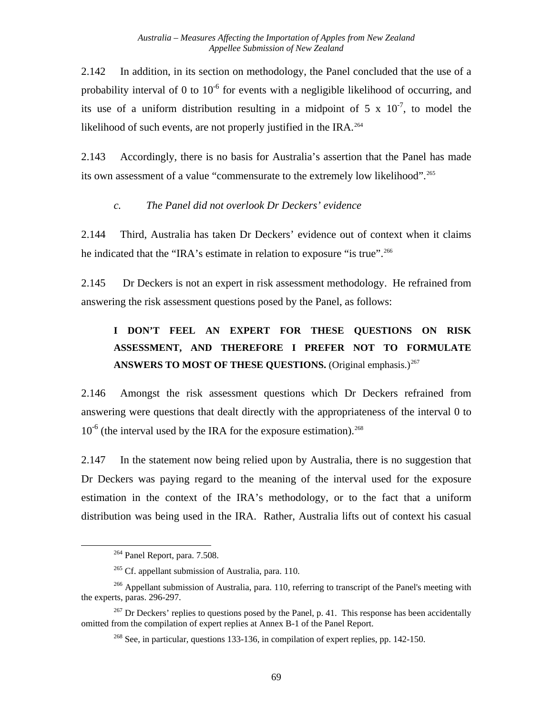2.142 In addition, in its section on methodology, the Panel concluded that the use of a probability interval of 0 to  $10^{-6}$  for events with a negligible likelihood of occurring, and its use of a uniform distribution resulting in a midpoint of 5 x  $10^{-7}$ , to model the likelihood of such events, are not properly justified in the IRA.<sup>[264](#page-75-0)</sup>

2.143 Accordingly, there is no basis for Australia's assertion that the Panel has made its own assessment of a value "commensurate to the extremely low likelihood".<sup>[265](#page-75-1)</sup>

#### *c. The Panel did not overlook Dr Deckers' evidence*

<span id="page-75-5"></span>2.144 Third, Australia has taken Dr Deckers' evidence out of context when it claims he indicated that the "IRA's estimate in relation to exposure "is true".<sup>[266](#page-75-2)</sup>

2.145 Dr Deckers is not an expert in risk assessment methodology. He refrained from answering the risk assessment questions posed by the Panel, as follows:

# **I DON'T FEEL AN EXPERT FOR THESE QUESTIONS ON RISK ASSESSMENT, AND THEREFORE I PREFER NOT TO FORMULATE**  ANSWERS TO MOST OF THESE QUESTIONS. (Original emphasis.)<sup>[267](#page-75-3)</sup>

2.146 Amongst the risk assessment questions which Dr Deckers refrained from answering were questions that dealt directly with the appropriateness of the interval 0 to  $10^{-6}$  (the interval used by the IRA for the exposure estimation).<sup>[268](#page-75-4)</sup>

2.147 In the statement now being relied upon by Australia, there is no suggestion that Dr Deckers was paying regard to the meaning of the interval used for the exposure estimation in the context of the IRA's methodology, or to the fact that a uniform distribution was being used in the IRA. Rather, Australia lifts out of context his casual

 $264$  Panel Report, para. 7.508.

 $265$  Cf. appellant submission of Australia, para. 110.

<span id="page-75-2"></span><span id="page-75-1"></span><span id="page-75-0"></span><sup>&</sup>lt;sup>266</sup> Appellant submission of Australia, para. 110, referring to transcript of the Panel's meeting with the experts, paras. 296-297.

<span id="page-75-4"></span><span id="page-75-3"></span> $267$  Dr Deckers' replies to questions posed by the Panel, p. 41. This response has been accidentally omitted from the compilation of expert replies at Annex B-1 of the Panel Report.

 $^{268}$  See, in particular, questions 133-136, in compilation of expert replies, pp. 142-150.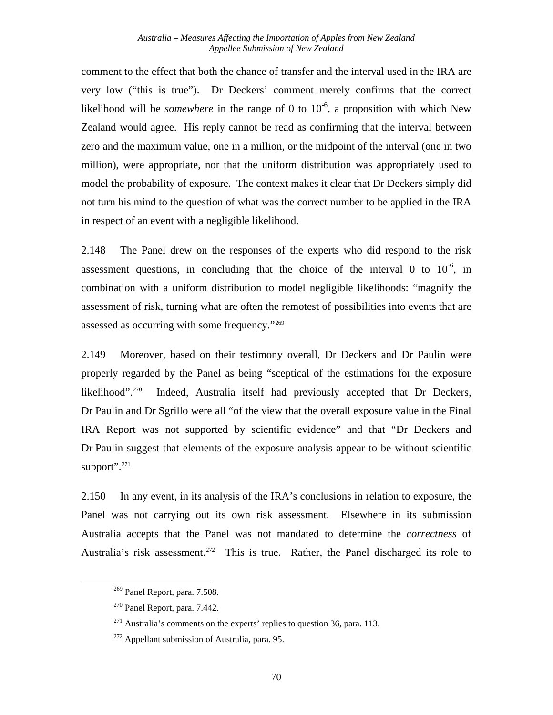comment to the effect that both the chance of transfer and the interval used in the IRA are very low ("this is true"). Dr Deckers' comment merely confirms that the correct likelihood will be *somewhere* in the range of 0 to  $10^{-6}$ , a proposition with which New Zealand would agree. His reply cannot be read as confirming that the interval between zero and the maximum value, one in a million, or the midpoint of the interval (one in two million), were appropriate, nor that the uniform distribution was appropriately used to model the probability of exposure. The context makes it clear that Dr Deckers simply did not turn his mind to the question of what was the correct number to be applied in the IRA in respect of an event with a negligible likelihood.

2.148 The Panel drew on the responses of the experts who did respond to the risk assessment questions, in concluding that the choice of the interval 0 to  $10^{-6}$ , in combination with a uniform distribution to model negligible likelihoods: "magnify the assessment of risk, turning what are often the remotest of possibilities into events that are assessed as occurring with some frequency."[269](#page-76-0)

2.149 Moreover, based on their testimony overall, Dr Deckers and Dr Paulin were properly regarded by the Panel as being "sceptical of the estimations for the exposure likelihood".<sup>270</sup> Indeed, Australia itself had previously accepted that Dr Deckers, Dr Paulin and Dr Sgrillo were all "of the view that the overall exposure value in the Final IRA Report was not supported by scientific evidence" and that "Dr Deckers and Dr Paulin suggest that elements of the exposure analysis appear to be without scientific support".<sup>[271](#page-76-2)</sup>

2.150 In any event, in its analysis of the IRA's conclusions in relation to exposure, the Panel was not carrying out its own risk assessment. Elsewhere in its submission Australia accepts that the Panel was not mandated to determine the *correctness* of Australia's risk assessment.<sup>[272](#page-76-3)</sup> This is true. Rather, the Panel discharged its role to

<span id="page-76-0"></span><sup>269</sup> Panel Report, para. 7.508.

<span id="page-76-1"></span><sup>270</sup> Panel Report, para. 7.442.

<span id="page-76-2"></span> $271$  Australia's comments on the experts' replies to question 36, para. 113.

<span id="page-76-3"></span> $272$  Appellant submission of Australia, para. 95.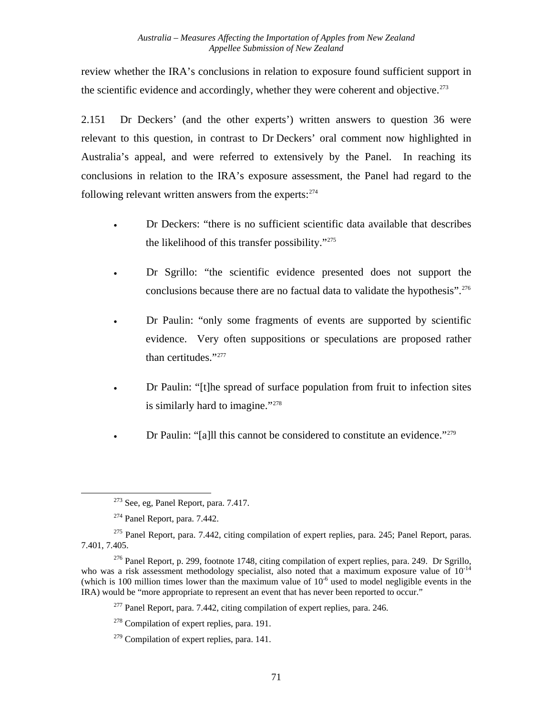review whether the IRA's conclusions in relation to exposure found sufficient support in the scientific evidence and accordingly, whether they were coherent and objective.<sup> $273$ </sup>

2.151 Dr Deckers' (and the other experts') written answers to question 36 were relevant to this question, in contrast to Dr Deckers' oral comment now highlighted in Australia's appeal, and were referred to extensively by the Panel. In reaching its conclusions in relation to the IRA's exposure assessment, the Panel had regard to the following relevant written answers from the experts: $274$ 

- Dr Deckers: "there is no sufficient scientific data available that describes the likelihood of this transfer possibility."[275](#page-77-2)
- Dr Sgrillo: "the scientific evidence presented does not support the conclusions because there are no factual data to validate the hypothesis".<sup>[276](#page-77-3)</sup>
- Dr Paulin: "only some fragments of events are supported by scientific evidence. Very often suppositions or speculations are proposed rather than certitudes."<sup>[277](#page-77-4)</sup>
- Dr Paulin: "[t]he spread of surface population from fruit to infection sites is similarly hard to imagine."<sup>[278](#page-77-5)</sup>
- Dr Paulin: "[a]ll this cannot be considered to constitute an evidence."<sup>[279](#page-77-6)</sup>

<sup>273</sup> See, eg, Panel Report, para. 7.417.

 $274$  Panel Report, para. 7.442.

<span id="page-77-2"></span><span id="page-77-1"></span><span id="page-77-0"></span><sup>&</sup>lt;sup>275</sup> Panel Report, para. 7.442, citing compilation of expert replies, para. 245; Panel Report, paras. 7.401, 7.405.

<span id="page-77-5"></span><span id="page-77-4"></span><span id="page-77-3"></span><sup>&</sup>lt;sup>276</sup> Panel Report, p. 299, footnote 1748, citing compilation of expert replies, para. 249. Dr Sgrillo, who was a risk assessment methodology specialist, also noted that a maximum exposure value of  $10^{-14}$ (which is 100 million times lower than the maximum value of  $10^{-6}$  used to model negligible events in the IRA) would be "more appropriate to represent an event that has never been reported to occur."

 $277$  Panel Report, para. 7.442, citing compilation of expert replies, para. 246.

<sup>&</sup>lt;sup>278</sup> Compilation of expert replies, para. 191.

<span id="page-77-6"></span> $279$  Compilation of expert replies, para. 141.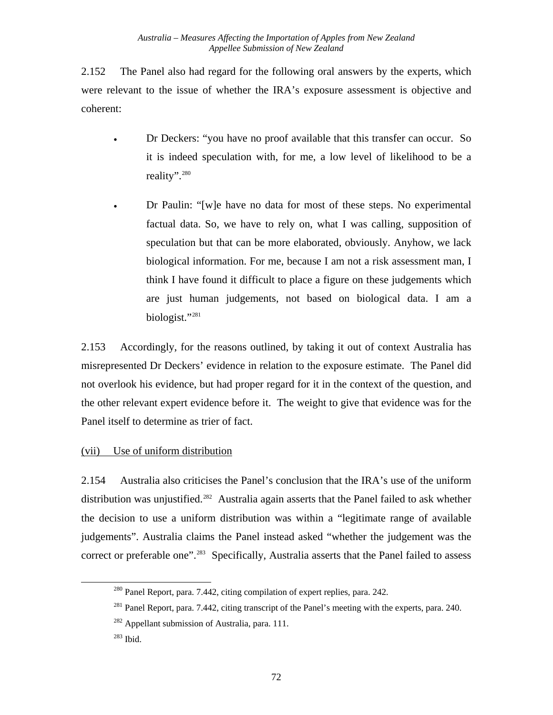2.152 The Panel also had regard for the following oral answers by the experts, which were relevant to the issue of whether the IRA's exposure assessment is objective and coherent:

- Dr Deckers: "you have no proof available that this transfer can occur. So it is indeed speculation with, for me, a low level of likelihood to be a reality"[.280](#page-78-0)
- Dr Paulin: "[w]e have no data for most of these steps. No experimental factual data. So, we have to rely on, what I was calling, supposition of speculation but that can be more elaborated, obviously. Anyhow, we lack biological information. For me, because I am not a risk assessment man, I think I have found it difficult to place a figure on these judgements which are just human judgements, not based on biological data. I am a biologist."[281](#page-78-1)

<span id="page-78-4"></span>2.153 Accordingly, for the reasons outlined, by taking it out of context Australia has misrepresented Dr Deckers' evidence in relation to the exposure estimate. The Panel did not overlook his evidence, but had proper regard for it in the context of the question, and the other relevant expert evidence before it. The weight to give that evidence was for the Panel itself to determine as trier of fact.

### (vii) Use of uniform distribution

2.154 Australia also criticises the Panel's conclusion that the IRA's use of the uniform distribution was unjustified.<sup>[282](#page-78-2)</sup> Australia again asserts that the Panel failed to ask whether the decision to use a uniform distribution was within a "legitimate range of available judgements". Australia claims the Panel instead asked "whether the judgement was the correct or preferable one".<sup>[283](#page-78-3)</sup> Specifically, Australia asserts that the Panel failed to assess

<span id="page-78-0"></span><sup>&</sup>lt;sup>280</sup> Panel Report, para. 7.442, citing compilation of expert replies, para. 242.

<span id="page-78-1"></span><sup>&</sup>lt;sup>281</sup> Panel Report, para. 7.442, citing transcript of the Panel's meeting with the experts, para. 240.

<sup>&</sup>lt;sup>282</sup> Appellant submission of Australia, para. 111.

<span id="page-78-3"></span><span id="page-78-2"></span><sup>283</sup> Ibid.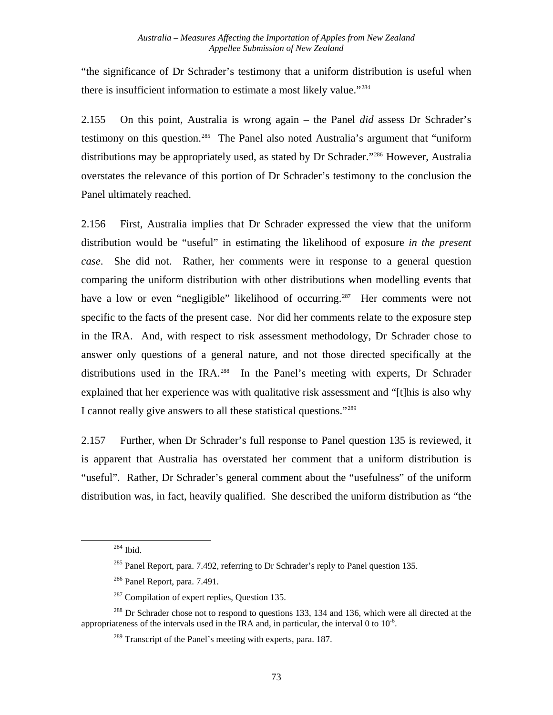"the significance of Dr Schrader's testimony that a uniform distribution is useful when there is insufficient information to estimate a most likely value."[284](#page-79-0)

2.155 On this point, Australia is wrong again – the Panel *did* assess Dr Schrader's testimony on this question.<sup>[285](#page-79-1)</sup> The Panel also noted Australia's argument that "uniform distributions may be appropriately used, as stated by Dr Schrader."[286](#page-79-2) However, Australia overstates the relevance of this portion of Dr Schrader's testimony to the conclusion the Panel ultimately reached.

2.156 First, Australia implies that Dr Schrader expressed the view that the uniform distribution would be "useful" in estimating the likelihood of exposure *in the present case*. She did not. Rather, her comments were in response to a general question comparing the uniform distribution with other distributions when modelling events that have a low or even "negligible" likelihood of occurring.<sup>[287](#page-79-3)</sup> Her comments were not specific to the facts of the present case. Nor did her comments relate to the exposure step in the IRA. And, with respect to risk assessment methodology, Dr Schrader chose to answer only questions of a general nature, and not those directed specifically at the distributions used in the IRA.<sup>[288](#page-79-4)</sup> In the Panel's meeting with experts, Dr Schrader explained that her experience was with qualitative risk assessment and "[t]his is also why I cannot really give answers to all these statistical questions."[289](#page-79-5)

<span id="page-79-6"></span>2.157 Further, when Dr Schrader's full response to Panel question 135 is reviewed, it is apparent that Australia has overstated her comment that a uniform distribution is "useful". Rather, Dr Schrader's general comment about the "usefulness" of the uniform distribution was, in fact, heavily qualified. She described the uniform distribution as "the

<sup>284</sup> Ibid.

 $285$  Panel Report, para. 7.492, referring to Dr Schrader's reply to Panel question 135.

<sup>286</sup> Panel Report, para. 7.491.

 $287$  Compilation of expert replies, Question 135.

<span id="page-79-5"></span><span id="page-79-4"></span><span id="page-79-3"></span><span id="page-79-2"></span><span id="page-79-1"></span><span id="page-79-0"></span><sup>&</sup>lt;sup>288</sup> Dr Schrader chose not to respond to questions 133, 134 and 136, which were all directed at the appropriateness of the intervals used in the IRA and, in particular, the interval 0 to  $10^{-6}$ .

 $289$  Transcript of the Panel's meeting with experts, para. 187.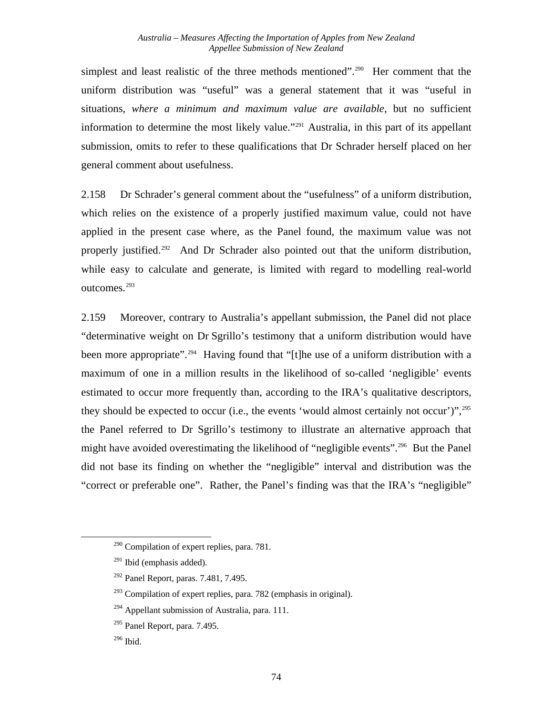simplest and least realistic of the three methods mentioned".<sup>[290](#page-80-0)</sup> Her comment that the uniform distribution was "useful" was a general statement that it was "useful in situations, *where a minimum and maximum value are available*, but no sufficient information to determine the most likely value."[291](#page-80-1) Australia, in this part of its appellant submission, omits to refer to these qualifications that Dr Schrader herself placed on her general comment about usefulness.

2.158 Dr Schrader's general comment about the "usefulness" of a uniform distribution, which relies on the existence of a properly justified maximum value, could not have applied in the present case where, as the Panel found, the maximum value was not properly justified.<sup>[292](#page-80-2)</sup> And Dr Schrader also pointed out that the uniform distribution, while easy to calculate and generate, is limited with regard to modelling real-world outcomes.[293](#page-80-3)

2.159 Moreover, contrary to Australia's appellant submission, the Panel did not place "determinative weight on Dr Sgrillo's testimony that a uniform distribution would have been more appropriate".<sup>[294](#page-80-4)</sup> Having found that "[t]he use of a uniform distribution with a maximum of one in a million results in the likelihood of so-called 'negligible' events estimated to occur more frequently than, according to the IRA's qualitative descriptors, they should be expected to occur (i.e., the events 'would almost certainly not occur')",  $295$ the Panel referred to Dr Sgrillo's testimony to illustrate an alternative approach that might have avoided overestimating the likelihood of "negligible events".<sup>[296](#page-80-6)</sup> But the Panel did not base its finding on whether the "negligible" interval and distribution was the "correct or preferable one". Rather, the Panel's finding was that the IRA's "negligible"

<span id="page-80-0"></span><sup>&</sup>lt;sup>290</sup> Compilation of expert replies, para. 781.

<span id="page-80-1"></span> $291$  Ibid (emphasis added).

<span id="page-80-2"></span> $292$  Panel Report, paras. 7.481, 7.495.

<span id="page-80-3"></span> $293$  Compilation of expert replies, para. 782 (emphasis in original).

<span id="page-80-4"></span> $^{294}$  Appellant submission of Australia, para. 111.

<span id="page-80-5"></span><sup>295</sup> Panel Report, para. 7.495.

<span id="page-80-6"></span> $296$  Ibid.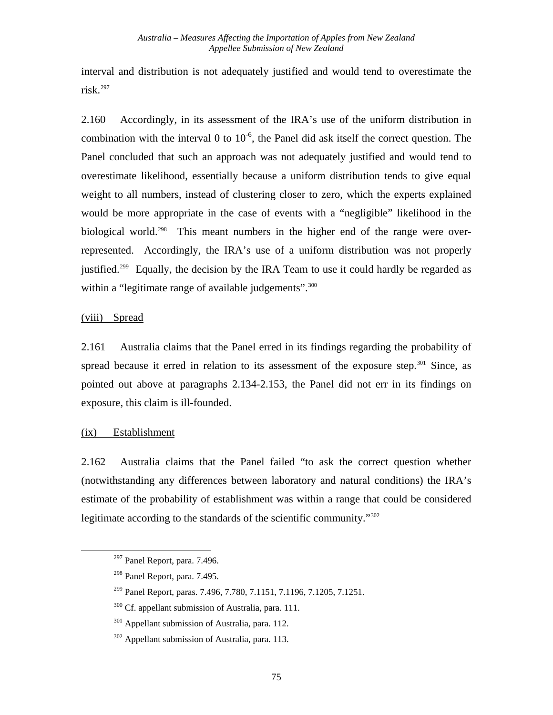interval and distribution is not adequately justified and would tend to overestimate the risk.[297](#page-81-0)

<span id="page-81-6"></span>2.160 Accordingly, in its assessment of the IRA's use of the uniform distribution in combination with the interval 0 to  $10^{-6}$ , the Panel did ask itself the correct question. The Panel concluded that such an approach was not adequately justified and would tend to overestimate likelihood, essentially because a uniform distribution tends to give equal weight to all numbers, instead of clustering closer to zero, which the experts explained would be more appropriate in the case of events with a "negligible" likelihood in the biological world.<sup>[298](#page-81-1)</sup> This meant numbers in the higher end of the range were overrepresented. Accordingly, the IRA's use of a uniform distribution was not properly justified.<sup>[299](#page-81-2)</sup> Equally, the decision by the IRA Team to use it could hardly be regarded as within a "legitimate range of available judgements".<sup>[300](#page-81-3)</sup>

#### (viii) Spread

2.161 Australia claims that the Panel erred in its findings regarding the probability of spread because it erred in relation to its assessment of the exposure step.<sup>[301](#page-81-4)</sup> Since, as pointed out above at paragraphs [2.134](#page-72-6)[-2.153](#page-78-4), the Panel did not err in its findings on exposure, this claim is ill-founded.

#### (ix) Establishment

<span id="page-81-4"></span><span id="page-81-3"></span><span id="page-81-2"></span><span id="page-81-1"></span><span id="page-81-0"></span>l

2.162 Australia claims that the Panel failed "to ask the correct question whether (notwithstanding any differences between laboratory and natural conditions) the IRA's estimate of the probability of establishment was within a range that could be considered legitimate according to the standards of the scientific community."[302](#page-81-5)

<sup>297</sup> Panel Report, para. 7.496.

<sup>298</sup> Panel Report, para. 7.495.

<sup>299</sup> Panel Report, paras. 7.496, 7.780, 7.1151, 7.1196, 7.1205, 7.1251.

<sup>&</sup>lt;sup>300</sup> Cf. appellant submission of Australia, para. 111.

 $301$  Appellant submission of Australia, para. 112.

<span id="page-81-5"></span><sup>302</sup> Appellant submission of Australia, para. 113.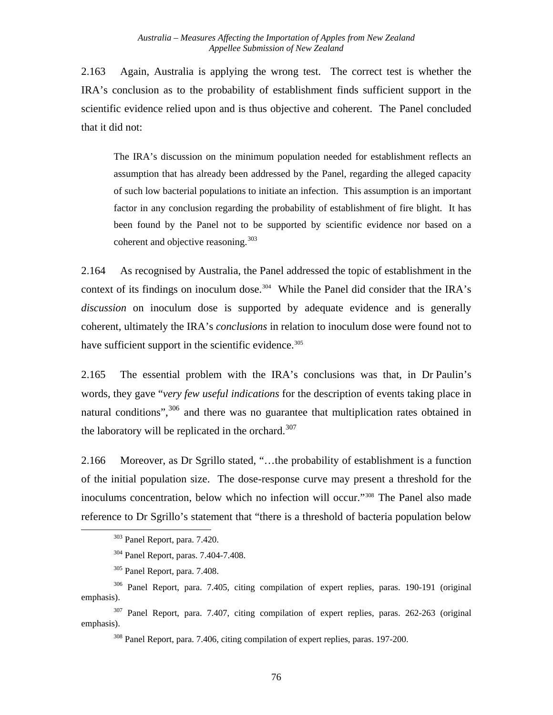2.163 Again, Australia is applying the wrong test. The correct test is whether the IRA's conclusion as to the probability of establishment finds sufficient support in the scientific evidence relied upon and is thus objective and coherent. The Panel concluded that it did not:

The IRA's discussion on the minimum population needed for establishment reflects an assumption that has already been addressed by the Panel, regarding the alleged capacity of such low bacterial populations to initiate an infection. This assumption is an important factor in any conclusion regarding the probability of establishment of fire blight. It has been found by the Panel not to be supported by scientific evidence nor based on a coherent and objective reasoning.  $303$ 

2.164 As recognised by Australia, the Panel addressed the topic of establishment in the context of its findings on inoculum dose.<sup>[304](#page-82-1)</sup> While the Panel did consider that the IRA's *discussion* on inoculum dose is supported by adequate evidence and is generally coherent, ultimately the IRA's *conclusions* in relation to inoculum dose were found not to have sufficient support in the scientific evidence. $305$ 

2.165 The essential problem with the IRA's conclusions was that, in Dr Paulin's words, they gave "*very few useful indications* for the description of events taking place in natural conditions",  $306$  and there was no guarantee that multiplication rates obtained in the laboratory will be replicated in the orchard. $307$ 

2.166 Moreover, as Dr Sgrillo stated, "…the probability of establishment is a function of the initial population size. The dose-response curve may present a threshold for the inoculums concentration, below which no infection will occur."[308](#page-82-5) The Panel also made reference to Dr Sgrillo's statement that "there is a threshold of bacteria population below

<span id="page-82-1"></span><span id="page-82-0"></span>l

<span id="page-82-5"></span><span id="page-82-4"></span>307 Panel Report, para. 7.407, citing compilation of expert replies, paras. 262-263 (original emphasis).

308 Panel Report, para. 7.406, citing compilation of expert replies, paras. 197-200.

<sup>303</sup> Panel Report, para. 7.420.

<sup>304</sup> Panel Report, paras. 7.404-7.408.

<sup>305</sup> Panel Report, para. 7.408.

<span id="page-82-3"></span><span id="page-82-2"></span><sup>306</sup> Panel Report, para. 7.405, citing compilation of expert replies, paras. 190-191 (original emphasis).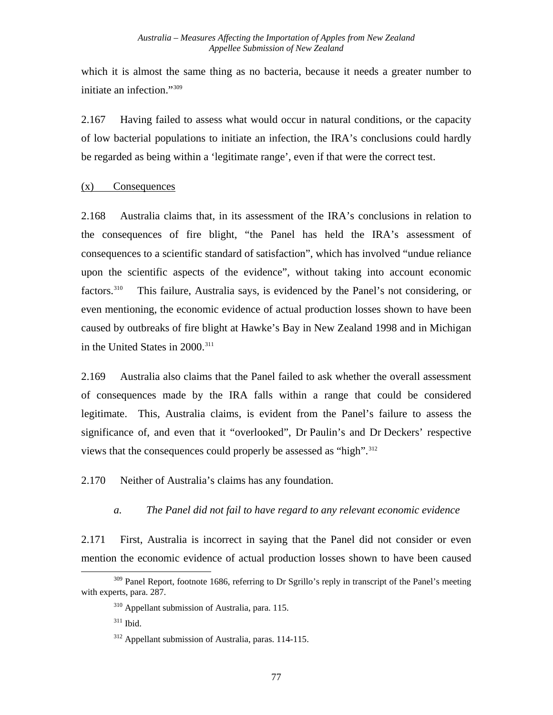which it is almost the same thing as no bacteria, because it needs a greater number to initiate an infection."[309](#page-83-0)

2.167 Having failed to assess what would occur in natural conditions, or the capacity of low bacterial populations to initiate an infection, the IRA's conclusions could hardly be regarded as being within a 'legitimate range', even if that were the correct test.

#### (x) Consequences

2.168 Australia claims that, in its assessment of the IRA's conclusions in relation to the consequences of fire blight, "the Panel has held the IRA's assessment of consequences to a scientific standard of satisfaction", which has involved "undue reliance upon the scientific aspects of the evidence", without taking into account economic factors.<sup>[310](#page-83-1)</sup> This failure, Australia says, is evidenced by the Panel's not considering, or even mentioning, the economic evidence of actual production losses shown to have been caused by outbreaks of fire blight at Hawke's Bay in New Zealand 1998 and in Michigan in the United States in 2000.<sup>[311](#page-83-2)</sup>

2.169 Australia also claims that the Panel failed to ask whether the overall assessment of consequences made by the IRA falls within a range that could be considered legitimate. This, Australia claims, is evident from the Panel's failure to assess the significance of, and even that it "overlooked", Dr Paulin's and Dr Deckers' respective views that the consequences could properly be assessed as "high".<sup>[312](#page-83-3)</sup>

2.170 Neither of Australia's claims has any foundation.

### *a. The Panel did not fail to have regard to any relevant economic evidence*

2.171 First, Australia is incorrect in saying that the Panel did not consider or even mention the economic evidence of actual production losses shown to have been caused

<span id="page-83-3"></span><span id="page-83-2"></span><span id="page-83-1"></span><span id="page-83-0"></span>l <sup>309</sup> Panel Report, footnote 1686, referring to Dr Sgrillo's reply in transcript of the Panel's meeting with experts, para. 287.

<sup>310</sup> Appellant submission of Australia, para. 115.

 $311$  Ibid.

<sup>312</sup> Appellant submission of Australia, paras. 114-115.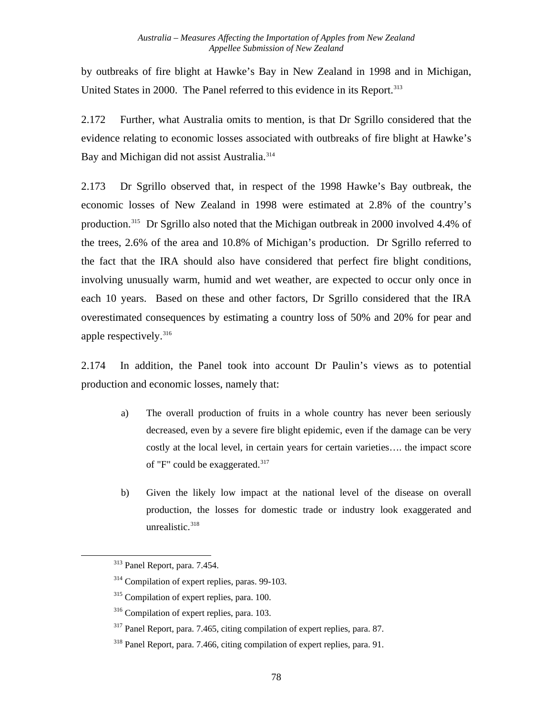by outbreaks of fire blight at Hawke's Bay in New Zealand in 1998 and in Michigan, United States in 2000. The Panel referred to this evidence in its Report.<sup>[313](#page-84-0)</sup>

2.172 Further, what Australia omits to mention, is that Dr Sgrillo considered that the evidence relating to economic losses associated with outbreaks of fire blight at Hawke's Bay and Michigan did not assist Australia.<sup>[314](#page-84-1)</sup>

2.173 Dr Sgrillo observed that, in respect of the 1998 Hawke's Bay outbreak, the economic losses of New Zealand in 1998 were estimated at 2.8% of the country's production.[315](#page-84-2) Dr Sgrillo also noted that the Michigan outbreak in 2000 involved 4.4% of the trees, 2.6% of the area and 10.8% of Michigan's production. Dr Sgrillo referred to the fact that the IRA should also have considered that perfect fire blight conditions, involving unusually warm, humid and wet weather, are expected to occur only once in each 10 years. Based on these and other factors, Dr Sgrillo considered that the IRA overestimated consequences by estimating a country loss of 50% and 20% for pear and apple respectively.<sup>316</sup>

2.174 In addition, the Panel took into account Dr Paulin's views as to potential production and economic losses, namely that:

- a) The overall production of fruits in a whole country has never been seriously decreased, even by a severe fire blight epidemic, even if the damage can be very costly at the local level, in certain years for certain varieties…. the impact score of "F" could be exaggerated.<sup>317</sup>
- b) Given the likely low impact at the national level of the disease on overall production, the losses for domestic trade or industry look exaggerated and unrealistic.<sup>[318](#page-84-5)</sup>

<span id="page-84-4"></span><span id="page-84-3"></span><span id="page-84-2"></span><span id="page-84-1"></span><span id="page-84-0"></span>-

<sup>313</sup> Panel Report, para. 7.454.

<sup>&</sup>lt;sup>314</sup> Compilation of expert replies, paras. 99-103.

<sup>&</sup>lt;sup>315</sup> Compilation of expert replies, para. 100.

<sup>316</sup> Compilation of expert replies, para. 103.

<sup>317</sup> Panel Report, para. 7.465, citing compilation of expert replies, para. 87.

<span id="page-84-5"></span><sup>&</sup>lt;sup>318</sup> Panel Report, para. 7.466, citing compilation of expert replies, para. 91.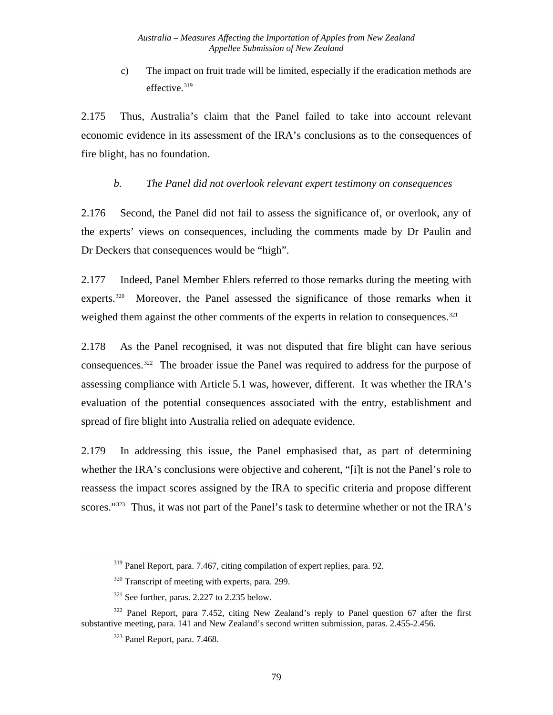c) The impact on fruit trade will be limited, especially if the eradication methods are effective.<sup>[319](#page-85-0)</sup>

2.175 Thus, Australia's claim that the Panel failed to take into account relevant economic evidence in its assessment of the IRA's conclusions as to the consequences of fire blight, has no foundation.

#### *b. The Panel did not overlook relevant expert testimony on consequences*

<span id="page-85-5"></span>2.176 Second, the Panel did not fail to assess the significance of, or overlook, any of the experts' views on consequences, including the comments made by Dr Paulin and Dr Deckers that consequences would be "high".

2.177 Indeed, Panel Member Ehlers referred to those remarks during the meeting with experts.<sup>[320](#page-85-1)</sup> Moreover, the Panel assessed the significance of those remarks when it weighed them against the other comments of the experts in relation to consequences.<sup>321</sup>

2.178 As the Panel recognised, it was not disputed that fire blight can have serious consequences[.322](#page-85-3) The broader issue the Panel was required to address for the purpose of assessing compliance with Article 5.1 was, however, different. It was whether the IRA's evaluation of the potential consequences associated with the entry, establishment and spread of fire blight into Australia relied on adequate evidence.

2.179 In addressing this issue, the Panel emphasised that, as part of determining whether the IRA's conclusions were objective and coherent, "[i]t is not the Panel's role to reassess the impact scores assigned by the IRA to specific criteria and propose different scores."<sup>[323](#page-85-4)</sup> Thus, it was not part of the Panel's task to determine whether or not the IRA's

<sup>319</sup> Panel Report, para. 7.467, citing compilation of expert replies, para. 92.

<sup>&</sup>lt;sup>320</sup> Transcript of meeting with experts, para. 299.

 $321$  See further, paras. 2.227 to 2.235 below.

<span id="page-85-4"></span><span id="page-85-3"></span><span id="page-85-2"></span><span id="page-85-1"></span><span id="page-85-0"></span> $322$  Panel Report, para 7.452, citing New Zealand's reply to Panel question 67 after the first substantive meeting, para. 141 and New Zealand's second written submission, paras. 2.455-2.456.

<sup>323</sup> Panel Report, para. 7.468.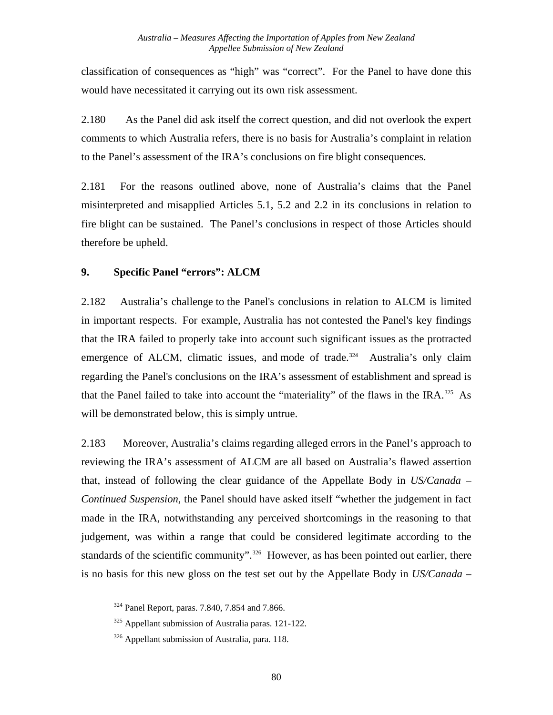classification of consequences as "high" was "correct". For the Panel to have done this would have necessitated it carrying out its own risk assessment.

<span id="page-86-3"></span>2.180 As the Panel did ask itself the correct question, and did not overlook the expert comments to which Australia refers, there is no basis for Australia's complaint in relation to the Panel's assessment of the IRA's conclusions on fire blight consequences.

2.181 For the reasons outlined above, none of Australia's claims that the Panel misinterpreted and misapplied Articles 5.1, 5.2 and 2.2 in its conclusions in relation to fire blight can be sustained. The Panel's conclusions in respect of those Articles should therefore be upheld.

### **9. Specific Panel "errors": ALCM**

2.182 Australia's challenge to the Panel's conclusions in relation to ALCM is limited in important respects. For example, Australia has not contested the Panel's key findings that the IRA failed to properly take into account such significant issues as the protracted emergence of ALCM, climatic issues, and mode of trade.<sup>[324](#page-86-0)</sup> Australia's only claim regarding the Panel's conclusions on the IRA's assessment of establishment and spread is that the Panel failed to take into account the "materiality" of the flaws in the IRA.<sup>[325](#page-86-1)</sup> As will be demonstrated below, this is simply untrue.

2.183 Moreover, Australia's claims regarding alleged errors in the Panel's approach to reviewing the IRA's assessment of ALCM are all based on Australia's flawed assertion that, instead of following the clear guidance of the Appellate Body in *US/Canada – Continued Suspension*, the Panel should have asked itself "whether the judgement in fact made in the IRA, notwithstanding any perceived shortcomings in the reasoning to that judgement, was within a range that could be considered legitimate according to the standards of the scientific community".<sup>[326](#page-86-2)</sup> However, as has been pointed out earlier, there is no basis for this new gloss on the test set out by the Appellate Body in *US/Canada –* 

<span id="page-86-0"></span><sup>324</sup> Panel Report, paras. 7.840, 7.854 and 7.866.

<span id="page-86-1"></span> $325$  Appellant submission of Australia paras. 121-122.

<span id="page-86-2"></span><sup>&</sup>lt;sup>326</sup> Appellant submission of Australia, para. 118.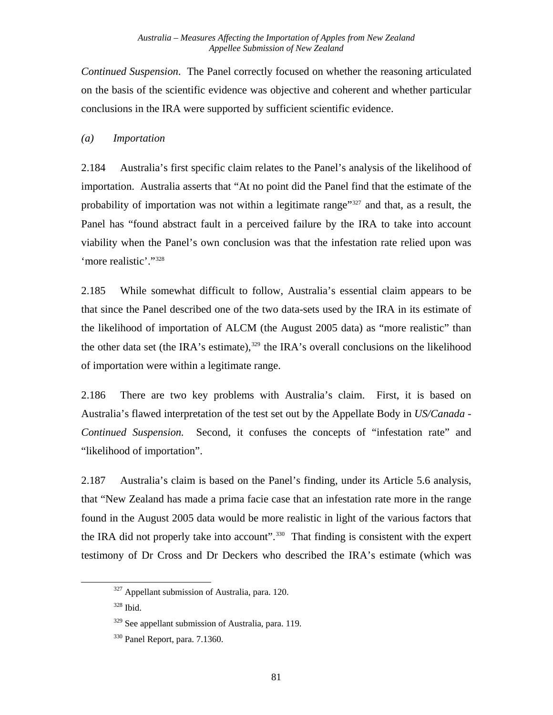*Continued Suspension*. The Panel correctly focused on whether the reasoning articulated on the basis of the scientific evidence was objective and coherent and whether particular conclusions in the IRA were supported by sufficient scientific evidence.

#### *(a) Importation*

2.184 Australia's first specific claim relates to the Panel's analysis of the likelihood of importation. Australia asserts that "At no point did the Panel find that the estimate of the probability of importation was not within a legitimate range<sup>"[327](#page-87-0)</sup> and that, as a result, the Panel has "found abstract fault in a perceived failure by the IRA to take into account viability when the Panel's own conclusion was that the infestation rate relied upon was 'more realistic'.["328](#page-87-1)

2.185 While somewhat difficult to follow, Australia's essential claim appears to be that since the Panel described one of the two data-sets used by the IRA in its estimate of the likelihood of importation of ALCM (the August 2005 data) as "more realistic" than the other data set (the IRA's estimate), $329$  the IRA's overall conclusions on the likelihood of importation were within a legitimate range.

2.186 There are two key problems with Australia's claim. First, it is based on Australia's flawed interpretation of the test set out by the Appellate Body in *US/Canada - Continued Suspension.* Second, it confuses the concepts of "infestation rate" and "likelihood of importation".

2.187 Australia's claim is based on the Panel's finding, under its Article 5.6 analysis, that "New Zealand has made a prima facie case that an infestation rate more in the range found in the August 2005 data would be more realistic in light of the various factors that the IRA did not properly take into account".<sup>[330](#page-87-3)</sup> That finding is consistent with the expert testimony of Dr Cross and Dr Deckers who described the IRA's estimate (which was

<span id="page-87-0"></span><sup>&</sup>lt;sup>327</sup> Appellant submission of Australia, para. 120.

<span id="page-87-1"></span><sup>328</sup> Ibid.

<span id="page-87-2"></span><sup>&</sup>lt;sup>329</sup> See appellant submission of Australia, para. 119.

<span id="page-87-3"></span><sup>330</sup> Panel Report, para. 7.1360.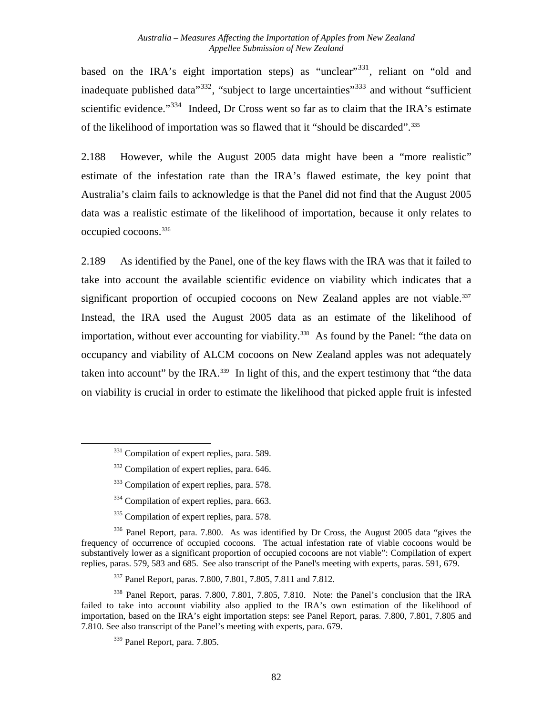based on the IRA's eight importation steps) as "unclear"<sup>[331](#page-88-0)</sup>, reliant on "old and inadequate published data<sup> $332$ </sup>, "subject to large uncertainties"<sup>[333](#page-88-2)</sup> and without "sufficient" scientific evidence."<sup>[334](#page-88-3)</sup> Indeed, Dr Cross went so far as to claim that the IRA's estimate of the likelihood of importation was so flawed that it "should be discarded".[335](#page-88-4)

2.188 However, while the August 2005 data might have been a "more realistic" estimate of the infestation rate than the IRA's flawed estimate, the key point that Australia's claim fails to acknowledge is that the Panel did not find that the August 2005 data was a realistic estimate of the likelihood of importation, because it only relates to occupied cocoons.[336](#page-88-5)

2.189 As identified by the Panel, one of the key flaws with the IRA was that it failed to take into account the available scientific evidence on viability which indicates that a significant proportion of occupied cocoons on New Zealand apples are not viable.<sup>337</sup> Instead, the IRA used the August 2005 data as an estimate of the likelihood of importation, without ever accounting for viability.<sup>[338](#page-88-7)</sup> As found by the Panel: "the data on occupancy and viability of ALCM cocoons on New Zealand apples was not adequately taken into account" by the IRA.<sup>[339](#page-88-8)</sup> In light of this, and the expert testimony that "the data" on viability is crucial in order to estimate the likelihood that picked apple fruit is infested

<span id="page-88-2"></span><span id="page-88-1"></span><span id="page-88-0"></span>l

- <sup>334</sup> Compilation of expert replies, para. 663.
- <sup>335</sup> Compilation of expert replies, para. 578.

<span id="page-88-5"></span><span id="page-88-4"></span><span id="page-88-3"></span>336 Panel Report, para. 7.800. As was identified by Dr Cross, the August 2005 data "gives the frequency of occurrence of occupied cocoons. The actual infestation rate of viable cocoons would be substantively lower as a significant proportion of occupied cocoons are not viable": Compilation of expert replies, paras. 579, 583 and 685. See also transcript of the Panel's meeting with experts, paras. 591, 679.

337 Panel Report, paras. 7.800, 7.801, 7.805, 7.811 and 7.812.

<span id="page-88-8"></span><span id="page-88-7"></span><span id="page-88-6"></span><sup>338</sup> Panel Report, paras. 7.800, 7.801, 7.805, 7.810. Note: the Panel's conclusion that the IRA failed to take into account viability also applied to the IRA's own estimation of the likelihood of importation, based on the IRA's eight importation steps: see Panel Report, paras. 7.800, 7.801, 7.805 and 7.810. See also transcript of the Panel's meeting with experts, para. 679.

<sup>&</sup>lt;sup>331</sup> Compilation of expert replies, para. 589.

<sup>&</sup>lt;sup>332</sup> Compilation of expert replies, para. 646.

<sup>&</sup>lt;sup>333</sup> Compilation of expert replies, para. 578.

<sup>339</sup> Panel Report, para. 7.805.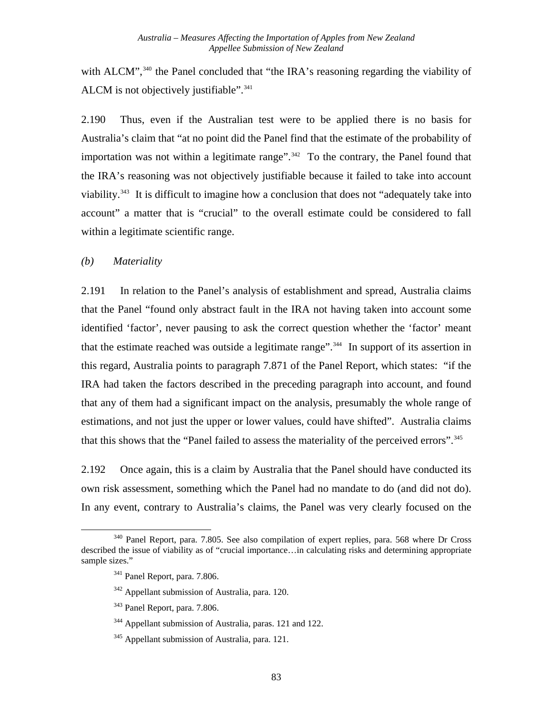with ALCM",<sup>[340](#page-89-0)</sup> the Panel concluded that "the IRA's reasoning regarding the viability of ALCM is not objectively justifiable".<sup>[341](#page-89-1)</sup>

2.190 Thus, even if the Australian test were to be applied there is no basis for Australia's claim that "at no point did the Panel find that the estimate of the probability of importation was not within a legitimate range".<sup>[342](#page-89-2)</sup> To the contrary, the Panel found that the IRA's reasoning was not objectively justifiable because it failed to take into account viability.<sup>[343](#page-89-3)</sup> It is difficult to imagine how a conclusion that does not "adequately take into account" a matter that is "crucial" to the overall estimate could be considered to fall within a legitimate scientific range.

#### *(b) Materiality*

2.191 In relation to the Panel's analysis of establishment and spread, Australia claims that the Panel "found only abstract fault in the IRA not having taken into account some identified 'factor', never pausing to ask the correct question whether the 'factor' meant that the estimate reached was outside a legitimate range".[344](#page-89-4) In support of its assertion in this regard, Australia points to paragraph 7.871 of the Panel Report, which states: "if the IRA had taken the factors described in the preceding paragraph into account, and found that any of them had a significant impact on the analysis, presumably the whole range of estimations, and not just the upper or lower values, could have shifted". Australia claims that this shows that the "Panel failed to assess the materiality of the perceived errors".<sup>[345](#page-89-5)</sup>

2.192 Once again, this is a claim by Australia that the Panel should have conducted its own risk assessment, something which the Panel had no mandate to do (and did not do). In any event, contrary to Australia's claims, the Panel was very clearly focused on the

<span id="page-89-3"></span><span id="page-89-2"></span><span id="page-89-1"></span><span id="page-89-0"></span>l <sup>340</sup> Panel Report, para. 7.805. See also compilation of expert replies, para. 568 where Dr Cross described the issue of viability as of "crucial importance…in calculating risks and determining appropriate sample sizes."

<sup>341</sup> Panel Report, para. 7.806.

<sup>342</sup> Appellant submission of Australia, para. 120.

<sup>343</sup> Panel Report, para. 7.806.

<span id="page-89-4"></span><sup>&</sup>lt;sup>344</sup> Appellant submission of Australia, paras. 121 and 122.

<span id="page-89-5"></span><sup>345</sup> Appellant submission of Australia, para. 121.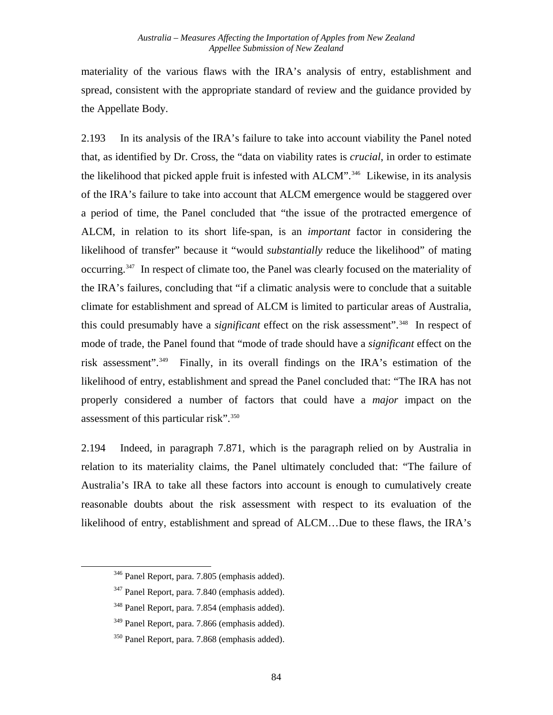materiality of the various flaws with the IRA's analysis of entry, establishment and spread, consistent with the appropriate standard of review and the guidance provided by the Appellate Body.

2.193 In its analysis of the IRA's failure to take into account viability the Panel noted that, as identified by Dr. Cross, the "data on viability rates is *crucial*, in order to estimate the likelihood that picked apple fruit is infested with ALCM".<sup>[346](#page-90-0)</sup> Likewise, in its analysis of the IRA's failure to take into account that ALCM emergence would be staggered over a period of time, the Panel concluded that "the issue of the protracted emergence of ALCM, in relation to its short life-span, is an *important* factor in considering the likelihood of transfer" because it "would *substantially* reduce the likelihood" of mating occurring.[347](#page-90-1) In respect of climate too, the Panel was clearly focused on the materiality of the IRA's failures, concluding that "if a climatic analysis were to conclude that a suitable climate for establishment and spread of ALCM is limited to particular areas of Australia, this could presumably have a *significant* effect on the risk assessment".[348](#page-90-2) In respect of mode of trade, the Panel found that "mode of trade should have a *significant* effect on the risk assessment".[349](#page-90-3) Finally, in its overall findings on the IRA's estimation of the likelihood of entry, establishment and spread the Panel concluded that: "The IRA has not properly considered a number of factors that could have a *major* impact on the assessment of this particular risk".<sup>350</sup>

2.194 Indeed, in paragraph 7.871, which is the paragraph relied on by Australia in relation to its materiality claims, the Panel ultimately concluded that: "The failure of Australia's IRA to take all these factors into account is enough to cumulatively create reasonable doubts about the risk assessment with respect to its evaluation of the likelihood of entry, establishment and spread of ALCM…Due to these flaws, the IRA's

<span id="page-90-0"></span><sup>346</sup> Panel Report, para. 7.805 (emphasis added).

<span id="page-90-1"></span><sup>347</sup> Panel Report, para. 7.840 (emphasis added).

<span id="page-90-2"></span><sup>348</sup> Panel Report, para. 7.854 (emphasis added).

<span id="page-90-3"></span><sup>&</sup>lt;sup>349</sup> Panel Report, para. 7.866 (emphasis added).

<span id="page-90-4"></span><sup>350</sup> Panel Report, para. 7.868 (emphasis added).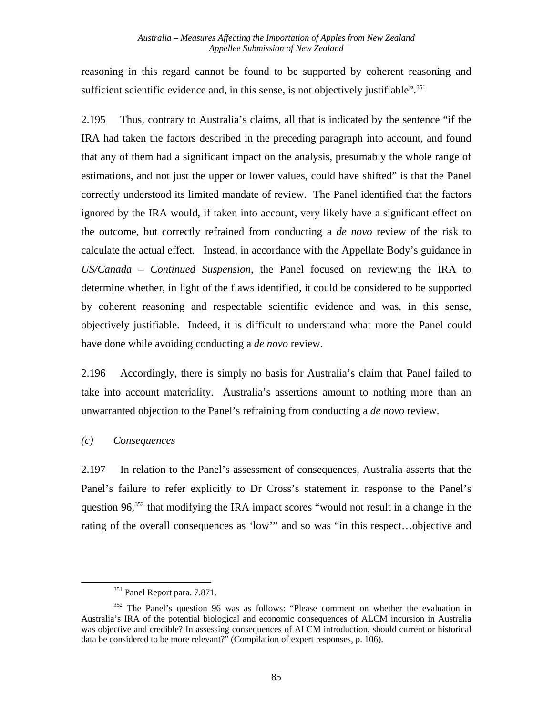reasoning in this regard cannot be found to be supported by coherent reasoning and sufficient scientific evidence and, in this sense, is not objectively justifiable".<sup>351</sup>

2.195 Thus, contrary to Australia's claims, all that is indicated by the sentence "if the IRA had taken the factors described in the preceding paragraph into account, and found that any of them had a significant impact on the analysis, presumably the whole range of estimations, and not just the upper or lower values, could have shifted" is that the Panel correctly understood its limited mandate of review. The Panel identified that the factors ignored by the IRA would, if taken into account, very likely have a significant effect on the outcome, but correctly refrained from conducting a *de novo* review of the risk to calculate the actual effect. Instead, in accordance with the Appellate Body's guidance in *US/Canada – Continued Suspension*, the Panel focused on reviewing the IRA to determine whether, in light of the flaws identified, it could be considered to be supported by coherent reasoning and respectable scientific evidence and was, in this sense, objectively justifiable. Indeed, it is difficult to understand what more the Panel could have done while avoiding conducting a *de novo* review.

2.196 Accordingly, there is simply no basis for Australia's claim that Panel failed to take into account materiality. Australia's assertions amount to nothing more than an unwarranted objection to the Panel's refraining from conducting a *de novo* review.

### *(c) Consequences*

<span id="page-91-0"></span>l

2.197 In relation to the Panel's assessment of consequences, Australia asserts that the Panel's failure to refer explicitly to Dr Cross's statement in response to the Panel's question 96,<sup>352</sup> that modifying the IRA impact scores "would not result in a change in the rating of the overall consequences as 'low'" and so was "in this respect…objective and

<sup>351</sup> Panel Report para. 7.871.

<span id="page-91-1"></span><sup>352</sup> The Panel's question 96 was as follows: "Please comment on whether the evaluation in Australia's IRA of the potential biological and economic consequences of ALCM incursion in Australia was objective and credible? In assessing consequences of ALCM introduction, should current or historical data be considered to be more relevant?" (Compilation of expert responses, p. 106).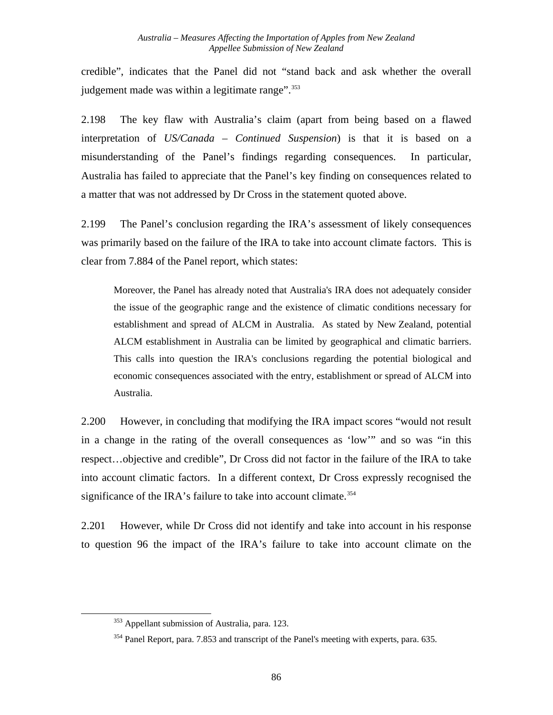credible", indicates that the Panel did not "stand back and ask whether the overall judgement made was within a legitimate range".  $353$ 

2.198 The key flaw with Australia's claim (apart from being based on a flawed interpretation of *US/Canada – Continued Suspension*) is that it is based on a misunderstanding of the Panel's findings regarding consequences. In particular, Australia has failed to appreciate that the Panel's key finding on consequences related to a matter that was not addressed by Dr Cross in the statement quoted above.

2.199 The Panel's conclusion regarding the IRA's assessment of likely consequences was primarily based on the failure of the IRA to take into account climate factors. This is clear from 7.884 of the Panel report, which states:

Moreover, the Panel has already noted that Australia's IRA does not adequately consider the issue of the geographic range and the existence of climatic conditions necessary for establishment and spread of ALCM in Australia. As stated by New Zealand, potential ALCM establishment in Australia can be limited by geographical and climatic barriers. This calls into question the IRA's conclusions regarding the potential biological and economic consequences associated with the entry, establishment or spread of ALCM into Australia.

2.200 However, in concluding that modifying the IRA impact scores "would not result in a change in the rating of the overall consequences as 'low'" and so was "in this respect…objective and credible", Dr Cross did not factor in the failure of the IRA to take into account climatic factors. In a different context, Dr Cross expressly recognised the significance of the IRA's failure to take into account climate.<sup>[354](#page-92-1)</sup>

2.201 However, while Dr Cross did not identify and take into account in his response to question 96 the impact of the IRA's failure to take into account climate on the

<span id="page-92-0"></span><sup>&</sup>lt;sup>353</sup> Appellant submission of Australia, para. 123.

<span id="page-92-1"></span><sup>&</sup>lt;sup>354</sup> Panel Report, para. 7.853 and transcript of the Panel's meeting with experts, para. 635.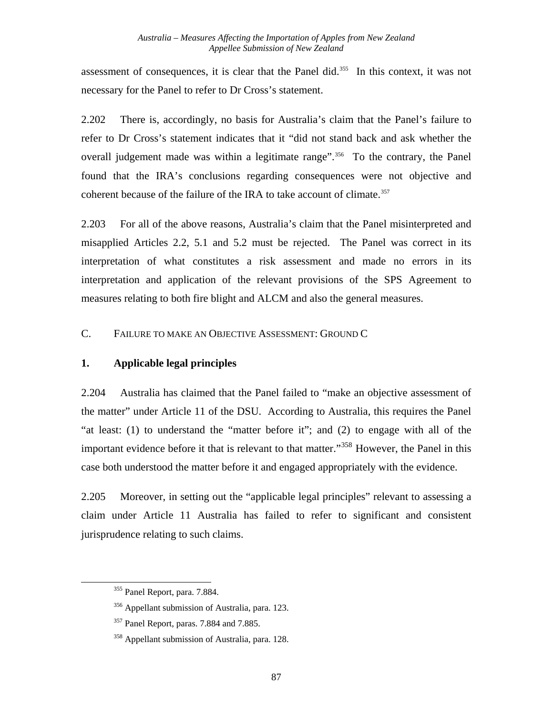assessment of consequences, it is clear that the Panel did.[355](#page-93-0) In this context, it was not necessary for the Panel to refer to Dr Cross's statement.

2.202 There is, accordingly, no basis for Australia's claim that the Panel's failure to refer to Dr Cross's statement indicates that it "did not stand back and ask whether the overall judgement made was within a legitimate range".<sup>[356](#page-93-1)</sup> To the contrary, the Panel found that the IRA's conclusions regarding consequences were not objective and coherent because of the failure of the IRA to take account of climate.<sup>[357](#page-93-2)</sup>

2.203 For all of the above reasons, Australia's claim that the Panel misinterpreted and misapplied Articles 2.2, 5.1 and 5.2 must be rejected. The Panel was correct in its interpretation of what constitutes a risk assessment and made no errors in its interpretation and application of the relevant provisions of the SPS Agreement to measures relating to both fire blight and ALCM and also the general measures.

### C. FAILURE TO MAKE AN OBJECTIVE ASSESSMENT: GROUND C

### **1. Applicable legal principles**

2.204 Australia has claimed that the Panel failed to "make an objective assessment of the matter" under Article 11 of the DSU. According to Australia, this requires the Panel "at least: (1) to understand the "matter before it"; and (2) to engage with all of the important evidence before it that is relevant to that matter."<sup>[358](#page-93-3)</sup> However, the Panel in this case both understood the matter before it and engaged appropriately with the evidence.

2.205 Moreover, in setting out the "applicable legal principles" relevant to assessing a claim under Article 11 Australia has failed to refer to significant and consistent jurisprudence relating to such claims.

<sup>355</sup> Panel Report, para. 7.884.

<span id="page-93-1"></span><span id="page-93-0"></span><sup>356</sup> Appellant submission of Australia, para. 123.

<span id="page-93-2"></span><sup>&</sup>lt;sup>357</sup> Panel Report, paras. 7.884 and 7.885.

<span id="page-93-3"></span><sup>358</sup> Appellant submission of Australia, para. 128.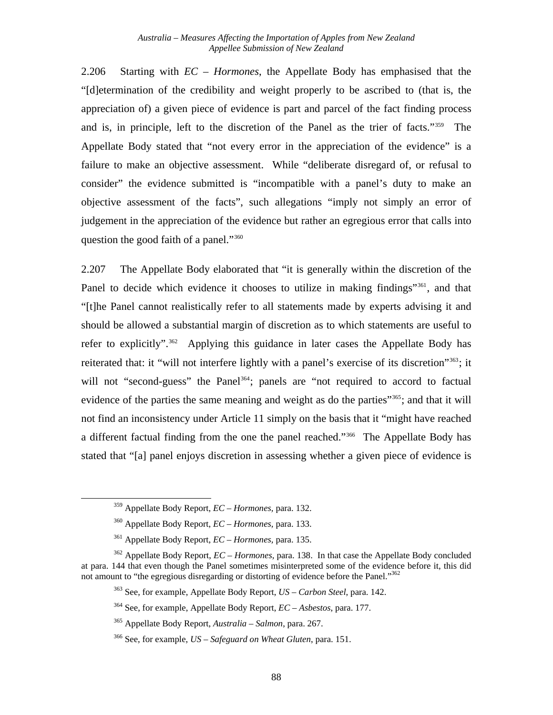2.206 Starting with *EC – Hormones*, the Appellate Body has emphasised that the "[d]etermination of the credibility and weight properly to be ascribed to (that is, the appreciation of) a given piece of evidence is part and parcel of the fact finding process and is, in principle, left to the discretion of the Panel as the trier of facts."[359](#page-94-0) The Appellate Body stated that "not every error in the appreciation of the evidence" is a failure to make an objective assessment. While "deliberate disregard of, or refusal to consider" the evidence submitted is "incompatible with a panel's duty to make an objective assessment of the facts", such allegations "imply not simply an error of judgement in the appreciation of the evidence but rather an egregious error that calls into question the good faith of a panel."[360](#page-94-1)

2.207 The Appellate Body elaborated that "it is generally within the discretion of the Panel to decide which evidence it chooses to utilize in making findings<sup>"[361](#page-94-2)</sup>, and that "[t]he Panel cannot realistically refer to all statements made by experts advising it and should be allowed a substantial margin of discretion as to which statements are useful to refer to explicitly".<sup>[362](#page-94-3)</sup> Applying this guidance in later cases the Appellate Body has reiterated that: it "will not interfere lightly with a panel's exercise of its discretion"[363](#page-94-4); it will not "second-guess" the Panel<sup>[364](#page-94-5)</sup>; panels are "not required to accord to factual evidence of the parties the same meaning and weight as do the parties"<sup>[365](#page-94-6)</sup>; and that it will not find an inconsistency under Article 11 simply on the basis that it "might have reached a different factual finding from the one the panel reached."[366](#page-94-7) The Appellate Body has stated that "[a] panel enjoys discretion in assessing whether a given piece of evidence is

<sup>359</sup> Appellate Body Report, *EC – Hormones,* para. 132.

<sup>360</sup> Appellate Body Report, *EC – Hormones,* para. 133.

<sup>361</sup> Appellate Body Report, *EC – Hormones,* para. 135.

<span id="page-94-6"></span><span id="page-94-5"></span><span id="page-94-4"></span><span id="page-94-3"></span><span id="page-94-2"></span><span id="page-94-1"></span><span id="page-94-0"></span><sup>362</sup> Appellate Body Report, *EC – Hormones,* para. 138. In that case the Appellate Body concluded at para. 144 that even though the Panel sometimes misinterpreted some of the evidence before it, this did not amount to "the egregious disregarding or distorting of evidence before the Panel."<sup>362</sup>

<sup>363</sup> See, for example, Appellate Body Report, *US – Carbon Steel*, para. 142.

<sup>364</sup> See, for example, Appellate Body Report, *EC – Asbestos*, para. 177.

<sup>365</sup> Appellate Body Report, *Australia – Salmon*, para. 267.

<span id="page-94-7"></span><sup>366</sup> See, for example, *US – Safeguard on Wheat Gluten*, para. 151.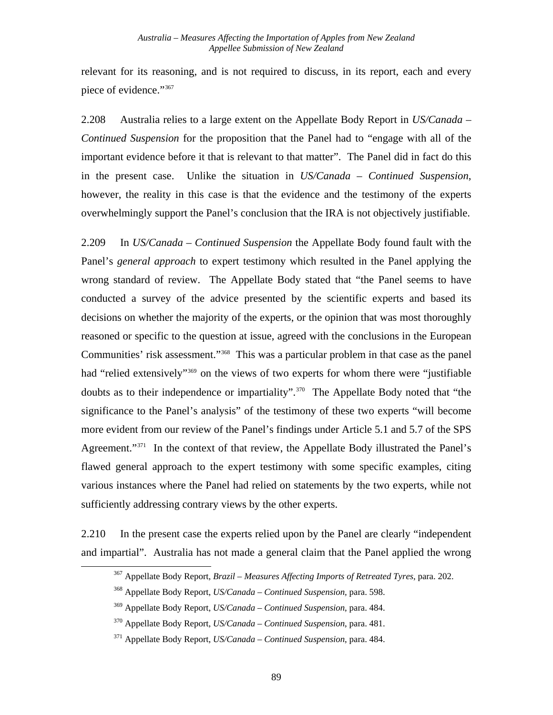relevant for its reasoning, and is not required to discuss, in its report, each and every piece of evidence."[367](#page-95-0)

2.208 Australia relies to a large extent on the Appellate Body Report in *US/Canada – Continued Suspension* for the proposition that the Panel had to "engage with all of the important evidence before it that is relevant to that matter". The Panel did in fact do this in the present case. Unlike the situation in *US/Canada – Continued Suspension*, however, the reality in this case is that the evidence and the testimony of the experts overwhelmingly support the Panel's conclusion that the IRA is not objectively justifiable.

2.209 In *US/Canada – Continued Suspension* the Appellate Body found fault with the Panel's *general approach* to expert testimony which resulted in the Panel applying the wrong standard of review. The Appellate Body stated that "the Panel seems to have conducted a survey of the advice presented by the scientific experts and based its decisions on whether the majority of the experts, or the opinion that was most thoroughly reasoned or specific to the question at issue, agreed with the conclusions in the European Communities' risk assessment."[368](#page-95-1) This was a particular problem in that case as the panel had "relied extensively"<sup>[369](#page-95-2)</sup> on the views of two experts for whom there were "justifiable" doubts as to their independence or impartiality".<sup>[370](#page-95-3)</sup> The Appellate Body noted that "the significance to the Panel's analysis" of the testimony of these two experts "will become more evident from our review of the Panel's findings under Article 5.1 and 5.7 of the SPS Agreement."<sup>[371](#page-95-4)</sup> In the context of that review, the Appellate Body illustrated the Panel's flawed general approach to the expert testimony with some specific examples, citing various instances where the Panel had relied on statements by the two experts, while not sufficiently addressing contrary views by the other experts.

<span id="page-95-2"></span><span id="page-95-1"></span><span id="page-95-0"></span>2.210 In the present case the experts relied upon by the Panel are clearly "independent and impartial". Australia has not made a general claim that the Panel applied the wrong

<sup>367</sup> Appellate Body Report, *Brazil – Measures Affecting Imports of Retreated Tyres*, para. 202.

<sup>368</sup> Appellate Body Report, *US/Canada – Continued Suspension,* para. 598.

<sup>369</sup> Appellate Body Report, *US/Canada – Continued Suspension*, para. 484.

<span id="page-95-3"></span><sup>370</sup> Appellate Body Report, *US/Canada – Continued Suspension*, para. 481.

<span id="page-95-4"></span><sup>371</sup> Appellate Body Report, *US/Canada – Continued Suspension*, para. 484.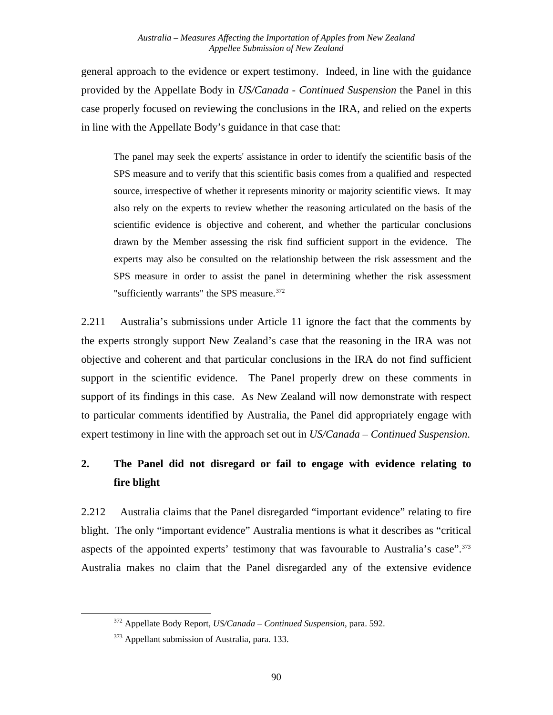general approach to the evidence or expert testimony. Indeed, in line with the guidance provided by the Appellate Body in *US/Canada - Continued Suspension* the Panel in this case properly focused on reviewing the conclusions in the IRA, and relied on the experts in line with the Appellate Body's guidance in that case that:

The panel may seek the experts' assistance in order to identify the scientific basis of the SPS measure and to verify that this scientific basis comes from a qualified and respected source, irrespective of whether it represents minority or majority scientific views. It may also rely on the experts to review whether the reasoning articulated on the basis of the scientific evidence is objective and coherent, and whether the particular conclusions drawn by the Member assessing the risk find sufficient support in the evidence. The experts may also be consulted on the relationship between the risk assessment and the SPS measure in order to assist the panel in determining whether the risk assessment "sufficiently warrants" the SPS measure.<sup>[372](#page-96-0)</sup>

2.211 Australia's submissions under Article 11 ignore the fact that the comments by the experts strongly support New Zealand's case that the reasoning in the IRA was not objective and coherent and that particular conclusions in the IRA do not find sufficient support in the scientific evidence. The Panel properly drew on these comments in support of its findings in this case. As New Zealand will now demonstrate with respect to particular comments identified by Australia, the Panel did appropriately engage with expert testimony in line with the approach set out in *US/Canada – Continued Suspension*.

# **2. The Panel did not disregard or fail to engage with evidence relating to fire blight**

2.212 Australia claims that the Panel disregarded "important evidence" relating to fire blight. The only "important evidence" Australia mentions is what it describes as "critical aspects of the appointed experts' testimony that was favourable to Australia's case".<sup>[373](#page-96-1)</sup> Australia makes no claim that the Panel disregarded any of the extensive evidence

<span id="page-96-0"></span><sup>372</sup> Appellate Body Report, *US/Canada – Continued Suspension*, para. 592.

<span id="page-96-1"></span><sup>&</sup>lt;sup>373</sup> Appellant submission of Australia, para. 133.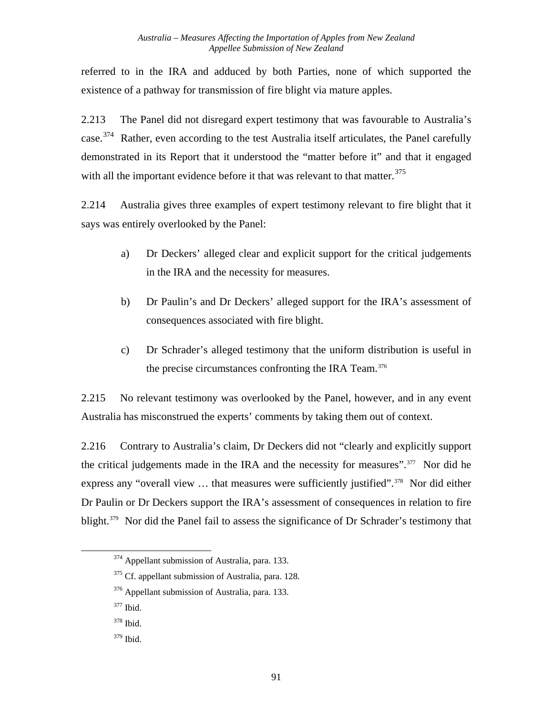referred to in the IRA and adduced by both Parties, none of which supported the existence of a pathway for transmission of fire blight via mature apples.

2.213 The Panel did not disregard expert testimony that was favourable to Australia's case.<sup>[374](#page-97-0)</sup> Rather, even according to the test Australia itself articulates, the Panel carefully demonstrated in its Report that it understood the "matter before it" and that it engaged with all the important evidence before it that was relevant to that matter.<sup>[375](#page-97-1)</sup>

2.214 Australia gives three examples of expert testimony relevant to fire blight that it says was entirely overlooked by the Panel:

- a) Dr Deckers' alleged clear and explicit support for the critical judgements in the IRA and the necessity for measures.
- b) Dr Paulin's and Dr Deckers' alleged support for the IRA's assessment of consequences associated with fire blight.
- c) Dr Schrader's alleged testimony that the uniform distribution is useful in the precise circumstances confronting the IRA Team.<sup>[376](#page-97-2)</sup>

2.215 No relevant testimony was overlooked by the Panel, however, and in any event Australia has misconstrued the experts' comments by taking them out of context.

2.216 Contrary to Australia's claim, Dr Deckers did not "clearly and explicitly support the critical judgements made in the IRA and the necessity for measures".<sup>[377](#page-97-3)</sup> Nor did he express any "overall view ... that measures were sufficiently justified".<sup>[378](#page-97-4)</sup> Nor did either Dr Paulin or Dr Deckers support the IRA's assessment of consequences in relation to fire blight.<sup>[379](#page-97-5)</sup> Nor did the Panel fail to assess the significance of Dr Schrader's testimony that

<span id="page-97-0"></span><sup>&</sup>lt;sup>374</sup> Appellant submission of Australia, para. 133.

<span id="page-97-1"></span><sup>&</sup>lt;sup>375</sup> Cf. appellant submission of Australia, para. 128.

<span id="page-97-2"></span><sup>376</sup> Appellant submission of Australia, para. 133.

<span id="page-97-3"></span><sup>377</sup> Ibid.

<span id="page-97-4"></span><sup>378</sup> Ibid.

<span id="page-97-5"></span><sup>379</sup> Ibid.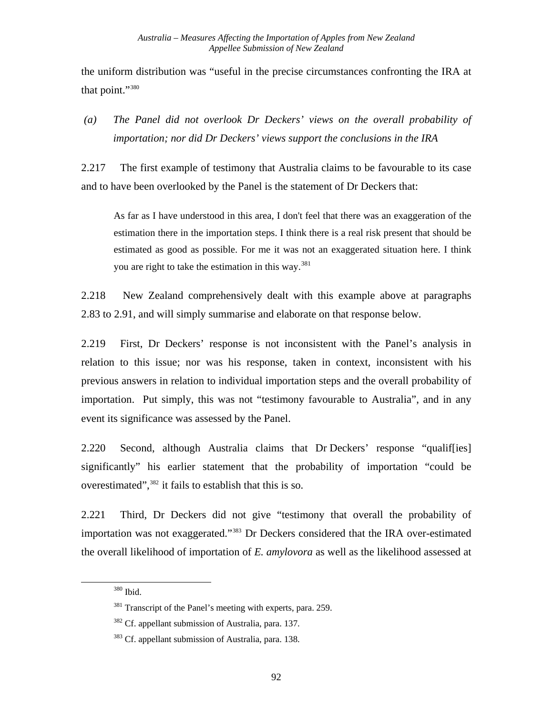the uniform distribution was "useful in the precise circumstances confronting the IRA at that point.["380](#page-98-0)

### *(a) The Panel did not overlook Dr Deckers' views on the overall probability of importation; nor did Dr Deckers' views support the conclusions in the IRA*

2.217 The first example of testimony that Australia claims to be favourable to its case and to have been overlooked by the Panel is the statement of Dr Deckers that:

As far as I have understood in this area, I don't feel that there was an exaggeration of the estimation there in the importation steps. I think there is a real risk present that should be estimated as good as possible. For me it was not an exaggerated situation here. I think you are right to take the estimation in this way.<sup>[381](#page-98-1)</sup>

2.218 New Zealand comprehensively dealt with this example above at paragraphs [2.83](#page-52-0) to [2.91](#page-56-0), and will simply summarise and elaborate on that response below.

2.219 First, Dr Deckers' response is not inconsistent with the Panel's analysis in relation to this issue; nor was his response, taken in context, inconsistent with his previous answers in relation to individual importation steps and the overall probability of importation. Put simply, this was not "testimony favourable to Australia", and in any event its significance was assessed by the Panel.

2.220 Second, although Australia claims that Dr Deckers' response "qualif[ies] significantly" his earlier statement that the probability of importation "could be overestimated",<sup>[382](#page-98-2)</sup> it fails to establish that this is so.

<span id="page-98-0"></span>2.221 Third, Dr Deckers did not give "testimony that overall the probability of importation was not exaggerated."[383](#page-98-3) Dr Deckers considered that the IRA over-estimated the overall likelihood of importation of *E. amylovora* as well as the likelihood assessed at

<sup>380</sup> Ibid.

<span id="page-98-1"></span><sup>&</sup>lt;sup>381</sup> Transcript of the Panel's meeting with experts, para. 259.

<span id="page-98-2"></span><sup>&</sup>lt;sup>382</sup> Cf. appellant submission of Australia, para. 137.

<span id="page-98-3"></span><sup>&</sup>lt;sup>383</sup> Cf. appellant submission of Australia, para. 138.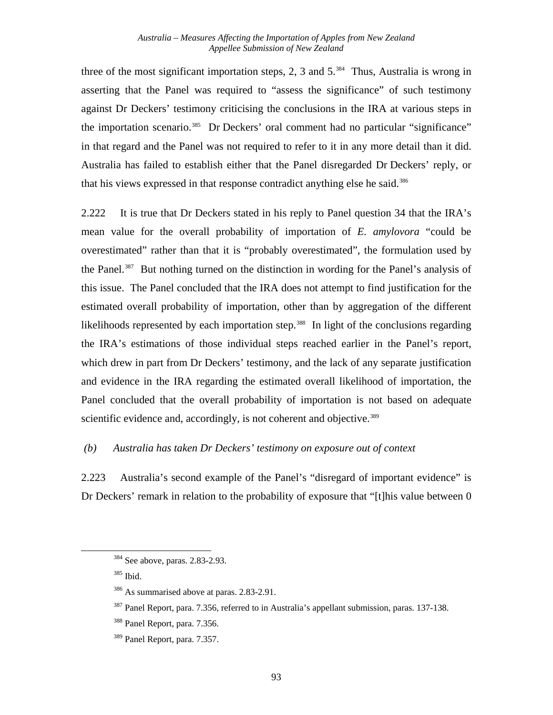three of the most significant importation steps, 2, 3 and  $5.^{384}$  $5.^{384}$  $5.^{384}$  Thus, Australia is wrong in asserting that the Panel was required to "assess the significance" of such testimony against Dr Deckers' testimony criticising the conclusions in the IRA at various steps in the importation scenario.<sup>[385](#page-99-1)</sup> Dr Deckers' oral comment had no particular "significance" in that regard and the Panel was not required to refer to it in any more detail than it did. Australia has failed to establish either that the Panel disregarded Dr Deckers' reply, or that his views expressed in that response contradict anything else he said.<sup>[386](#page-99-2)</sup>

2.222 It is true that Dr Deckers stated in his reply to Panel question 34 that the IRA's mean value for the overall probability of importation of *E. amylovora* "could be overestimated" rather than that it is "probably overestimated", the formulation used by the Panel.<sup>[387](#page-99-3)</sup> But nothing turned on the distinction in wording for the Panel's analysis of this issue. The Panel concluded that the IRA does not attempt to find justification for the estimated overall probability of importation, other than by aggregation of the different likelihoods represented by each importation step.<sup>388</sup> In light of the conclusions regarding the IRA's estimations of those individual steps reached earlier in the Panel's report, which drew in part from Dr Deckers' testimony, and the lack of any separate justification and evidence in the IRA regarding the estimated overall likelihood of importation, the Panel concluded that the overall probability of importation is not based on adequate scientific evidence and, accordingly, is not coherent and objective.<sup>[389](#page-99-5)</sup>

#### *(b) Australia has taken Dr Deckers' testimony on exposure out of context*

2.223 Australia's second example of the Panel's "disregard of important evidence" is Dr Deckers' remark in relation to the probability of exposure that "[t]his value between 0

<span id="page-99-0"></span><sup>384</sup> See above, paras. 2.83-2.93.

<span id="page-99-1"></span><sup>385</sup> Ibid.

<sup>386</sup> As summarised above at paras. 2.83-2.91.

<span id="page-99-3"></span><span id="page-99-2"></span><sup>387</sup> Panel Report, para. 7.356, referred to in Australia's appellant submission, paras. 137-138.

<span id="page-99-4"></span><sup>388</sup> Panel Report, para. 7.356.

<span id="page-99-5"></span><sup>389</sup> Panel Report, para. 7.357.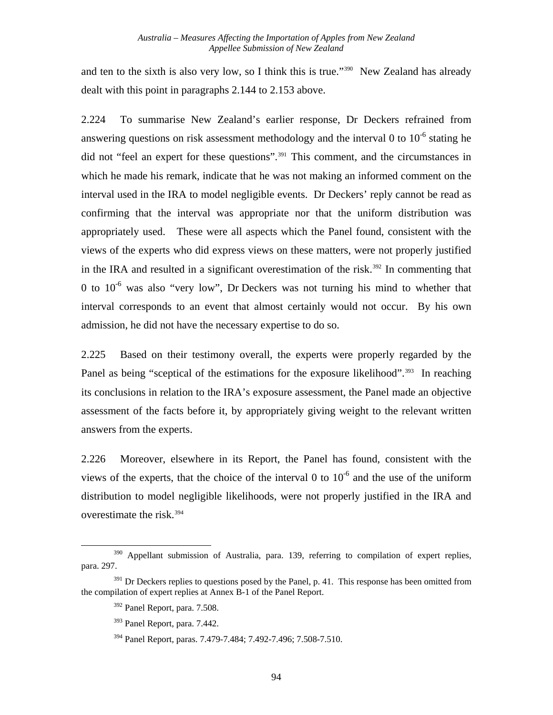and ten to the sixth is also very low, so I think this is true."[390](#page-100-0) New Zealand has already dealt with this point in paragraphs [2.144](#page-75-5) to [2.153](#page-78-4) above.

2.224 To summarise New Zealand's earlier response, Dr Deckers refrained from answering questions on risk assessment methodology and the interval 0 to  $10^{-6}$  stating he did not "feel an expert for these questions".<sup>[391](#page-100-1)</sup> This comment, and the circumstances in which he made his remark, indicate that he was not making an informed comment on the interval used in the IRA to model negligible events. Dr Deckers' reply cannot be read as confirming that the interval was appropriate nor that the uniform distribution was appropriately used. These were all aspects which the Panel found, consistent with the views of the experts who did express views on these matters, were not properly justified in the IRA and resulted in a significant overestimation of the risk.<sup>[392](#page-100-2)</sup> In commenting that 0 to  $10^{-6}$  was also "very low". Dr Deckers was not turning his mind to whether that interval corresponds to an event that almost certainly would not occur. By his own admission, he did not have the necessary expertise to do so.

2.225 Based on their testimony overall, the experts were properly regarded by the Panel as being "sceptical of the estimations for the exposure likelihood".<sup>[393](#page-100-3)</sup> In reaching its conclusions in relation to the IRA's exposure assessment, the Panel made an objective assessment of the facts before it, by appropriately giving weight to the relevant written answers from the experts.

2.226 Moreover, elsewhere in its Report, the Panel has found, consistent with the views of the experts, that the choice of the interval 0 to  $10^{-6}$  and the use of the uniform distribution to model negligible likelihoods, were not properly justified in the IRA and overestimate the risk.<sup>[394](#page-100-4)</sup>

<span id="page-100-0"></span><sup>&</sup>lt;sup>390</sup> Appellant submission of Australia, para. 139, referring to compilation of expert replies, para. 297.

<span id="page-100-4"></span><span id="page-100-3"></span><span id="page-100-2"></span><span id="page-100-1"></span> $391$  Dr Deckers replies to questions posed by the Panel, p. 41. This response has been omitted from the compilation of expert replies at Annex B-1 of the Panel Report.

<sup>392</sup> Panel Report, para. 7.508.

<sup>393</sup> Panel Report, para. 7.442.

<sup>394</sup> Panel Report, paras. 7.479-7.484; 7.492-7.496; 7.508-7.510.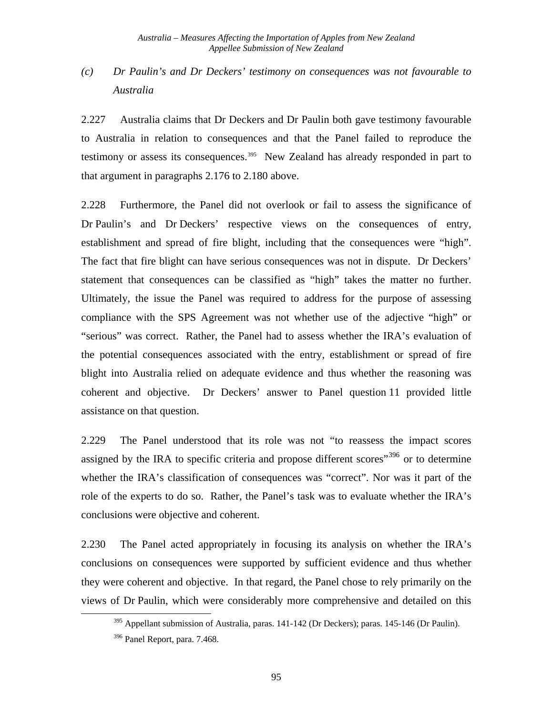## *(c) Dr Paulin's and Dr Deckers' testimony on consequences was not favourable to Australia*

2.227 Australia claims that Dr Deckers and Dr Paulin both gave testimony favourable to Australia in relation to consequences and that the Panel failed to reproduce the testimony or assess its consequences.<sup>[395](#page-101-0)</sup> New Zealand has already responded in part to that argument in paragraphs [2.176](#page-85-5) to [2.180](#page-86-3) above.

2.228 Furthermore, the Panel did not overlook or fail to assess the significance of Dr Paulin's and Dr Deckers' respective views on the consequences of entry, establishment and spread of fire blight, including that the consequences were "high". The fact that fire blight can have serious consequences was not in dispute. Dr Deckers' statement that consequences can be classified as "high" takes the matter no further. Ultimately, the issue the Panel was required to address for the purpose of assessing compliance with the SPS Agreement was not whether use of the adjective "high" or "serious" was correct. Rather, the Panel had to assess whether the IRA's evaluation of the potential consequences associated with the entry, establishment or spread of fire blight into Australia relied on adequate evidence and thus whether the reasoning was coherent and objective. Dr Deckers' answer to Panel question 11 provided little assistance on that question.

2.229 The Panel understood that its role was not "to reassess the impact scores assigned by the IRA to specific criteria and propose different scores<sup> $,396$  $,396$ </sup> or to determine whether the IRA's classification of consequences was "correct". Nor was it part of the role of the experts to do so. Rather, the Panel's task was to evaluate whether the IRA's conclusions were objective and coherent.

2.230 The Panel acted appropriately in focusing its analysis on whether the IRA's conclusions on consequences were supported by sufficient evidence and thus whether they were coherent and objective. In that regard, the Panel chose to rely primarily on the views of Dr Paulin, which were considerably more comprehensive and detailed on this

<span id="page-101-0"></span> $395$  Appellant submission of Australia, paras. 141-142 (Dr Deckers); paras. 145-146 (Dr Paulin).

<span id="page-101-1"></span><sup>&</sup>lt;sup>396</sup> Panel Report, para. 7.468.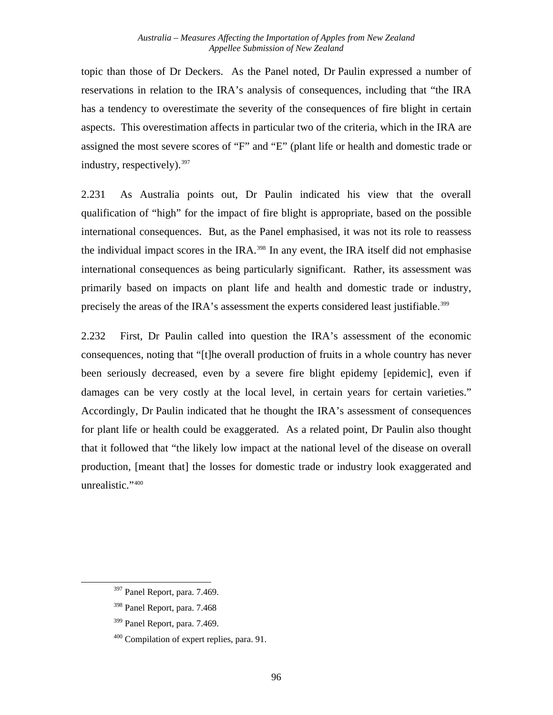topic than those of Dr Deckers. As the Panel noted, Dr Paulin expressed a number of reservations in relation to the IRA's analysis of consequences, including that "the IRA has a tendency to overestimate the severity of the consequences of fire blight in certain aspects. This overestimation affects in particular two of the criteria, which in the IRA are assigned the most severe scores of "F" and "E" (plant life or health and domestic trade or industry, respectively).<sup>[397](#page-102-0)</sup>

2.231 As Australia points out, Dr Paulin indicated his view that the overall qualification of "high" for the impact of fire blight is appropriate, based on the possible international consequences. But, as the Panel emphasised, it was not its role to reassess the individual impact scores in the IRA.<sup>[398](#page-102-1)</sup> In any event, the IRA itself did not emphasise international consequences as being particularly significant. Rather, its assessment was primarily based on impacts on plant life and health and domestic trade or industry, precisely the areas of the IRA's assessment the experts considered least justifiable.<sup>[399](#page-102-2)</sup>

2.232 First, Dr Paulin called into question the IRA's assessment of the economic consequences, noting that "[t]he overall production of fruits in a whole country has never been seriously decreased, even by a severe fire blight epidemy [epidemic], even if damages can be very costly at the local level, in certain years for certain varieties." Accordingly, Dr Paulin indicated that he thought the IRA's assessment of consequences for plant life or health could be exaggerated. As a related point, Dr Paulin also thought that it followed that "the likely low impact at the national level of the disease on overall production, [meant that] the losses for domestic trade or industry look exaggerated and unrealistic." [400](#page-102-3)

<span id="page-102-0"></span><sup>397</sup> Panel Report, para. 7.469.

<span id="page-102-1"></span><sup>398</sup> Panel Report, para. 7.468

<span id="page-102-2"></span><sup>&</sup>lt;sup>399</sup> Panel Report, para. 7.469.

<span id="page-102-3"></span><sup>&</sup>lt;sup>400</sup> Compilation of expert replies, para. 91.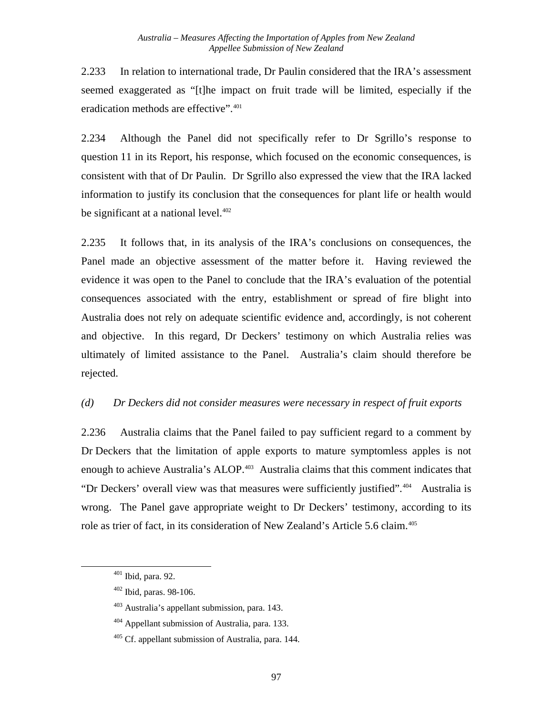2.233 In relation to international trade, Dr Paulin considered that the IRA's assessment seemed exaggerated as "[t]he impact on fruit trade will be limited, especially if the eradication methods are effective".<sup>[401](#page-103-0)</sup>

2.234 Although the Panel did not specifically refer to Dr Sgrillo's response to question 11 in its Report, his response, which focused on the economic consequences, is consistent with that of Dr Paulin. Dr Sgrillo also expressed the view that the IRA lacked information to justify its conclusion that the consequences for plant life or health would be significant at a national level.<sup>402</sup>

2.235 It follows that, in its analysis of the IRA's conclusions on consequences, the Panel made an objective assessment of the matter before it. Having reviewed the evidence it was open to the Panel to conclude that the IRA's evaluation of the potential consequences associated with the entry, establishment or spread of fire blight into Australia does not rely on adequate scientific evidence and, accordingly, is not coherent and objective. In this regard, Dr Deckers' testimony on which Australia relies was ultimately of limited assistance to the Panel. Australia's claim should therefore be rejected.

### *(d) Dr Deckers did not consider measures were necessary in respect of fruit exports*

2.236 Australia claims that the Panel failed to pay sufficient regard to a comment by Dr Deckers that the limitation of apple exports to mature symptomless apples is not enough to achieve Australia's ALOP.<sup>[403](#page-103-2)</sup> Australia claims that this comment indicates that "Dr Deckers' overall view was that measures were sufficiently justified".<sup>[404](#page-103-3)</sup> Australia is wrong. The Panel gave appropriate weight to Dr Deckers' testimony, according to its role as trier of fact, in its consideration of New Zealand's Article 5.6 claim.<sup>[405](#page-103-4)</sup>

<span id="page-103-0"></span><sup>401</sup> Ibid, para. 92.

<span id="page-103-1"></span><sup>402</sup> Ibid, paras. 98-106.

<span id="page-103-2"></span><sup>403</sup> Australia's appellant submission, para. 143.

<span id="page-103-3"></span> $404$  Appellant submission of Australia, para. 133.

<span id="page-103-4"></span> $405$  Cf. appellant submission of Australia, para. 144.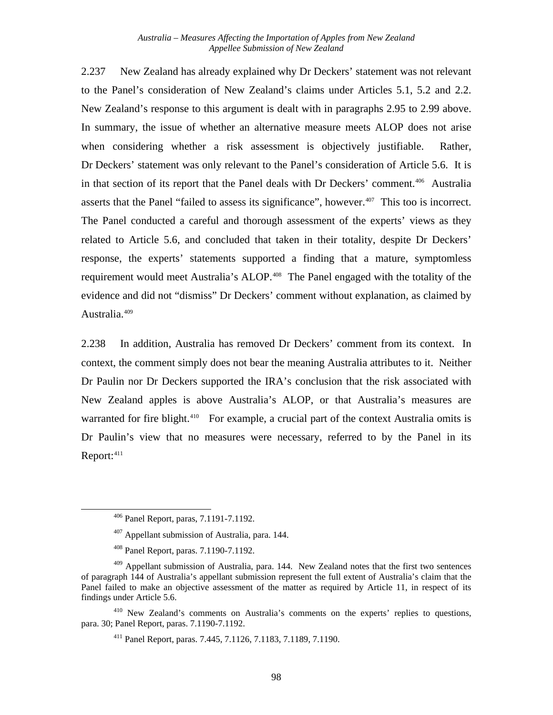2.237 New Zealand has already explained why Dr Deckers' statement was not relevant to the Panel's consideration of New Zealand's claims under Articles 5.1, 5.2 and 2.2. New Zealand's response to this argument is dealt with in paragraphs [2.95](#page-57-0) to [2.99](#page-59-0) above. In summary, the issue of whether an alternative measure meets ALOP does not arise when considering whether a risk assessment is objectively justifiable. Rather, Dr Deckers' statement was only relevant to the Panel's consideration of Article 5.6. It is in that section of its report that the Panel deals with Dr Deckers' comment.[406](#page-104-0) Australia asserts that the Panel "failed to assess its significance", however.<sup>[407](#page-104-1)</sup> This too is incorrect. The Panel conducted a careful and thorough assessment of the experts' views as they related to Article 5.6, and concluded that taken in their totality, despite Dr Deckers' response, the experts' statements supported a finding that a mature, symptomless requirement would meet Australia's ALOP.<sup>[408](#page-104-2)</sup> The Panel engaged with the totality of the evidence and did not "dismiss" Dr Deckers' comment without explanation, as claimed by Australia.<sup>[409](#page-104-3)</sup>

2.238 In addition, Australia has removed Dr Deckers' comment from its context. In context, the comment simply does not bear the meaning Australia attributes to it. Neither Dr Paulin nor Dr Deckers supported the IRA's conclusion that the risk associated with New Zealand apples is above Australia's ALOP, or that Australia's measures are warranted for fire blight.<sup>[410](#page-104-4)</sup> For example, a crucial part of the context Australia omits is Dr Paulin's view that no measures were necessary, referred to by the Panel in its  $Report: <sup>411</sup>$ 

<span id="page-104-1"></span><span id="page-104-0"></span>l

<span id="page-104-5"></span><span id="page-104-4"></span>410 New Zealand's comments on Australia's comments on the experts' replies to questions, para. 30; Panel Report, paras. 7.1190-7.1192.

<sup>406</sup> Panel Report, paras, 7.1191-7.1192.

<sup>407</sup> Appellant submission of Australia, para. 144.

<sup>408</sup> Panel Report, paras. 7.1190-7.1192.

<span id="page-104-3"></span><span id="page-104-2"></span> $409$  Appellant submission of Australia, para. 144. New Zealand notes that the first two sentences of paragraph 144 of Australia's appellant submission represent the full extent of Australia's claim that the Panel failed to make an objective assessment of the matter as required by Article 11, in respect of its findings under Article 5.6.

<sup>411</sup> Panel Report, paras. 7.445, 7.1126, 7.1183, 7.1189, 7.1190.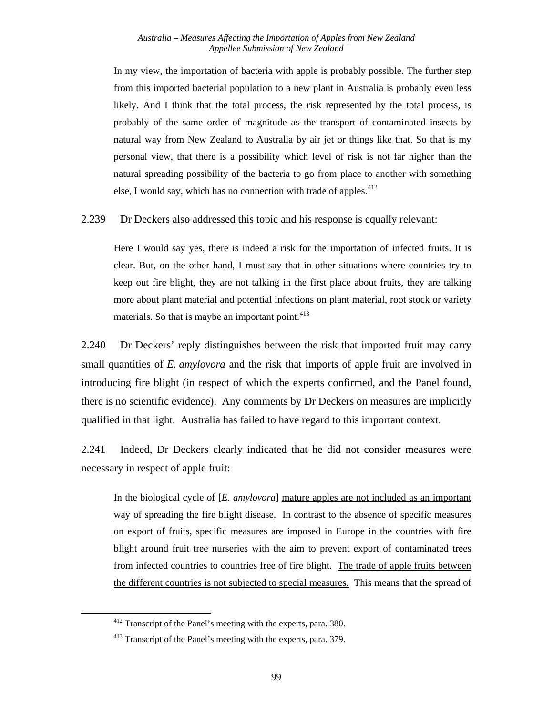In my view, the importation of bacteria with apple is probably possible. The further step from this imported bacterial population to a new plant in Australia is probably even less likely. And I think that the total process, the risk represented by the total process, is probably of the same order of magnitude as the transport of contaminated insects by natural way from New Zealand to Australia by air jet or things like that. So that is my personal view, that there is a possibility which level of risk is not far higher than the natural spreading possibility of the bacteria to go from place to another with something else, I would say, which has no connection with trade of apples.<sup>[412](#page-105-0)</sup>

2.239 Dr Deckers also addressed this topic and his response is equally relevant:

Here I would say yes, there is indeed a risk for the importation of infected fruits. It is clear. But, on the other hand, I must say that in other situations where countries try to keep out fire blight, they are not talking in the first place about fruits, they are talking more about plant material and potential infections on plant material, root stock or variety materials. So that is maybe an important point. $413$ 

2.240 Dr Deckers' reply distinguishes between the risk that imported fruit may carry small quantities of *E. amylovora* and the risk that imports of apple fruit are involved in introducing fire blight (in respect of which the experts confirmed, and the Panel found, there is no scientific evidence). Any comments by Dr Deckers on measures are implicitly qualified in that light. Australia has failed to have regard to this important context.

2.241 Indeed, Dr Deckers clearly indicated that he did not consider measures were necessary in respect of apple fruit:

In the biological cycle of [*E. amylovora*] mature apples are not included as an important way of spreading the fire blight disease. In contrast to the absence of specific measures on export of fruits, specific measures are imposed in Europe in the countries with fire blight around fruit tree nurseries with the aim to prevent export of contaminated trees from infected countries to countries free of fire blight. The trade of apple fruits between the different countries is not subjected to special measures. This means that the spread of

<span id="page-105-0"></span> <sup>412</sup> Transcript of the Panel's meeting with the experts, para. 380.

<span id="page-105-1"></span><sup>413</sup> Transcript of the Panel's meeting with the experts, para. 379.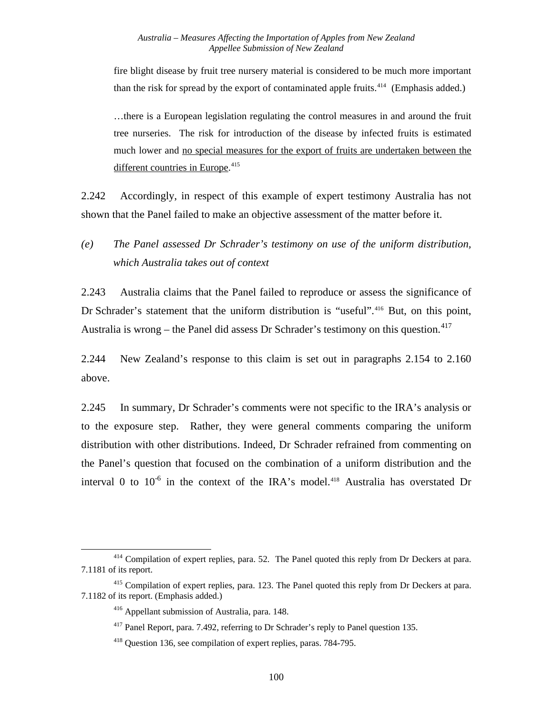fire blight disease by fruit tree nursery material is considered to be much more important than the risk for spread by the export of contaminated apple fruits.<sup>[414](#page-106-0)</sup> (Emphasis added.)

…there is a European legislation regulating the control measures in and around the fruit tree nurseries. The risk for introduction of the disease by infected fruits is estimated much lower and no special measures for the export of fruits are undertaken between the different countries in Europe.<sup>[415](#page-106-1)</sup>

2.242 Accordingly, in respect of this example of expert testimony Australia has not shown that the Panel failed to make an objective assessment of the matter before it.

## *(e) The Panel assessed Dr Schrader's testimony on use of the uniform distribution, which Australia takes out of context*

2.243 Australia claims that the Panel failed to reproduce or assess the significance of Dr Schrader's statement that the uniform distribution is "useful".<sup>[416](#page-106-2)</sup> But, on this point, Australia is wrong – the Panel did assess Dr Schrader's testimony on this question.<sup>[417](#page-106-3)</sup>

2.244 New Zealand's response to this claim is set out in paragraphs [2.154](#page-79-6) to [2.160](#page-81-6) above.

2.245 In summary, Dr Schrader's comments were not specific to the IRA's analysis or to the exposure step. Rather, they were general comments comparing the uniform distribution with other distributions. Indeed, Dr Schrader refrained from commenting on the Panel's question that focused on the combination of a uniform distribution and the interval 0 to  $10^{-6}$  in the context of the IRA's model.<sup>[418](#page-106-4)</sup> Australia has overstated Dr

<span id="page-106-0"></span><sup>&</sup>lt;sup>414</sup> Compilation of expert replies, para. 52. The Panel quoted this reply from Dr Deckers at para. 7.1181 of its report.

<span id="page-106-4"></span><span id="page-106-3"></span><span id="page-106-2"></span><span id="page-106-1"></span><sup>&</sup>lt;sup>415</sup> Compilation of expert replies, para. 123. The Panel quoted this reply from Dr Deckers at para. 7.1182 of its report. (Emphasis added.)

<sup>416</sup> Appellant submission of Australia, para. 148.

<sup>&</sup>lt;sup>417</sup> Panel Report, para. 7.492, referring to Dr Schrader's reply to Panel question 135.

<sup>418</sup> Question 136, see compilation of expert replies, paras. 784-795.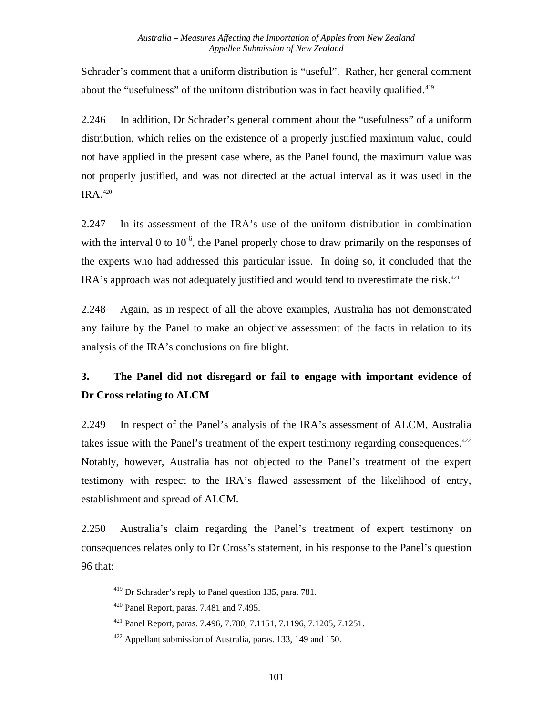Schrader's comment that a uniform distribution is "useful". Rather, her general comment about the "usefulness" of the uniform distribution was in fact heavily qualified. $419$ 

2.246 In addition, Dr Schrader's general comment about the "usefulness" of a uniform distribution, which relies on the existence of a properly justified maximum value, could not have applied in the present case where, as the Panel found, the maximum value was not properly justified, and was not directed at the actual interval as it was used in the  $IRA.<sub>420</sub>$  $IRA.<sub>420</sub>$  $IRA.<sub>420</sub>$ 

2.247 In its assessment of the IRA's use of the uniform distribution in combination with the interval 0 to  $10^{-6}$ , the Panel properly chose to draw primarily on the responses of the experts who had addressed this particular issue. In doing so, it concluded that the IRA's approach was not adequately justified and would tend to overestimate the risk.<sup>[421](#page-107-2)</sup>

2.248 Again, as in respect of all the above examples, Australia has not demonstrated any failure by the Panel to make an objective assessment of the facts in relation to its analysis of the IRA's conclusions on fire blight.

# **3. The Panel did not disregard or fail to engage with important evidence of Dr Cross relating to ALCM**

2.249 In respect of the Panel's analysis of the IRA's assessment of ALCM, Australia takes issue with the Panel's treatment of the expert testimony regarding consequences. $422$ Notably, however, Australia has not objected to the Panel's treatment of the expert testimony with respect to the IRA's flawed assessment of the likelihood of entry, establishment and spread of ALCM.

<span id="page-107-0"></span>2.250 Australia's claim regarding the Panel's treatment of expert testimony on consequences relates only to Dr Cross's statement, in his response to the Panel's question 96 that:

<sup>419</sup> Dr Schrader's reply to Panel question 135, para. 781.

<span id="page-107-1"></span> $420$  Panel Report, paras. 7.481 and 7.495.

<span id="page-107-2"></span><sup>421</sup> Panel Report, paras. 7.496, 7.780, 7.1151, 7.1196, 7.1205, 7.1251.

<span id="page-107-3"></span> $422$  Appellant submission of Australia, paras. 133, 149 and 150.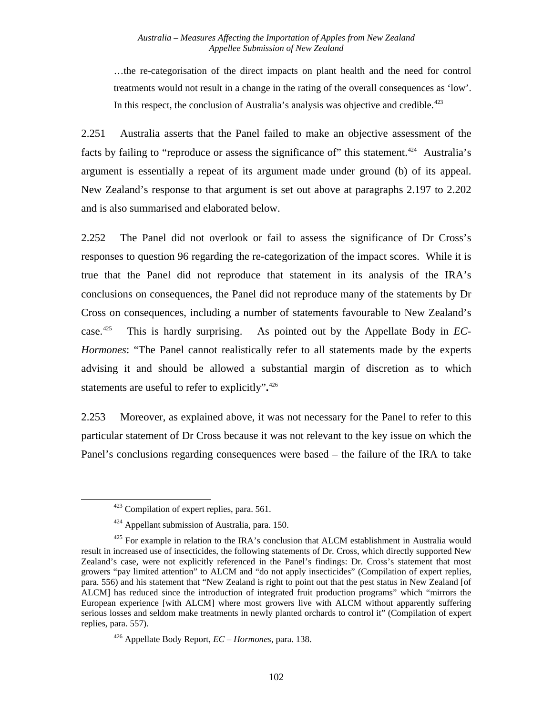…the re-categorisation of the direct impacts on plant health and the need for control treatments would not result in a change in the rating of the overall consequences as 'low'. In this respect, the conclusion of Australia's analysis was objective and credible. $423$ 

2.251 Australia asserts that the Panel failed to make an objective assessment of the facts by failing to "reproduce or assess the significance of" this statement.<sup>[424](#page-108-1)</sup> Australia's argument is essentially a repeat of its argument made under ground (b) of its appeal. New Zealand's response to that argument is set out above at paragraphs [2.197](#page-92-0) to [2.202](#page-93-0) and is also summarised and elaborated below.

2.252 The Panel did not overlook or fail to assess the significance of Dr Cross's responses to question 96 regarding the re-categorization of the impact scores. While it is true that the Panel did not reproduce that statement in its analysis of the IRA's conclusions on consequences, the Panel did not reproduce many of the statements by Dr Cross on consequences, including a number of statements favourable to New Zealand's case.[425](#page-108-2) This is hardly surprising. As pointed out by the Appellate Body in *EC-Hormones*: "The Panel cannot realistically refer to all statements made by the experts advising it and should be allowed a substantial margin of discretion as to which statements are useful to refer to explicitly"**.** [426](#page-108-3)

2.253 Moreover, as explained above, it was not necessary for the Panel to refer to this particular statement of Dr Cross because it was not relevant to the key issue on which the Panel's conclusions regarding consequences were based – the failure of the IRA to take

 $423$  Compilation of expert replies, para. 561.

<sup>&</sup>lt;sup>424</sup> Appellant submission of Australia, para. 150.

<span id="page-108-2"></span><span id="page-108-1"></span><span id="page-108-0"></span> $425$  For example in relation to the IRA's conclusion that ALCM establishment in Australia would result in increased use of insecticides, the following statements of Dr. Cross, which directly supported New Zealand's case, were not explicitly referenced in the Panel's findings: Dr. Cross's statement that most growers "pay limited attention" to ALCM and "do not apply insecticides" (Compilation of expert replies, para. 556) and his statement that "New Zealand is right to point out that the pest status in New Zealand [of ALCM] has reduced since the introduction of integrated fruit production programs" which "mirrors the European experience [with ALCM] where most growers live with ALCM without apparently suffering serious losses and seldom make treatments in newly planted orchards to control it" (Compilation of expert replies, para. 557).

<span id="page-108-3"></span><sup>426</sup> Appellate Body Report, *EC – Hormones*, para. 138.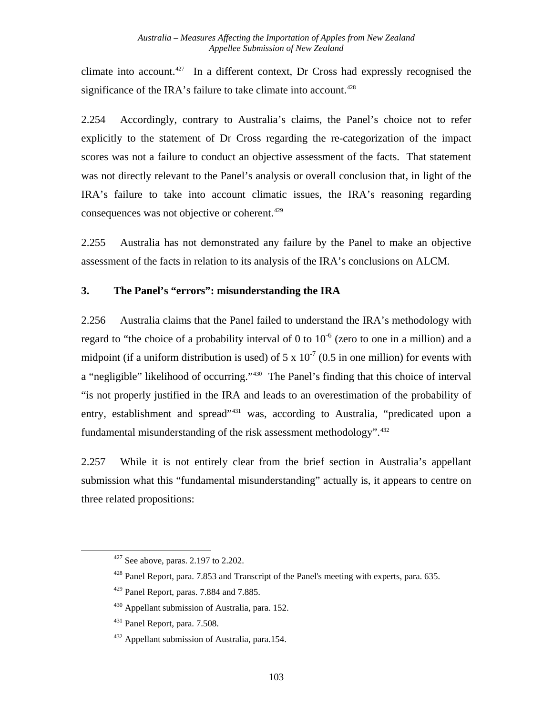climate into account.<sup>427</sup> In a different context, Dr Cross had expressly recognised the significance of the IRA's failure to take climate into account.<sup>[428](#page-109-1)</sup>

2.254 Accordingly, contrary to Australia's claims, the Panel's choice not to refer explicitly to the statement of Dr Cross regarding the re-categorization of the impact scores was not a failure to conduct an objective assessment of the facts. That statement was not directly relevant to the Panel's analysis or overall conclusion that, in light of the IRA's failure to take into account climatic issues, the IRA's reasoning regarding consequences was not objective or coherent.<sup>[429](#page-109-2)</sup>

2.255 Australia has not demonstrated any failure by the Panel to make an objective assessment of the facts in relation to its analysis of the IRA's conclusions on ALCM.

#### **3. The Panel's "errors": misunderstanding the IRA**

2.256 Australia claims that the Panel failed to understand the IRA's methodology with regard to "the choice of a probability interval of 0 to  $10^{-6}$  (zero to one in a million) and a midpoint (if a uniform distribution is used) of  $5 \times 10^{-7}$  (0.5 in one million) for events with a "negligible" likelihood of occurring."<sup>[430](#page-109-3)</sup> The Panel's finding that this choice of interval "is not properly justified in the IRA and leads to an overestimation of the probability of entry, establishment and spread<sup>"[431](#page-109-4)</sup> was, according to Australia, "predicated upon a fundamental misunderstanding of the risk assessment methodology".<sup>[432](#page-109-5)</sup>

2.257 While it is not entirely clear from the brief section in Australia's appellant submission what this "fundamental misunderstanding" actually is, it appears to centre on three related propositions:

<span id="page-109-0"></span> $427$  See above, paras. 2.197 to 2.202.

<span id="page-109-1"></span><sup>&</sup>lt;sup>428</sup> Panel Report, para. 7.853 and Transcript of the Panel's meeting with experts, para. 635.

<span id="page-109-2"></span><sup>429</sup> Panel Report, paras. 7.884 and 7.885.

<span id="page-109-3"></span><sup>430</sup> Appellant submission of Australia, para. 152.

<span id="page-109-4"></span><sup>431</sup> Panel Report, para. 7.508.

<span id="page-109-5"></span><sup>432</sup> Appellant submission of Australia, para.154.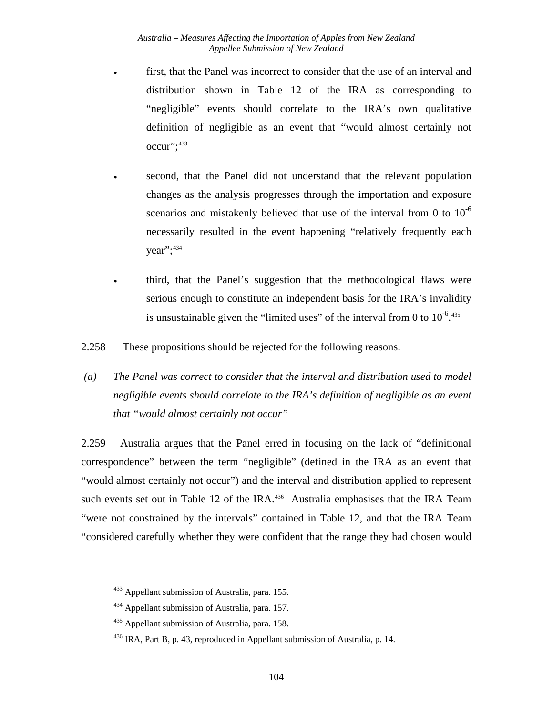- first, that the Panel was incorrect to consider that the use of an interval and distribution shown in Table 12 of the IRA as corresponding to "negligible" events should correlate to the IRA's own qualitative definition of negligible as an event that "would almost certainly not occur";[433](#page-110-0)
	- second, that the Panel did not understand that the relevant population changes as the analysis progresses through the importation and exposure scenarios and mistakenly believed that use of the interval from 0 to  $10^{-6}$ necessarily resulted in the event happening "relatively frequently each year";<sup>[434](#page-110-1)</sup>

• third, that the Panel's suggestion that the methodological flaws were serious enough to constitute an independent basis for the IRA's invalidity is unsustainable given the "limited uses" of the interval from 0 to  $10^{-6}$ .

2.258 These propositions should be rejected for the following reasons.

 *(a) The Panel was correct to consider that the interval and distribution used to model negligible events should correlate to the IRA's definition of negligible as an event that "would almost certainly not occur"* 

2.259 Australia argues that the Panel erred in focusing on the lack of "definitional correspondence" between the term "negligible" (defined in the IRA as an event that "would almost certainly not occur") and the interval and distribution applied to represent such events set out in Table 12 of the IRA. $436$  Australia emphasises that the IRA Team "were not constrained by the intervals" contained in Table 12, and that the IRA Team "considered carefully whether they were confident that the range they had chosen would

<span id="page-110-0"></span><sup>433</sup> Appellant submission of Australia, para. 155.

<span id="page-110-1"></span><sup>&</sup>lt;sup>434</sup> Appellant submission of Australia, para. 157.

<span id="page-110-2"></span><sup>&</sup>lt;sup>435</sup> Appellant submission of Australia, para. 158.

<span id="page-110-3"></span><sup>&</sup>lt;sup>436</sup> IRA, Part B, p. 43, reproduced in Appellant submission of Australia, p. 14.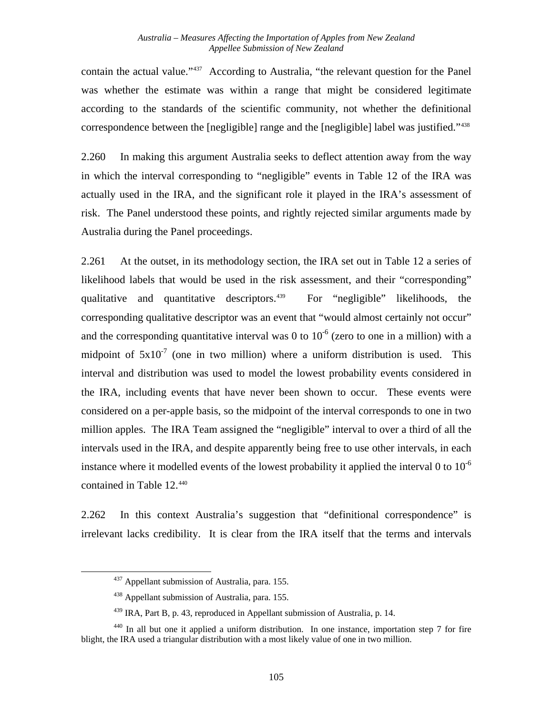contain the actual value."[437](#page-111-0) According to Australia, "the relevant question for the Panel was whether the estimate was within a range that might be considered legitimate according to the standards of the scientific community, not whether the definitional correspondence between the [negligible] range and the [negligible] label was justified."[438](#page-111-1)

2.260 In making this argument Australia seeks to deflect attention away from the way in which the interval corresponding to "negligible" events in Table 12 of the IRA was actually used in the IRA, and the significant role it played in the IRA's assessment of risk. The Panel understood these points, and rightly rejected similar arguments made by Australia during the Panel proceedings.

2.261 At the outset, in its methodology section, the IRA set out in Table 12 a series of likelihood labels that would be used in the risk assessment, and their "corresponding" qualitative and quantitative descriptors.<sup> $439$ </sup> For "negligible" likelihoods, the corresponding qualitative descriptor was an event that "would almost certainly not occur" and the corresponding quantitative interval was 0 to  $10^{-6}$  (zero to one in a million) with a midpoint of  $5x10^{-7}$  (one in two million) where a uniform distribution is used. This interval and distribution was used to model the lowest probability events considered in the IRA, including events that have never been shown to occur. These events were considered on a per-apple basis, so the midpoint of the interval corresponds to one in two million apples. The IRA Team assigned the "negligible" interval to over a third of all the intervals used in the IRA, and despite apparently being free to use other intervals, in each instance where it modelled events of the lowest probability it applied the interval 0 to  $10^{-6}$ contained in Table 12.<sup>[440](#page-111-3)</sup>

2.262 In this context Australia's suggestion that "definitional correspondence" is irrelevant lacks credibility. It is clear from the IRA itself that the terms and intervals

<sup>&</sup>lt;sup>437</sup> Appellant submission of Australia, para. 155.

<sup>438</sup> Appellant submission of Australia, para. 155.

<sup>439</sup> IRA, Part B, p. 43, reproduced in Appellant submission of Australia, p. 14.

<span id="page-111-3"></span><span id="page-111-2"></span><span id="page-111-1"></span><span id="page-111-0"></span><sup>&</sup>lt;sup>440</sup> In all but one it applied a uniform distribution. In one instance, importation step 7 for fire blight, the IRA used a triangular distribution with a most likely value of one in two million.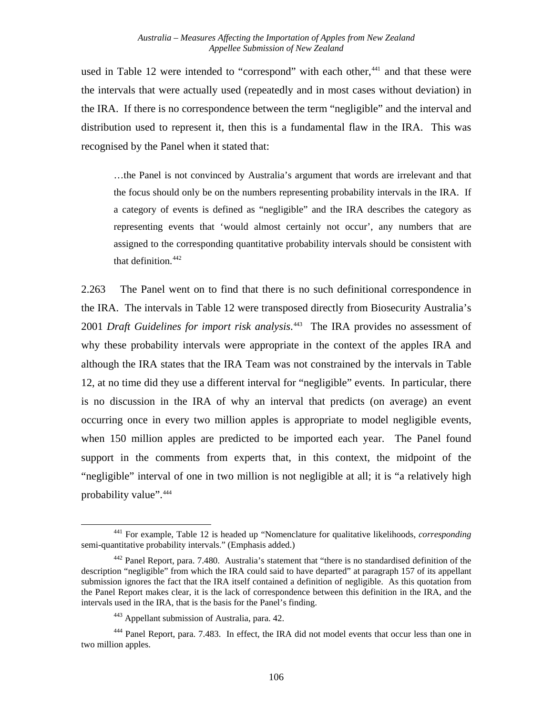used in Table 12 were intended to "correspond" with each other,<sup>[441](#page-112-0)</sup> and that these were the intervals that were actually used (repeatedly and in most cases without deviation) in the IRA. If there is no correspondence between the term "negligible" and the interval and distribution used to represent it, then this is a fundamental flaw in the IRA. This was recognised by the Panel when it stated that:

…the Panel is not convinced by Australia's argument that words are irrelevant and that the focus should only be on the numbers representing probability intervals in the IRA. If a category of events is defined as "negligible" and the IRA describes the category as representing events that 'would almost certainly not occur', any numbers that are assigned to the corresponding quantitative probability intervals should be consistent with that definition.<sup>[442](#page-112-1)</sup>

2.263 The Panel went on to find that there is no such definitional correspondence in the IRA. The intervals in Table 12 were transposed directly from Biosecurity Australia's 2001 *Draft Guidelines for import risk analysis*. [443](#page-112-2) The IRA provides no assessment of why these probability intervals were appropriate in the context of the apples IRA and although the IRA states that the IRA Team was not constrained by the intervals in Table 12, at no time did they use a different interval for "negligible" events. In particular, there is no discussion in the IRA of why an interval that predicts (on average) an event occurring once in every two million apples is appropriate to model negligible events, when 150 million apples are predicted to be imported each year. The Panel found support in the comments from experts that, in this context, the midpoint of the "negligible" interval of one in two million is not negligible at all; it is "a relatively high probability value".<sup>444</sup>

<span id="page-112-0"></span><sup>441</sup> For example, Table 12 is headed up "Nomenclature for qualitative likelihoods, *corresponding* semi-quantitative probability intervals." (Emphasis added.)

<span id="page-112-1"></span><sup>&</sup>lt;sup>442</sup> Panel Report, para. 7.480. Australia's statement that "there is no standardised definition of the description "negligible" from which the IRA could said to have departed" at paragraph 157 of its appellant submission ignores the fact that the IRA itself contained a definition of negligible. As this quotation from the Panel Report makes clear, it is the lack of correspondence between this definition in the IRA, and the intervals used in the IRA, that is the basis for the Panel's finding.

<sup>443</sup> Appellant submission of Australia, para. 42.

<span id="page-112-3"></span><span id="page-112-2"></span><sup>444</sup> Panel Report, para. 7.483. In effect, the IRA did not model events that occur less than one in two million apples.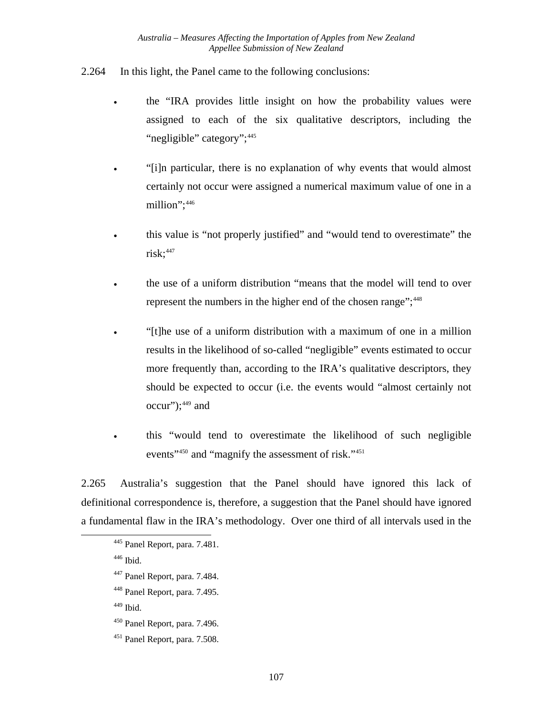- 2.264 In this light, the Panel came to the following conclusions:
	- the "IRA provides little insight on how the probability values were assigned to each of the six qualitative descriptors, including the "negligible" category";<sup>[445](#page-113-0)</sup>
	- "[i]n particular, there is no explanation of why events that would almost certainly not occur were assigned a numerical maximum value of one in a million";<sup>[446](#page-113-1)</sup>
	- this value is "not properly justified" and "would tend to overestimate" the  $risk; ^{447}$  $risk; ^{447}$  $risk; ^{447}$
	- the use of a uniform distribution "means that the model will tend to over represent the numbers in the higher end of the chosen range";<sup>[448](#page-113-3)</sup>
	- "[t]he use of a uniform distribution with a maximum of one in a million results in the likelihood of so-called "negligible" events estimated to occur more frequently than, according to the IRA's qualitative descriptors, they should be expected to occur (i.e. the events would "almost certainly not  $occur$ "); $449$  and
	- this "would tend to overestimate the likelihood of such negligible events"<sup>450</sup> and "magnify the assessment of risk."<sup>[451](#page-113-6)</sup>

2.265 Australia's suggestion that the Panel should have ignored this lack of definitional correspondence is, therefore, a suggestion that the Panel should have ignored a fundamental flaw in the IRA's methodology. Over one third of all intervals used in the

446 Ibid.

<span id="page-113-4"></span><span id="page-113-3"></span><span id="page-113-2"></span><span id="page-113-1"></span><span id="page-113-0"></span>l

- 447 Panel Report, para. 7.484.
- 448 Panel Report, para. 7.495.

 $449$  Ibid.

- <span id="page-113-5"></span>450 Panel Report, para. 7.496.
- <span id="page-113-6"></span>451 Panel Report, para. 7.508.

<sup>445</sup> Panel Report, para. 7.481.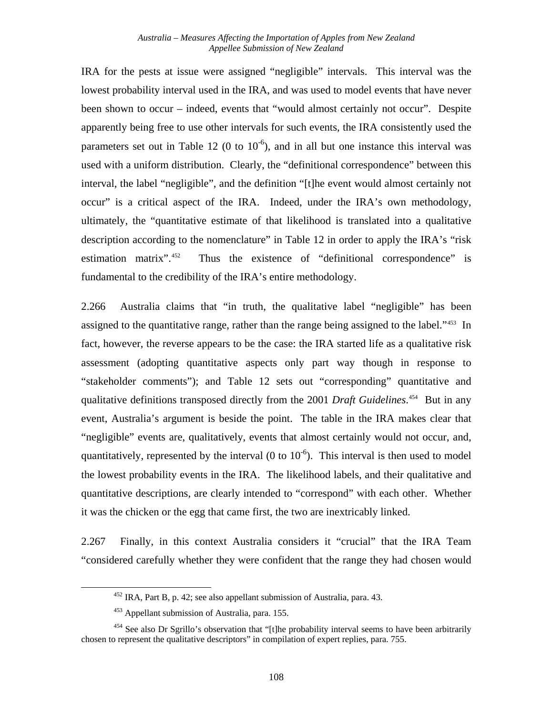IRA for the pests at issue were assigned "negligible" intervals. This interval was the lowest probability interval used in the IRA, and was used to model events that have never been shown to occur – indeed, events that "would almost certainly not occur". Despite apparently being free to use other intervals for such events, the IRA consistently used the parameters set out in Table 12 (0 to  $10^{-6}$ ), and in all but one instance this interval was used with a uniform distribution. Clearly, the "definitional correspondence" between this interval, the label "negligible", and the definition "[t]he event would almost certainly not occur" is a critical aspect of the IRA. Indeed, under the IRA's own methodology, ultimately, the "quantitative estimate of that likelihood is translated into a qualitative description according to the nomenclature" in Table 12 in order to apply the IRA's "risk" estimation matrix".<sup>[452](#page-114-0)</sup> Thus the existence of "definitional correspondence" is fundamental to the credibility of the IRA's entire methodology.

2.266 Australia claims that "in truth, the qualitative label "negligible" has been assigned to the quantitative range, rather than the range being assigned to the label."<sup>[453](#page-114-1)</sup> In fact, however, the reverse appears to be the case: the IRA started life as a qualitative risk assessment (adopting quantitative aspects only part way though in response to "stakeholder comments"); and Table 12 sets out "corresponding" quantitative and qualitative definitions transposed directly from the 2001 *Draft Guidelines*. [454](#page-114-2) But in any event, Australia's argument is beside the point. The table in the IRA makes clear that "negligible" events are, qualitatively, events that almost certainly would not occur, and, quantitatively, represented by the interval (0 to  $10^{-6}$ ). This interval is then used to model the lowest probability events in the IRA. The likelihood labels, and their qualitative and quantitative descriptions, are clearly intended to "correspond" with each other. Whether it was the chicken or the egg that came first, the two are inextricably linked.

2.267 Finally, in this context Australia considers it "crucial" that the IRA Team "considered carefully whether they were confident that the range they had chosen would

<sup>452</sup> IRA, Part B, p. 42; see also appellant submission of Australia, para. 43.

<sup>453</sup> Appellant submission of Australia, para. 155.

<span id="page-114-2"></span><span id="page-114-1"></span><span id="page-114-0"></span><sup>&</sup>lt;sup>454</sup> See also Dr Sgrillo's observation that "[t]he probability interval seems to have been arbitrarily chosen to represent the qualitative descriptors" in compilation of expert replies, para. 755.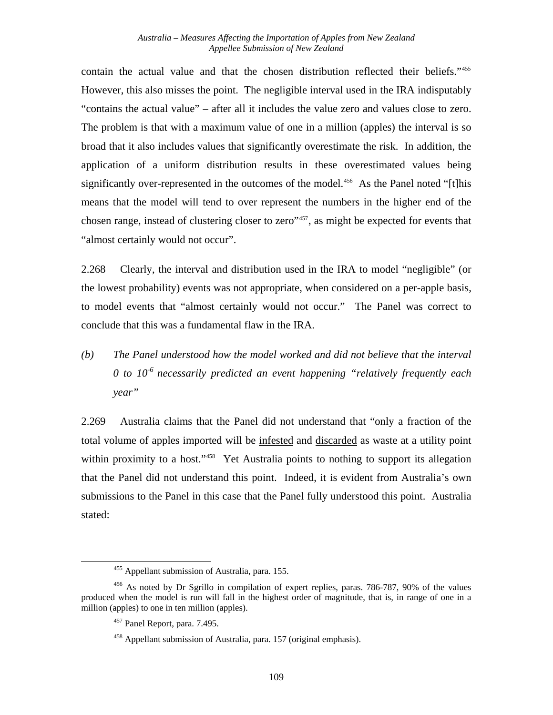contain the actual value and that the chosen distribution reflected their beliefs."[455](#page-115-0) However, this also misses the point. The negligible interval used in the IRA indisputably "contains the actual value" – after all it includes the value zero and values close to zero. The problem is that with a maximum value of one in a million (apples) the interval is so broad that it also includes values that significantly overestimate the risk. In addition, the application of a uniform distribution results in these overestimated values being significantly over-represented in the outcomes of the model.<sup>[456](#page-115-1)</sup> As the Panel noted "[t]his means that the model will tend to over represent the numbers in the higher end of the chosen range, instead of clustering closer to zero"[457](#page-115-2), as might be expected for events that "almost certainly would not occur".

2.268 Clearly, the interval and distribution used in the IRA to model "negligible" (or the lowest probability) events was not appropriate, when considered on a per-apple basis, to model events that "almost certainly would not occur." The Panel was correct to conclude that this was a fundamental flaw in the IRA.

*(b) The Panel understood how the model worked and did not believe that the interval 0 to 10-6 necessarily predicted an event happening "relatively frequently each year"* 

2.269 Australia claims that the Panel did not understand that "only a fraction of the total volume of apples imported will be infested and discarded as waste at a utility point within proximity to a host."<sup>[458](#page-115-3)</sup> Yet Australia points to nothing to support its allegation that the Panel did not understand this point. Indeed, it is evident from Australia's own submissions to the Panel in this case that the Panel fully understood this point. Australia stated:

 <sup>455</sup> Appellant submission of Australia, para. 155.

<span id="page-115-3"></span><span id="page-115-2"></span><span id="page-115-1"></span><span id="page-115-0"></span><sup>456</sup> As noted by Dr Sgrillo in compilation of expert replies, paras. 786-787, 90% of the values produced when the model is run will fall in the highest order of magnitude, that is, in range of one in a million (apples) to one in ten million (apples).

<sup>457</sup> Panel Report, para. 7.495.

<sup>458</sup> Appellant submission of Australia, para. 157 (original emphasis).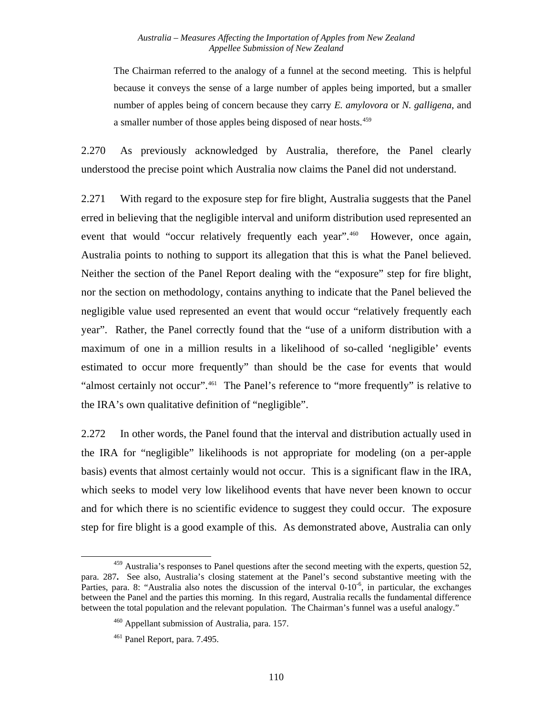The Chairman referred to the analogy of a funnel at the second meeting. This is helpful because it conveys the sense of a large number of apples being imported, but a smaller number of apples being of concern because they carry *E. amylovora* or *N. galligena*, and a smaller number of those apples being disposed of near hosts.<sup>[459](#page-116-0)</sup>

2.270 As previously acknowledged by Australia, therefore, the Panel clearly understood the precise point which Australia now claims the Panel did not understand.

2.271 With regard to the exposure step for fire blight, Australia suggests that the Panel erred in believing that the negligible interval and uniform distribution used represented an event that would "occur relatively frequently each year".<sup>[460](#page-116-1)</sup> However, once again, Australia points to nothing to support its allegation that this is what the Panel believed. Neither the section of the Panel Report dealing with the "exposure" step for fire blight, nor the section on methodology, contains anything to indicate that the Panel believed the negligible value used represented an event that would occur "relatively frequently each year". Rather, the Panel correctly found that the "use of a uniform distribution with a maximum of one in a million results in a likelihood of so-called 'negligible' events estimated to occur more frequently" than should be the case for events that would "almost certainly not occur".<sup>[461](#page-116-2)</sup> The Panel's reference to "more frequently" is relative to the IRA's own qualitative definition of "negligible".

2.272 In other words, the Panel found that the interval and distribution actually used in the IRA for "negligible" likelihoods is not appropriate for modeling (on a per-apple basis) events that almost certainly would not occur. This is a significant flaw in the IRA, which seeks to model very low likelihood events that have never been known to occur and for which there is no scientific evidence to suggest they could occur. The exposure step for fire blight is a good example of this. As demonstrated above, Australia can only

<span id="page-116-1"></span><span id="page-116-0"></span>l <sup>459</sup> Australia's responses to Panel questions after the second meeting with the experts, question 52, para. 287**.** See also, Australia's closing statement at the Panel's second substantive meeting with the Parties, para. 8: "Australia also notes the discussion of the interval  $0-10^{-6}$ , in particular, the exchanges between the Panel and the parties this morning. In this regard, Australia recalls the fundamental difference between the total population and the relevant population. The Chairman's funnel was a useful analogy."

<sup>460</sup> Appellant submission of Australia, para. 157.

<span id="page-116-2"></span><sup>461</sup> Panel Report, para. 7.495.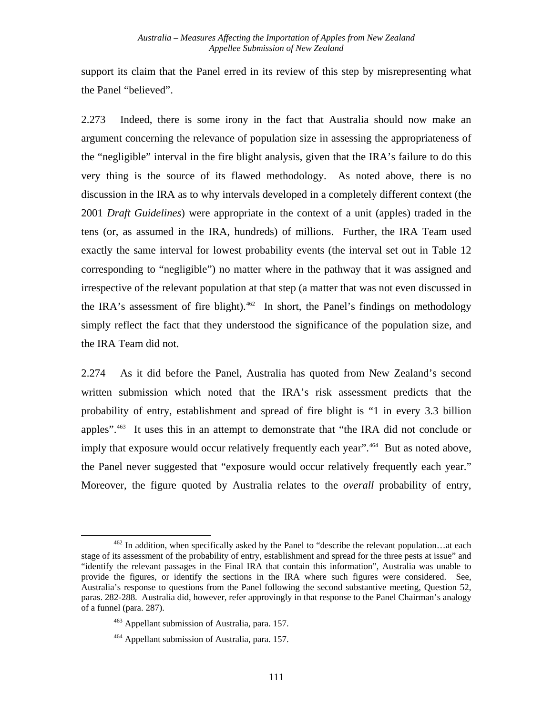support its claim that the Panel erred in its review of this step by misrepresenting what the Panel "believed".

2.273 Indeed, there is some irony in the fact that Australia should now make an argument concerning the relevance of population size in assessing the appropriateness of the "negligible" interval in the fire blight analysis, given that the IRA's failure to do this very thing is the source of its flawed methodology. As noted above, there is no discussion in the IRA as to why intervals developed in a completely different context (the 2001 *Draft Guidelines*) were appropriate in the context of a unit (apples) traded in the tens (or, as assumed in the IRA, hundreds) of millions. Further, the IRA Team used exactly the same interval for lowest probability events (the interval set out in Table 12 corresponding to "negligible") no matter where in the pathway that it was assigned and irrespective of the relevant population at that step (a matter that was not even discussed in the IRA's assessment of fire blight). $462$  In short, the Panel's findings on methodology simply reflect the fact that they understood the significance of the population size, and the IRA Team did not.

2.274 As it did before the Panel, Australia has quoted from New Zealand's second written submission which noted that the IRA's risk assessment predicts that the probability of entry, establishment and spread of fire blight is "1 in every 3.3 billion apples"[.463](#page-117-1) It uses this in an attempt to demonstrate that "the IRA did not conclude or imply that exposure would occur relatively frequently each year".<sup>[464](#page-117-2)</sup> But as noted above, the Panel never suggested that "exposure would occur relatively frequently each year." Moreover, the figure quoted by Australia relates to the *overall* probability of entry,

<span id="page-117-1"></span><span id="page-117-0"></span> $462$  In addition, when specifically asked by the Panel to "describe the relevant population...at each stage of its assessment of the probability of entry, establishment and spread for the three pests at issue" and "identify the relevant passages in the Final IRA that contain this information", Australia was unable to provide the figures, or identify the sections in the IRA where such figures were considered. See, Australia's response to questions from the Panel following the second substantive meeting, Question 52, paras. 282-288. Australia did, however, refer approvingly in that response to the Panel Chairman's analogy of a funnel (para. 287).

<sup>463</sup> Appellant submission of Australia, para. 157.

<span id="page-117-2"></span><sup>464</sup> Appellant submission of Australia, para. 157.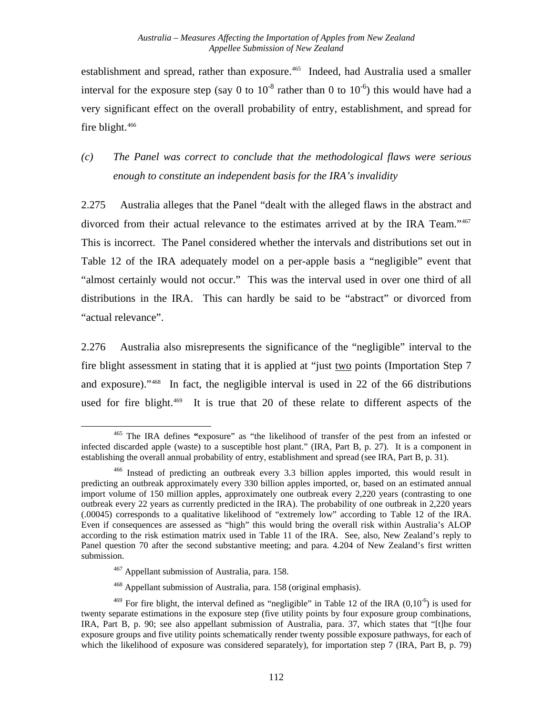establishment and spread, rather than exposure.<sup>[465](#page-118-0)</sup> Indeed, had Australia used a smaller interval for the exposure step (say 0 to  $10^{-8}$  rather than 0 to  $10^{-6}$ ) this would have had a very significant effect on the overall probability of entry, establishment, and spread for fire blight. $466$ 

*(c) The Panel was correct to conclude that the methodological flaws were serious enough to constitute an independent basis for the IRA's invalidity* 

2.275 Australia alleges that the Panel "dealt with the alleged flaws in the abstract and divorced from their actual relevance to the estimates arrived at by the IRA Team."[467](#page-118-2) This is incorrect. The Panel considered whether the intervals and distributions set out in Table 12 of the IRA adequately model on a per-apple basis a "negligible" event that "almost certainly would not occur." This was the interval used in over one third of all distributions in the IRA. This can hardly be said to be "abstract" or divorced from "actual relevance".

2.276 Australia also misrepresents the significance of the "negligible" interval to the fire blight assessment in stating that it is applied at "just two points (Importation Step 7 and exposure)."[468](#page-118-3) In fact, the negligible interval is used in 22 of the 66 distributions used for fire blight.<sup>[469](#page-118-4)</sup> It is true that 20 of these relate to different aspects of the

<span id="page-118-0"></span> <sup>465</sup> The IRA defines **"**exposure" as "the likelihood of transfer of the pest from an infested or infected discarded apple (waste) to a susceptible host plant." (IRA, Part B, p. 27). It is a component in establishing the overall annual probability of entry, establishment and spread (see IRA, Part B, p. 31).

<span id="page-118-1"></span><sup>466</sup> Instead of predicting an outbreak every 3.3 billion apples imported, this would result in predicting an outbreak approximately every 330 billion apples imported, or, based on an estimated annual import volume of 150 million apples, approximately one outbreak every 2,220 years (contrasting to one outbreak every 22 years as currently predicted in the IRA). The probability of one outbreak in 2,220 years (.00045) corresponds to a qualitative likelihood of "extremely low" according to Table 12 of the IRA. Even if consequences are assessed as "high" this would bring the overall risk within Australia's ALOP according to the risk estimation matrix used in Table 11 of the IRA. See, also, New Zealand's reply to Panel question 70 after the second substantive meeting; and para. 4.204 of New Zealand's first written submission.

<sup>467</sup> Appellant submission of Australia, para. 158.

<sup>468</sup> Appellant submission of Australia, para. 158 (original emphasis).

<span id="page-118-4"></span><span id="page-118-3"></span><span id="page-118-2"></span><sup>&</sup>lt;sup>469</sup> For fire blight, the interval defined as "negligible" in Table 12 of the IRA ( $0.10^{-6}$ ) is used for twenty separate estimations in the exposure step (five utility points by four exposure group combinations, IRA, Part B, p. 90; see also appellant submission of Australia, para. 37, which states that "[t]he four exposure groups and five utility points schematically render twenty possible exposure pathways, for each of which the likelihood of exposure was considered separately), for importation step 7 (IRA, Part B, p. 79)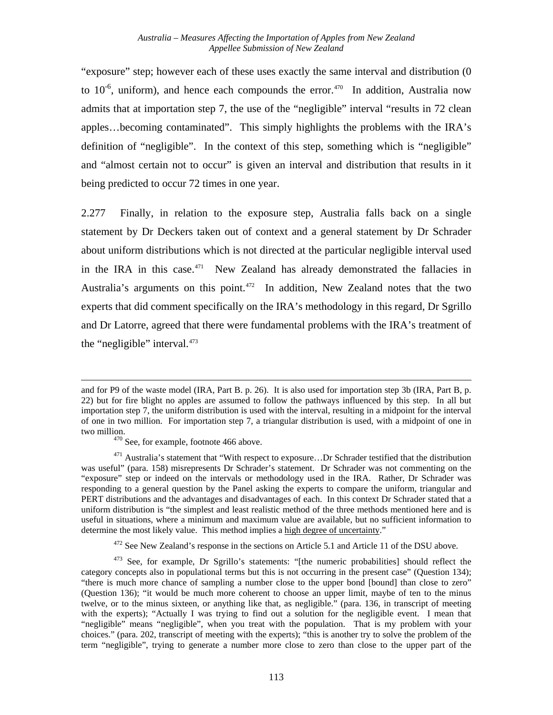"exposure" step; however each of these uses exactly the same interval and distribution (0 to  $10^{-6}$ , uniform), and hence each compounds the error.<sup>[470](#page-119-0)</sup> In addition, Australia now admits that at importation step 7, the use of the "negligible" interval "results in 72 clean apples…becoming contaminated". This simply highlights the problems with the IRA's definition of "negligible". In the context of this step, something which is "negligible" and "almost certain not to occur" is given an interval and distribution that results in it being predicted to occur 72 times in one year.

2.277 Finally, in relation to the exposure step, Australia falls back on a single statement by Dr Deckers taken out of context and a general statement by Dr Schrader about uniform distributions which is not directed at the particular negligible interval used in the IRA in this case. $471$  New Zealand has already demonstrated the fallacies in Australia's arguments on this point.<sup> $472$ </sup> In addition, New Zealand notes that the two experts that did comment specifically on the IRA's methodology in this regard, Dr Sgrillo and Dr Latorre, agreed that there were fundamental problems with the IRA's treatment of the "negligible" interval.<sup>[473](#page-119-3)</sup>

 $\overline{\phantom{a}}$ 

<sup>472</sup> See New Zealand's response in the sections on Article 5.1 and Article 11 of the DSU above.

and for P9 of the waste model (IRA, Part B. p. 26). It is also used for importation step 3b (IRA, Part B, p. 22) but for fire blight no apples are assumed to follow the pathways influenced by this step. In all but importation step 7, the uniform distribution is used with the interval, resulting in a midpoint for the interval of one in two million. For importation step 7, a triangular distribution is used, with a midpoint of one in two million.  $470$  See, for example, footnote 466 above.

<span id="page-119-1"></span><span id="page-119-0"></span><sup>&</sup>lt;sup>471</sup> Australia's statement that "With respect to exposure...Dr Schrader testified that the distribution was useful" (para. 158) misrepresents Dr Schrader's statement. Dr Schrader was not commenting on the "exposure" step or indeed on the intervals or methodology used in the IRA. Rather, Dr Schrader was responding to a general question by the Panel asking the experts to compare the uniform, triangular and PERT distributions and the advantages and disadvantages of each. In this context Dr Schrader stated that a uniform distribution is "the simplest and least realistic method of the three methods mentioned here and is useful in situations, where a minimum and maximum value are available, but no sufficient information to determine the most likely value. This method implies a high degree of uncertainty."

<span id="page-119-3"></span><span id="page-119-2"></span> $473$  See, for example, Dr Sgrillo's statements: "[the numeric probabilities] should reflect the category concepts also in populational terms but this is not occurring in the present case" (Question 134); "there is much more chance of sampling a number close to the upper bond [bound] than close to zero" (Question 136); "it would be much more coherent to choose an upper limit, maybe of ten to the minus twelve, or to the minus sixteen, or anything like that, as negligible." (para. 136, in transcript of meeting with the experts); "Actually I was trying to find out a solution for the negligible event. I mean that "negligible" means "negligible", when you treat with the population. That is my problem with your choices." (para. 202, transcript of meeting with the experts); "this is another try to solve the problem of the term "negligible", trying to generate a number more close to zero than close to the upper part of the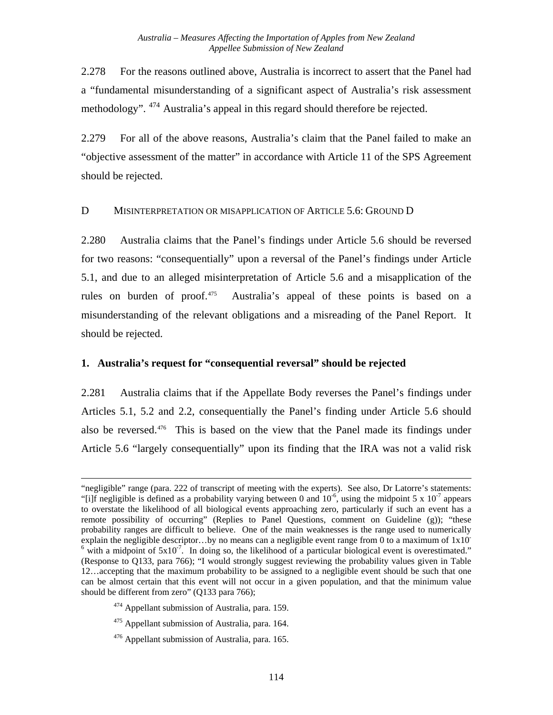2.278 For the reasons outlined above, Australia is incorrect to assert that the Panel had a "fundamental misunderstanding of a significant aspect of Australia's risk assessment methodology". <sup>[474](#page-120-0)</sup> Australia's appeal in this regard should therefore be rejected.

2.279 For all of the above reasons, Australia's claim that the Panel failed to make an "objective assessment of the matter" in accordance with Article 11 of the SPS Agreement should be rejected.

#### D MISINTERPRETATION OR MISAPPLICATION OF ARTICLE 5.6: GROUND D

2.280 Australia claims that the Panel's findings under Article 5.6 should be reversed for two reasons: "consequentially" upon a reversal of the Panel's findings under Article 5.1, and due to an alleged misinterpretation of Article 5.6 and a misapplication of the rules on burden of proof.<sup>[475](#page-120-1)</sup> Australia's appeal of these points is based on a misunderstanding of the relevant obligations and a misreading of the Panel Report. It should be rejected.

#### **1.****Australia's request for "consequential reversal" should be rejected**

2.281 Australia claims that if the Appellate Body reverses the Panel's findings under Articles 5.1, 5.2 and 2.2, consequentially the Panel's finding under Article 5.6 should also be reversed.<sup>[476](#page-120-2)</sup> This is based on the view that the Panel made its findings under Article 5.6 "largely consequentially" upon its finding that the IRA was not a valid risk

<sup>&</sup>quot;negligible" range (para. 222 of transcript of meeting with the experts). See also, Dr Latorre's statements: "[i]f negligible is defined as a probability varying between 0 and  $10^{-6}$ , using the midpoint 5 x  $10^{-7}$  appears to overstate the likelihood of all biological events approaching zero, particularly if such an event has a remote possibility of occurring" (Replies to Panel Questions, comment on Guideline (g)); "these probability ranges are difficult to believe. One of the main weaknesses is the range used to numerically explain the negligible descriptor...by no means can a negligible event range from 0 to a maximum of  $1x10^ 6 \text{ with a midpoint of } 5x10^{-7}$ . In doing so, the likelihood of a particular biological event is overestimated." (Response to Q133, para 766); "I would strongly suggest reviewing the probability values given in Table 12…accepting that the maximum probability to be assigned to a negligible event should be such that one can be almost certain that this event will not occur in a given population, and that the minimum value should be different from zero" (Q133 para 766);

<span id="page-120-0"></span><sup>&</sup>lt;sup>474</sup> Appellant submission of Australia, para. 159.

<span id="page-120-1"></span><sup>&</sup>lt;sup>475</sup> Appellant submission of Australia, para. 164.

<span id="page-120-2"></span><sup>476</sup> Appellant submission of Australia, para. 165.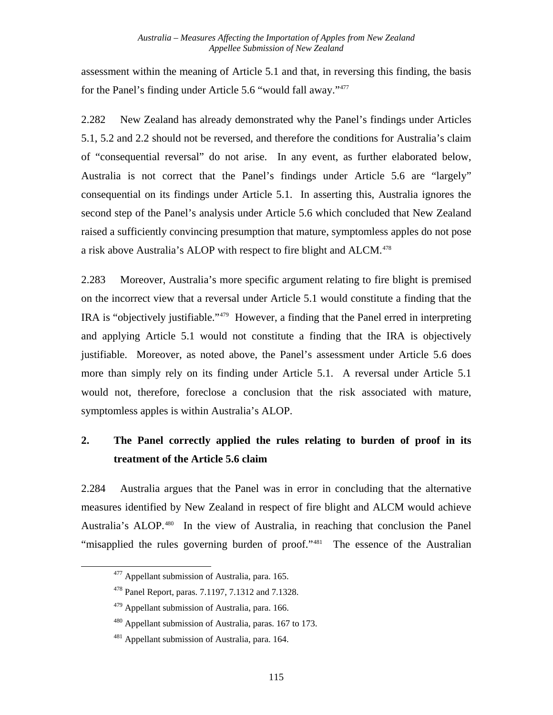assessment within the meaning of Article 5.1 and that, in reversing this finding, the basis for the Panel's finding under Article 5.6 "would fall away."[477](#page-121-0)

2.282 New Zealand has already demonstrated why the Panel's findings under Articles 5.1, 5.2 and 2.2 should not be reversed, and therefore the conditions for Australia's claim of "consequential reversal" do not arise. In any event, as further elaborated below, Australia is not correct that the Panel's findings under Article 5.6 are "largely" consequential on its findings under Article 5.1. In asserting this, Australia ignores the second step of the Panel's analysis under Article 5.6 which concluded that New Zealand raised a sufficiently convincing presumption that mature, symptomless apples do not pose a risk above Australia's ALOP with respect to fire blight and ALCM.<sup>[478](#page-121-1)</sup>

2.283 Moreover, Australia's more specific argument relating to fire blight is premised on the incorrect view that a reversal under Article 5.1 would constitute a finding that the IRA is "objectively justifiable."[479](#page-121-2) However, a finding that the Panel erred in interpreting and applying Article 5.1 would not constitute a finding that the IRA is objectively justifiable. Moreover, as noted above, the Panel's assessment under Article 5.6 does more than simply rely on its finding under Article 5.1. A reversal under Article 5.1 would not, therefore, foreclose a conclusion that the risk associated with mature, symptomless apples is within Australia's ALOP.

# **2. The Panel correctly applied the rules relating to burden of proof in its treatment of the Article 5.6 claim**

2.284 Australia argues that the Panel was in error in concluding that the alternative measures identified by New Zealand in respect of fire blight and ALCM would achieve Australia's ALOP.<sup>[480](#page-121-3)</sup> In the view of Australia, in reaching that conclusion the Panel "misapplied the rules governing burden of proof."<sup>[481](#page-121-4)</sup> The essence of the Australian

<span id="page-121-0"></span><sup>&</sup>lt;sup>477</sup> Appellant submission of Australia, para. 165.

<span id="page-121-1"></span><sup>478</sup> Panel Report, paras. 7.1197, 7.1312 and 7.1328.

<span id="page-121-2"></span><sup>479</sup> Appellant submission of Australia, para. 166.

<span id="page-121-3"></span><sup>&</sup>lt;sup>480</sup> Appellant submission of Australia, paras. 167 to 173.

<span id="page-121-4"></span><sup>481</sup> Appellant submission of Australia, para. 164.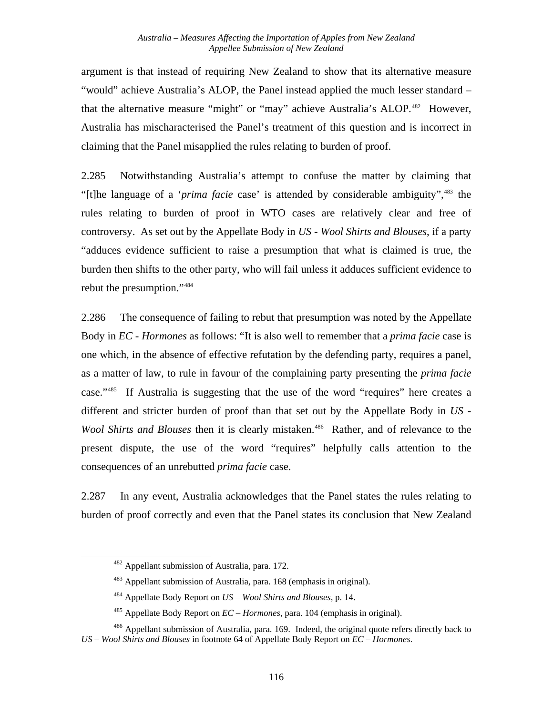argument is that instead of requiring New Zealand to show that its alternative measure "would" achieve Australia's ALOP, the Panel instead applied the much lesser standard – that the alternative measure "might" or "may" achieve Australia's ALOP.<sup>[482](#page-122-0)</sup> However, Australia has mischaracterised the Panel's treatment of this question and is incorrect in claiming that the Panel misapplied the rules relating to burden of proof.

2.285 Notwithstanding Australia's attempt to confuse the matter by claiming that "[t]he language of a '*prima facie* case' is attended by considerable ambiguity",[483](#page-122-1) the rules relating to burden of proof in WTO cases are relatively clear and free of controversy. As set out by the Appellate Body in *US - Wool Shirts and Blouses*, if a party "adduces evidence sufficient to raise a presumption that what is claimed is true, the burden then shifts to the other party, who will fail unless it adduces sufficient evidence to rebut the presumption."[484](#page-122-2)

2.286 The consequence of failing to rebut that presumption was noted by the Appellate Body in *EC - Hormones* as follows: "It is also well to remember that a *prima facie* case is one which, in the absence of effective refutation by the defending party, requires a panel, as a matter of law, to rule in favour of the complaining party presenting the *prima facie* case.["485](#page-122-3) If Australia is suggesting that the use of the word "requires" here creates a different and stricter burden of proof than that set out by the Appellate Body in *US - Wool Shirts and Blouses* then it is clearly mistaken.<sup>[486](#page-122-4)</sup> Rather, and of relevance to the present dispute, the use of the word "requires" helpfully calls attention to the consequences of an unrebutted *prima facie* case.

2.287 In any event, Australia acknowledges that the Panel states the rules relating to burden of proof correctly and even that the Panel states its conclusion that New Zealand

<sup>&</sup>lt;sup>482</sup> Appellant submission of Australia, para. 172.

<sup>483</sup> Appellant submission of Australia, para. 168 (emphasis in original).

<sup>484</sup> Appellate Body Report on *US – Wool Shirts and Blouses,* p. 14.

<sup>485</sup> Appellate Body Report on *EC – Hormones*, para. 104 (emphasis in original).

<span id="page-122-4"></span><span id="page-122-3"></span><span id="page-122-2"></span><span id="page-122-1"></span><span id="page-122-0"></span><sup>&</sup>lt;sup>486</sup> Appellant submission of Australia, para. 169. Indeed, the original quote refers directly back to *US – Wool Shirts and Blouses* in footnote 64 of Appellate Body Report on *EC – Hormones*.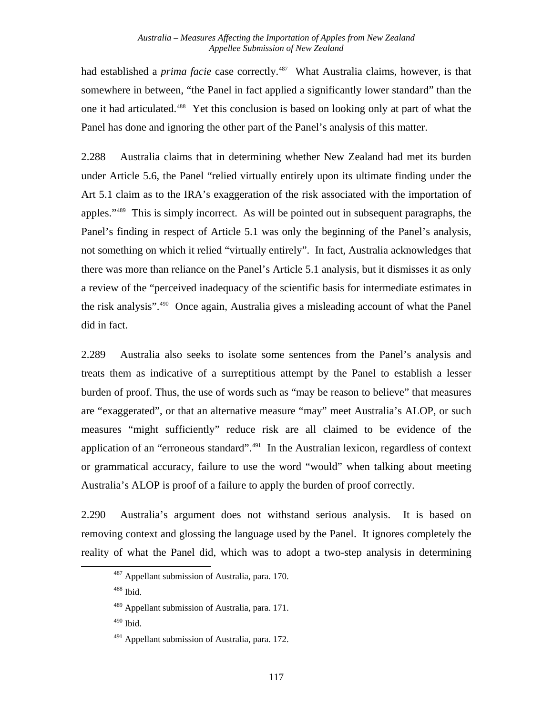had established a *prima facie* case correctly.<sup>[487](#page-123-0)</sup> What Australia claims, however, is that somewhere in between, "the Panel in fact applied a significantly lower standard" than the one it had articulated.[488](#page-123-1) Yet this conclusion is based on looking only at part of what the Panel has done and ignoring the other part of the Panel's analysis of this matter.

2.288 Australia claims that in determining whether New Zealand had met its burden under Article 5.6, the Panel "relied virtually entirely upon its ultimate finding under the Art 5.1 claim as to the IRA's exaggeration of the risk associated with the importation of apples.["489](#page-123-2) This is simply incorrect. As will be pointed out in subsequent paragraphs, the Panel's finding in respect of Article 5.1 was only the beginning of the Panel's analysis, not something on which it relied "virtually entirely". In fact, Australia acknowledges that there was more than reliance on the Panel's Article 5.1 analysis, but it dismisses it as only a review of the "perceived inadequacy of the scientific basis for intermediate estimates in the risk analysis".[490](#page-123-3) Once again, Australia gives a misleading account of what the Panel did in fact.

2.289 Australia also seeks to isolate some sentences from the Panel's analysis and treats them as indicative of a surreptitious attempt by the Panel to establish a lesser burden of proof. Thus, the use of words such as "may be reason to believe" that measures are "exaggerated", or that an alternative measure "may" meet Australia's ALOP, or such measures "might sufficiently" reduce risk are all claimed to be evidence of the application of an "erroneous standard".<sup>[491](#page-123-4)</sup> In the Australian lexicon, regardless of context or grammatical accuracy, failure to use the word "would" when talking about meeting Australia's ALOP is proof of a failure to apply the burden of proof correctly.

<span id="page-123-1"></span><span id="page-123-0"></span>2.290 Australia's argument does not withstand serious analysis. It is based on removing context and glossing the language used by the Panel. It ignores completely the reality of what the Panel did, which was to adopt a two-step analysis in determining

488 Ibid.

<sup>&</sup>lt;sup>487</sup> Appellant submission of Australia, para. 170.

<span id="page-123-2"></span><sup>489</sup> Appellant submission of Australia, para. 171.

<span id="page-123-3"></span> $490$  Ibid.

<span id="page-123-4"></span> $491$  Appellant submission of Australia, para. 172.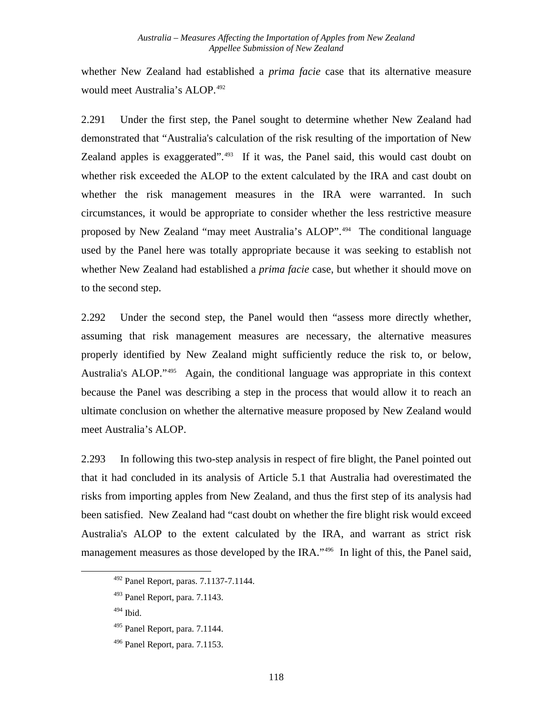whether New Zealand had established a *prima facie* case that its alternative measure would meet Australia's ALOP.<sup>[492](#page-124-0)</sup>

2.291 Under the first step, the Panel sought to determine whether New Zealand had demonstrated that "Australia's calculation of the risk resulting of the importation of New Zealand apples is exaggerated". $493$  If it was, the Panel said, this would cast doubt on whether risk exceeded the ALOP to the extent calculated by the IRA and cast doubt on whether the risk management measures in the IRA were warranted. In such circumstances, it would be appropriate to consider whether the less restrictive measure proposed by New Zealand "may meet Australia's ALOP".[494](#page-124-2) The conditional language used by the Panel here was totally appropriate because it was seeking to establish not whether New Zealand had established a *prima facie* case, but whether it should move on to the second step.

2.292 Under the second step, the Panel would then "assess more directly whether, assuming that risk management measures are necessary, the alternative measures properly identified by New Zealand might sufficiently reduce the risk to, or below, Australia's ALOP."[495](#page-124-3) Again, the conditional language was appropriate in this context because the Panel was describing a step in the process that would allow it to reach an ultimate conclusion on whether the alternative measure proposed by New Zealand would meet Australia's ALOP.

2.293 In following this two-step analysis in respect of fire blight, the Panel pointed out that it had concluded in its analysis of Article 5.1 that Australia had overestimated the risks from importing apples from New Zealand, and thus the first step of its analysis had been satisfied. New Zealand had "cast doubt on whether the fire blight risk would exceed Australia's ALOP to the extent calculated by the IRA, and warrant as strict risk management measures as those developed by the IRA."<sup>[496](#page-124-4)</sup> In light of this, the Panel said,

<span id="page-124-0"></span><sup>492</sup> Panel Report, paras. 7.1137-7.1144.

<span id="page-124-1"></span><sup>493</sup> Panel Report, para. 7.1143.

<span id="page-124-2"></span> $494$  Ibid.

<span id="page-124-3"></span><sup>495</sup> Panel Report, para. 7.1144.

<span id="page-124-4"></span><sup>496</sup> Panel Report, para. 7.1153.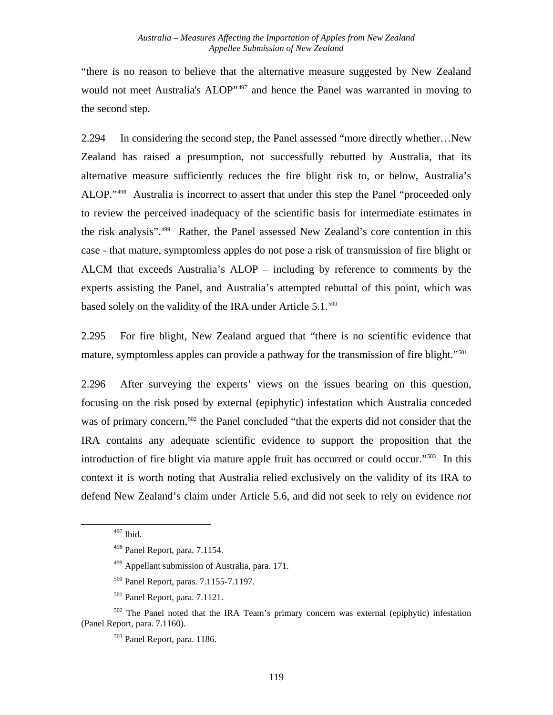"there is no reason to believe that the alternative measure suggested by New Zealand would not meet Australia's ALOP"<sup>[497](#page-125-0)</sup> and hence the Panel was warranted in moving to the second step.

2.294 In considering the second step, the Panel assessed "more directly whether…New Zealand has raised a presumption, not successfully rebutted by Australia, that its alternative measure sufficiently reduces the fire blight risk to, or below, Australia's ALOP."[498](#page-125-1) Australia is incorrect to assert that under this step the Panel "proceeded only to review the perceived inadequacy of the scientific basis for intermediate estimates in the risk analysis".[499](#page-125-2) Rather, the Panel assessed New Zealand's core contention in this case - that mature, symptomless apples do not pose a risk of transmission of fire blight or ALCM that exceeds Australia's ALOP – including by reference to comments by the experts assisting the Panel, and Australia's attempted rebuttal of this point, which was based solely on the validity of the IRA under Article 5.1.<sup>500</sup>

2.295 For fire blight, New Zealand argued that "there is no scientific evidence that mature, symptomless apples can provide a pathway for the transmission of fire blight."<sup>[501](#page-125-4)</sup>

2.296 After surveying the experts' views on the issues bearing on this question, focusing on the risk posed by external (epiphytic) infestation which Australia conceded was of primary concern,<sup>[502](#page-125-5)</sup> the Panel concluded "that the experts did not consider that the IRA contains any adequate scientific evidence to support the proposition that the introduction of fire blight via mature apple fruit has occurred or could occur."[503](#page-125-6) In this context it is worth noting that Australia relied exclusively on the validity of its IRA to defend New Zealand's claim under Article 5.6, and did not seek to rely on evidence *not*

<sup>497</sup> Ibid.

<sup>498</sup> Panel Report, para. 7.1154.

<sup>499</sup> Appellant submission of Australia, para. 171.

<sup>500</sup> Panel Report, paras. 7.1155-7.1197.

<sup>501</sup> Panel Report, para. 7.1121.

<span id="page-125-6"></span><span id="page-125-5"></span><span id="page-125-4"></span><span id="page-125-3"></span><span id="page-125-2"></span><span id="page-125-1"></span><span id="page-125-0"></span><sup>&</sup>lt;sup>502</sup> The Panel noted that the IRA Team's primary concern was external (epiphytic) infestation (Panel Report, para. 7.1160).

<sup>503</sup> Panel Report, para. 1186.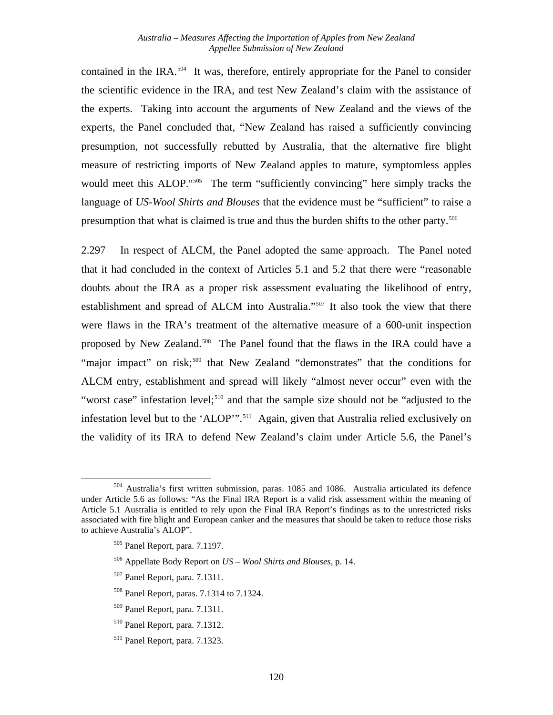contained in the IRA.<sup>[504](#page-126-0)</sup> It was, therefore, entirely appropriate for the Panel to consider the scientific evidence in the IRA, and test New Zealand's claim with the assistance of the experts. Taking into account the arguments of New Zealand and the views of the experts, the Panel concluded that, "New Zealand has raised a sufficiently convincing presumption, not successfully rebutted by Australia, that the alternative fire blight measure of restricting imports of New Zealand apples to mature, symptomless apples would meet this ALOP."<sup>[505](#page-126-1)</sup> The term "sufficiently convincing" here simply tracks the language of *US-Wool Shirts and Blouses* that the evidence must be "sufficient" to raise a presumption that what is claimed is true and thus the burden shifts to the other party.<sup>[506](#page-126-2)</sup>

2.297 In respect of ALCM, the Panel adopted the same approach. The Panel noted that it had concluded in the context of Articles 5.1 and 5.2 that there were "reasonable doubts about the IRA as a proper risk assessment evaluating the likelihood of entry, establishment and spread of ALCM into Australia."<sup>[507](#page-126-3)</sup> It also took the view that there were flaws in the IRA's treatment of the alternative measure of a 600-unit inspection proposed by New Zealand.<sup>[508](#page-126-4)</sup> The Panel found that the flaws in the IRA could have a "major impact" on risk;<sup>[509](#page-126-5)</sup> that New Zealand "demonstrates" that the conditions for ALCM entry, establishment and spread will likely "almost never occur" even with the "worst case" infestation level;<sup>[510](#page-126-6)</sup> and that the sample size should not be "adjusted to the infestation level but to the 'ALOP'".<sup>[511](#page-126-7)</sup> Again, given that Australia relied exclusively on the validity of its IRA to defend New Zealand's claim under Article 5.6, the Panel's

- <span id="page-126-4"></span>508 Panel Report, paras. 7.1314 to 7.1324.
- <span id="page-126-5"></span>509 Panel Report, para. 7.1311.
- <span id="page-126-6"></span>510 Panel Report, para. 7.1312.

<span id="page-126-2"></span><span id="page-126-1"></span><span id="page-126-0"></span><sup>504</sup> Australia's first written submission, paras. 1085 and 1086. Australia articulated its defence under Article 5.6 as follows: "As the Final IRA Report is a valid risk assessment within the meaning of Article 5.1 Australia is entitled to rely upon the Final IRA Report's findings as to the unrestricted risks associated with fire blight and European canker and the measures that should be taken to reduce those risks to achieve Australia's ALOP".

<sup>505</sup> Panel Report, para. 7.1197.

<sup>506</sup> Appellate Body Report on *US – Wool Shirts and Blouses,* p. 14.

<span id="page-126-3"></span><sup>507</sup> Panel Report, para. 7.1311.

<span id="page-126-7"></span><sup>511</sup> Panel Report, para. 7.1323.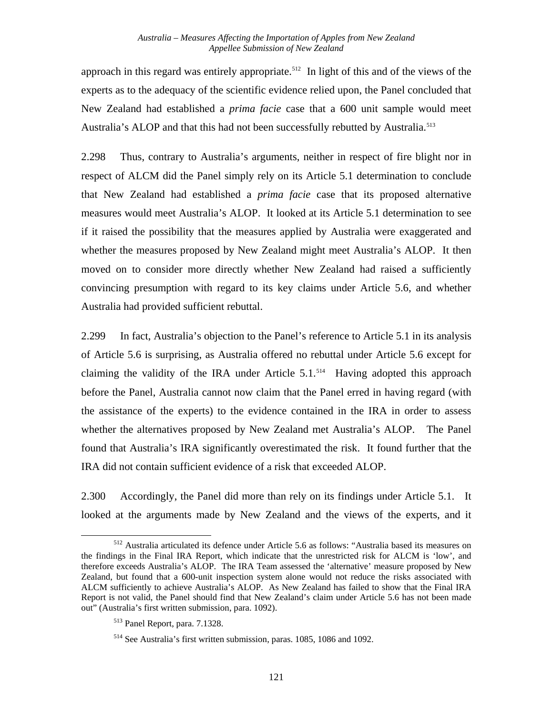approach in this regard was entirely appropriate.<sup>512</sup> In light of this and of the views of the experts as to the adequacy of the scientific evidence relied upon, the Panel concluded that New Zealand had established a *prima facie* case that a 600 unit sample would meet Australia's ALOP and that this had not been successfully rebutted by Australia.<sup>513</sup>

2.298 Thus, contrary to Australia's arguments, neither in respect of fire blight nor in respect of ALCM did the Panel simply rely on its Article 5.1 determination to conclude that New Zealand had established a *prima facie* case that its proposed alternative measures would meet Australia's ALOP. It looked at its Article 5.1 determination to see if it raised the possibility that the measures applied by Australia were exaggerated and whether the measures proposed by New Zealand might meet Australia's ALOP. It then moved on to consider more directly whether New Zealand had raised a sufficiently convincing presumption with regard to its key claims under Article 5.6, and whether Australia had provided sufficient rebuttal.

2.299 In fact, Australia's objection to the Panel's reference to Article 5.1 in its analysis of Article 5.6 is surprising, as Australia offered no rebuttal under Article 5.6 except for claiming the validity of the IRA under Article  $5.1$ .<sup>[514](#page-127-2)</sup> Having adopted this approach before the Panel, Australia cannot now claim that the Panel erred in having regard (with the assistance of the experts) to the evidence contained in the IRA in order to assess whether the alternatives proposed by New Zealand met Australia's ALOP. The Panel found that Australia's IRA significantly overestimated the risk. It found further that the IRA did not contain sufficient evidence of a risk that exceeded ALOP.

2.300 Accordingly, the Panel did more than rely on its findings under Article 5.1. It looked at the arguments made by New Zealand and the views of the experts, and it

<span id="page-127-0"></span><sup>512</sup> Australia articulated its defence under Article 5.6 as follows: "Australia based its measures on the findings in the Final IRA Report, which indicate that the unrestricted risk for ALCM is 'low', and therefore exceeds Australia's ALOP. The IRA Team assessed the 'alternative' measure proposed by New Zealand, but found that a 600-unit inspection system alone would not reduce the risks associated with ALCM sufficiently to achieve Australia's ALOP. As New Zealand has failed to show that the Final IRA Report is not valid, the Panel should find that New Zealand's claim under Article 5.6 has not been made out" (Australia's first written submission, para. 1092).

<span id="page-127-1"></span><sup>513</sup> Panel Report, para. 7.1328.

<span id="page-127-2"></span><sup>514</sup> See Australia's first written submission, paras. 1085, 1086 and 1092.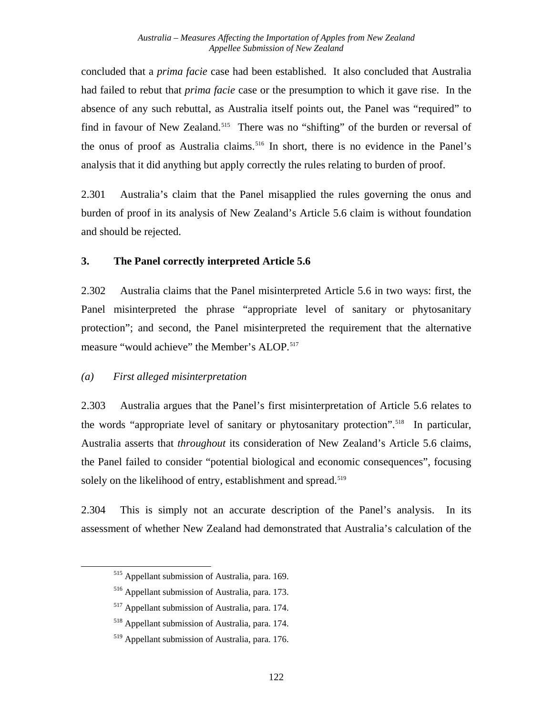concluded that a *prima facie* case had been established. It also concluded that Australia had failed to rebut that *prima facie* case or the presumption to which it gave rise. In the absence of any such rebuttal, as Australia itself points out, the Panel was "required" to find in favour of New Zealand.<sup>[515](#page-128-0)</sup> There was no "shifting" of the burden or reversal of the onus of proof as Australia claims.<sup>[516](#page-128-1)</sup> In short, there is no evidence in the Panel's analysis that it did anything but apply correctly the rules relating to burden of proof.

2.301 Australia's claim that the Panel misapplied the rules governing the onus and burden of proof in its analysis of New Zealand's Article 5.6 claim is without foundation and should be rejected.

#### **3. The Panel correctly interpreted Article 5.6**

2.302 Australia claims that the Panel misinterpreted Article 5.6 in two ways: first, the Panel misinterpreted the phrase "appropriate level of sanitary or phytosanitary protection"; and second, the Panel misinterpreted the requirement that the alternative measure "would achieve" the Member's ALOP.<sup>[517](#page-128-2)</sup>

## *(a) First alleged misinterpretation*

<span id="page-128-4"></span><span id="page-128-3"></span><span id="page-128-2"></span><span id="page-128-1"></span><span id="page-128-0"></span>l

2.303 Australia argues that the Panel's first misinterpretation of Article 5.6 relates to the words "appropriate level of sanitary or phytosanitary protection".<sup>[518](#page-128-3)</sup> In particular, Australia asserts that *throughout* its consideration of New Zealand's Article 5.6 claims, the Panel failed to consider "potential biological and economic consequences", focusing solely on the likelihood of entry, establishment and spread.<sup>[519](#page-128-4)</sup>

2.304 This is simply not an accurate description of the Panel's analysis. In its assessment of whether New Zealand had demonstrated that Australia's calculation of the

<sup>515</sup> Appellant submission of Australia, para. 169.

<sup>516</sup> Appellant submission of Australia, para. 173.

<sup>517</sup> Appellant submission of Australia, para. 174.

<sup>518</sup> Appellant submission of Australia, para. 174.

<sup>519</sup> Appellant submission of Australia, para. 176.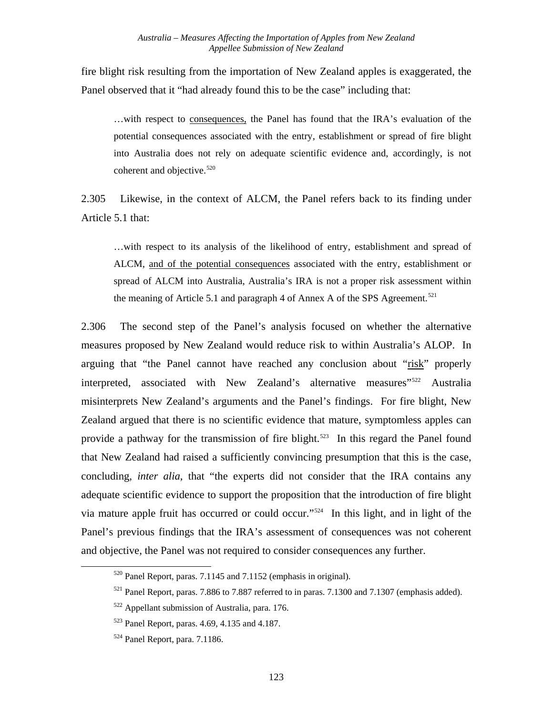fire blight risk resulting from the importation of New Zealand apples is exaggerated, the Panel observed that it "had already found this to be the case" including that:

…with respect to consequences, the Panel has found that the IRA's evaluation of the potential consequences associated with the entry, establishment or spread of fire blight into Australia does not rely on adequate scientific evidence and, accordingly, is not coherent and objective.<sup>[520](#page-129-0)</sup>

2.305 Likewise, in the context of ALCM, the Panel refers back to its finding under Article 5.1 that:

…with respect to its analysis of the likelihood of entry, establishment and spread of ALCM, and of the potential consequences associated with the entry, establishment or spread of ALCM into Australia, Australia's IRA is not a proper risk assessment within the meaning of Article 5.1 and paragraph 4 of Annex A of the SPS Agreement.<sup>[521](#page-129-1)</sup>

2.306 The second step of the Panel's analysis focused on whether the alternative measures proposed by New Zealand would reduce risk to within Australia's ALOP. In arguing that "the Panel cannot have reached any conclusion about "risk" properly interpreted, associated with New Zealand's alternative measures"<sup>[522](#page-129-2)</sup> Australia misinterprets New Zealand's arguments and the Panel's findings. For fire blight, New Zealand argued that there is no scientific evidence that mature, symptomless apples can provide a pathway for the transmission of fire blight.<sup>523</sup> In this regard the Panel found that New Zealand had raised a sufficiently convincing presumption that this is the case, concluding, *inter alia*, that "the experts did not consider that the IRA contains any adequate scientific evidence to support the proposition that the introduction of fire blight via mature apple fruit has occurred or could occur."[524](#page-129-4) In this light, and in light of the Panel's previous findings that the IRA's assessment of consequences was not coherent and objective, the Panel was not required to consider consequences any further.

<span id="page-129-0"></span> <sup>520</sup> Panel Report, paras. 7.1145 and 7.1152 (emphasis in original).

<span id="page-129-1"></span><sup>521</sup> Panel Report, paras. 7.886 to 7.887 referred to in paras. 7.1300 and 7.1307 (emphasis added).

<span id="page-129-2"></span><sup>522</sup> Appellant submission of Australia, para. 176.

<span id="page-129-3"></span><sup>523</sup> Panel Report, paras. 4.69, 4.135 and 4.187.

<span id="page-129-4"></span><sup>524</sup> Panel Report, para. 7.1186.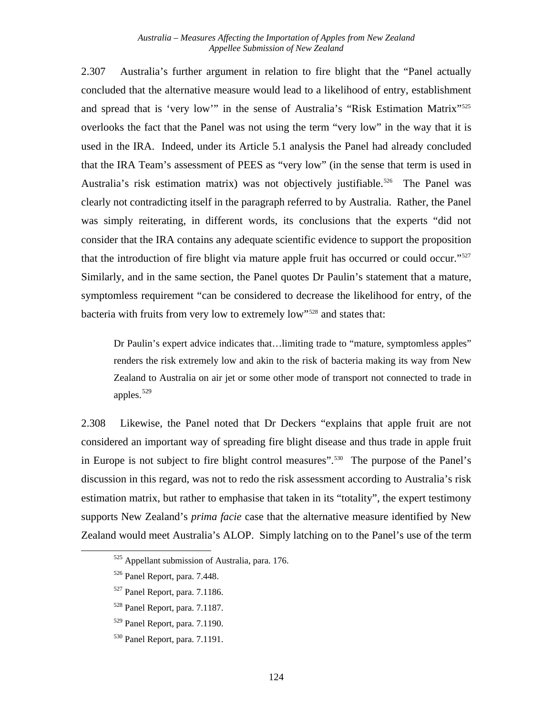2.307 Australia's further argument in relation to fire blight that the "Panel actually concluded that the alternative measure would lead to a likelihood of entry, establishment and spread that is 'very low'" in the sense of Australia's "Risk Estimation Matrix"<sup>[525](#page-130-0)</sup> overlooks the fact that the Panel was not using the term "very low" in the way that it is used in the IRA. Indeed, under its Article 5.1 analysis the Panel had already concluded that the IRA Team's assessment of PEES as "very low" (in the sense that term is used in Australia's risk estimation matrix) was not objectively justifiable.<sup>[526](#page-130-1)</sup> The Panel was clearly not contradicting itself in the paragraph referred to by Australia. Rather, the Panel was simply reiterating, in different words, its conclusions that the experts "did not consider that the IRA contains any adequate scientific evidence to support the proposition that the introduction of fire blight via mature apple fruit has occurred or could occur."[527](#page-130-2) Similarly, and in the same section, the Panel quotes Dr Paulin's statement that a mature, symptomless requirement "can be considered to decrease the likelihood for entry, of the bacteria with fruits from very low to extremely low"[528](#page-130-3) and states that:

Dr Paulin's expert advice indicates that…limiting trade to "mature, symptomless apples" renders the risk extremely low and akin to the risk of bacteria making its way from New Zealand to Australia on air jet or some other mode of transport not connected to trade in apples. $529$ 

2.308 Likewise, the Panel noted that Dr Deckers "explains that apple fruit are not considered an important way of spreading fire blight disease and thus trade in apple fruit in Europe is not subject to fire blight control measures".[530](#page-130-5) The purpose of the Panel's discussion in this regard, was not to redo the risk assessment according to Australia's risk estimation matrix, but rather to emphasise that taken in its "totality", the expert testimony supports New Zealand's *prima facie* case that the alternative measure identified by New Zealand would meet Australia's ALOP. Simply latching on to the Panel's use of the term

<span id="page-130-0"></span><sup>525</sup> Appellant submission of Australia, para. 176.

<span id="page-130-1"></span><sup>526</sup> Panel Report, para. 7.448.

<span id="page-130-2"></span><sup>527</sup> Panel Report, para. 7.1186.

<span id="page-130-3"></span><sup>528</sup> Panel Report, para. 7.1187.

<span id="page-130-4"></span><sup>529</sup> Panel Report, para. 7.1190.

<span id="page-130-5"></span><sup>530</sup> Panel Report, para. 7.1191.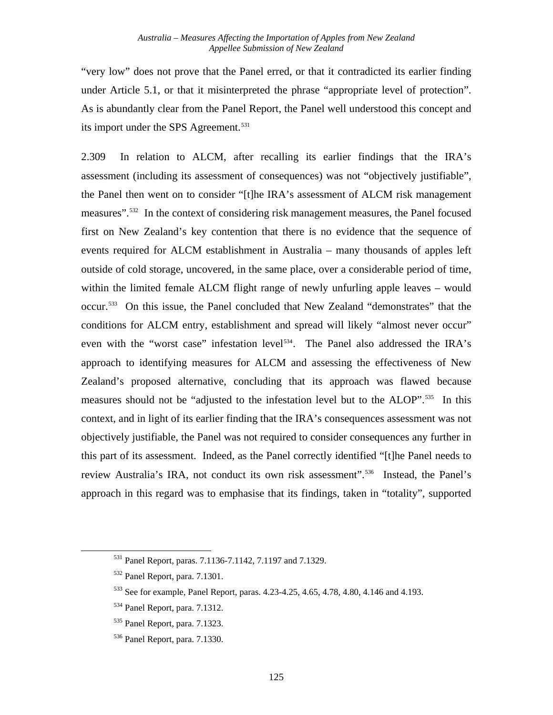"very low" does not prove that the Panel erred, or that it contradicted its earlier finding under Article 5.1, or that it misinterpreted the phrase "appropriate level of protection". As is abundantly clear from the Panel Report, the Panel well understood this concept and its import under the SPS Agreement.<sup>[531](#page-131-0)</sup>

2.309 In relation to ALCM, after recalling its earlier findings that the IRA's assessment (including its assessment of consequences) was not "objectively justifiable", the Panel then went on to consider "[t]he IRA's assessment of ALCM risk management measures".<sup>[532](#page-131-1)</sup> In the context of considering risk management measures, the Panel focused first on New Zealand's key contention that there is no evidence that the sequence of events required for ALCM establishment in Australia – many thousands of apples left outside of cold storage, uncovered, in the same place, over a considerable period of time, within the limited female ALCM flight range of newly unfurling apple leaves – would occur.[533](#page-131-2) On this issue, the Panel concluded that New Zealand "demonstrates" that the conditions for ALCM entry, establishment and spread will likely "almost never occur" even with the "worst case" infestation level<sup>[534](#page-131-3)</sup>. The Panel also addressed the IRA's approach to identifying measures for ALCM and assessing the effectiveness of New Zealand's proposed alternative, concluding that its approach was flawed because measures should not be "adjusted to the infestation level but to the ALOP".<sup>[535](#page-131-4)</sup> In this context, and in light of its earlier finding that the IRA's consequences assessment was not objectively justifiable, the Panel was not required to consider consequences any further in this part of its assessment. Indeed, as the Panel correctly identified "[t]he Panel needs to review Australia's IRA, not conduct its own risk assessment".<sup>[536](#page-131-5)</sup> Instead, the Panel's approach in this regard was to emphasise that its findings, taken in "totality", supported

<span id="page-131-0"></span><sup>531</sup> Panel Report, paras. 7.1136-7.1142, 7.1197 and 7.1329.

<span id="page-131-1"></span><sup>532</sup> Panel Report, para. 7.1301.

<span id="page-131-2"></span><sup>533</sup> See for example, Panel Report, paras. 4.23-4.25, 4.65, 4.78, 4.80, 4.146 and 4.193.

<span id="page-131-3"></span><sup>534</sup> Panel Report, para. 7.1312.

<span id="page-131-4"></span><sup>535</sup> Panel Report, para. 7.1323.

<span id="page-131-5"></span><sup>536</sup> Panel Report, para. 7.1330.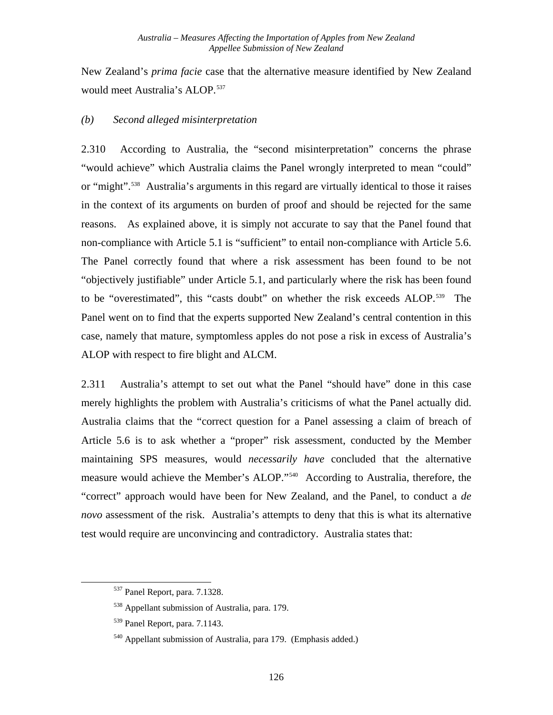New Zealand's *prima facie* case that the alternative measure identified by New Zealand would meet Australia's ALOP.<sup>[537](#page-132-0)</sup>

### *(b) Second alleged misinterpretation*

2.310 According to Australia, the "second misinterpretation" concerns the phrase "would achieve" which Australia claims the Panel wrongly interpreted to mean "could" or "might".<sup>[538](#page-132-1)</sup> Australia's arguments in this regard are virtually identical to those it raises in the context of its arguments on burden of proof and should be rejected for the same reasons. As explained above, it is simply not accurate to say that the Panel found that non-compliance with Article 5.1 is "sufficient" to entail non-compliance with Article 5.6. The Panel correctly found that where a risk assessment has been found to be not "objectively justifiable" under Article 5.1, and particularly where the risk has been found to be "overestimated", this "casts doubt" on whether the risk exceeds ALOP.<sup>[539](#page-132-2)</sup> The Panel went on to find that the experts supported New Zealand's central contention in this case, namely that mature, symptomless apples do not pose a risk in excess of Australia's ALOP with respect to fire blight and ALCM.

2.311 Australia's attempt to set out what the Panel "should have" done in this case merely highlights the problem with Australia's criticisms of what the Panel actually did. Australia claims that the "correct question for a Panel assessing a claim of breach of Article 5.6 is to ask whether a "proper" risk assessment, conducted by the Member maintaining SPS measures, would *necessarily have* concluded that the alternative measure would achieve the Member's ALOP."[540](#page-132-3) According to Australia, therefore, the "correct" approach would have been for New Zealand, and the Panel, to conduct a *de novo* assessment of the risk. Australia's attempts to deny that this is what its alternative test would require are unconvincing and contradictory. Australia states that:

<span id="page-132-0"></span><sup>537</sup> Panel Report, para. 7.1328.

<span id="page-132-1"></span><sup>538</sup> Appellant submission of Australia, para. 179.

<span id="page-132-2"></span><sup>539</sup> Panel Report, para. 7.1143.

<span id="page-132-3"></span><sup>540</sup> Appellant submission of Australia, para 179. (Emphasis added.)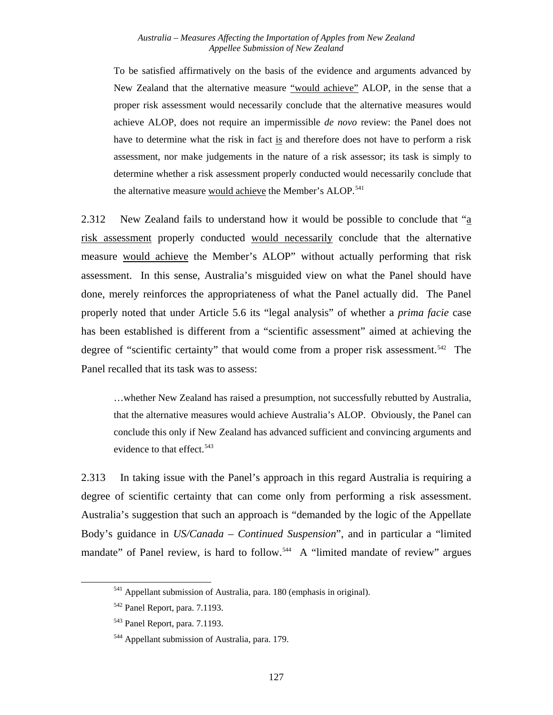To be satisfied affirmatively on the basis of the evidence and arguments advanced by New Zealand that the alternative measure "would achieve" ALOP, in the sense that a proper risk assessment would necessarily conclude that the alternative measures would achieve ALOP, does not require an impermissible *de novo* review: the Panel does not have to determine what the risk in fact is and therefore does not have to perform a risk assessment, nor make judgements in the nature of a risk assessor; its task is simply to determine whether a risk assessment properly conducted would necessarily conclude that the alternative measure would achieve the Member's ALOP.<sup>[541](#page-133-0)</sup>

2.312 New Zealand fails to understand how it would be possible to conclude that "a risk assessment properly conducted would necessarily conclude that the alternative measure would achieve the Member's ALOP" without actually performing that risk assessment. In this sense, Australia's misguided view on what the Panel should have done, merely reinforces the appropriateness of what the Panel actually did. The Panel properly noted that under Article 5.6 its "legal analysis" of whether a *prima facie* case has been established is different from a "scientific assessment" aimed at achieving the degree of "scientific certainty" that would come from a proper risk assessment.<sup>[542](#page-133-1)</sup> The Panel recalled that its task was to assess:

…whether New Zealand has raised a presumption, not successfully rebutted by Australia, that the alternative measures would achieve Australia's ALOP. Obviously, the Panel can conclude this only if New Zealand has advanced sufficient and convincing arguments and evidence to that effect.<sup>[543](#page-133-2)</sup>

2.313 In taking issue with the Panel's approach in this regard Australia is requiring a degree of scientific certainty that can come only from performing a risk assessment. Australia's suggestion that such an approach is "demanded by the logic of the Appellate Body's guidance in *US/Canada – Continued Suspension*", and in particular a "limited mandate" of Panel review, is hard to follow.<sup>[544](#page-133-3)</sup> A "limited mandate of review" argues

<span id="page-133-0"></span><sup>541</sup> Appellant submission of Australia, para. 180 (emphasis in original).

<span id="page-133-1"></span><sup>542</sup> Panel Report, para. 7.1193.

<span id="page-133-2"></span><sup>543</sup> Panel Report, para. 7.1193.

<span id="page-133-3"></span><sup>544</sup> Appellant submission of Australia, para. 179.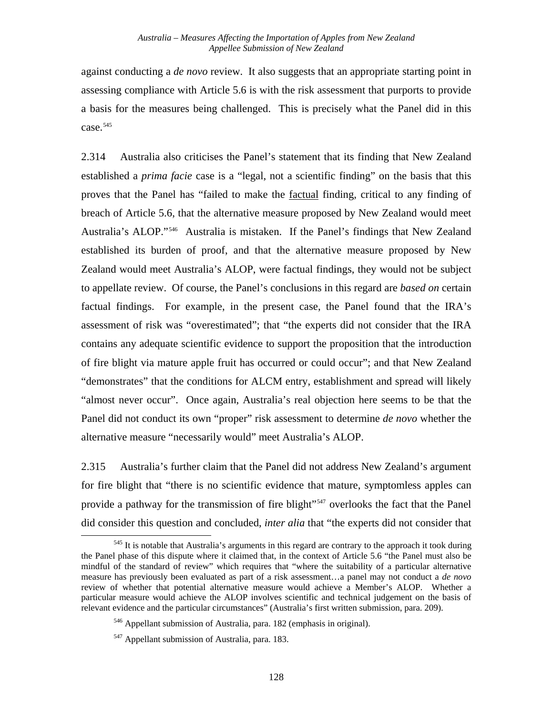against conducting a *de novo* review. It also suggests that an appropriate starting point in assessing compliance with Article 5.6 is with the risk assessment that purports to provide a basis for the measures being challenged. This is precisely what the Panel did in this case.<sup>[545](#page-134-0)</sup>

2.314 Australia also criticises the Panel's statement that its finding that New Zealand established a *prima facie* case is a "legal, not a scientific finding" on the basis that this proves that the Panel has "failed to make the factual finding, critical to any finding of breach of Article 5.6, that the alternative measure proposed by New Zealand would meet Australia's ALOP."[546](#page-134-1) Australia is mistaken. If the Panel's findings that New Zealand established its burden of proof, and that the alternative measure proposed by New Zealand would meet Australia's ALOP, were factual findings, they would not be subject to appellate review. Of course, the Panel's conclusions in this regard are *based on* certain factual findings. For example, in the present case, the Panel found that the IRA's assessment of risk was "overestimated"; that "the experts did not consider that the IRA contains any adequate scientific evidence to support the proposition that the introduction of fire blight via mature apple fruit has occurred or could occur"; and that New Zealand "demonstrates" that the conditions for ALCM entry, establishment and spread will likely "almost never occur". Once again, Australia's real objection here seems to be that the Panel did not conduct its own "proper" risk assessment to determine *de novo* whether the alternative measure "necessarily would" meet Australia's ALOP.

2.315 Australia's further claim that the Panel did not address New Zealand's argument for fire blight that "there is no scientific evidence that mature, symptomless apples can provide a pathway for the transmission of fire blight"<sup>[547](#page-134-2)</sup> overlooks the fact that the Panel did consider this question and concluded, *inter alia* that "the experts did not consider that

<span id="page-134-0"></span><sup>&</sup>lt;sup>545</sup> It is notable that Australia's arguments in this regard are contrary to the approach it took during the Panel phase of this dispute where it claimed that, in the context of Article 5.6 "the Panel must also be mindful of the standard of review" which requires that "where the suitability of a particular alternative measure has previously been evaluated as part of a risk assessment…a panel may not conduct a *de novo* review of whether that potential alternative measure would achieve a Member's ALOP. Whether a particular measure would achieve the ALOP involves scientific and technical judgement on the basis of relevant evidence and the particular circumstances" (Australia's first written submission, para. 209).

<span id="page-134-1"></span><sup>546</sup> Appellant submission of Australia, para. 182 (emphasis in original).

<span id="page-134-2"></span><sup>547</sup> Appellant submission of Australia, para. 183.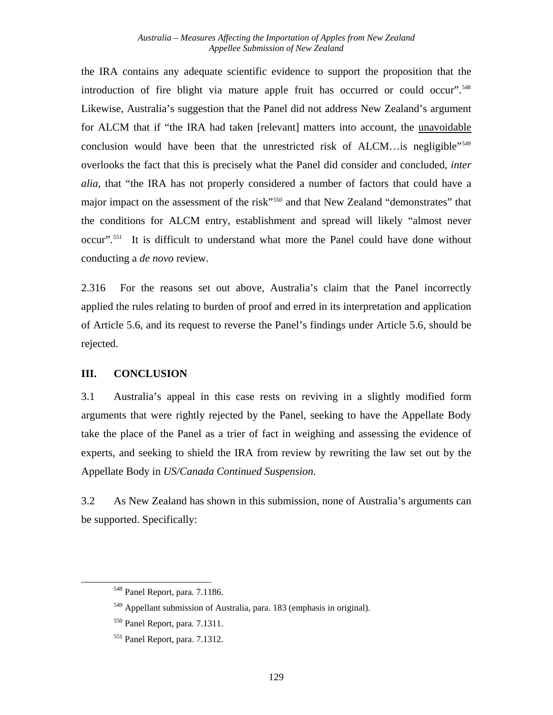the IRA contains any adequate scientific evidence to support the proposition that the introduction of fire blight via mature apple fruit has occurred or could occur".<sup>[548](#page-135-0)</sup> Likewise, Australia's suggestion that the Panel did not address New Zealand's argument for ALCM that if "the IRA had taken [relevant] matters into account, the unavoidable conclusion would have been that the unrestricted risk of ALCM...is negligible"<sup>[549](#page-135-1)</sup> overlooks the fact that this is precisely what the Panel did consider and concluded, *inter alia*, that "the IRA has not properly considered a number of factors that could have a major impact on the assessment of the risk"<sup>[550](#page-135-2)</sup> and that New Zealand "demonstrates" that the conditions for ALCM entry, establishment and spread will likely "almost never occur"[.551](#page-135-3) It is difficult to understand what more the Panel could have done without conducting a *de novo* review.

2.316 For the reasons set out above, Australia's claim that the Panel incorrectly applied the rules relating to burden of proof and erred in its interpretation and application of Article 5.6, and its request to reverse the Panel's findings under Article 5.6, should be rejected.

#### **III. CONCLUSION**

3.1 Australia's appeal in this case rests on reviving in a slightly modified form arguments that were rightly rejected by the Panel, seeking to have the Appellate Body take the place of the Panel as a trier of fact in weighing and assessing the evidence of experts, and seeking to shield the IRA from review by rewriting the law set out by the Appellate Body in *US/Canada Continued Suspension*.

3.2 As New Zealand has shown in this submission, none of Australia's arguments can be supported. Specifically:

<span id="page-135-0"></span><sup>548</sup> Panel Report, para. 7.1186.

<span id="page-135-1"></span><sup>549</sup> Appellant submission of Australia, para. 183 (emphasis in original).

<span id="page-135-2"></span><sup>550</sup> Panel Report, para. 7.1311.

<span id="page-135-3"></span><sup>551</sup> Panel Report, para. 7.1312.